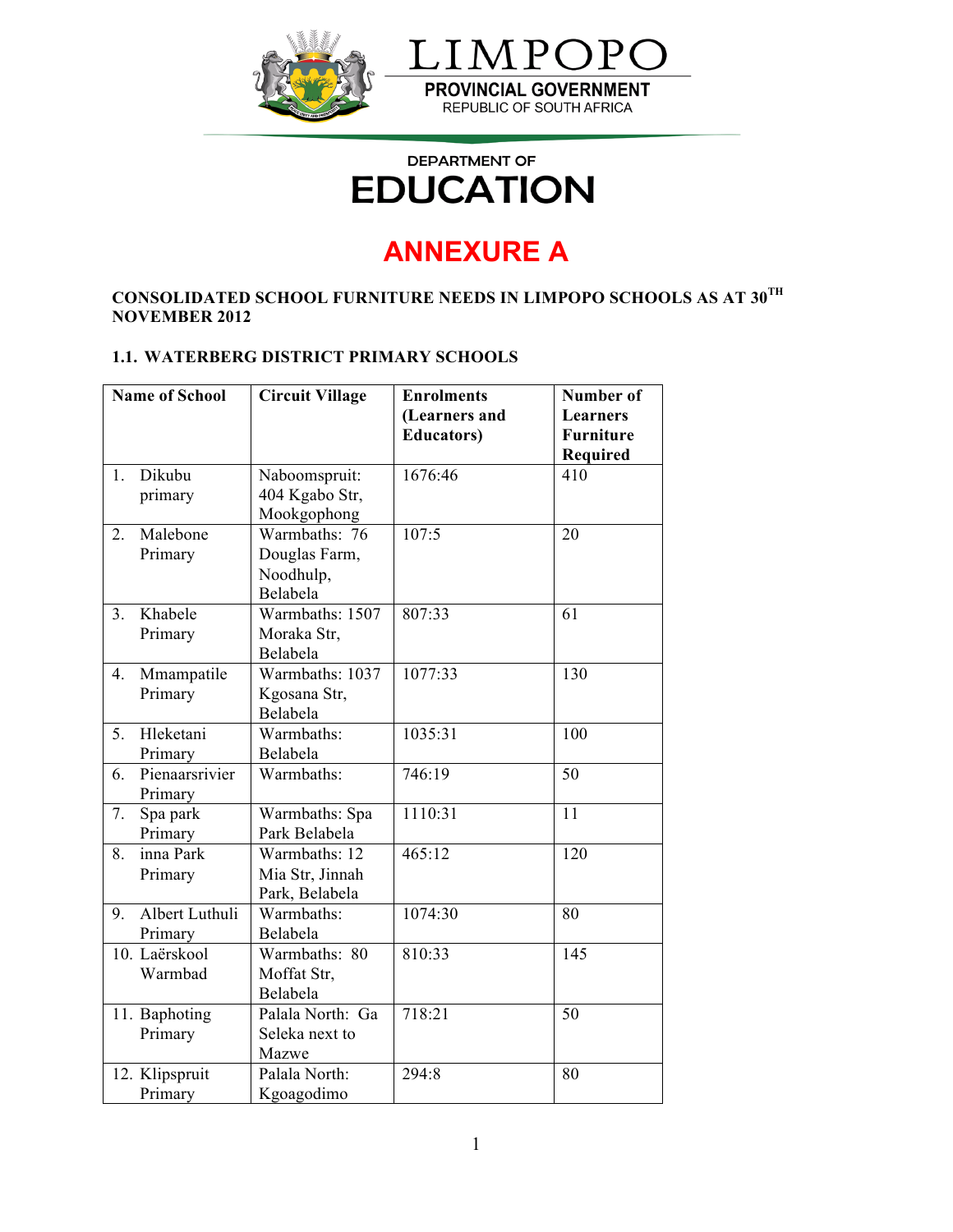

## **DEPARTMENT OF EDUCATION**

# **ANNEXURE A**

## **CONSOLIDATED SCHOOL FURNITURE NEEDS IN LIMPOPO SCHOOLS AS AT 30TH NOVEMBER 2012**

#### **1.1. WATERBERG DISTRICT PRIMARY SCHOOLS**

| <b>Name of School</b> |                           | <b>Circuit Village</b>                                  | <b>Enrolments</b><br>(Learners and<br><b>Educators</b> ) | Number of<br><b>Learners</b><br><b>Furniture</b><br>Required |  |
|-----------------------|---------------------------|---------------------------------------------------------|----------------------------------------------------------|--------------------------------------------------------------|--|
| 1.                    | Dikubu<br>primary         | Naboomspruit:<br>404 Kgabo Str,<br>Mookgophong          | 1676:46                                                  | 410                                                          |  |
| $\overline{2}$ .      | Malebone<br>Primary       | Warmbaths: 76<br>Douglas Farm,<br>Noodhulp,<br>Belabela | 107:5                                                    | $\overline{20}$                                              |  |
| 3 <sub>1</sub>        | Khabele<br>Primary        | Warmbaths: 1507<br>Moraka Str,<br>Belabela              | 807:33                                                   | 61                                                           |  |
| 4.                    | Mmampatile<br>Primary     | Warmbaths: 1037<br>Kgosana Str,<br>Belabela             | 1077:33                                                  | 130                                                          |  |
| 5.                    | Hleketani<br>Primary      | Warmbaths:<br>Belabela                                  | 1035:31                                                  | 100                                                          |  |
| 6.                    | Pienaarsrivier<br>Primary | Warmbaths:                                              | 746:19                                                   | 50                                                           |  |
| 7.                    | Spa park<br>Primary       | Warmbaths: Spa<br>Park Belabela                         | 1110:31                                                  | 11                                                           |  |
| 8.                    | inna Park<br>Primary      | Warmbaths: 12<br>Mia Str, Jinnah<br>Park, Belabela      | 465:12                                                   | 120                                                          |  |
| 9.                    | Albert Luthuli<br>Primary | Warmbaths:<br>Belabela                                  | 1074:30                                                  | 80                                                           |  |
|                       | 10. Laërskool<br>Warmbad  | Warmbaths: 80<br>Moffat Str,<br>Belabela                | 810:33                                                   | 145                                                          |  |
|                       | 11. Baphoting<br>Primary  | Palala North: Ga<br>Seleka next to<br>Mazwe             | 718:21                                                   | 50                                                           |  |
|                       | 12. Klipspruit<br>Primary | Palala North:<br>Kgoagodimo                             | 294:8                                                    | 80                                                           |  |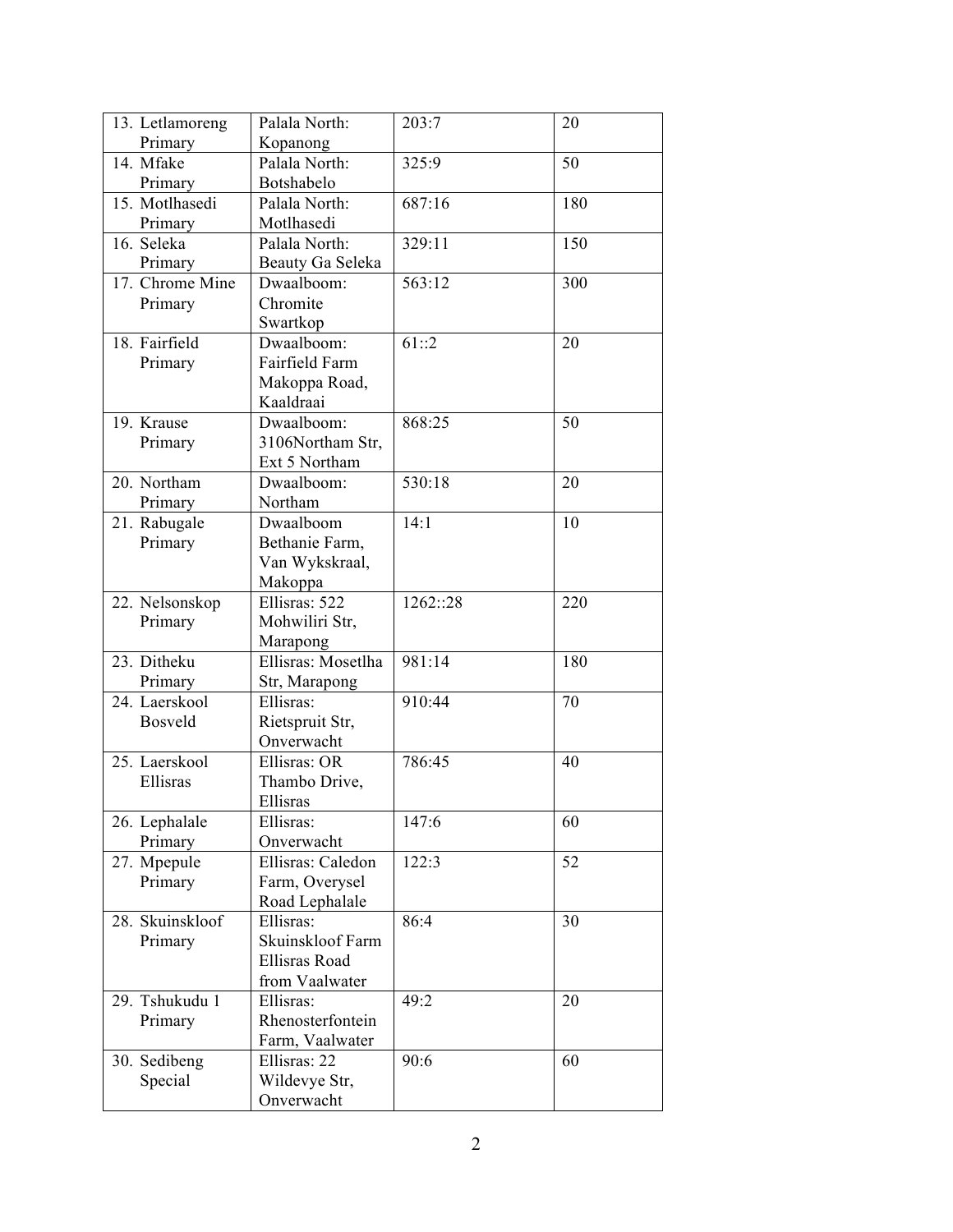| 13. Letlamoreng | Palala North:               | 203:7    | 20  |
|-----------------|-----------------------------|----------|-----|
| Primary         | Kopanong                    |          |     |
| 14. Mfake       | Palala North:               | 325:9    | 50  |
| Primary         | Botshabelo                  |          |     |
| 15. Motlhasedi  | Palala North:               | 687:16   | 180 |
| Primary         | Motlhasedi                  |          |     |
| 16. Seleka      | Palala North:               | 329:11   | 150 |
| Primary         | Beauty Ga Seleka            |          |     |
| 17. Chrome Mine | Dwaalboom:                  | 563:12   | 300 |
| Primary         | Chromite                    |          |     |
|                 | Swartkop                    |          |     |
| 18. Fairfield   | Dwaalboom:                  | 61::2    | 20  |
| Primary         | Fairfield Farm              |          |     |
|                 | Makoppa Road,               |          |     |
|                 | Kaaldraai                   |          |     |
| 19. Krause      | Dwaalboom:                  | 868:25   | 50  |
| Primary         | 3106Northam Str,            |          |     |
|                 | Ext 5 Northam               |          |     |
| 20. Northam     | Dwaalboom:                  | 530:18   | 20  |
| Primary         | Northam                     |          |     |
| 21. Rabugale    | Dwaalboom                   | 14:1     | 10  |
| Primary         | Bethanie Farm,              |          |     |
|                 | Van Wykskraal,              |          |     |
|                 | Makoppa                     |          |     |
| 22. Nelsonskop  | Ellisras: 522               | 1262::28 | 220 |
| Primary         | Mohwiliri Str,              |          |     |
|                 | Marapong                    |          |     |
| 23. Ditheku     | Ellisras: Mosetlha          | 981:14   | 180 |
| Primary         | Str, Marapong               |          |     |
| 24. Laerskool   | Ellisras:                   | 910:44   | 70  |
| Bosveld         | Rietspruit Str,             |          |     |
|                 | Onverwacht                  |          |     |
| 25. Laerskool   | Ellisras: OR                | 786:45   | 40  |
| Ellisras        | Thambo Drive,               |          |     |
|                 | Ellisras                    |          |     |
| 26. Lephalale   | Ellisras:                   | 147:6    | 60  |
| Primary         | Onverwacht                  |          |     |
| 27. Mpepule     | Ellisras: Caledon           | 122:3    | 52  |
| Primary         | Farm, Overysel              |          |     |
| 28. Skuinskloof | Road Lephalale<br>Ellisras: | 86:4     | 30  |
| Primary         | Skuinskloof Farm            |          |     |
|                 | <b>Ellisras Road</b>        |          |     |
|                 | from Vaalwater              |          |     |
| 29. Tshukudu 1  | Ellisras:                   | 49:2     | 20  |
| Primary         | Rhenosterfontein            |          |     |
|                 | Farm, Vaalwater             |          |     |
| 30. Sedibeng    | Ellisras: 22                | 90:6     | 60  |
| Special         | Wildevye Str,               |          |     |
|                 | Onverwacht                  |          |     |
|                 |                             |          |     |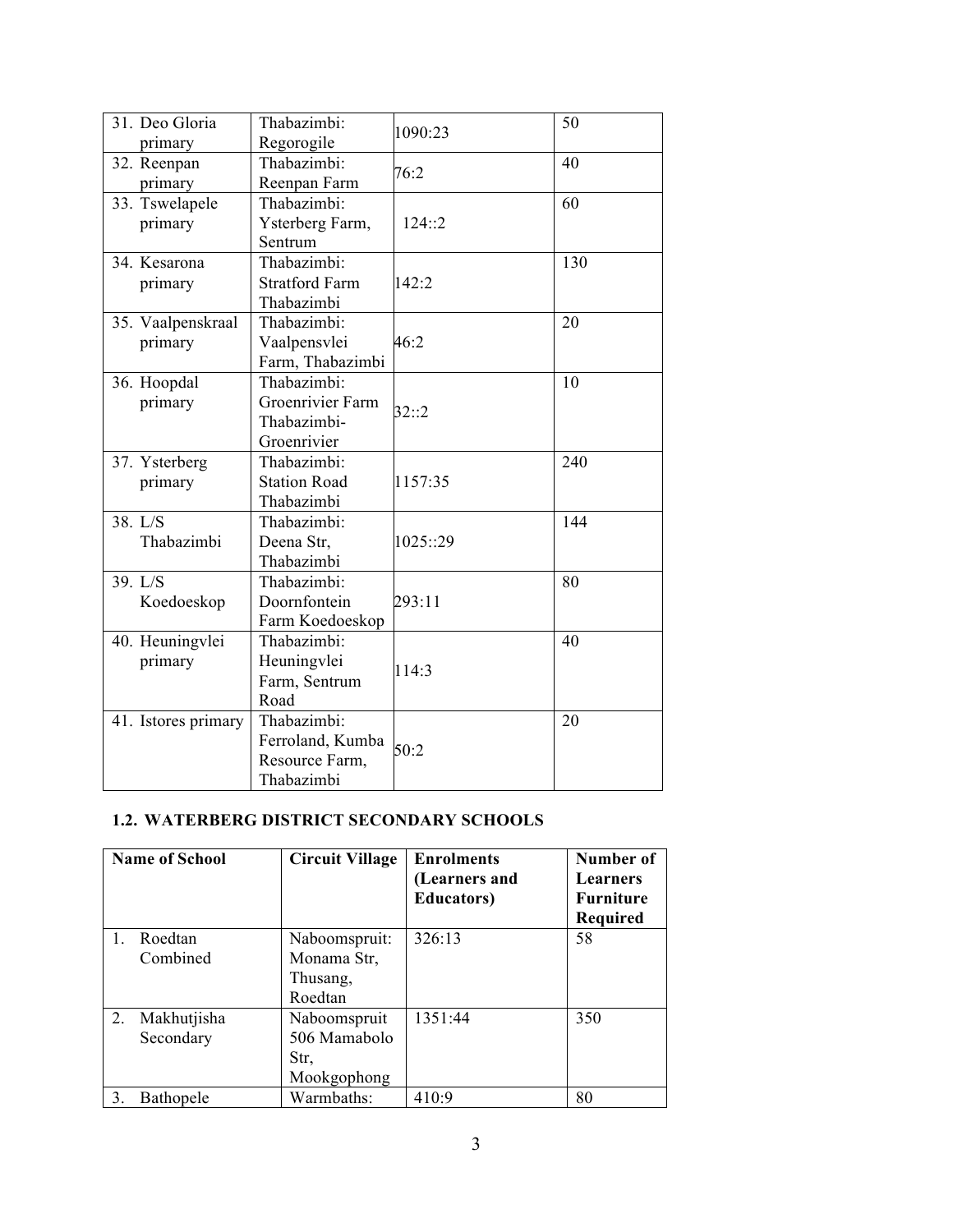| 31. Deo Gloria      | Thabazimbi:                  | 1090:23  | 50  |
|---------------------|------------------------------|----------|-----|
| primary             | Regorogile                   |          |     |
| 32. Reenpan         | Thabazimbi:                  | 76:2     | 40  |
| primary             | Reenpan Farm                 |          |     |
| 33. Tswelapele      | Thabazimbi:                  |          | 60  |
| primary             | Ysterberg Farm,              | 124::2   |     |
|                     | Sentrum                      |          |     |
| 34. Kesarona        | Thabazimbi:                  |          | 130 |
| primary             | <b>Stratford Farm</b>        | 142:2    |     |
|                     | Thabazimbi                   |          |     |
| 35. Vaalpenskraal   | Thabazimbi:                  |          | 20  |
| primary             | Vaalpensvlei                 | 46:2     |     |
|                     | Farm, Thabazimbi             |          |     |
| 36. Hoopdal         | Thabazimbi:                  |          | 10  |
| primary             | Groenrivier Farm             |          |     |
|                     | Thabazimbi-                  | 32::2    |     |
|                     | Groenrivier                  |          |     |
| 37. Ysterberg       | Thabazimbi:                  |          | 240 |
| primary             | <b>Station Road</b>          | 1157:35  |     |
|                     | Thabazimbi                   |          |     |
| 38. L/S             | Thabazimbi:                  |          | 144 |
| Thabazimbi          | Deena Str,                   | 1025::29 |     |
|                     | Thabazimbi                   |          |     |
| 39. $L/S$           | Thabazimbi:                  |          | 80  |
| Koedoeskop          | Doornfontein                 | 293:11   |     |
|                     | Farm Koedoeskop              |          |     |
| 40. Heuningvlei     | Thabazimbi:                  |          | 40  |
| primary             | Heuningvlei                  |          |     |
|                     | Farm, Sentrum                | 114:3    |     |
|                     | Road                         |          |     |
| 41. Istores primary | Thabazimbi:                  |          | 20  |
|                     | Ferroland, Kumba             |          |     |
|                     |                              | 50:2     |     |
|                     |                              |          |     |
|                     | Resource Farm,<br>Thabazimbi |          |     |

#### **1.2. WATERBERG DISTRICT SECONDARY SCHOOLS**

| <b>Name of School</b> |                          | <b>Circuit Village</b>                              | <b>Enrolments</b><br>(Learners and<br><b>Educators</b> ) | Number of<br>Learners<br><b>Furniture</b><br>Required |  |
|-----------------------|--------------------------|-----------------------------------------------------|----------------------------------------------------------|-------------------------------------------------------|--|
| 1.                    | Roedtan<br>Combined      | Naboomspruit:<br>Monama Str,<br>Thusang,<br>Roedtan | 326:13                                                   | 58                                                    |  |
| 2.                    | Makhutjisha<br>Secondary | Naboomspruit<br>506 Mamabolo<br>Str,<br>Mookgophong | 1351:44                                                  | 350                                                   |  |
| 3.                    | <b>Bathopele</b>         | Warmbaths:                                          | 410:9                                                    | 80                                                    |  |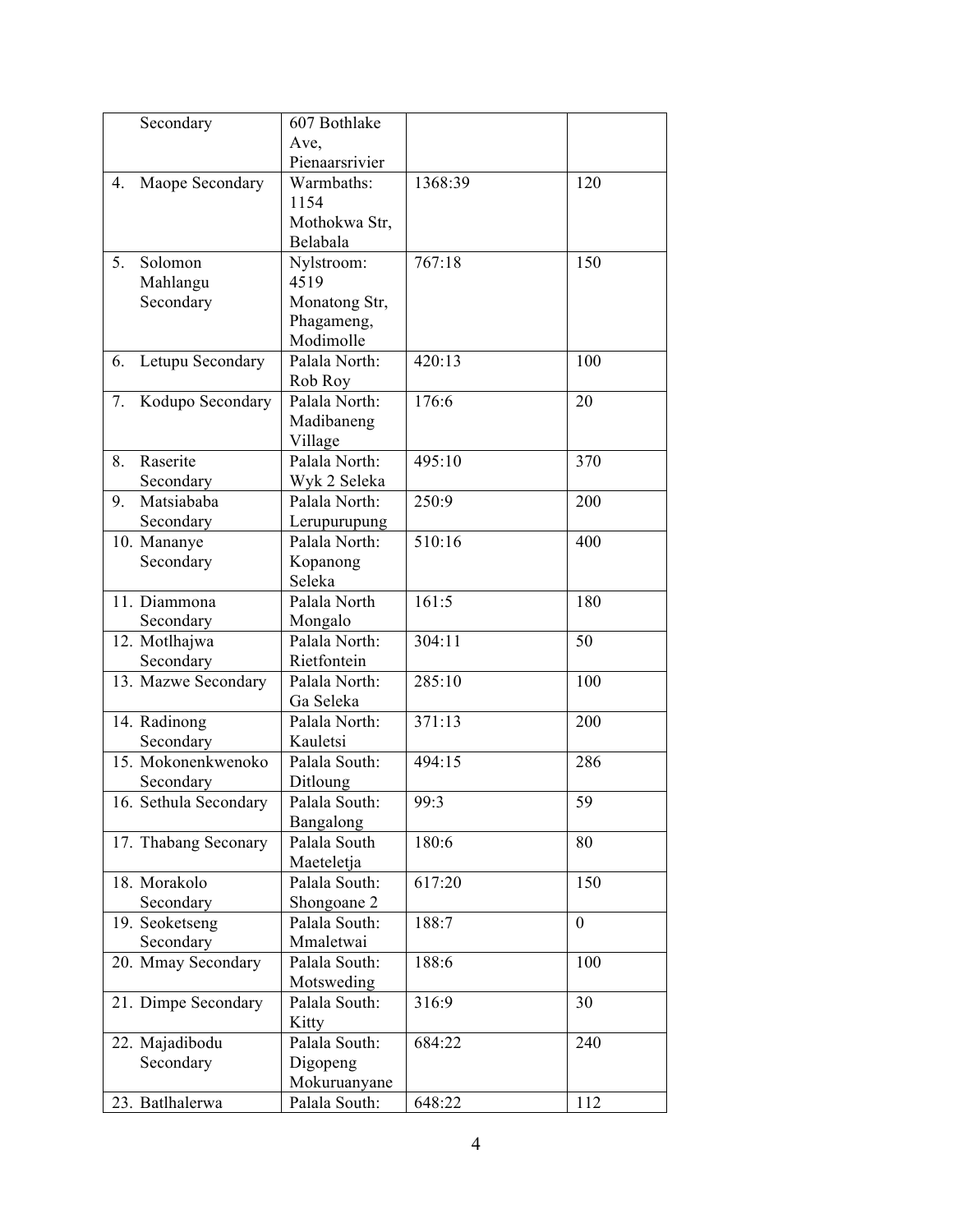|    | Secondary             | 607 Bothlake               |         |                |
|----|-----------------------|----------------------------|---------|----------------|
|    |                       | Ave,                       |         |                |
|    |                       | Pienaarsrivier             |         |                |
| 4. | Maope Secondary       | Warmbaths:                 | 1368:39 | 120            |
|    |                       | 1154                       |         |                |
|    |                       | Mothokwa Str,              |         |                |
|    |                       | Belabala                   |         |                |
| 5. | Solomon               | Nylstroom:                 | 767:18  | 150            |
|    | Mahlangu              | 4519                       |         |                |
|    | Secondary             | Monatong Str,              |         |                |
|    |                       | Phagameng,                 |         |                |
|    |                       | Modimolle                  |         |                |
| 6. | Letupu Secondary      | Palala North:              | 420:13  | 100            |
|    |                       | Rob Roy                    |         |                |
| 7. | Kodupo Secondary      | Palala North:              | 176:6   | 20             |
|    |                       | Madibaneng                 |         |                |
|    |                       | Village                    |         |                |
| 8. | Raserite              | Palala North:              | 495:10  | 370            |
|    | Secondary             | Wyk 2 Seleka               |         |                |
| 9. | Matsiababa            | Palala North:              | 250:9   | 200            |
|    | Secondary             | Lerupurupung               |         |                |
|    | 10. Mananye           | Palala North:              | 510:16  | 400            |
|    | Secondary             | Kopanong                   |         |                |
|    |                       | Seleka                     |         |                |
|    | 11. Diammona          | Palala North               | 161:5   | 180            |
|    | Secondary             | Mongalo                    |         |                |
|    | 12. Motlhajwa         | Palala North:              | 304:11  | 50             |
|    | Secondary             | Rietfontein                |         |                |
|    | 13. Mazwe Secondary   | Palala North:              | 285:10  | 100            |
|    |                       | Ga Seleka                  |         |                |
|    | 14. Radinong          | Palala North:              | 371:13  | 200            |
|    | Secondary             | Kauletsi                   |         |                |
|    | 15. Mokonenkwenoko    | Palala South:              | 494:15  | 286            |
|    | Secondary             | Ditloung                   |         |                |
|    | 16. Sethula Secondary | Palala South:              | 99:3    | 59             |
|    |                       | Bangalong                  |         |                |
|    | 17. Thabang Seconary  | Palala South<br>Maeteletja | 180:6   | 80             |
|    | 18. Morakolo          | Palala South:              | 617:20  | 150            |
|    | Secondary             | Shongoane 2                |         |                |
|    | 19. Seoketseng        | Palala South:              | 188:7   | $\overline{0}$ |
|    | Secondary             | Mmaletwai                  |         |                |
|    | 20. Mmay Secondary    | Palala South:              | 188:6   | 100            |
|    |                       | Motsweding                 |         |                |
|    | 21. Dimpe Secondary   | Palala South:              | 316:9   | 30             |
|    |                       | Kitty                      |         |                |
|    | 22. Majadibodu        | Palala South:              | 684:22  | 240            |
|    | Secondary             | Digopeng                   |         |                |
|    |                       | Mokuruanyane               |         |                |
|    | 23. Batlhalerwa       | Palala South:              | 648:22  | 112            |
|    |                       |                            |         |                |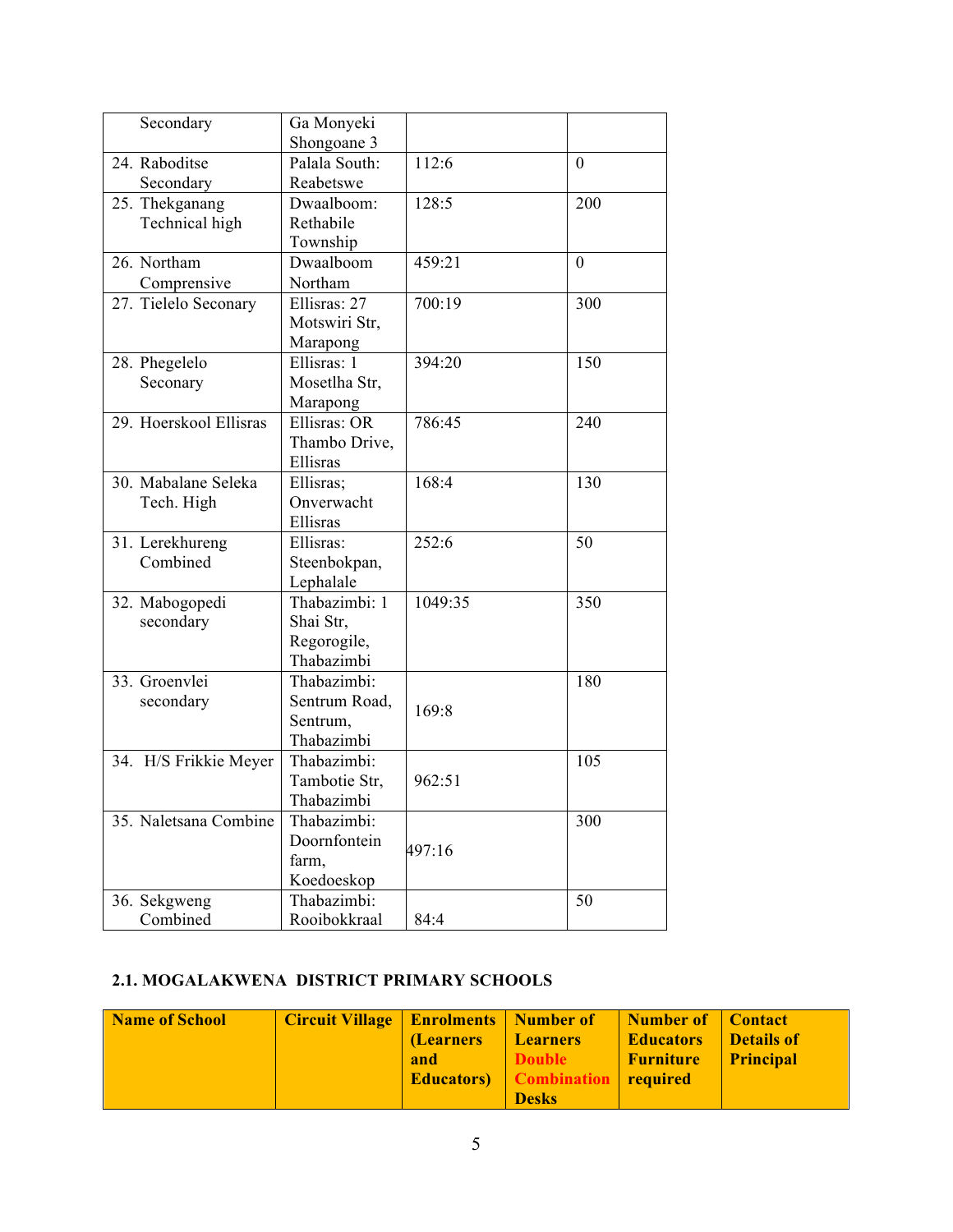| Secondary              | Ga Monyeki                |         |                  |
|------------------------|---------------------------|---------|------------------|
|                        | Shongoane 3               |         |                  |
| 24. Raboditse          | Palala South:             | 112:6   | $\boldsymbol{0}$ |
| Secondary              | Reabetswe                 |         |                  |
| 25. Thekganang         | Dwaalboom:                | 128:5   | 200              |
| Technical high         | Rethabile                 |         |                  |
|                        | Township                  |         |                  |
| 26. Northam            | Dwaalboom                 | 459:21  | $\overline{0}$   |
| Comprensive            | Northam                   |         |                  |
| 27. Tielelo Seconary   | Ellisras: 27              | 700:19  | 300              |
|                        | Motswiri Str,             |         |                  |
|                        | Marapong                  |         |                  |
| 28. Phegelelo          | Ellisras: 1               | 394:20  | 150              |
| Seconary               | Mosetlha Str,             |         |                  |
|                        | Marapong                  |         |                  |
| 29. Hoerskool Ellisras | Ellisras: OR              | 786:45  | 240              |
|                        |                           |         |                  |
|                        | Thambo Drive,<br>Ellisras |         |                  |
|                        |                           |         |                  |
| 30. Mabalane Seleka    | Ellisras;                 | 168:4   | 130              |
| Tech. High             | Onverwacht                |         |                  |
|                        | Ellisras                  |         |                  |
| 31. Lerekhureng        | Ellisras:                 | 252:6   | 50               |
| Combined               | Steenbokpan,              |         |                  |
|                        | Lephalale                 |         |                  |
| 32. Mabogopedi         | Thabazimbi: 1             | 1049:35 | 350              |
| secondary              | Shai Str,                 |         |                  |
|                        | Regorogile,               |         |                  |
|                        | Thabazimbi                |         |                  |
| 33. Groenvlei          | Thabazimbi:               |         | 180              |
| secondary              | Sentrum Road,             |         |                  |
|                        | Sentrum,                  | 169:8   |                  |
|                        | Thabazimbi                |         |                  |
| 34. H/S Frikkie Meyer  | Thabazimbi:               |         | 105              |
|                        | Tambotie Str,             | 962:51  |                  |
|                        | Thabazimbi                |         |                  |
| 35. Naletsana Combine  | Thabazimbi:               |         | 300              |
|                        | Doornfontein              |         |                  |
|                        |                           | 497:16  |                  |
|                        | farm,                     |         |                  |
|                        | Koedoeskop                |         |                  |
| 36. Sekgweng           | Thabazimbi:               |         | 50               |
| Combined               | Rooibokkraal              | 84:4    |                  |

## **2.1. MOGALAKWENA DISTRICT PRIMARY SCHOOLS**

| <b>Name of School</b> | Circuit Village   Enrolments   Number of |           |                              | Number of   Contact |                   |
|-----------------------|------------------------------------------|-----------|------------------------------|---------------------|-------------------|
|                       |                                          | (Learners | <b>Learners</b>              | Educators           | <b>Details of</b> |
|                       |                                          | and       | Double                       | Furniture           | <b>Principal</b>  |
|                       |                                          |           | <b>Educators Combination</b> | required            |                   |
|                       |                                          |           | <b>Desks</b>                 |                     |                   |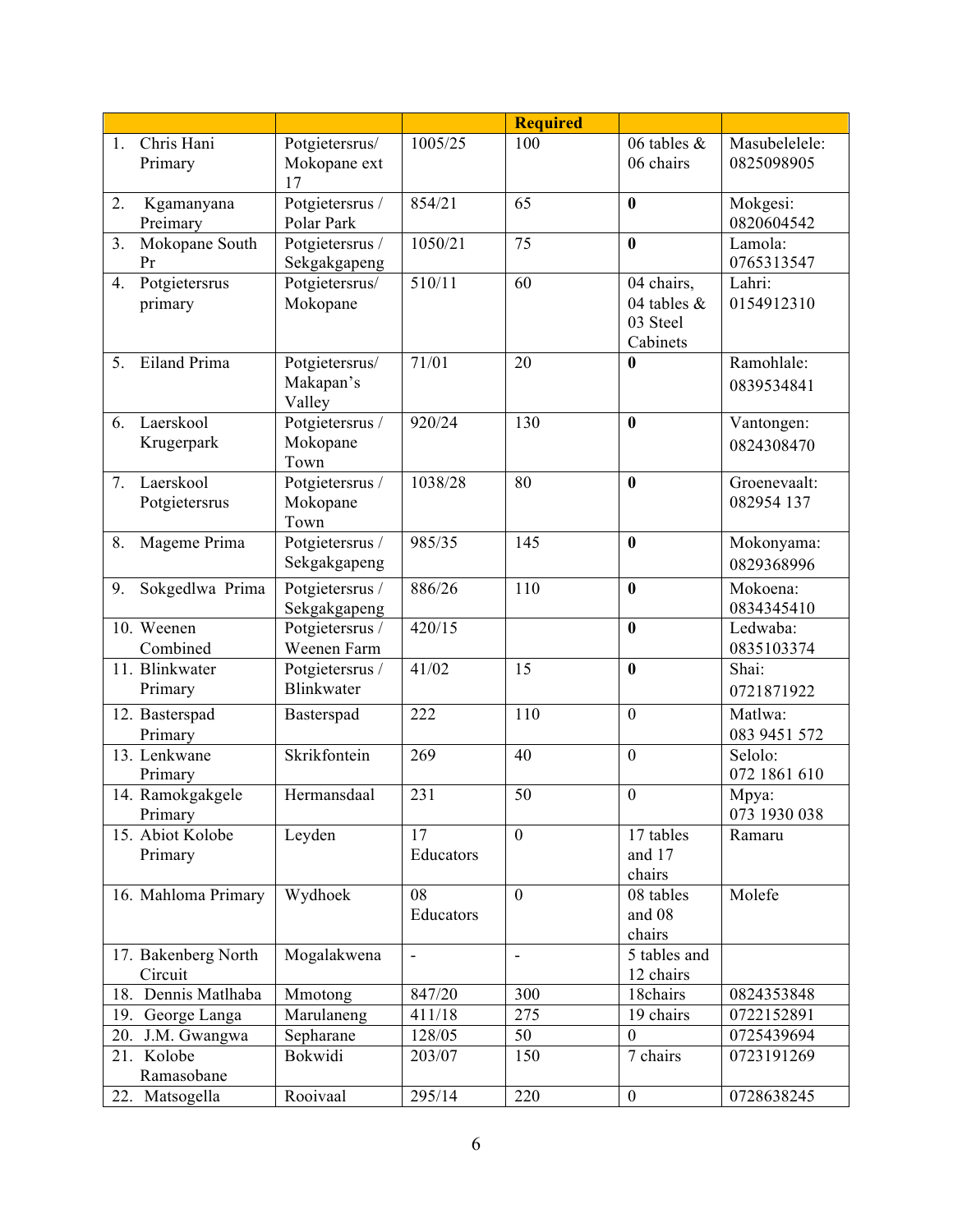|    |                                |                                       |                 | <b>Required</b>          |                                                      |                             |
|----|--------------------------------|---------------------------------------|-----------------|--------------------------|------------------------------------------------------|-----------------------------|
| 1. | Chris Hani<br>Primary          | Potgietersrus/<br>Mokopane ext<br>17  | 1005/25         | 100                      | 06 tables $\&$<br>06 chairs                          | Masubelelele:<br>0825098905 |
| 2. | Kgamanyana<br>Preimary         | Potgietersrus /<br>Polar Park         | 854/21          | 65                       | $\bf{0}$                                             | Mokgesi:<br>0820604542      |
| 3. | Mokopane South<br>Pr           | Potgietersrus /<br>Sekgakgapeng       | 1050/21         | 75                       | $\bf{0}$                                             | Lamola:<br>0765313547       |
| 4. | Potgietersrus<br>primary       | Potgietersrus/<br>Mokopane            | 510/11          | 60                       | 04 chairs,<br>04 tables $\&$<br>03 Steel<br>Cabinets | Lahri:<br>0154912310        |
| 5. | Eiland Prima                   | Potgietersrus/<br>Makapan's<br>Valley | 71/01           | 20                       | $\bf{0}$                                             | Ramohlale:<br>0839534841    |
| 6. | Laerskool<br>Krugerpark        | Potgietersrus /<br>Mokopane<br>Town   | 920/24          | 130                      | $\bf{0}$                                             | Vantongen:<br>0824308470    |
| 7. | Laerskool<br>Potgietersrus     | Potgietersrus /<br>Mokopane<br>Town   | 1038/28         | 80                       | $\bf{0}$                                             | Groenevaalt:<br>082954 137  |
| 8. | Mageme Prima                   | Potgietersrus /<br>Sekgakgapeng       | 985/35          | 145                      | $\boldsymbol{0}$                                     | Mokonyama:<br>0829368996    |
| 9. | Sokgedlwa Prima                | Potgietersrus /<br>Sekgakgapeng       | 886/26          | 110                      | $\bf{0}$                                             | Mokoena:<br>0834345410      |
|    | 10. Weenen<br>Combined         | Potgietersrus /<br>Weenen Farm        | 420/15          |                          | $\bf{0}$                                             | Ledwaba:<br>0835103374      |
|    | 11. Blinkwater<br>Primary      | Potgietersrus /<br>Blinkwater         | 41/02           | 15                       | $\bf{0}$                                             | Shai:<br>0721871922         |
|    | 12. Basterspad<br>Primary      | Basterspad                            | 222             | 110                      | $\mathbf{0}$                                         | Matlwa:<br>083 9451 572     |
|    | 13. Lenkwane<br>Primary        | Skrikfontein                          | 269             | 40                       | $\mathbf{0}$                                         | Selolo:<br>072 1861 610     |
|    | 14. Ramokgakgele<br>Primary    | Hermansdaal                           | 231             | 50                       | $\boldsymbol{0}$                                     | Mpya:<br>073 1930 038       |
|    | 15. Abiot Kolobe<br>Primary    | Leyden                                | 17<br>Educators | $\mathbf{0}$             | 17 tables<br>and 17<br>chairs                        | Ramaru                      |
|    | 16. Mahloma Primary            | Wydhoek                               | 08<br>Educators | $\mathbf{0}$             | 08 tables<br>and 08<br>chairs                        | Molefe                      |
|    | 17. Bakenberg North<br>Circuit | Mogalakwena                           | ÷,              | $\overline{\phantom{a}}$ | 5 tables and<br>12 chairs                            |                             |
|    | 18. Dennis Matlhaba            | Mmotong                               | 847/20          | 300                      | 18chairs                                             | 0824353848                  |
|    | 19. George Langa               | Marulaneng                            | 411/18          | 275                      | 19 chairs                                            | 0722152891                  |
|    | 20. J.M. Gwangwa               | Sepharane                             | 128/05          | 50                       | $\boldsymbol{0}$                                     | 0725439694                  |
|    | 21. Kolobe<br>Ramasobane       | Bokwidi                               | 203/07          | 150                      | 7 chairs                                             | 0723191269                  |
|    | 22. Matsogella                 | Rooivaal                              | 295/14          | 220                      | $\boldsymbol{0}$                                     | 0728638245                  |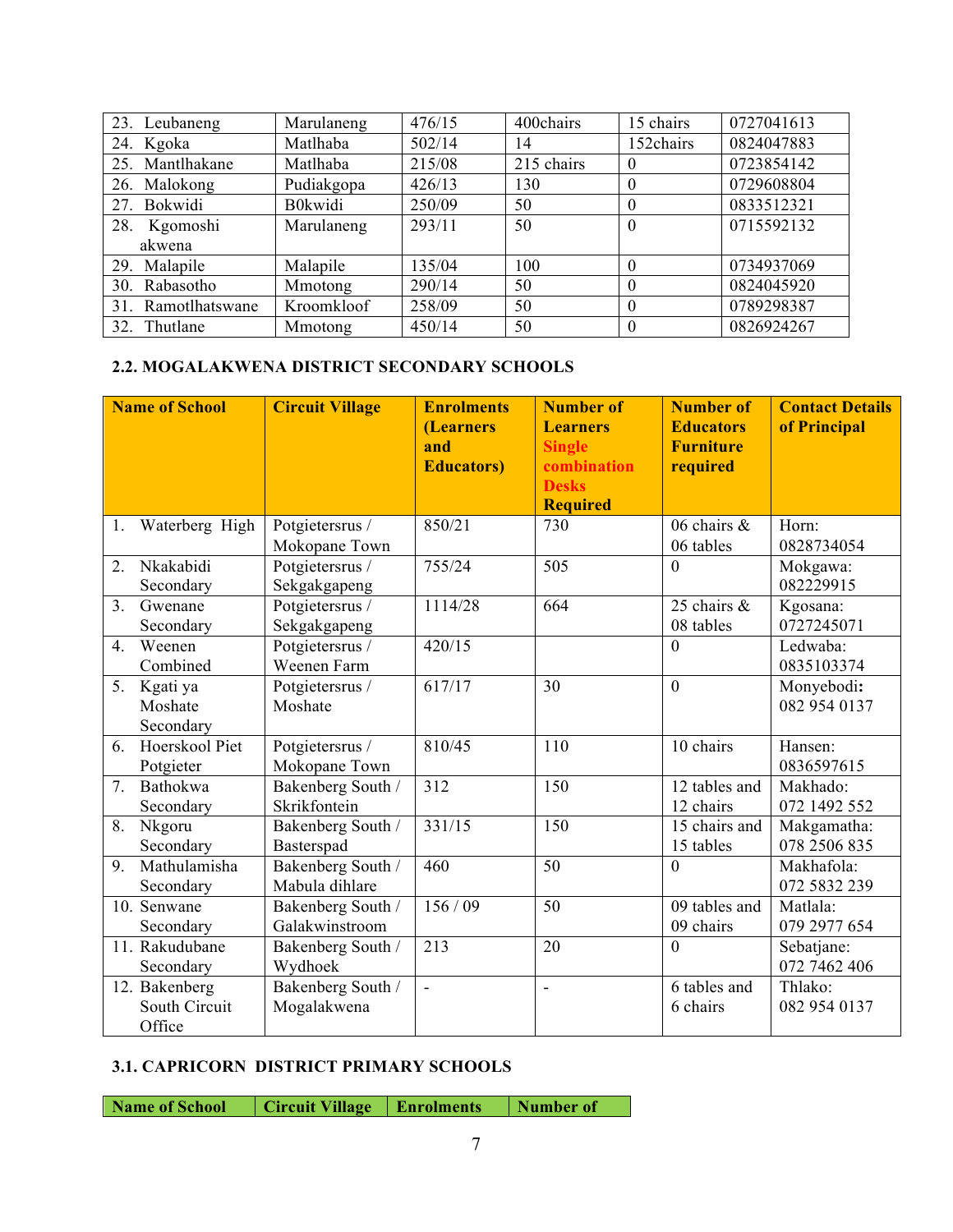| 23. Leubaneng      | Marulaneng     | 476/15 | 400chairs  | 15 chairs | 0727041613 |
|--------------------|----------------|--------|------------|-----------|------------|
| 24. Kgoka          | Matlhaba       | 502/14 | 14         | 152chairs | 0824047883 |
| 25. Mantlhakane    | Matlhaba       | 215/08 | 215 chairs | $\theta$  | 0723854142 |
| 26. Malokong       | Pudiakgopa     | 426/13 | 130        | $\Omega$  | 0729608804 |
| 27. Bokwidi        | <b>B0kwidi</b> | 250/09 | 50         | $\theta$  | 0833512321 |
| 28.<br>Kgomoshi    | Marulaneng     | 293/11 | 50         | $\Omega$  | 0715592132 |
| akwena             |                |        |            |           |            |
| 29. Malapile       | Malapile       | 135/04 | 100        | $\theta$  | 0734937069 |
| 30. Rabasotho      | Mmotong        | 290/14 | 50         | $\theta$  | 0824045920 |
| 31. Ramotlhatswane | Kroomkloof     | 258/09 | 50         | $\Omega$  | 0789298387 |
| 32. Thutlane       | Mmotong        | 450/14 | 50         | $\theta$  | 0826924267 |

#### **2.2. MOGALAKWENA DISTRICT SECONDARY SCHOOLS**

|    | <b>Name of School</b>                    | <b>Circuit Village</b>              | <b>Enrolments</b><br>(Learners<br>and<br><b>Educators</b> ) | <b>Number of</b><br><b>Learners</b><br><b>Single</b><br>combination<br><b>Desks</b><br><b>Required</b> | <b>Number of</b><br><b>Educators</b><br><b>Furniture</b><br>required | <b>Contact Details</b><br>of Principal |
|----|------------------------------------------|-------------------------------------|-------------------------------------------------------------|--------------------------------------------------------------------------------------------------------|----------------------------------------------------------------------|----------------------------------------|
| 1. | Waterberg High                           | Potgietersrus /<br>Mokopane Town    | 850/21                                                      | 730                                                                                                    | 06 chairs &<br>06 tables                                             | Horn:<br>0828734054                    |
| 2. | Nkakabidi<br>Secondary                   | Potgietersrus /<br>Sekgakgapeng     | 755/24                                                      | 505                                                                                                    | $\overline{0}$                                                       | Mokgawa:<br>082229915                  |
| 3. | Gwenane<br>Secondary                     | Potgietersrus /<br>Sekgakgapeng     | 1114/28                                                     | 664                                                                                                    | 25 chairs $\&$<br>08 tables                                          | Kgosana:<br>0727245071                 |
| 4. | Weenen<br>Combined                       | Potgietersrus /<br>Weenen Farm      | 420/15                                                      |                                                                                                        | $\overline{0}$                                                       | Ledwaba:<br>0835103374                 |
| 5. | Kgati ya<br>Moshate<br>Secondary         | Potgietersrus /<br>Moshate          | 617/17                                                      | 30                                                                                                     | $\mathbf{0}$                                                         | Monyebodi:<br>082 954 0137             |
| 6. | Hoerskool Piet<br>Potgieter              | Potgietersrus /<br>Mokopane Town    | 810/45                                                      | 110                                                                                                    | 10 chairs                                                            | Hansen:<br>0836597615                  |
| 7. | Bathokwa<br>Secondary                    | Bakenberg South /<br>Skrikfontein   | 312                                                         | 150                                                                                                    | 12 tables and<br>12 chairs                                           | Makhado:<br>072 1492 552               |
| 8. | Nkgoru<br>Secondary                      | Bakenberg South /<br>Basterspad     | 331/15                                                      | 150                                                                                                    | 15 chairs and<br>15 tables                                           | Makgamatha:<br>078 2506 835            |
| 9. | Mathulamisha<br>Secondary                | Bakenberg South /<br>Mabula dihlare | 460                                                         | 50                                                                                                     | $\overline{0}$                                                       | Makhafola:<br>072 5832 239             |
|    | 10. Senwane<br>Secondary                 | Bakenberg South /<br>Galakwinstroom | 156/09                                                      | 50                                                                                                     | $\overline{0}9$ tables and<br>09 chairs                              | Matlala:<br>079 2977 654               |
|    | 11. Rakudubane<br>Secondary              | Bakenberg South /<br>Wydhoek        | 213                                                         | 20                                                                                                     | $\theta$                                                             | Sebatjane:<br>072 7462 406             |
|    | 12. Bakenberg<br>South Circuit<br>Office | Bakenberg South /<br>Mogalakwena    | ÷,                                                          | $\bar{\phantom{a}}$                                                                                    | 6 tables and<br>6 chairs                                             | Thlako:<br>082 954 0137                |

#### **3.1. CAPRICORN DISTRICT PRIMARY SCHOOLS**

**Name of School Circuit Village Enrolments Number of**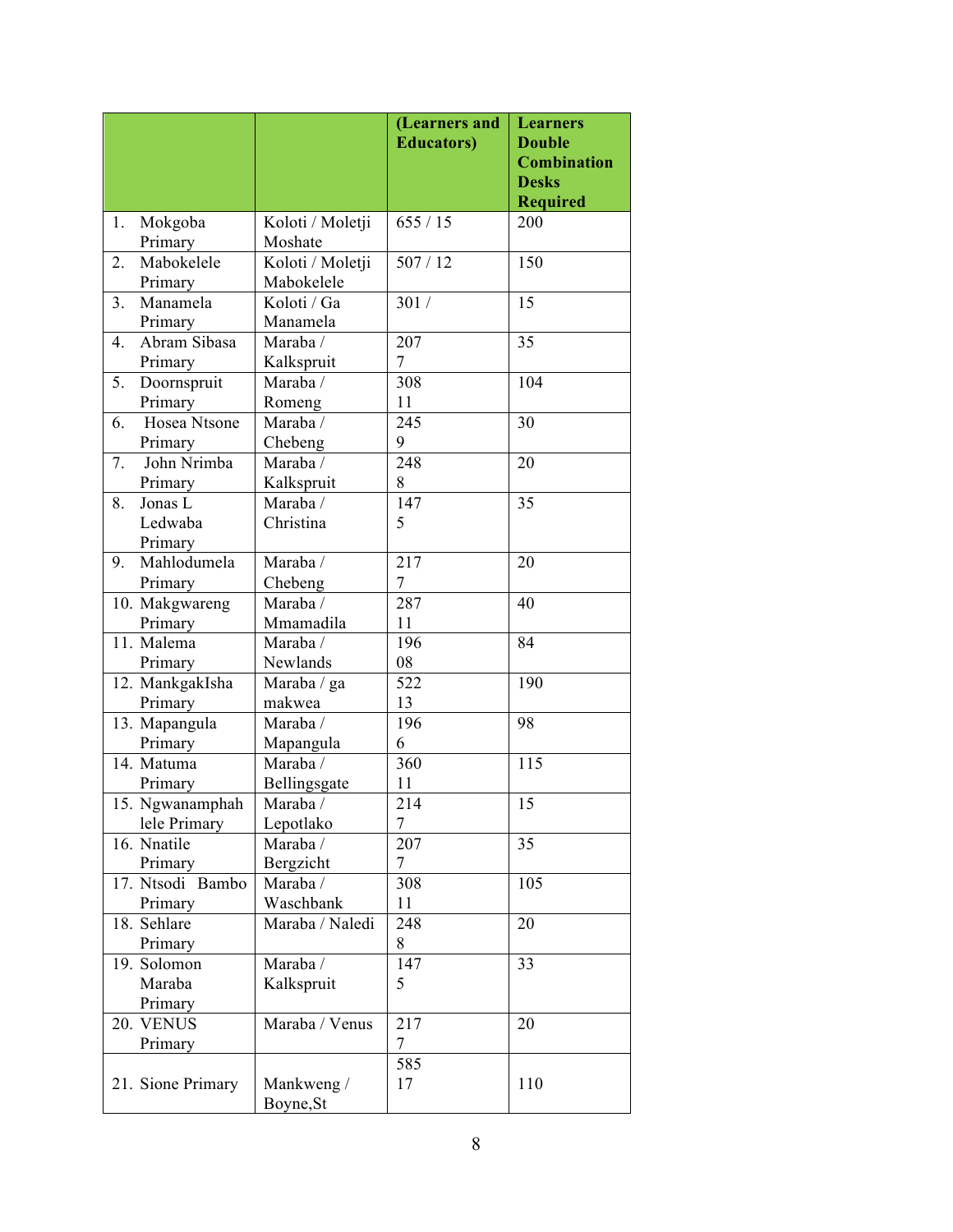|                                         |                                    | (Learners and<br><b>Educators</b> ) | <b>Learners</b><br><b>Double</b>   |
|-----------------------------------------|------------------------------------|-------------------------------------|------------------------------------|
|                                         |                                    |                                     | <b>Combination</b><br><b>Desks</b> |
|                                         |                                    |                                     | <b>Required</b>                    |
| Mokgoba<br>1.<br>Primary                | Koloti / Moletji<br>Moshate        | 655/15                              | 200                                |
| Mabokelele<br>2.<br>Primary             | Koloti / Moletji<br>Mabokelele     | 507/12                              | 150                                |
| 3 <sub>1</sub><br>Manamela<br>Primary   | Koloti / Ga<br>Manamela            | 301/                                | 15                                 |
| Abram Sibasa<br>4.<br>Primary           | Maraba /<br>Kalkspruit             | 207<br>$\boldsymbol{7}$             | 35                                 |
| 5.<br>Doornspruit<br>Primary            | Maraba /<br>Romeng                 | 308<br>11                           | 104                                |
| Hosea Ntsone<br>6.<br>Primary           | Maraba /<br>Chebeng                | 245<br>9                            | 30                                 |
| John Nrimba<br>7.<br>Primary            | Maraba /<br>Kalkspruit             | 248<br>8                            | 20                                 |
| Jonas L<br>8.<br>Ledwaba                | Maraba/<br>Christina               | 147<br>5                            | 35                                 |
| Primary<br>Mahlodumela<br>9.<br>Primary | Maraba /<br>Chebeng                | 217<br>$\overline{7}$               | 20                                 |
| 10. Makgwareng<br>Primary               | Maraba/<br>Mmamadila               | 287<br>11                           | 40                                 |
| 11. Malema<br>Primary                   | Maraba /<br>Newlands               | 196<br>08                           | 84                                 |
| 12. MankgakIsha<br>Primary              | Maraba / ga<br>makwea              | 522<br>13                           | 190                                |
| 13. Mapangula<br>Primary                | Maraba /<br>Mapangula              | 196<br>6                            | 98                                 |
| 14. Matuma<br>Primary                   | Maraba/<br>Bellingsgate            | 360<br>11                           | 115                                |
| 15. Ngwanamphah<br>lele Primary         | Maraba /<br>Lepotlako              | 214<br>7                            | 15                                 |
| 16. Nnatile<br>Primary                  | Maraba $\overline{V}$<br>Bergzicht | 207<br>$\overline{7}$               | 35                                 |
| 17. Ntsodi Bambo<br>Primary             | Maraba /<br>Waschbank              | 308<br>11                           | 105                                |
| 18. Sehlare<br>Primary                  | Maraba / Naledi                    | 248<br>8                            | 20                                 |
| 19. Solomon<br>Maraba<br>Primary        | Maraba /<br>Kalkspruit             | 147<br>5                            | 33                                 |
| 20. VENUS<br>Primary                    | Maraba / Venus                     | 217<br>7                            | 20                                 |
| 21. Sione Primary                       | Mankweng /<br>Boyne, St            | 585<br>17                           | 110                                |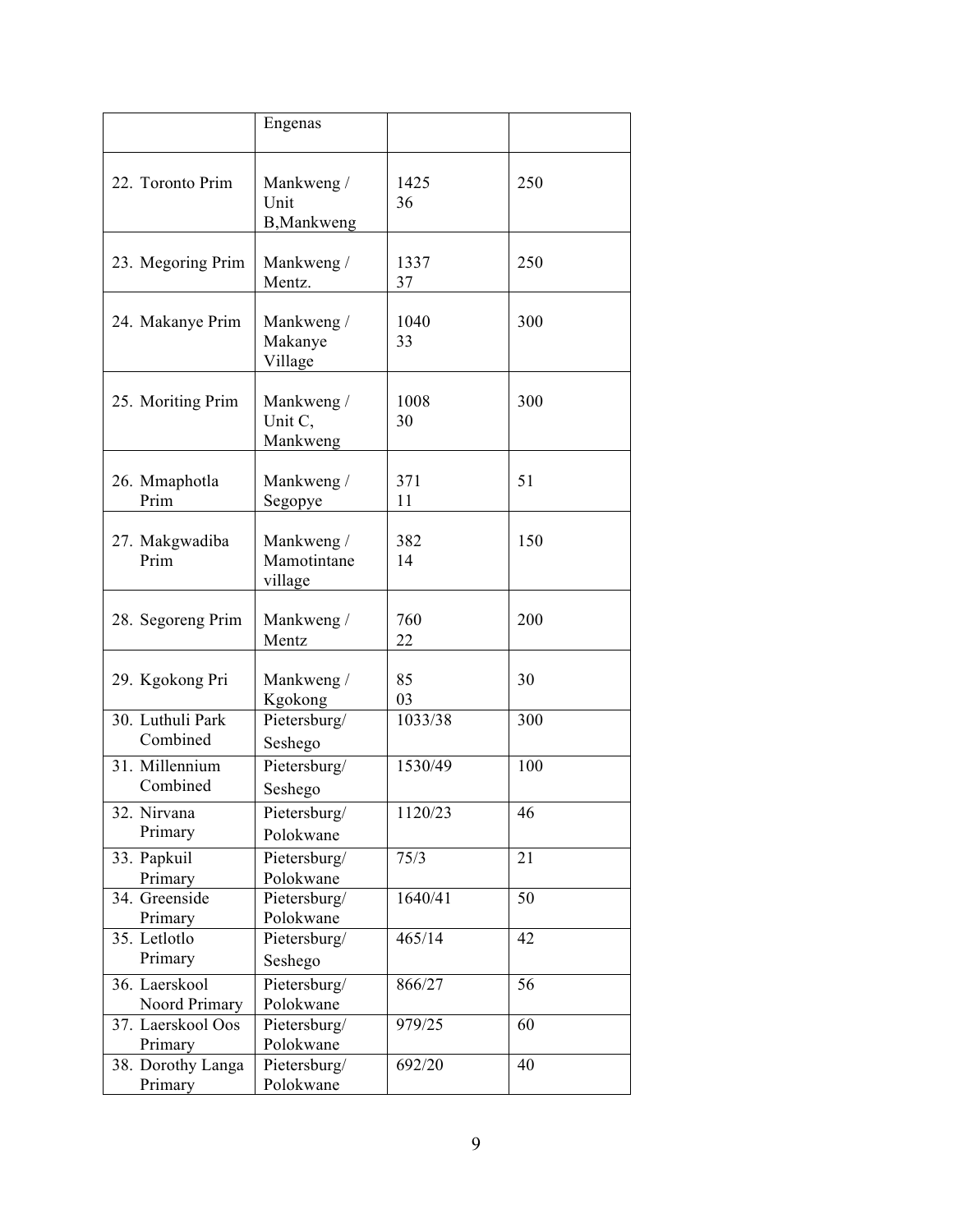|                                | Engenas                              |            |     |
|--------------------------------|--------------------------------------|------------|-----|
|                                |                                      |            |     |
| 22. Toronto Prim               | Mankweng /<br>Unit<br>B, Mankweng    | 1425<br>36 | 250 |
| 23. Megoring Prim              | Mankweng /<br>Mentz.                 | 1337<br>37 | 250 |
| 24. Makanye Prim               | Mankweng /<br>Makanye<br>Village     | 1040<br>33 | 300 |
| 25. Moriting Prim              | Mankweng /<br>Unit C.<br>Mankweng    | 1008<br>30 | 300 |
| 26. Mmaphotla<br>Prim          | Mankweng /<br>Segopye                | 371<br>11  | 51  |
| 27. Makgwadiba<br>Prim         | Mankweng /<br>Mamotintane<br>village | 382<br>14  | 150 |
| 28. Segoreng Prim              | Mankweng /<br>Mentz                  | 760<br>22  | 200 |
| 29. Kgokong Pri                | Mankweng /<br>Kgokong                | 85<br>03   | 30  |
| 30. Luthuli Park<br>Combined   | Pietersburg/<br>Seshego              | 1033/38    | 300 |
| 31. Millennium<br>Combined     | Pietersburg/<br>Seshego              | 1530/49    | 100 |
| 32. Nirvana<br>Primary         | Pietersburg/<br>Polokwane            | 1120/23    | 46  |
| 33. Papkuil<br>Primary         | Pietersburg/<br>Polokwane            | 75/3       | 21  |
| 34. Greenside<br>Primary       | Pietersburg/<br>Polokwane            | 1640/41    | 50  |
| 35. Letlotlo<br>Primary        | Pietersburg/<br>Seshego              | 465/14     | 42  |
| 36. Laerskool<br>Noord Primary | Pietersburg/<br>Polokwane            | 866/27     | 56  |
| 37. Laerskool Oos<br>Primary   | Pietersburg/<br>Polokwane            | 979/25     | 60  |
| 38. Dorothy Langa<br>Primary   | Pietersburg/<br>Polokwane            | 692/20     | 40  |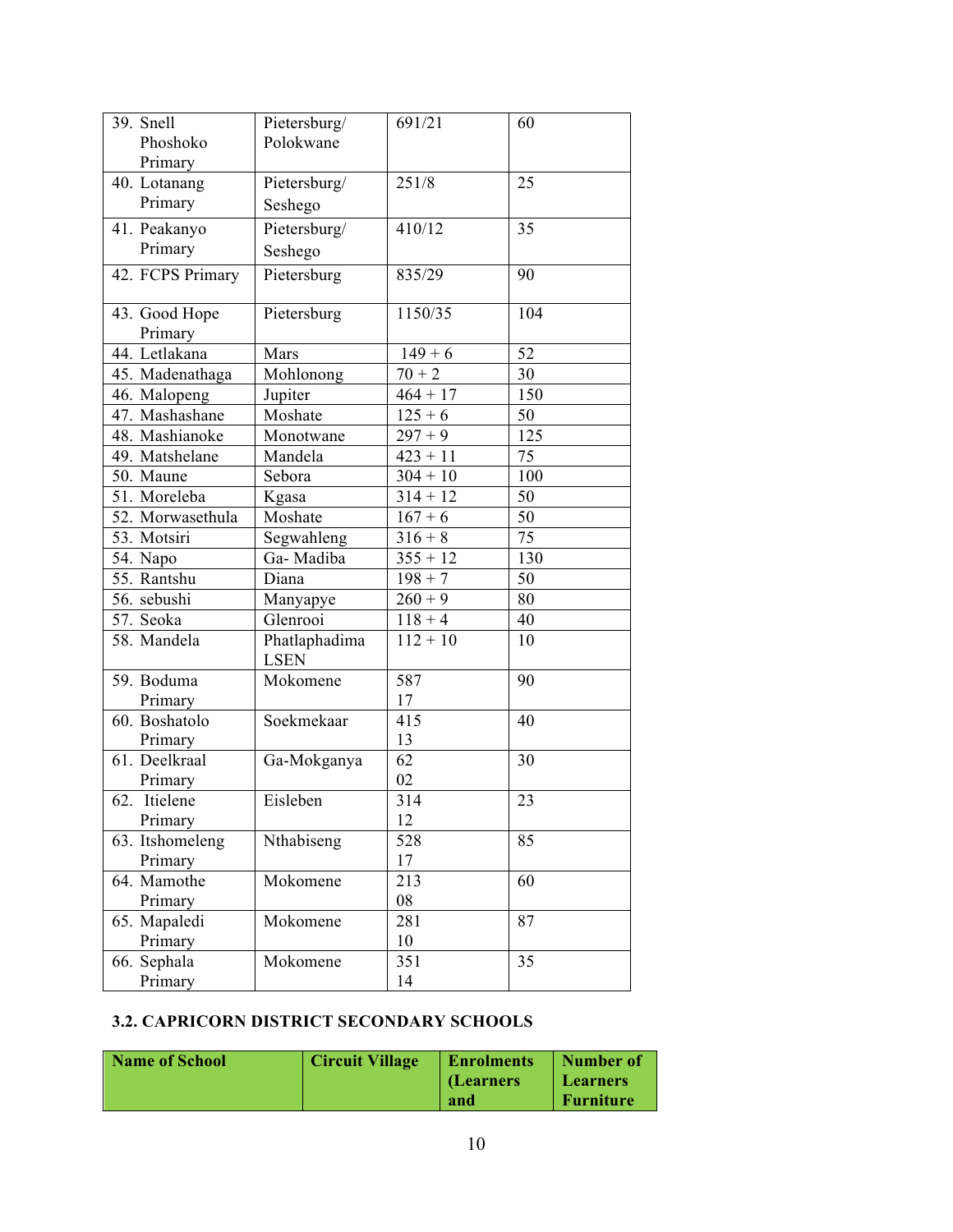| 39. Snell<br>Phoshoko    | Pietersburg/<br>Polokwane    | 691/21     | 60              |
|--------------------------|------------------------------|------------|-----------------|
| Primary                  |                              |            |                 |
| 40. Lotanang             | Pietersburg/                 | 251/8      | 25              |
| Primary                  |                              |            |                 |
|                          | Seshego                      |            |                 |
| 41. Peakanyo             | Pietersburg/                 | 410/12     | 35              |
| Primary                  | Seshego                      |            |                 |
| 42. FCPS Primary         | Pietersburg                  | 835/29     | 90              |
| 43. Good Hope<br>Primary | Pietersburg                  | 1150/35    | 104             |
| 44. Letlakana            | Mars                         | $149 + 6$  | 52              |
| 45. Madenathaga          | Mohlonong                    | $70 + 2$   | 30              |
| 46. Malopeng             | Jupiter                      | $464 + 17$ | 150             |
| 47. Mashashane           | Moshate                      | $125 + 6$  | 50              |
| 48. Mashianoke           | Monotwane                    | $297 + 9$  | 125             |
| 49. Matshelane           | Mandela                      | $423 + 11$ | 75              |
| 50. Maune                | Sebora                       | $304 + 10$ | 100             |
| 51. Moreleba             | Kgasa                        | $314 + 12$ | 50              |
| 52. Morwasethula         | Moshate                      | $167 + 6$  | 50              |
| 53. Motsiri              | Segwahleng                   | $316 + 8$  | $\overline{75}$ |
| 54. Napo                 | Ga-Madiba                    | $355 + 12$ | 130             |
| 55. Rantshu              | Diana                        | $198 + 7$  | 50              |
| 56. sebushi              | Manyapye                     | $260 + 9$  | 80              |
| 57. Seoka                | Glenrooi                     | $118 + 4$  | 40              |
| 58. Mandela              | Phatlaphadima<br><b>LSEN</b> | $112 + 10$ | 10              |
| 59. Boduma               | Mokomene                     | 587        | 90              |
| Primary                  |                              | 17         |                 |
| 60. Boshatolo            | Soekmekaar                   | 415        | 40              |
| Primary                  |                              | 13         |                 |
| 61. Deelkraal            | Ga-Mokganya                  | 62         | 30              |
| Primary                  |                              | 02         |                 |
| Itielene<br>62.          | Eisleben                     | 314        | 23              |
| Primary                  |                              | 12         |                 |
| 63. Itshomeleng          | Nthabiseng                   | 528        | 85              |
| Primary                  |                              | 17         |                 |
| 64. Mamothe              | Mokomene                     | 213        | 60              |
| Primary                  |                              | 08         |                 |
| 65. Mapaledi             | Mokomene                     | 281        | 87              |
| Primary                  |                              | 10         |                 |
| 66. Sephala              | Mokomene                     | 351        | 35              |
| Primary                  |                              | 14         |                 |

#### **3.2. CAPRICORN DISTRICT SECONDARY SCHOOLS**

| Name of School | <b>Circuit Village</b> | <b>Enrolments</b> | Number of        |
|----------------|------------------------|-------------------|------------------|
|                |                        | (Learners         | <b>Learners</b>  |
|                |                        | and               | <b>Furniture</b> |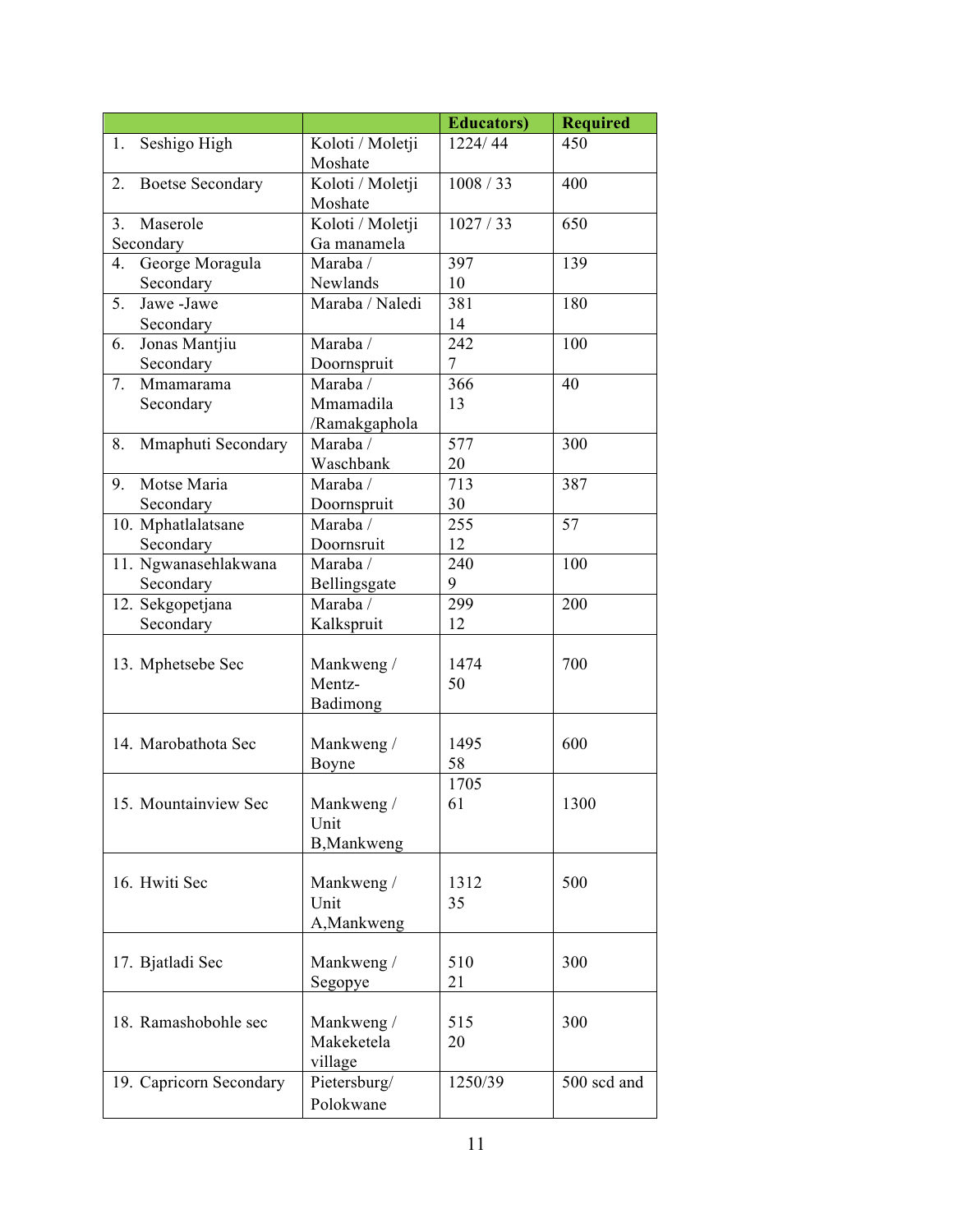|                               |                      | <b>Educators</b> ) | <b>Required</b> |
|-------------------------------|----------------------|--------------------|-----------------|
| Seshigo High<br>1.            | Koloti / Moletji     | 1224/44            | 450             |
|                               | Moshate              |                    |                 |
| <b>Boetse Secondary</b><br>2. | Koloti / Moletji     | 1008/33            | 400             |
|                               | Moshate              |                    |                 |
| Maserole<br>3.                | Koloti / Moletji     | 1027/33            | 650             |
| Secondary                     | Ga manamela          |                    |                 |
| George Moragula<br>4.         | Maraba /             | 397                | 139             |
| Secondary                     | Newlands             | 10                 |                 |
| 5.<br>Jawe-Jawe               | Maraba / Naledi      | 381                | 180             |
| Secondary                     |                      | 14                 |                 |
| Jonas Mantjiu<br>6.           | Maraba /             | 242                | 100             |
| Secondary                     | Doornspruit          | 7                  |                 |
| Mmamarama<br>7.               | Maraba /             | 366                | 40              |
| Secondary                     | Mmamadila            | 13                 |                 |
|                               | /Ramakgaphola        |                    |                 |
| Mmaphuti Secondary<br>8.      | Maraba /             | 577                | 300             |
|                               | Waschbank            | 20                 |                 |
| Motse Maria<br>9.             | Maraba /             | 713                | 387             |
| Secondary                     | Doornspruit          | 30                 |                 |
| 10. Mphatlalatsane            | Maraba /             | 255                | 57              |
| Secondary                     | Doornsruit           | 12                 |                 |
| 11. Ngwanasehlakwana          | Maraba /             | 240                | 100             |
| Secondary                     | Bellingsgate         | 9                  |                 |
| 12. Sekgopetjana              | Maraba /             | 299                | 200             |
| Secondary                     | Kalkspruit           | 12                 |                 |
|                               |                      |                    |                 |
| 13. Mphetsebe Sec             | Mankweng /<br>Mentz- | 1474<br>50         | 700             |
|                               |                      |                    |                 |
|                               | Badimong             |                    |                 |
| 14. Marobathota Sec           | Mankweng /           | 1495               | 600             |
|                               | Boyne                | 58                 |                 |
|                               |                      | 1705               |                 |
| 15. Mountainview Sec          | Mankweng /           | 61                 | 1300            |
|                               | Unit                 |                    |                 |
|                               | B, Mankweng          |                    |                 |
|                               |                      |                    |                 |
| 16. Hwiti Sec                 | Mankweng /           | 1312               | 500             |
|                               | Unit                 | 35                 |                 |
|                               | A, Mankweng          |                    |                 |
|                               |                      |                    |                 |
| 17. Bjatladi Sec              | Mankweng /           | 510                | 300             |
|                               | Segopye              | 21                 |                 |
|                               |                      |                    |                 |
| 18. Ramashobohle sec          | Mankweng /           | 515                | 300             |
|                               | Makeketela           | 20                 |                 |
|                               | village              |                    |                 |
| 19. Capricorn Secondary       | Pietersburg/         | 1250/39            | 500 scd and     |
|                               | Polokwane            |                    |                 |
|                               |                      |                    |                 |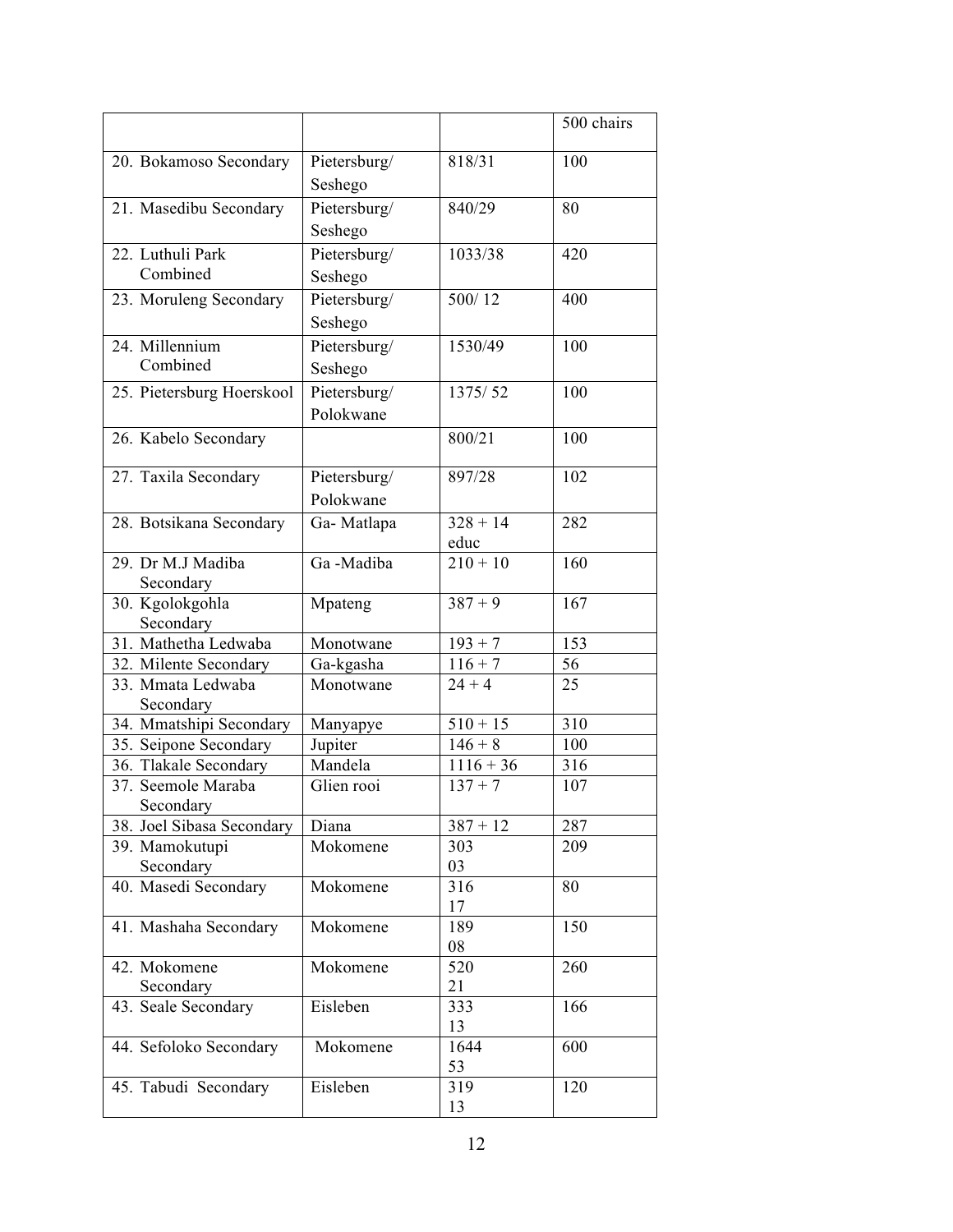|                                      |              |             | 500 chairs |
|--------------------------------------|--------------|-------------|------------|
| 20. Bokamoso Secondary               | Pietersburg/ | 818/31      | 100        |
|                                      | Seshego      |             |            |
| 21. Masedibu Secondary               | Pietersburg/ | 840/29      | 80         |
|                                      | Seshego      |             |            |
| 22. Luthuli Park                     | Pietersburg/ | 1033/38     | 420        |
| Combined                             | Seshego      |             |            |
|                                      | Pietersburg/ | 500/12      | 400        |
| 23. Moruleng Secondary               |              |             |            |
|                                      | Seshego      |             |            |
| 24. Millennium<br>Combined           | Pietersburg/ | 1530/49     | 100        |
|                                      | Seshego      |             |            |
| 25. Pietersburg Hoerskool            | Pietersburg/ | 1375/52     | 100        |
|                                      | Polokwane    |             |            |
| 26. Kabelo Secondary                 |              | 800/21      | 100        |
| 27. Taxila Secondary                 | Pietersburg/ | 897/28      | 102        |
|                                      | Polokwane    |             |            |
| 28. Botsikana Secondary              | Ga-Matlapa   | $328 + 14$  | 282        |
|                                      |              | educ        |            |
| 29. Dr M.J Madiba                    | Ga-Madiba    | $210 + 10$  | 160        |
| Secondary                            |              |             |            |
| 30. Kgolokgohla                      | Mpateng      | $387 + 9$   | 167        |
| Secondary                            |              |             |            |
| 31. Mathetha Ledwaba                 | Monotwane    | $193 + 7$   | 153        |
| 32. Milente Secondary                | Ga-kgasha    | $116 + 7$   | 56         |
| 33. Mmata Ledwaba                    | Monotwane    | $24 + 4$    | 25         |
| Secondary<br>34. Mmatshipi Secondary | Manyapye     | $510 + 15$  | 310        |
| 35. Seipone Secondary                | Jupiter      | $146 + 8$   | 100        |
| 36. Tlakale Secondary                | Mandela      | $1116 + 36$ | 316        |
| 37. Seemole Maraba                   | Glien rooi   | $137 + 7$   | 107        |
| Secondary                            |              |             |            |
| 38. Joel Sibasa Secondary            | Diana        | $387 + 12$  | 287        |
| 39. Mamokutupi                       | Mokomene     | 303         | 209        |
| Secondary                            |              | 03          |            |
| 40. Masedi Secondary                 | Mokomene     | 316         | 80         |
|                                      |              | 17          |            |
| 41. Mashaha Secondary                | Mokomene     | 189<br>08   | 150        |
| 42. Mokomene                         | Mokomene     | 520         | 260        |
| Secondary                            |              | 21          |            |
| 43. Seale Secondary                  | Eisleben     | 333         | 166        |
|                                      |              | 13          |            |
| 44. Sefoloko Secondary               | Mokomene     | 1644        | 600        |
|                                      |              | 53          |            |
| 45. Tabudi Secondary                 | Eisleben     | 319         | 120        |
|                                      |              | 13          |            |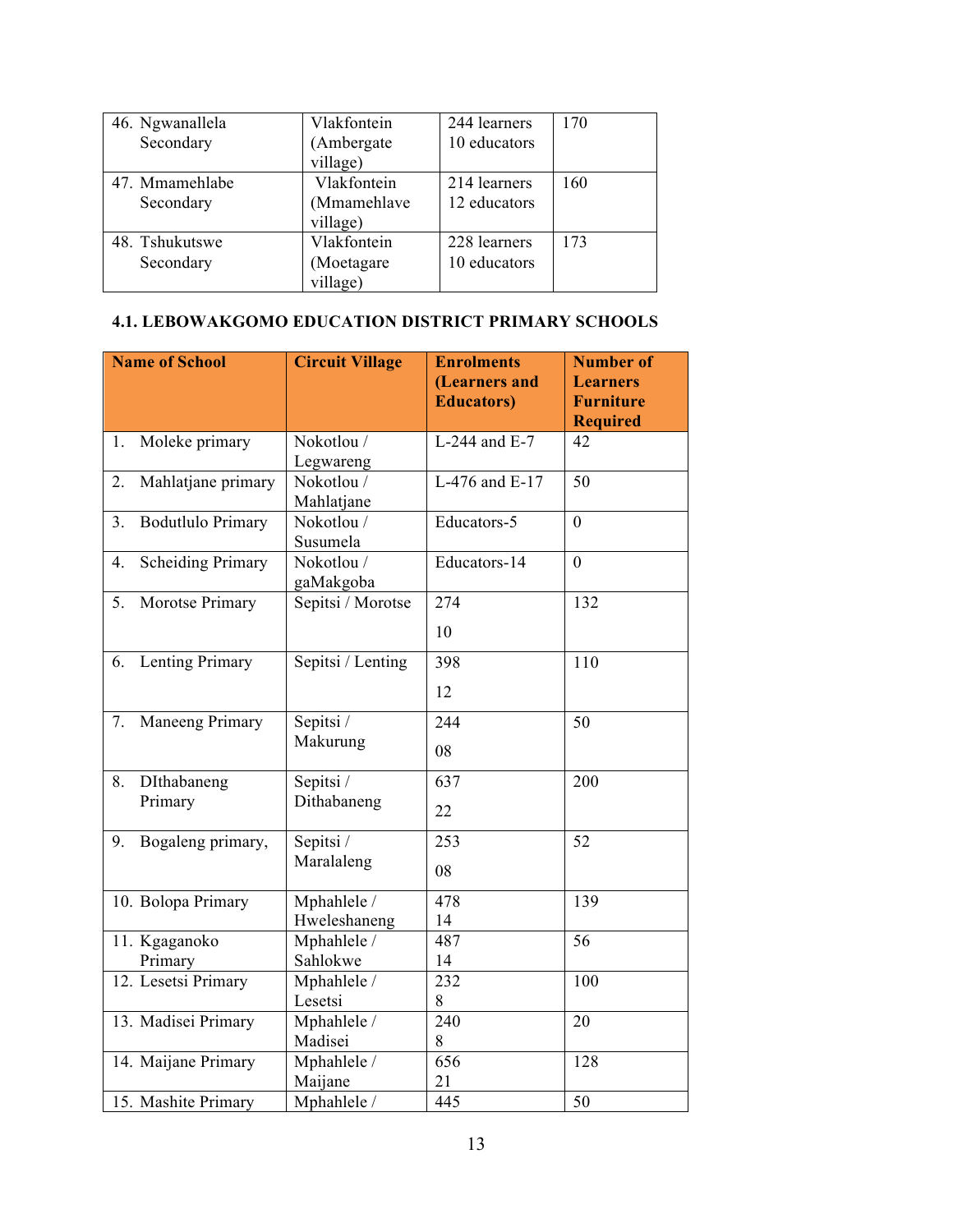| 46. Ngwanallela | Vlakfontein | 244 learners | 170 |
|-----------------|-------------|--------------|-----|
| Secondary       | (Ambergate  | 10 educators |     |
|                 | village)    |              |     |
| 47. Mmamehlabe  | Vlakfontein | 214 learners | 160 |
| Secondary       | (Mmamehlave | 12 educators |     |
|                 | village)    |              |     |
| 48. Tshukutswe  | Vlakfontein | 228 learners | 173 |
| Secondary       | (Moetagare  | 10 educators |     |
|                 | village)    |              |     |

#### **4.1. LEBOWAKGOMO EDUCATION DISTRICT PRIMARY SCHOOLS**

|    | <b>Name of School</b>    | <b>Circuit Village</b>   | <b>Enrolments</b><br>(Learners and<br><b>Educators</b> ) | <b>Number of</b><br><b>Learners</b><br><b>Furniture</b> |
|----|--------------------------|--------------------------|----------------------------------------------------------|---------------------------------------------------------|
| 1. |                          | Nokotlou /               | L-244 and E-7                                            | <b>Required</b><br>42                                   |
|    | Moleke primary           | Legwareng                |                                                          |                                                         |
| 2. | Mahlatjane primary       | Nokotlou /<br>Mahlatjane | L-476 and E-17                                           | $\overline{50}$                                         |
| 3. | <b>Bodutlulo Primary</b> | Nokotlou /<br>Susumela   | Educators-5                                              | $\overline{0}$                                          |
| 4. | <b>Scheiding Primary</b> | Nokotlou /<br>gaMakgoba  | Educators-14                                             | $\boldsymbol{0}$                                        |
| 5. | Morotse Primary          | Sepitsi / Morotse        | 274                                                      | 132                                                     |
|    |                          |                          | 10                                                       |                                                         |
| 6. | Lenting Primary          | Sepitsi / Lenting        | 398                                                      | 110                                                     |
|    |                          |                          | 12                                                       |                                                         |
| 7. | Maneeng Primary          | Sepitsi /                | 244                                                      | 50                                                      |
|    |                          | Makurung                 | 08                                                       |                                                         |
| 8. | DIthabaneng              | Sepitsi /                | 637                                                      | 200                                                     |
|    | Primary                  | Dithabaneng              | 22                                                       |                                                         |
| 9. | Bogaleng primary,        | Sepitsi /                | 253                                                      | 52                                                      |
|    |                          | Maralaleng               | 08                                                       |                                                         |
|    | 10. Bolopa Primary       | Mphahlele /              | 478                                                      | 139                                                     |
|    |                          | Hweleshaneng             | 14                                                       |                                                         |
|    | 11. Kgaganoko            | Mphahlele /              | 487                                                      | 56                                                      |
|    | Primary                  | Sahlokwe                 | 14                                                       |                                                         |
|    | 12. Lesetsi Primary      | Mphahlele /              | 232                                                      | 100                                                     |
|    |                          | Lesetsi                  | 8                                                        |                                                         |
|    | 13. Madisei Primary      | Mphahlele /<br>Madisei   | 240<br>8                                                 | 20                                                      |
|    | 14. Maijane Primary      | Mphahlele /              | 656                                                      | 128                                                     |
|    |                          | Maijane                  | 21                                                       |                                                         |
|    | 15. Mashite Primary      | Mphahlele /              | 445                                                      | 50                                                      |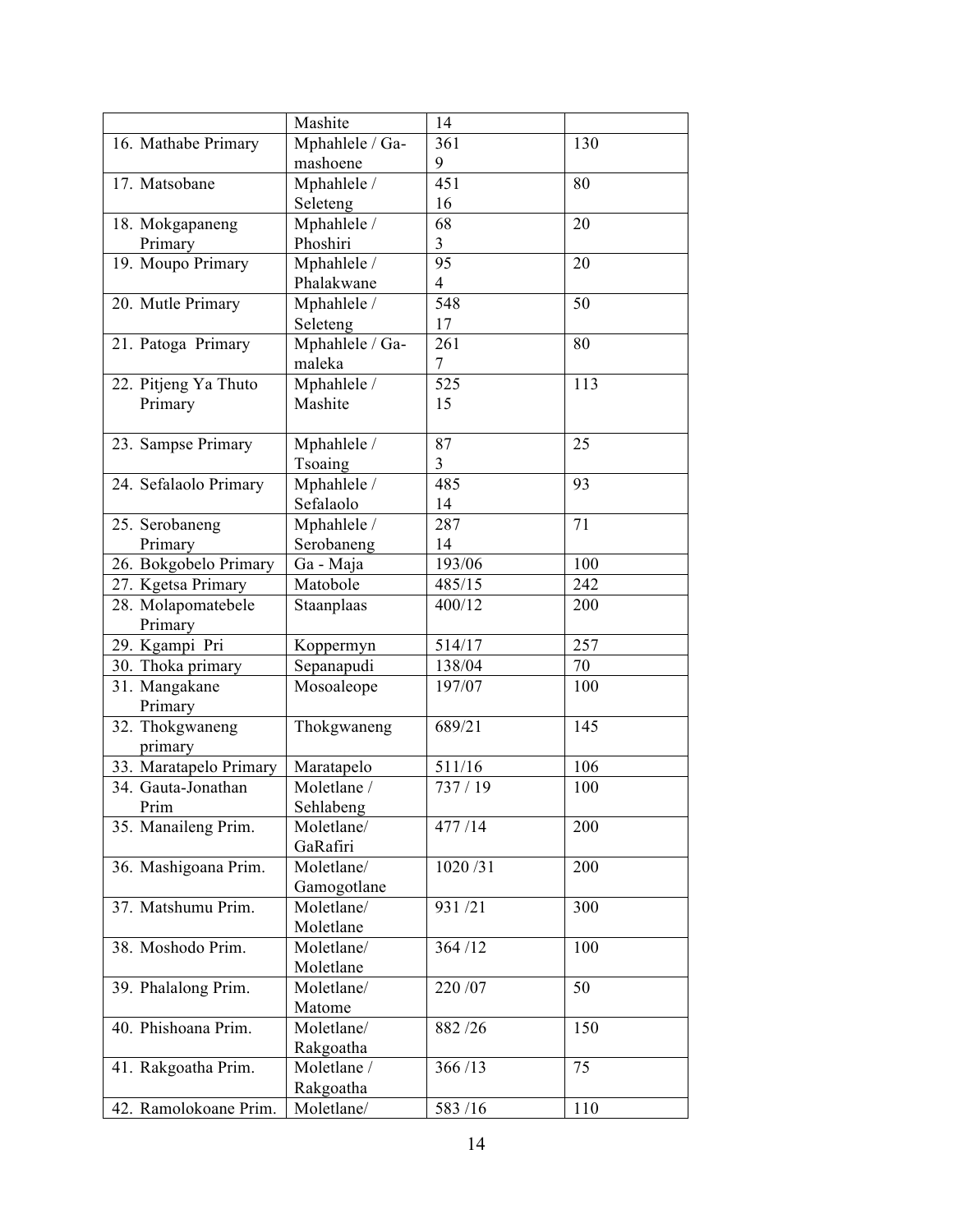|                        | Mashite         | 14             |     |
|------------------------|-----------------|----------------|-----|
| 16. Mathabe Primary    | Mphahlele / Ga- | 361            | 130 |
|                        | mashoene        | 9              |     |
| 17. Matsobane          | Mphahlele /     | 451            | 80  |
|                        | Seleteng        | 16             |     |
| 18. Mokgapaneng        | Mphahlele /     | 68             | 20  |
| Primary                | Phoshiri        | 3              |     |
| 19. Moupo Primary      | Mphahlele /     | 95             | 20  |
|                        | Phalakwane      | $\overline{4}$ |     |
| 20. Mutle Primary      | Mphahlele /     | 548            | 50  |
|                        | Seleteng        | 17             |     |
| 21. Patoga Primary     | Mphahlele / Ga- | 261            | 80  |
|                        | maleka          | 7              |     |
| 22. Pitjeng Ya Thuto   | Mphahlele /     | 525            | 113 |
| Primary                | Mashite         | 15             |     |
|                        |                 |                |     |
| 23. Sampse Primary     | Mphahlele /     | 87             | 25  |
|                        | Tsoaing         | 3              |     |
| 24. Sefalaolo Primary  | Mphahlele /     | 485            | 93  |
|                        | Sefalaolo       | 14             |     |
| 25. Serobaneng         | Mphahlele /     | 287            | 71  |
| Primary                | Serobaneng      | 14             |     |
| 26. Bokgobelo Primary  | Ga - Maja       | 193/06         | 100 |
|                        | Matobole        | 485/15         | 242 |
| 27. Kgetsa Primary     |                 |                |     |
| 28. Molapomatebele     | Staanplaas      | 400/12         | 200 |
| Primary                |                 |                |     |
| 29. Kgampi Pri         | Koppermyn       | 514/17         | 257 |
| 30. Thoka primary      | Sepanapudi      | 138/04         | 70  |
| 31. Mangakane          | Mosoaleope      | 197/07         | 100 |
| Primary                |                 |                |     |
| 32. Thokgwaneng        | Thokgwaneng     | 689/21         | 145 |
| primary                |                 |                |     |
| 33. Maratapelo Primary | Maratapelo      | 511/16         | 106 |
| 34. Gauta-Jonathan     | Moletlane /     | 737 / 19       | 100 |
| Prim                   | Sehlabeng       |                |     |
| 35. Manaileng Prim.    | Moletlane/      | 477/14         | 200 |
|                        | GaRafiri        |                |     |
| 36. Mashigoana Prim.   | Moletlane/      | 1020/31        | 200 |
|                        | Gamogotlane     |                |     |
| 37. Matshumu Prim.     | Moletlane/      | 931/21         | 300 |
|                        | Moletlane       |                |     |
| 38. Moshodo Prim.      | Moletlane/      | 364/12         | 100 |
|                        | Moletlane       |                |     |
| 39. Phalalong Prim.    | Moletlane/      | 220 / 07       | 50  |
|                        | Matome          |                |     |
| 40. Phishoana Prim.    | Moletlane/      | 882/26         | 150 |
|                        | Rakgoatha       |                |     |
| 41. Rakgoatha Prim.    | Moletlane /     | 366/13         | 75  |
|                        | Rakgoatha       |                |     |
| 42. Ramolokoane Prim.  | Moletlane/      | 583/16         | 110 |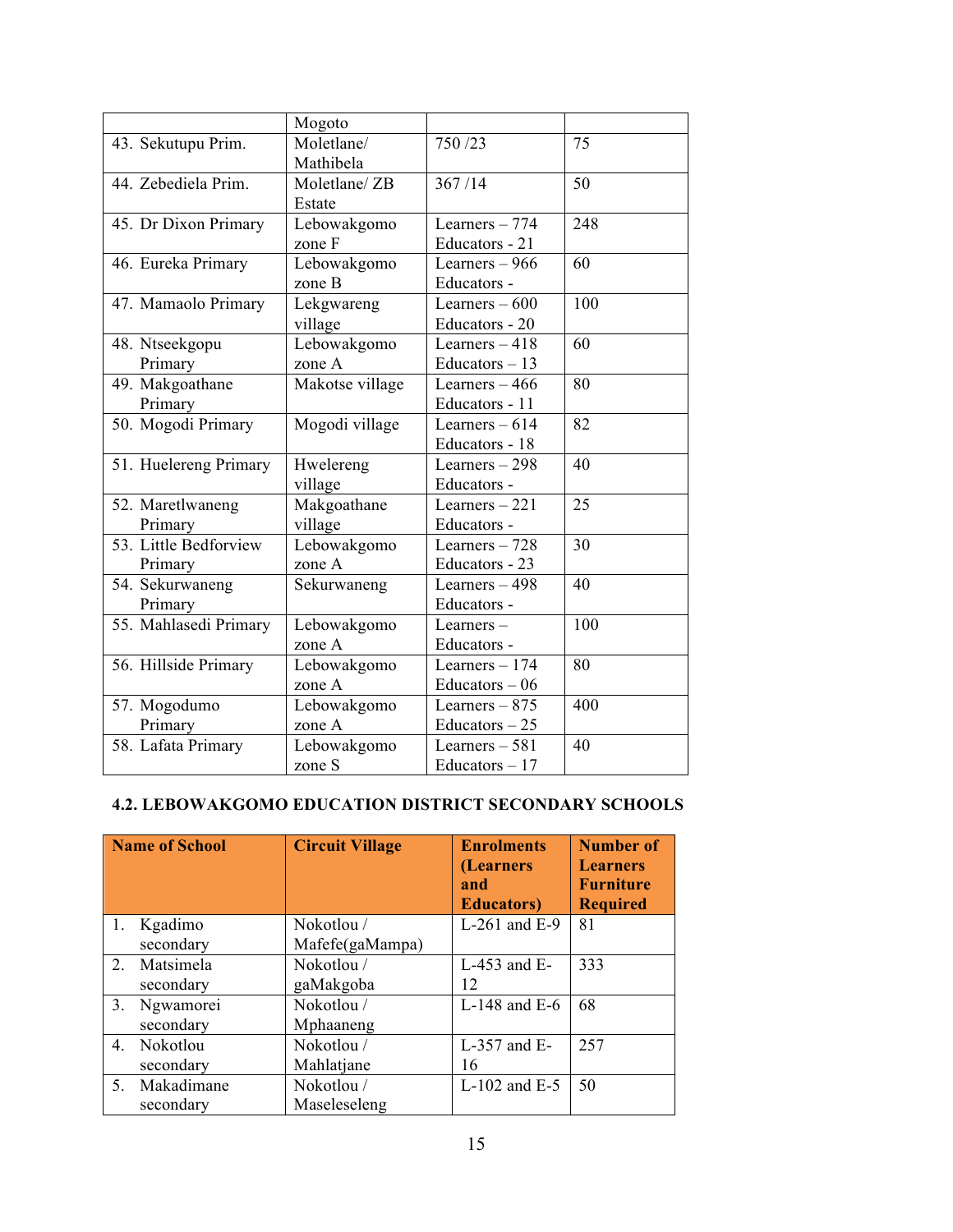|                       | Mogoto          |                  |     |
|-----------------------|-----------------|------------------|-----|
| 43. Sekutupu Prim.    | Moletlane/      | 750/23           | 75  |
|                       | Mathibela       |                  |     |
| 44. Zebediela Prim.   | Moletlane/ ZB   | 367/14           | 50  |
|                       | Estate          |                  |     |
| 45. Dr Dixon Primary  | Lebowakgomo     | Learners - 774   | 248 |
|                       | zone F          | Educators - 21   |     |
| 46. Eureka Primary    | Lebowakgomo     | Learners $-966$  | 60  |
|                       | zone B          | Educators -      |     |
| 47. Mamaolo Primary   | Lekgwareng      | Learners $-600$  | 100 |
|                       | village         | Educators - 20   |     |
| 48. Ntseekgopu        | Lebowakgomo     | Learners $-418$  | 60  |
| Primary               | zone A          | Educators $-13$  |     |
| 49. Makgoathane       | Makotse village | Learners $-466$  | 80  |
| Primary               |                 | Educators - 11   |     |
| 50. Mogodi Primary    | Mogodi village  | Learners $-614$  | 82  |
|                       |                 | Educators - 18   |     |
| 51. Huelereng Primary | Hwelereng       | Learners $-298$  | 40  |
|                       | village         | Educators -      |     |
| 52. Maretlwaneng      | Makgoathane     | Learners $-221$  | 25  |
| Primary               | village         | Educators -      |     |
| 53. Little Bedforview | Lebowakgomo     | Learners $-728$  | 30  |
| Primary               | zone A          | Educators - 23   |     |
| 54. Sekurwaneng       | Sekurwaneng     | Learners $-498$  | 40  |
| Primary               |                 | Educators -      |     |
| 55. Mahlasedi Primary | Lebowakgomo     | Learners-        | 100 |
|                       | zone A          | Educators -      |     |
| 56. Hillside Primary  | Lebowakgomo     | Learners $-174$  | 80  |
|                       | zone A          | Educators $-06$  |     |
| 57. Mogodumo          | Lebowakgomo     | Learners $-875$  | 400 |
| Primary               | zone A          | Educators $-25$  |     |
| 58. Lafata Primary    | Lebowakgomo     | Learners $-581$  | 40  |
|                       | zone S          | $Educators - 17$ |     |

#### **4.2. LEBOWAKGOMO EDUCATION DISTRICT SECONDARY SCHOOLS**

|                | <b>Name of School</b> | <b>Circuit Village</b> | <b>Enrolments</b><br>(Learners<br>and<br><b>Educators</b> ) | <b>Number of</b><br><b>Learners</b><br><b>Furniture</b><br><b>Required</b> |
|----------------|-----------------------|------------------------|-------------------------------------------------------------|----------------------------------------------------------------------------|
| 1.             | Kgadimo               | Nokotlou /             | $L-261$ and $E-9$                                           | 81                                                                         |
|                | secondary             | Mafefe(gaMampa)        |                                                             |                                                                            |
| $\overline{2}$ | Matsimela             | Nokotlou /             | $L-453$ and $E-$                                            | 333                                                                        |
|                | secondary             | gaMakgoba              | 12                                                          |                                                                            |
| 3 <sub>1</sub> | Ngwamorei             | Nokotlou /             | L-148 and $E-6$                                             | 68                                                                         |
|                | secondary             | Mphaaneng              |                                                             |                                                                            |
| $4_{\cdot}$    | Nokotlou              | Nokotlou/              | $L-357$ and $E-$                                            | 257                                                                        |
|                | secondary             | Mahlatjane             | 16                                                          |                                                                            |
| 5.             | Makadimane            | Nokotlou /             | $L-102$ and $E-5$                                           | 50                                                                         |
|                | secondary             | Maseleseleng           |                                                             |                                                                            |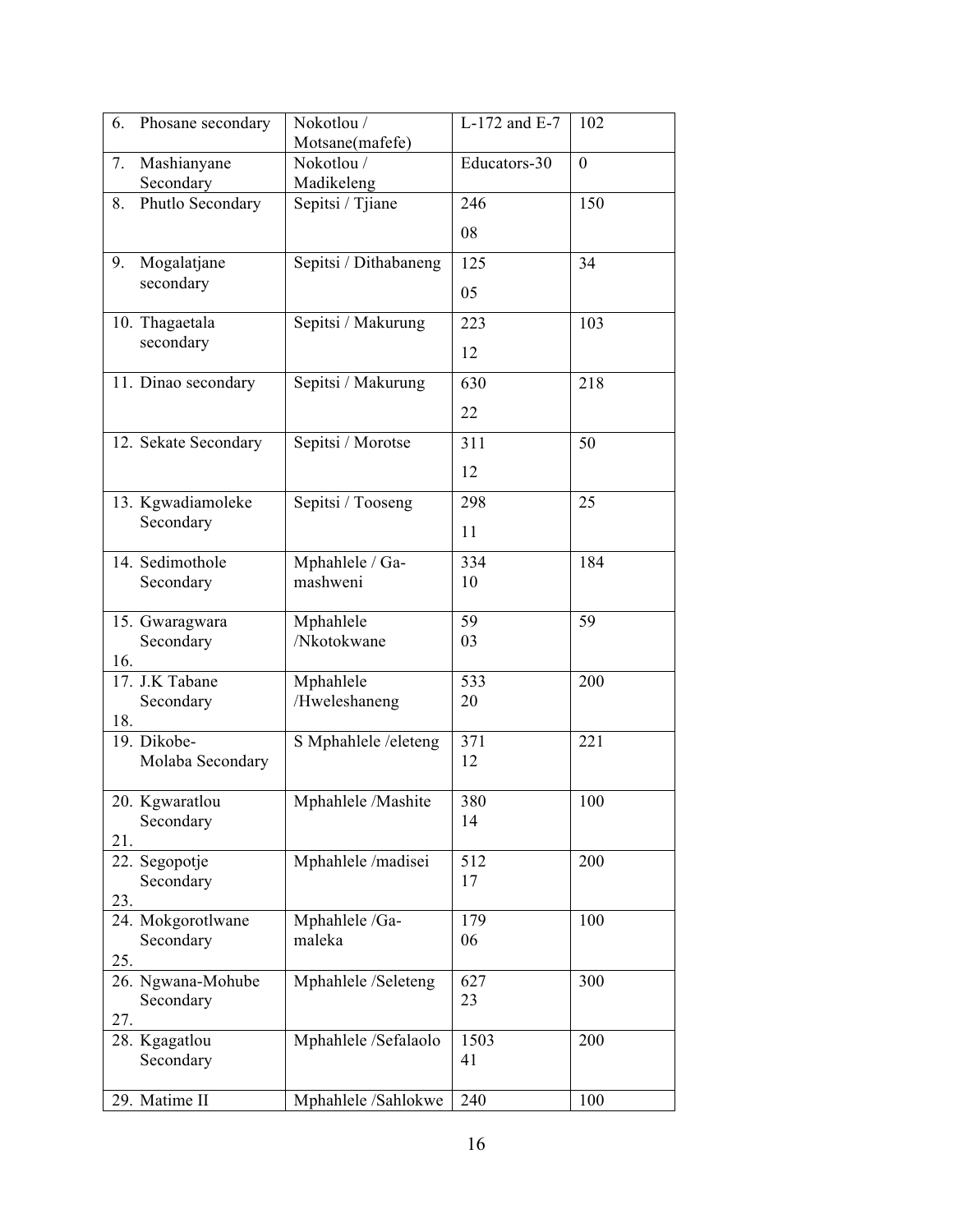| 6.  | Phosane secondary           | Nokotlou /               | L-172 and E-7 | 102              |
|-----|-----------------------------|--------------------------|---------------|------------------|
|     |                             | Motsane(mafefe)          |               |                  |
| 7.  | Mashianyane<br>Secondary    | Nokotlou /<br>Madikeleng | Educators-30  | $\boldsymbol{0}$ |
| 8.  | Phutlo Secondary            | Sepitsi / Tjiane         | 246           | 150              |
|     |                             |                          | 08            |                  |
| 9.  | Mogalatjane                 | Sepitsi / Dithabaneng    | 125           | 34               |
|     | secondary                   |                          | 05            |                  |
|     | 10. Thagaetala<br>secondary | Sepitsi / Makurung       | 223           | 103              |
|     |                             |                          | 12            |                  |
|     | 11. Dinao secondary         | Sepitsi / Makurung       | 630           | 218              |
|     |                             |                          | 22            |                  |
|     | 12. Sekate Secondary        | Sepitsi / Morotse        | 311           | 50               |
|     |                             |                          | 12            |                  |
|     | 13. Kgwadiamoleke           | Sepitsi / Tooseng        | 298           | 25               |
|     | Secondary                   |                          | 11            |                  |
|     | 14. Sedimothole             | Mphahlele / Ga-          | 334           | 184              |
|     | Secondary                   | mashweni                 | 10            |                  |
|     | 15. Gwaragwara              | Mphahlele                | 59            | 59               |
|     | Secondary                   | /Nkotokwane              | 03            |                  |
| 16. | 17. J.K Tabane              | Mphahlele                | 533           | 200              |
|     | Secondary                   | /Hweleshaneng            | 20            |                  |
| 18. | 19. Dikobe-                 |                          |               |                  |
|     | Molaba Secondary            | S Mphahlele /eleteng     | 371<br>12     | 221              |
|     | 20. Kgwaratlou              | Mphahlele /Mashite       | 380           | 100              |
| 21. | Secondary                   |                          | 14            |                  |
|     | 22. Segopotje               | Mphahlele /madisei       | 512           | 200              |
| 23. | Secondary                   |                          | 17            |                  |
|     | 24. Mokgorotlwane           | Mphahlele /Ga-           | 179           | 100              |
|     | Secondary                   | maleka                   | 06            |                  |
| 25. | 26. Ngwana-Mohube           | Mphahlele /Seleteng      | 627           | 300              |
|     | Secondary                   |                          | 23            |                  |
| 27. |                             |                          | 1503          | 200              |
|     | 28. Kgagatlou<br>Secondary  | Mphahlele /Sefalaolo     | 41            |                  |
|     | 29. Matime II               | Mphahlele /Sahlokwe      | 240           | 100              |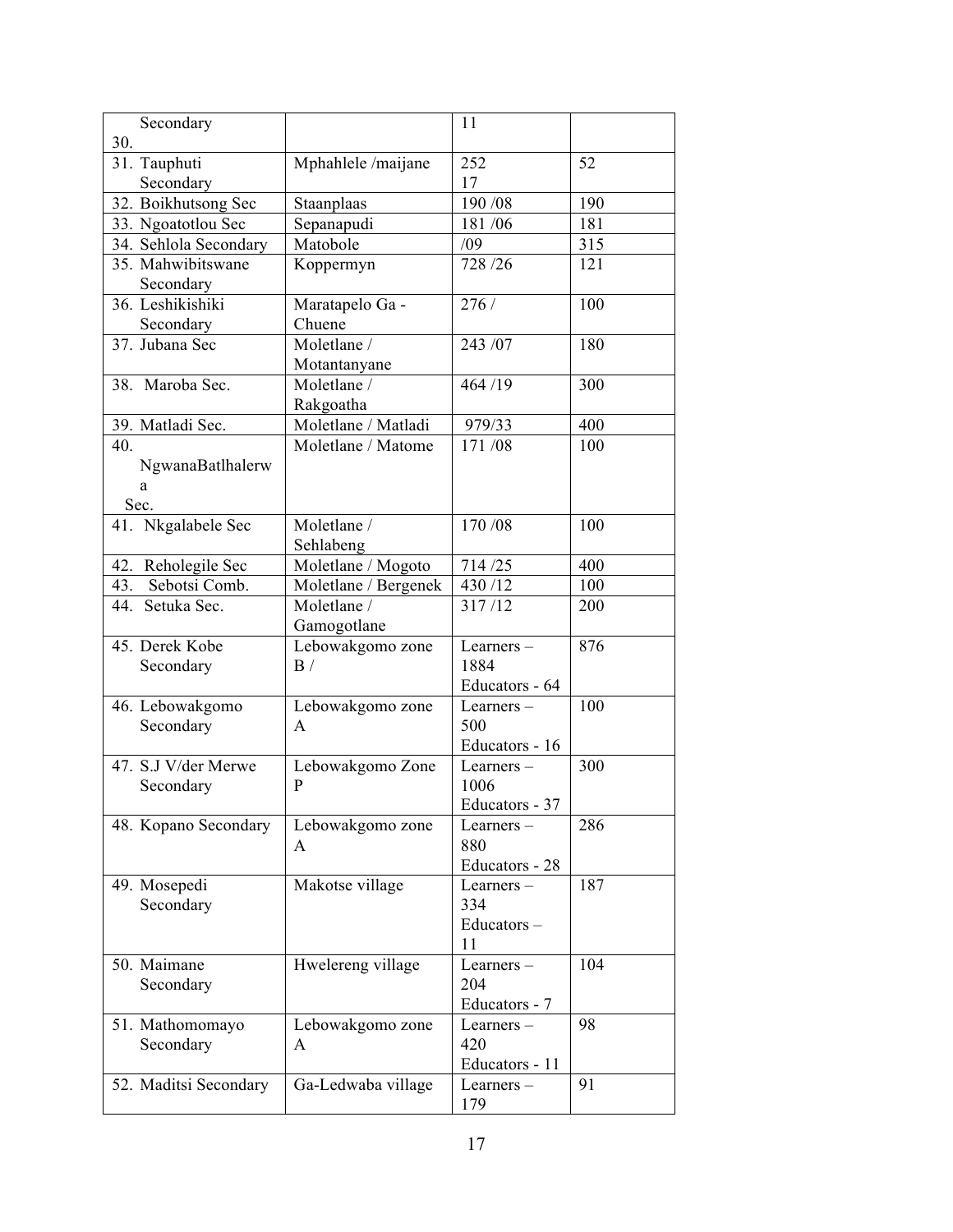| Secondary                     |                      | 11                             |     |
|-------------------------------|----------------------|--------------------------------|-----|
| 30.<br>$31.$ Tauphuti         | Mphahlele /maijane   | 252                            | 52  |
| Secondary                     |                      | 17                             |     |
| 32. Boikhutsong Sec           | Staanplaas           | 190 / 08                       | 190 |
| 33. Ngoatotlou Sec            | Sepanapudi           | 181/06                         | 181 |
| 34. Sehlola Secondary         | Matobole             | /09                            | 315 |
| 35. Mahwibitswane             | Koppermyn            | 728/26                         | 121 |
| Secondary<br>36. Leshikishiki | Maratapelo Ga -      | 276/                           | 100 |
| Secondary                     | Chuene               |                                |     |
| 37. Jubana Sec                | Moletlane /          | 243 /07                        | 180 |
|                               | Motantanyane         |                                |     |
| 38. Maroba Sec.               | Moletlane /          | 464 /19                        | 300 |
|                               | Rakgoatha            |                                |     |
| 39. Matladi Sec.              | Moletlane / Matladi  | 979/33                         | 400 |
| 40.                           | Moletlane / Matome   | 171/08                         | 100 |
| NgwanaBatlhalerw              |                      |                                |     |
| a                             |                      |                                |     |
| Sec.                          |                      |                                |     |
| 41. Nkgalabele Sec            | Moletlane /          | 170/08                         | 100 |
|                               | Sehlabeng            |                                |     |
| Reholegile Sec<br>42.         | Moletlane / Mogoto   | 714/25                         | 400 |
| Sebotsi Comb.<br>43.          | Moletlane / Bergenek | 430/12                         | 100 |
| 44. Setuka Sec.               | Moletlane /          | 317/12                         | 200 |
|                               | Gamogotlane          |                                |     |
| 45. Derek Kobe                | Lebowakgomo zone     | Learners-                      | 876 |
| Secondary                     | $\mathbf{B}$ /       | 1884                           |     |
|                               |                      | Educators - 64                 |     |
| 46. Lebowakgomo               | Lebowakgomo zone     | Learners-                      | 100 |
| Secondary                     | A                    | 500                            |     |
|                               |                      | Educators - 16                 |     |
| 47. S.J V/der Merwe           | Lebowakgomo Zone     | Learners-                      | 300 |
| Secondary                     | P                    | 1006                           |     |
|                               |                      | Educators - 37                 |     |
| 48. Kopano Secondary          | Lebowakgomo zone     | Learners –                     | 286 |
|                               | A                    | 880                            |     |
|                               | Makotse village      | Educators - 28<br>Learners $-$ | 187 |
| 49. Mosepedi<br>Secondary     |                      | 334                            |     |
|                               |                      | Educators-                     |     |
|                               |                      | 11                             |     |
| 50. Maimane                   | Hwelereng village    | Learners $-$                   | 104 |
| Secondary                     |                      | 204                            |     |
|                               |                      | Educators - 7                  |     |
| 51. Mathomomayo               | Lebowakgomo zone     | Learners-                      | 98  |
| Secondary                     | A                    | 420                            |     |
|                               |                      | Educators - 11                 |     |
| 52. Maditsi Secondary         | Ga-Ledwaba village   | Learners-                      | 91  |
|                               |                      | 179                            |     |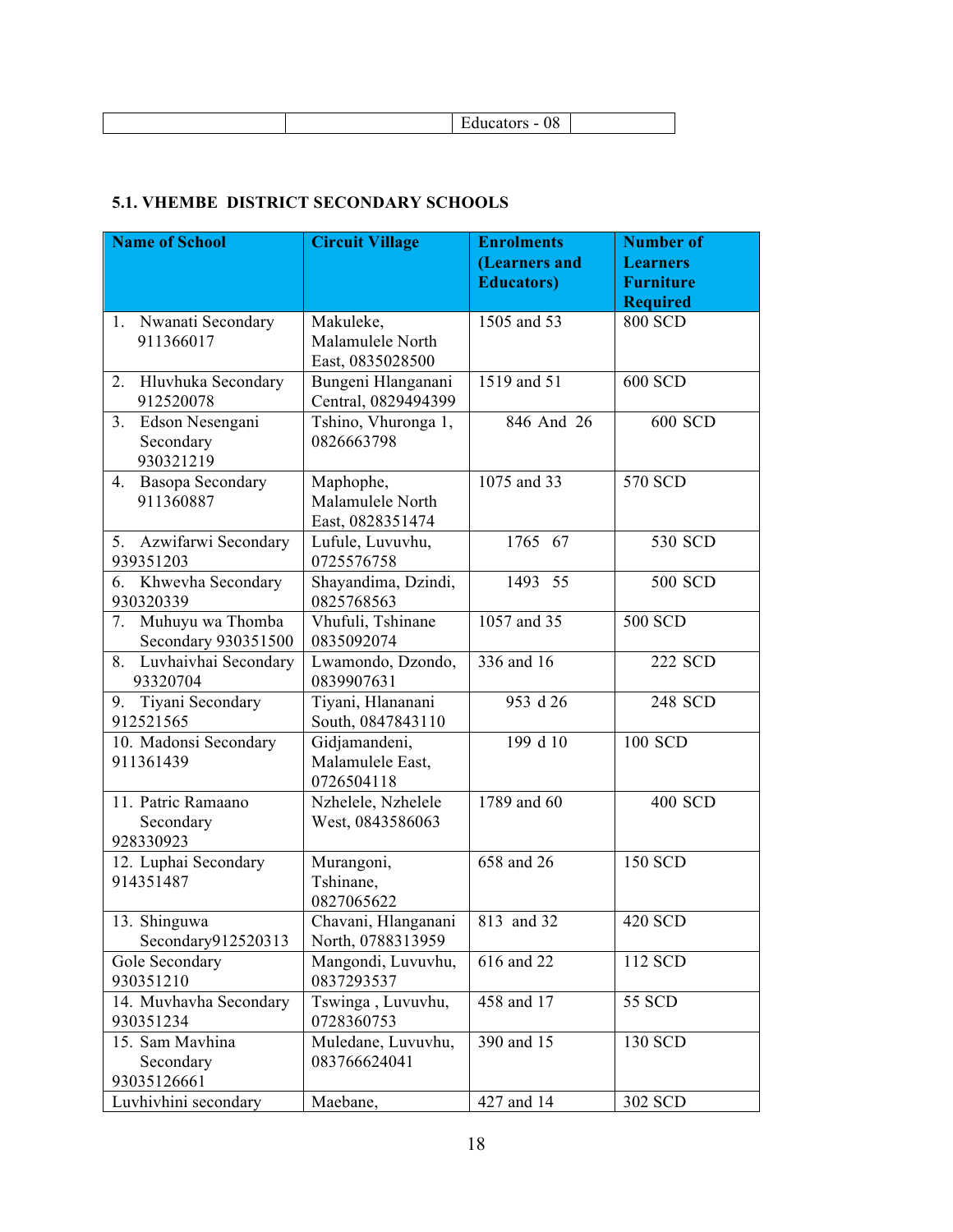| ∼ |
|---|
|---|

#### **5.1. VHEMBE DISTRICT SECONDARY SCHOOLS**

| <b>Name of School</b>                            | <b>Circuit Village</b>                            | <b>Enrolments</b>  | <b>Number of</b> |
|--------------------------------------------------|---------------------------------------------------|--------------------|------------------|
|                                                  |                                                   | (Learners and      | <b>Learners</b>  |
|                                                  |                                                   | <b>Educators</b> ) | <b>Furniture</b> |
|                                                  |                                                   |                    | <b>Required</b>  |
| Nwanati Secondary<br>1.                          | Makuleke,                                         | 1505 and 53        | <b>800 SCD</b>   |
| 911366017                                        | Malamulele North                                  |                    |                  |
|                                                  | East, 0835028500                                  |                    |                  |
| Hluvhuka Secondary<br>2.<br>912520078            | Bungeni Hlanganani<br>Central, 0829494399         | 1519 and 51        | 600 SCD          |
| Edson Nesengani<br>3.<br>Secondary<br>930321219  | Tshino, Vhuronga 1,<br>0826663798                 | 846 And 26         | 600 SCD          |
| Basopa Secondary<br>4.<br>911360887              | Maphophe,<br>Malamulele North<br>East, 0828351474 | 1075 and 33        | 570 SCD          |
| 5. Azwifarwi Secondary<br>939351203              | Lufule, Luvuvhu,<br>0725576758                    | 1765 67            | 530 SCD          |
| Khwevha Secondary<br>6.<br>930320339             | Shayandima, Dzindi,<br>0825768563                 | 1493 55            | 500 SCD          |
| Muhuyu wa Thomba<br>7.<br>Secondary 930351500    | Vhufuli, Tshinane<br>0835092074                   | 1057 and 35        | 500 SCD          |
| 8. Luvhaivhai Secondary<br>93320704              | Lwamondo, Dzondo,<br>0839907631                   | 336 and 16         | 222 SCD          |
| Tiyani Secondary<br>9.<br>912521565              | Tiyani, Hlananani<br>South, 0847843110            | 953 d 26           | 248 SCD          |
| 10. Madonsi Secondary<br>911361439               | Gidjamandeni,<br>Malamulele East,<br>0726504118   | 199 d 10           | 100 SCD          |
| 11. Patric Ramaano<br>Secondary<br>928330923     | Nzhelele, Nzhelele<br>West, 0843586063            | 1789 and 60        | <b>400 SCD</b>   |
| 12. Luphai Secondary<br>914351487                | Murangoni,<br>Tshinane,<br>0827065622             | 658 and 26         | <b>150 SCD</b>   |
| $\overline{1}3$ . Shinguwa<br>Secondary912520313 | Chavani, Hlanganani<br>North, 0788313959          | 813 and 32         | <b>420 SCD</b>   |
| Gole Secondary<br>930351210                      | Mangondi, Luvuvhu,<br>0837293537                  | 616 and 22         | 112 SCD          |
| 14. Muvhavha Secondary<br>930351234              | Tswinga, Luvuvhu,<br>0728360753                   | 458 and 17         | 55 SCD           |
| 15. Sam Mavhina<br>Secondary<br>93035126661      | Muledane, Luvuvhu,<br>083766624041                | 390 and 15         | 130 SCD          |
| Luvhivhini secondary                             | Maebane,                                          | 427 and 14         | 302 SCD          |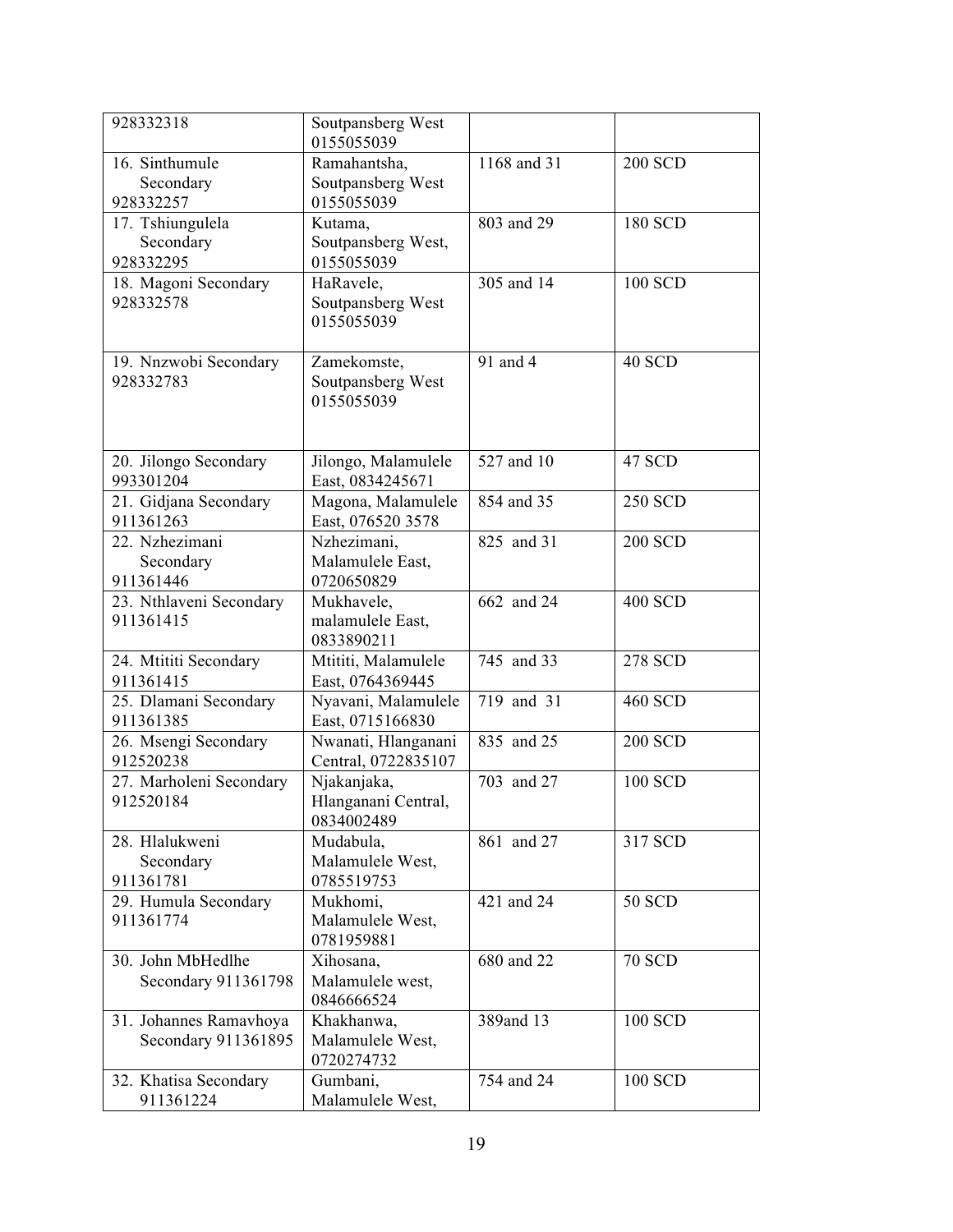| 928332318                                     | Soutpansberg West<br>0155055039                  |             |                |
|-----------------------------------------------|--------------------------------------------------|-------------|----------------|
| 16. Sinthumule<br>Secondary<br>928332257      | Ramahantsha,<br>Soutpansberg West<br>0155055039  | 1168 and 31 | <b>200 SCD</b> |
| 17. Tshiungulela<br>Secondary<br>928332295    | Kutama,<br>Soutpansberg West,<br>0155055039      | 803 and 29  | 180 SCD        |
| 18. Magoni Secondary<br>928332578             | HaRavele,<br>Soutpansberg West<br>0155055039     | 305 and 14  | 100 SCD        |
| 19. Nnzwobi Secondary<br>928332783            | Zamekomste,<br>Soutpansberg West<br>0155055039   | 91 and 4    | 40 SCD         |
| 20. Jilongo Secondary<br>993301204            | Jilongo, Malamulele<br>East, 0834245671          | 527 and 10  | 47 SCD         |
| 21. Gidjana Secondary<br>911361263            | Magona, Malamulele<br>East, 076520 3578          | 854 and 35  | <b>250 SCD</b> |
| 22. Nzhezimani<br>Secondary<br>911361446      | Nzhezimani,<br>Malamulele East,<br>0720650829    | 825 and 31  | <b>200 SCD</b> |
| 23. Nthlaveni Secondary<br>911361415          | Mukhavele,<br>malamulele East,<br>0833890211     | 662 and 24  | <b>400 SCD</b> |
| 24. Mtititi Secondary<br>911361415            | Mtititi, Malamulele<br>East, 0764369445          | 745 and 33  | <b>278 SCD</b> |
| 25. Dlamani Secondary<br>911361385            | Nyavani, Malamulele<br>East, 0715166830          | 719 and 31  | 460 SCD        |
| 26. Msengi Secondary<br>912520238             | Nwanati, Hlanganani<br>Central, 0722835107       | 835 and 25  | <b>200 SCD</b> |
| 27. Marholeni Secondary<br>912520184          | Njakanjaka,<br>Hlanganani Central,<br>0834002489 | 703 and 27  | 100 SCD        |
| 28. Hlalukweni<br>Secondary<br>911361781      | Mudabula,<br>Malamulele West,<br>0785519753      | 861 and 27  | 317 SCD        |
| 29. Humula Secondary<br>911361774             | Mukhomi,<br>Malamulele West,<br>0781959881       | 421 and 24  | <b>50 SCD</b>  |
| 30. John MbHedlhe<br>Secondary 911361798      | Xihosana,<br>Malamulele west,<br>0846666524      | 680 and 22  | <b>70 SCD</b>  |
| 31. Johannes Ramavhoya<br>Secondary 911361895 | Khakhanwa,<br>Malamulele West,<br>0720274732     | 389and 13   | 100 SCD        |
| 32. Khatisa Secondary<br>911361224            | Gumbani,<br>Malamulele West,                     | 754 and 24  | 100 SCD        |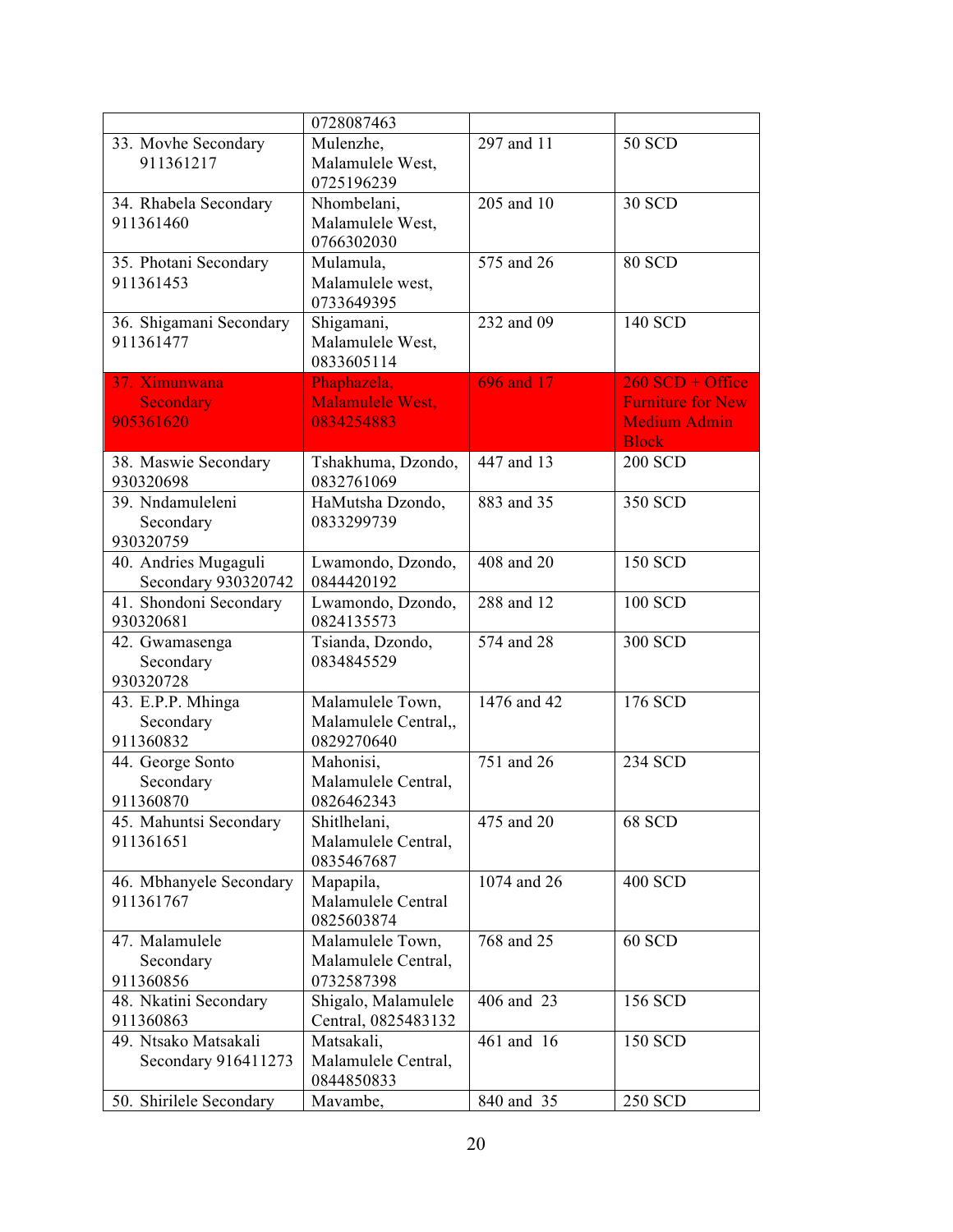|                                             | 0728087463                                             |             |                                                                 |
|---------------------------------------------|--------------------------------------------------------|-------------|-----------------------------------------------------------------|
| 33. Movhe Secondary<br>911361217            | Mulenzhe,<br>Malamulele West,                          | 297 and 11  | <b>50 SCD</b>                                                   |
|                                             | 0725196239                                             |             |                                                                 |
| 34. Rhabela Secondary<br>911361460          | Nhombelani,<br>Malamulele West,<br>0766302030          | 205 and 10  | <b>30 SCD</b>                                                   |
| 35. Photani Secondary<br>911361453          | Mulamula,<br>Malamulele west,<br>0733649395            | 575 and 26  | <b>80 SCD</b>                                                   |
| 36. Shigamani Secondary<br>911361477        | Shigamani,<br>Malamulele West,<br>0833605114           | 232 and 09  | 140 SCD                                                         |
| 37. Ximunwana                               | Phaphazela,                                            | 696 and 17  | $260$ SCD + Office                                              |
| Secondary<br>905361620                      | Malamulele West,<br>0834254883                         |             | <b>Furniture for New</b><br><b>Medium Admin</b><br><b>Block</b> |
| 38. Maswie Secondary<br>930320698           | Tshakhuma, Dzondo,<br>0832761069                       | 447 and 13  | <b>200 SCD</b>                                                  |
| 39. Nndamuleleni<br>Secondary<br>930320759  | HaMutsha Dzondo,<br>0833299739                         | 883 and 35  | 350 SCD                                                         |
| 40. Andries Mugaguli<br>Secondary 930320742 | Lwamondo, Dzondo,<br>0844420192                        | 408 and 20  | <b>150 SCD</b>                                                  |
| 41. Shondoni Secondary<br>930320681         | Lwamondo, Dzondo,<br>0824135573                        | 288 and 12  | 100 SCD                                                         |
| 42. Gwamasenga<br>Secondary<br>930320728    | Tsianda, Dzondo,<br>0834845529                         | 574 and 28  | 300 SCD                                                         |
| 43. E.P.P. Mhinga<br>Secondary<br>911360832 | Malamulele Town,<br>Malamulele Central,,<br>0829270640 | 1476 and 42 | 176 SCD                                                         |
| 44. George Sonto<br>Secondary<br>911360870  | Mahonisi,<br>Malamulele Central,<br>0826462343         | 751 and 26  | 234 SCD                                                         |
| 45. Mahuntsi Secondary<br>911361651         | Shitlhelani,<br>Malamulele Central,<br>0835467687      | 475 and 20  | 68 SCD                                                          |
| 46. Mbhanyele Secondary<br>911361767        | Mapapila,<br>Malamulele Central<br>0825603874          | 1074 and 26 | <b>400 SCD</b>                                                  |
| 47. Malamulele<br>Secondary<br>911360856    | Malamulele Town,<br>Malamulele Central,<br>0732587398  | 768 and 25  | 60 SCD                                                          |
| 48. Nkatini Secondary<br>911360863          | Shigalo, Malamulele<br>Central, 0825483132             | 406 and 23  | 156 SCD                                                         |
| 49. Ntsako Matsakali<br>Secondary 916411273 | Matsakali,<br>Malamulele Central,<br>0844850833        | 461 and 16  | 150 SCD                                                         |
| 50. Shirilele Secondary                     | Mavambe,                                               | 840 and 35  | 250 SCD                                                         |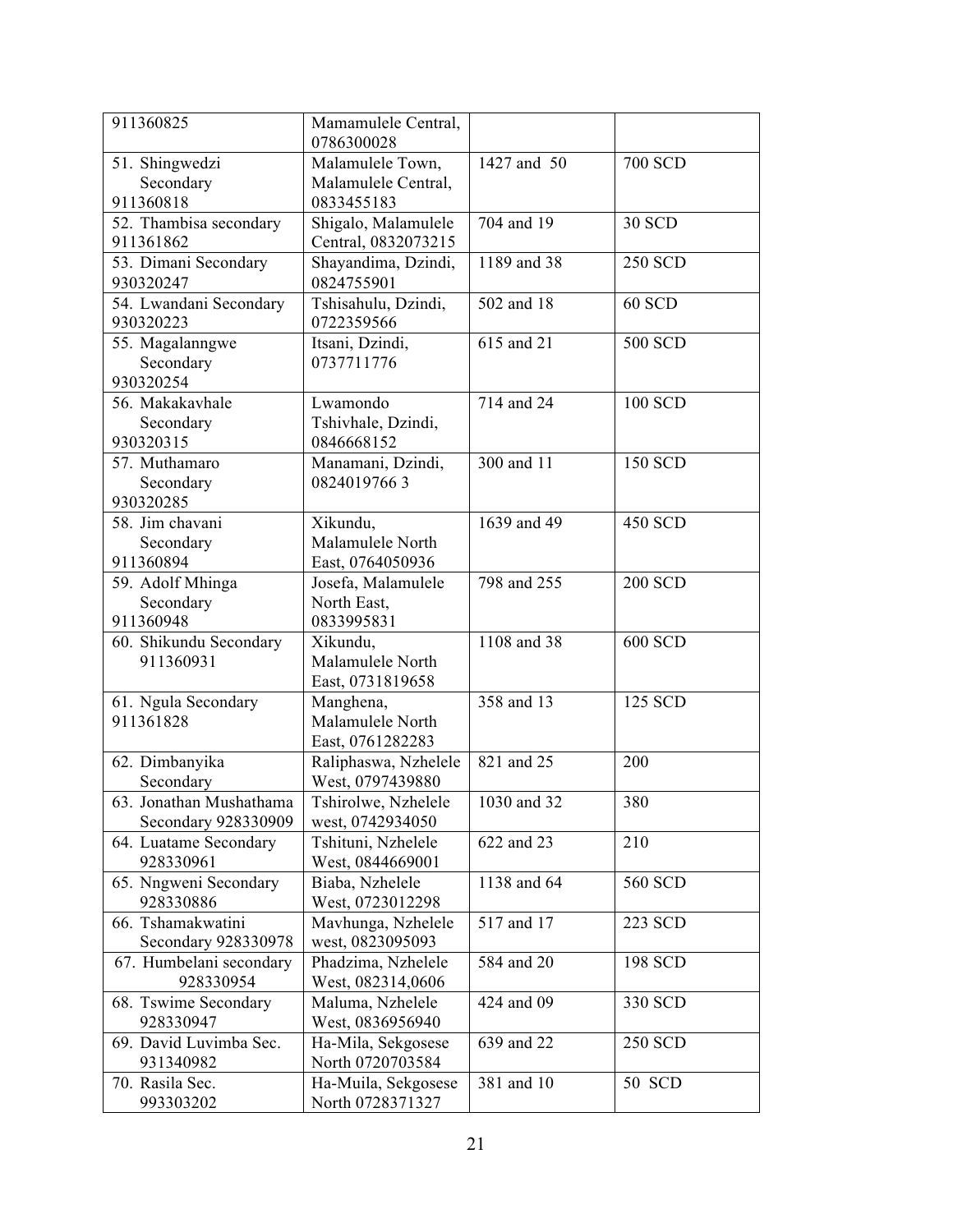| 911360825                          | Mamamulele Central,<br>0786300028      |             |                |
|------------------------------------|----------------------------------------|-------------|----------------|
| 51. Shingwedzi                     | Malamulele Town,                       | 1427 and 50 | <b>700 SCD</b> |
| Secondary                          | Malamulele Central,                    |             |                |
| 911360818                          | 0833455183                             |             |                |
| 52. Thambisa secondary             | Shigalo, Malamulele                    | 704 and 19  | <b>30 SCD</b>  |
| 911361862                          | Central, 0832073215                    |             |                |
| 53. Dimani Secondary               | Shayandima, Dzindi,                    | 1189 and 38 | <b>250 SCD</b> |
| 930320247                          | 0824755901                             |             |                |
| 54. Lwandani Secondary             | Tshisahulu, Dzindi,                    | 502 and 18  | <b>60 SCD</b>  |
| 930320223                          | 0722359566                             |             |                |
| 55. Magalanngwe                    | Itsani, Dzindi,                        | 615 and 21  | 500 SCD        |
| Secondary                          | 0737711776                             |             |                |
| 930320254                          |                                        |             |                |
| 56. Makakavhale                    | Lwamondo                               | 714 and 24  | 100 SCD        |
| Secondary                          | Tshivhale, Dzindi,                     |             |                |
| 930320315                          | 0846668152                             |             |                |
| 57. Muthamaro                      | Manamani, Dzindi,                      | 300 and 11  | <b>150 SCD</b> |
| Secondary                          | 08240197663                            |             |                |
| 930320285                          |                                        |             |                |
| 58. Jim chavani                    | Xikundu,                               | 1639 and 49 | <b>450 SCD</b> |
| Secondary                          | Malamulele North                       |             |                |
| 911360894                          | East, 0764050936                       |             |                |
| 59. Adolf Mhinga                   | Josefa, Malamulele                     | 798 and 255 | <b>200 SCD</b> |
| Secondary                          | North East,                            |             |                |
| 911360948                          | 0833995831                             |             |                |
| 60. Shikundu Secondary             | Xikundu,                               | 1108 and 38 | <b>600 SCD</b> |
| 911360931                          | Malamulele North                       |             |                |
|                                    | East, 0731819658                       |             |                |
| 61. Ngula Secondary                | Manghena,                              | 358 and 13  | 125 SCD        |
| 911361828                          | Malamulele North                       |             |                |
|                                    | East, 0761282283                       |             |                |
| 62. Dimbanyika                     | Raliphaswa, Nzhelele                   | 821 and 25  | 200            |
| Secondary                          | West, 0797439880                       |             |                |
| 63. Jonathan Mushathama            | Tshirolwe, Nzhelele                    | 1030 and 32 | 380            |
| Secondary 928330909                | west, 0742934050                       | 622 and 23  |                |
| 64. Luatame Secondary<br>928330961 | Tshituni, Nzhelele<br>West, 0844669001 |             | 210            |
| 65. Nngweni Secondary              | Biaba, Nzhelele                        | 1138 and 64 | 560 SCD        |
| 928330886                          | West, 0723012298                       |             |                |
| 66. Tshamakwatini                  | Mavhunga, Nzhelele                     | 517 and 17  | 223 SCD        |
| Secondary 928330978                | west, 0823095093                       |             |                |
| 67. Humbelani secondary            | Phadzima, Nzhelele                     | 584 and 20  | 198 SCD        |
| 928330954                          | West, 082314,0606                      |             |                |
| 68. Tswime Secondary               | Maluma, Nzhelele                       | 424 and 09  | 330 SCD        |
| 928330947                          | West, 0836956940                       |             |                |
| 69. David Luvimba Sec.             | Ha-Mila, Sekgosese                     | 639 and 22  | 250 SCD        |
| 931340982                          | North 0720703584                       |             |                |
| 70. Rasila Sec.                    | Ha-Muila, Sekgosese                    | 381 and 10  | 50 SCD         |
| 993303202                          | North 0728371327                       |             |                |
|                                    |                                        |             |                |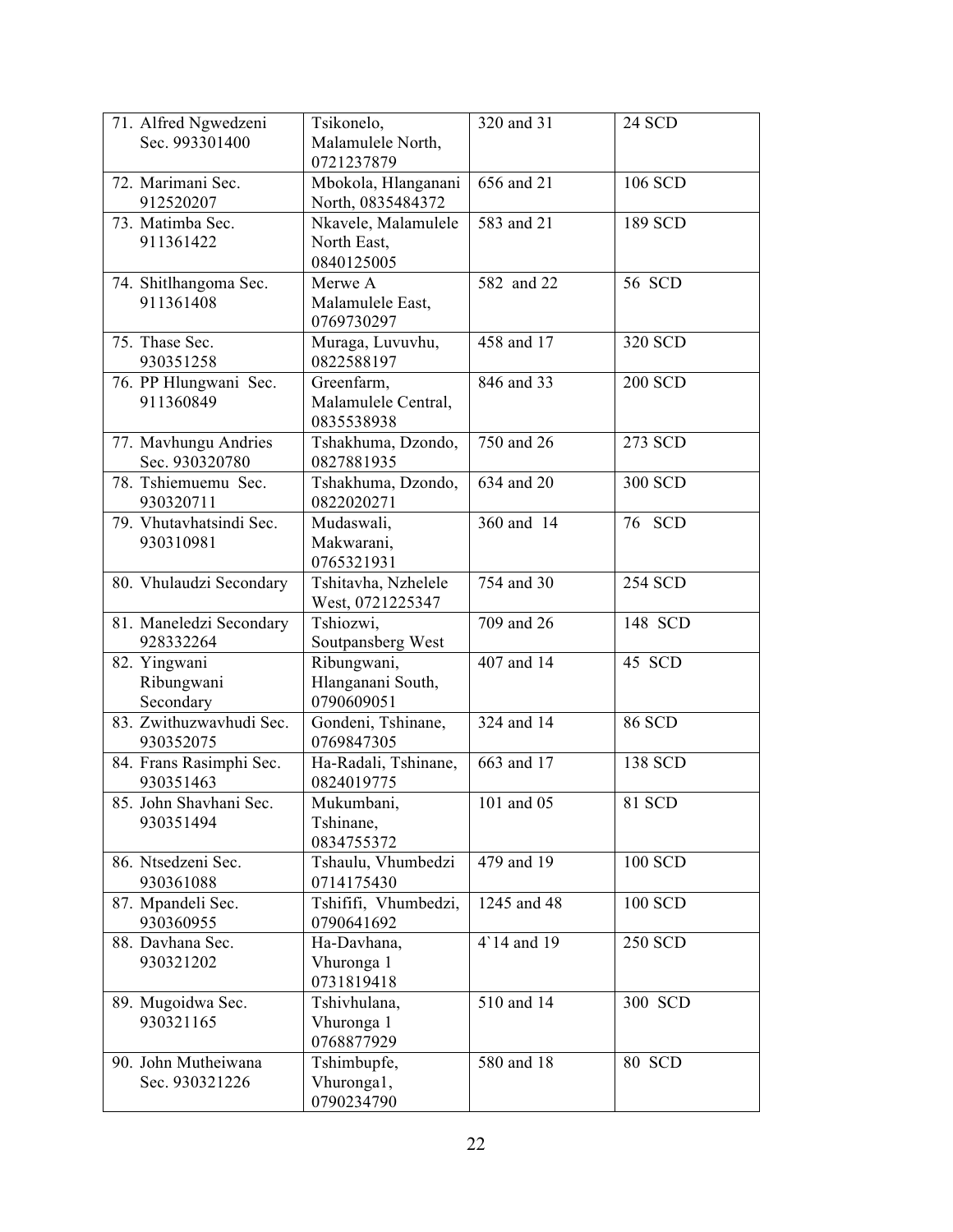| 71. Alfred Ngwedzeni<br>Sec. 993301400  | Tsikonelo,<br>Malamulele North,<br>0721237879    | 320 and 31  | <b>24 SCD</b>  |
|-----------------------------------------|--------------------------------------------------|-------------|----------------|
| 72. Marimani Sec.<br>912520207          | Mbokola, Hlanganani<br>North, 0835484372         | 656 and 21  | 106 SCD        |
| 73. Matimba Sec.<br>911361422           | Nkavele, Malamulele<br>North East,<br>0840125005 | 583 and 21  | 189 SCD        |
| 74. Shitlhangoma Sec.<br>911361408      | Merwe A<br>Malamulele East,<br>0769730297        | 582 and 22  | 56 SCD         |
| 75. Thase Sec.<br>930351258             | Muraga, Luvuvhu,<br>0822588197                   | 458 and 17  | 320 SCD        |
| 76. PP Hlungwani Sec.<br>911360849      | Greenfarm,<br>Malamulele Central,<br>0835538938  | 846 and 33  | <b>200 SCD</b> |
| 77. Mavhungu Andries<br>Sec. 930320780  | Tshakhuma, Dzondo,<br>0827881935                 | 750 and 26  | 273 SCD        |
| 78. Tshiemuemu Sec.<br>930320711        | Tshakhuma, Dzondo,<br>0822020271                 | 634 and 20  | 300 SCD        |
| 79. Vhutavhatsindi Sec.<br>930310981    | Mudaswali,<br>Makwarani,<br>0765321931           | 360 and 14  | 76 SCD         |
| 80. Vhulaudzi Secondary                 | Tshitavha, Nzhelele<br>West, 0721225347          | 754 and 30  | <b>254 SCD</b> |
| 81. Maneledzi Secondary<br>928332264    | Tshiozwi,<br>Soutpansberg West                   | 709 and 26  | 148 SCD        |
| 82. Yingwani<br>Ribungwani<br>Secondary | Ribungwani,<br>Hlanganani South,<br>0790609051   | 407 and 14  | 45 SCD         |
| 83. Zwithuzwavhudi Sec.<br>930352075    | Gondeni, Tshinane,<br>0769847305                 | 324 and 14  | <b>86 SCD</b>  |
| 84. Frans Rasimphi Sec.<br>930351463    | Ha-Radali, Tshinane,<br>0824019775               | 663 and 17  | 138 SCD        |
| 85. John Shavhani Sec.<br>930351494     | Mukumbani,<br>Tshinane,<br>0834755372            | 101 and 05  | 81 SCD         |
| 86. Ntsedzeni Sec.<br>930361088         | Tshaulu, Vhumbedzi<br>0714175430                 | 479 and 19  | 100 SCD        |
| 87. Mpandeli Sec.<br>930360955          | Tshififi, Vhumbedzi,<br>0790641692               | 1245 and 48 | 100 SCD        |
| 88. Davhana Sec.<br>930321202           | Ha-Davhana,<br>Vhuronga 1<br>0731819418          | 4'14 and 19 | <b>250 SCD</b> |
| 89. Mugoidwa Sec.<br>930321165          | Tshivhulana,<br>Vhuronga 1<br>0768877929         | 510 and 14  | 300 SCD        |
| 90. John Mutheiwana<br>Sec. 930321226   | Tshimbupfe,<br>Vhuronga1,<br>0790234790          | 580 and 18  | 80 SCD         |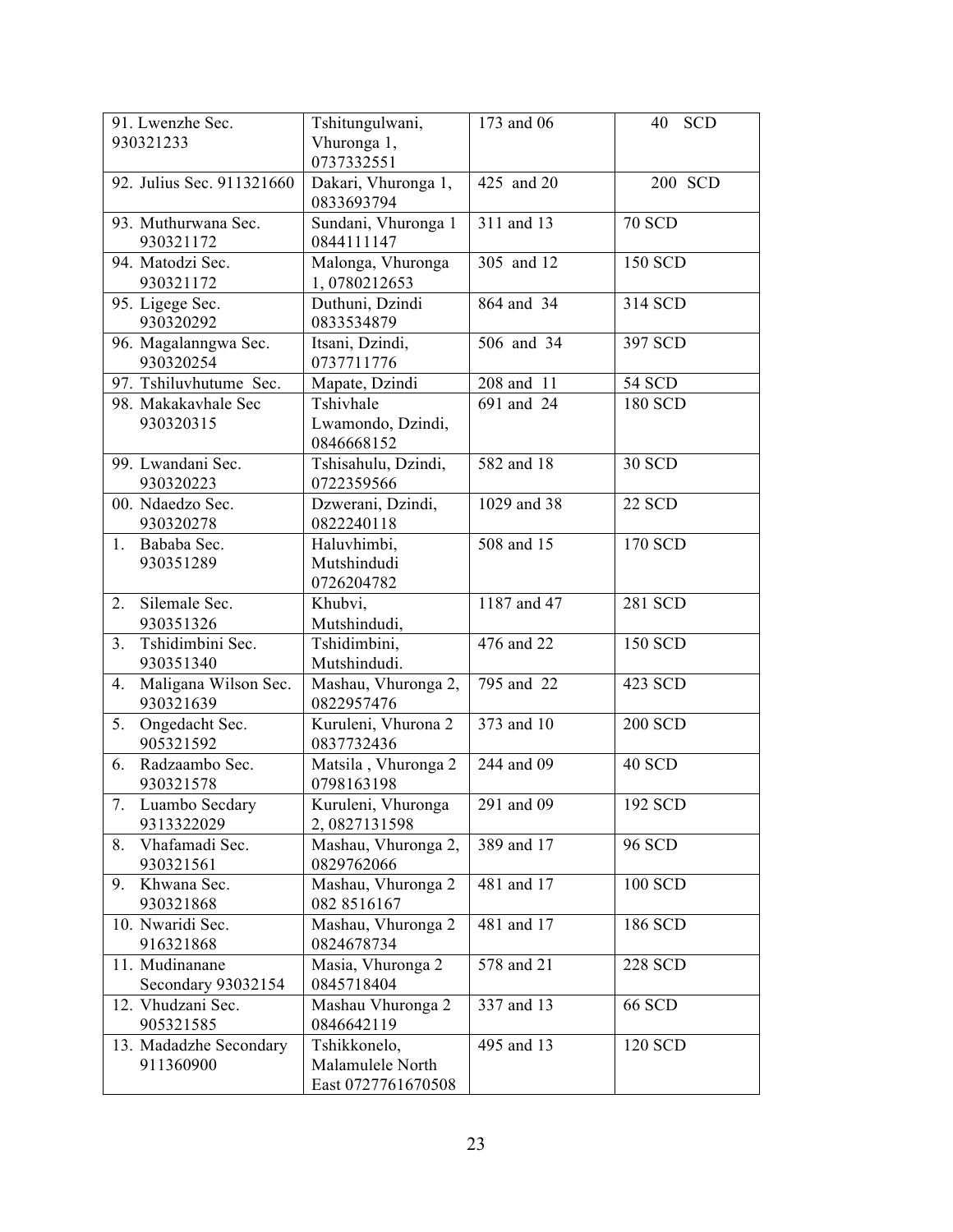| 91. Lwenzhe Sec.                   | Tshitungulwani,                   | 173 and 06              | <b>SCD</b><br>40 |
|------------------------------------|-----------------------------------|-------------------------|------------------|
| 930321233                          | Vhuronga 1,                       |                         |                  |
|                                    | 0737332551                        |                         |                  |
| 92. Julius Sec. 911321660          | Dakari, Vhuronga 1,               | 425 and 20              | 200 SCD          |
|                                    | 0833693794                        |                         |                  |
| 93. Muthurwana Sec.                | Sundani, Vhuronga 1               | 311 and 13              | <b>70 SCD</b>    |
| 930321172                          | 0844111147                        |                         |                  |
| 94. Matodzi Sec.                   | Malonga, Vhuronga                 | 305 and 12              | 150 SCD          |
| 930321172                          | 1,0780212653                      |                         |                  |
| 95. Ligege Sec.                    | Duthuni, Dzindi                   | 864 and 34              | 314 SCD          |
| 930320292                          | 0833534879                        |                         |                  |
| 96. Magalanngwa Sec.               | Itsani, Dzindi,                   | 506 and 34              | 397 SCD          |
| 930320254                          | 0737711776                        |                         |                  |
| 97. Tshiluvhutume Sec.             | Mapate, Dzindi                    | 208 and 11              | 54 SCD           |
| 98. Makakavhale Sec                | Tshivhale                         | 691 and 24              | 180 SCD          |
| 930320315                          | Lwamondo, Dzindi,                 |                         |                  |
|                                    | 0846668152                        |                         |                  |
| 99. Lwandani Sec.                  | Tshisahulu, Dzindi,               | 582 and 18              | <b>30 SCD</b>    |
| 930320223                          | 0722359566                        |                         |                  |
| 00. Ndaedzo Sec.                   | Dzwerani, Dzindi,                 | 1029 and 38             | <b>22 SCD</b>    |
| 930320278                          | 0822240118                        |                         |                  |
| 1. Bababa Sec.                     | Haluvhimbi,                       | 508 and 15              | 170 SCD          |
| 930351289                          | Mutshindudi                       |                         |                  |
|                                    | 0726204782                        |                         |                  |
| Silemale Sec.<br>2.                | Khubvi,                           | 1187 and 47             | 281 SCD          |
| 930351326                          | Mutshindudi,                      |                         |                  |
| Tshidimbini Sec.<br>3 <sub>1</sub> | Tshidimbini,                      | $\overline{476}$ and 22 | 150 SCD          |
| 930351340                          | Mutshindudi.                      |                         |                  |
| Maligana Wilson Sec.<br>4.         | Mashau, Vhuronga 2,               | 795 and 22              | 423 SCD          |
| 930321639                          | 0822957476                        |                         |                  |
| 5.<br>Ongedacht Sec.               | Kuruleni, Vhurona 2               | 373 and 10              | <b>200 SCD</b>   |
| 905321592                          | 0837732436                        | 244 and 09              |                  |
| Radzaambo Sec.<br>6.<br>930321578  | Matsila, Vhuronga 2<br>0798163198 |                         | 40 SCD           |
| 7.<br>Luambo Secdary               | Kuruleni, Vhuronga                | 291 and 09              | 192 SCD          |
| 9313322029                         | 2,0827131598                      |                         |                  |
| Vhafamadi Sec.<br>8.               | Mashau, Vhuronga 2,               | 389 and 17              | <b>96 SCD</b>    |
| 930321561                          | 0829762066                        |                         |                  |
| Khwana Sec.<br>9.                  | Mashau, Vhuronga 2                | 481 and 17              | 100 SCD          |
| 930321868                          | 082 8516167                       |                         |                  |
| 10. Nwaridi Sec.                   | Mashau, Vhuronga 2                | 481 and 17              | 186 SCD          |
| 916321868                          | 0824678734                        |                         |                  |
| 11. Mudinanane                     | Masia, Vhuronga 2                 | 578 and 21              | 228 SCD          |
| Secondary 93032154                 | 0845718404                        |                         |                  |
| 12. Vhudzani Sec.                  | Mashau Vhuronga 2                 | 337 and 13              | <b>66 SCD</b>    |
| 905321585                          | 0846642119                        |                         |                  |
| 13. Madadzhe Secondary             | Tshikkonelo,                      | 495 and 13              | 120 SCD          |
| 911360900                          | Malamulele North                  |                         |                  |
|                                    | East 0727761670508                |                         |                  |
|                                    |                                   |                         |                  |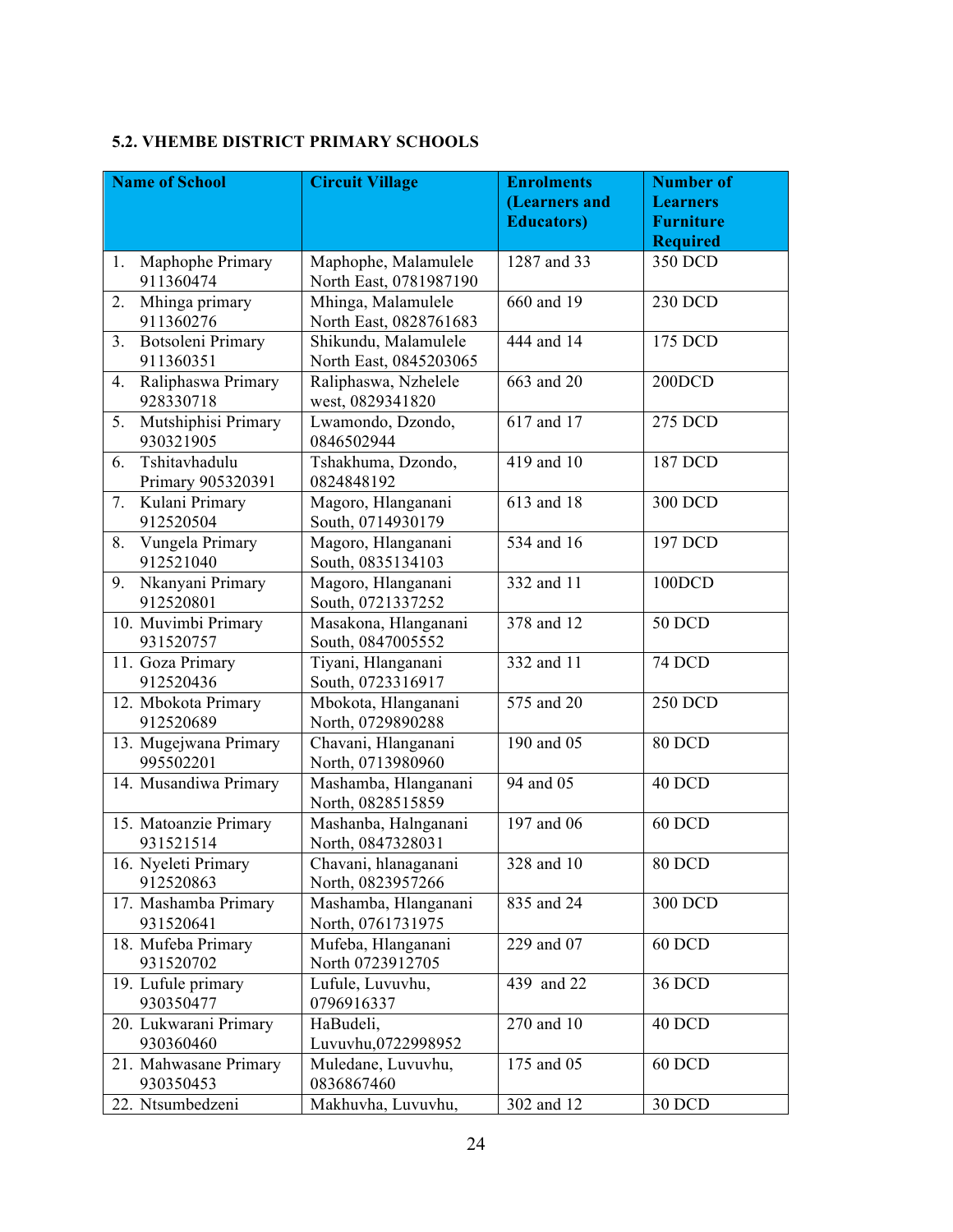### **5.2. VHEMBE DISTRICT PRIMARY SCHOOLS**

| <b>Name of School</b>                            | <b>Circuit Village</b>                         | <b>Enrolments</b>  | <b>Number of</b>                    |
|--------------------------------------------------|------------------------------------------------|--------------------|-------------------------------------|
|                                                  |                                                | (Learners and      | <b>Learners</b>                     |
|                                                  |                                                | <b>Educators</b> ) | <b>Furniture</b><br><b>Required</b> |
| Maphophe Primary<br>1.                           | Maphophe, Malamulele                           | 1287 and 33        | 350 DCD                             |
| 911360474                                        | North East, 0781987190                         |                    |                                     |
| Mhinga primary<br>2.                             | Mhinga, Malamulele                             | 660 and 19         | 230 DCD                             |
| 911360276                                        | North East, 0828761683                         |                    |                                     |
| Botsoleni Primary<br>3 <sub>1</sub><br>911360351 | Shikundu, Malamulele<br>North East, 0845203065 | 444 and 14         | 175 DCD                             |
| Raliphaswa Primary<br>4.<br>928330718            | Raliphaswa, Nzhelele<br>west, 0829341820       | 663 and 20         | 200DCD                              |
| 5.<br>Mutshiphisi Primary<br>930321905           | Lwamondo, Dzondo,<br>0846502944                | 617 and 17         | 275 DCD                             |
| Tshitavhadulu<br>6.<br>Primary 905320391         | Tshakhuma, Dzondo,<br>0824848192               | 419 and 10         | 187 DCD                             |
| Kulani Primary<br>7.<br>912520504                | Magoro, Hlanganani<br>South, 0714930179        | 613 and 18         | 300 DCD                             |
| Vungela Primary<br>8.<br>912521040               | Magoro, Hlanganani<br>South, 0835134103        | 534 and 16         | 197 DCD                             |
| Nkanyani Primary<br>9.<br>912520801              | Magoro, Hlanganani<br>South, 0721337252        | 332 and 11         | 100DCD                              |
| 10. Muvimbi Primary<br>931520757                 | Masakona, Hlanganani<br>South, 0847005552      | 378 and 12         | <b>50 DCD</b>                       |
| 11. Goza Primary<br>912520436                    | Tiyani, Hlanganani<br>South, 0723316917        | 332 and 11         | <b>74 DCD</b>                       |
| 12. Mbokota Primary<br>912520689                 | Mbokota, Hlanganani<br>North, 0729890288       | 575 and 20         | <b>250 DCD</b>                      |
| 13. Mugejwana Primary<br>995502201               | Chavani, Hlanganani<br>North, 0713980960       | 190 and 05         | 80 DCD                              |
| 14. Musandiwa Primary                            | Mashamba, Hlanganani<br>North, 0828515859      | 94 and 05          | 40 DCD                              |
| 15. Matoanzie Primary<br>931521514               | Mashanba, Halnganani<br>North, 0847328031      | 197 and 06         | 60 DCD                              |
| 16. Nyeleti Primary<br>912520863                 | Chavani, hlanaganani<br>North, 0823957266      | 328 and 10         | 80 DCD                              |
| 17. Mashamba Primary<br>931520641                | Mashamba, Hlanganani<br>North, 0761731975      | 835 and 24         | 300 DCD                             |
| 18. Mufeba Primary<br>931520702                  | Mufeba, Hlanganani<br>North 0723912705         | 229 and 07         | 60 DCD                              |
| 19. Lufule primary<br>930350477                  | Lufule, Luvuvhu,<br>0796916337                 | 439 and 22         | 36 DCD                              |
| 20. Lukwarani Primary<br>930360460               | HaBudeli,<br>Luvuvhu,0722998952                | 270 and 10         | 40 DCD                              |
| 21. Mahwasane Primary<br>930350453               | Muledane, Luvuvhu,<br>0836867460               | 175 and 05         | 60 DCD                              |
| 22. Ntsumbedzeni                                 | Makhuvha, Luvuvhu,                             | 302 and 12         | 30 DCD                              |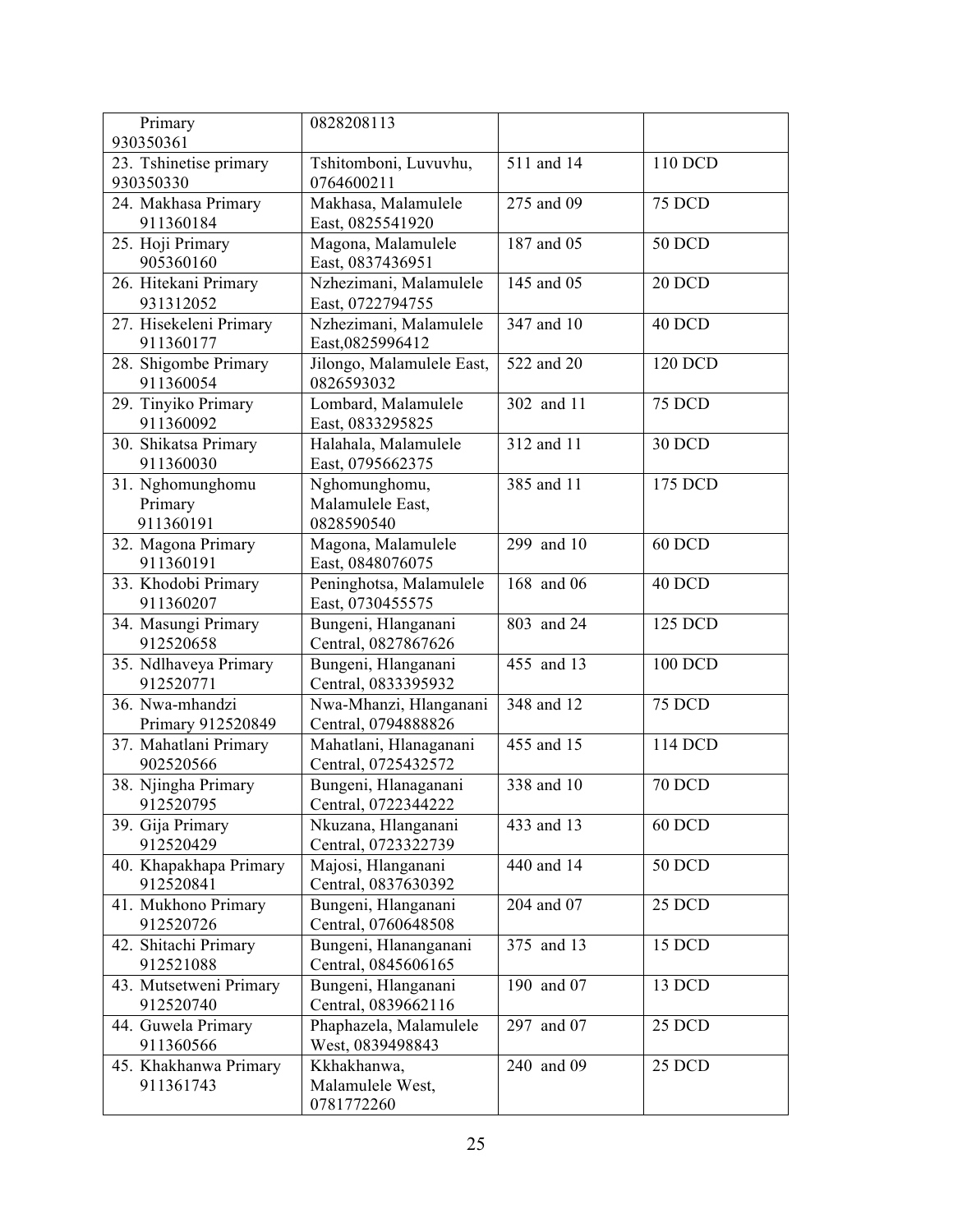| Primary                                  | 0828208113                                      |            |               |
|------------------------------------------|-------------------------------------------------|------------|---------------|
| 930350361                                |                                                 |            |               |
| 23. Tshinetise primary<br>930350330      | Tshitomboni, Luvuvhu,<br>0764600211             | 511 and 14 | 110 DCD       |
| 24. Makhasa Primary<br>911360184         | Makhasa, Malamulele<br>East, 0825541920         | 275 and 09 | 75 DCD        |
| 25. Hoji Primary<br>905360160            | Magona, Malamulele<br>East, 0837436951          | 187 and 05 | <b>50 DCD</b> |
| 26. Hitekani Primary<br>931312052        | Nzhezimani, Malamulele<br>East, 0722794755      | 145 and 05 | 20 DCD        |
| 27. Hisekeleni Primary<br>911360177      | Nzhezimani, Malamulele<br>East,0825996412       | 347 and 10 | 40 DCD        |
| 28. Shigombe Primary<br>911360054        | Jilongo, Malamulele East,<br>0826593032         | 522 and 20 | 120 DCD       |
| 29. Tinyiko Primary<br>911360092         | Lombard, Malamulele<br>East, 0833295825         | 302 and 11 | 75 DCD        |
| 30. Shikatsa Primary<br>911360030        | Halahala, Malamulele<br>East, 0795662375        | 312 and 11 | 30 DCD        |
| 31. Nghomunghomu<br>Primary<br>911360191 | Nghomunghomu,<br>Malamulele East,<br>0828590540 | 385 and 11 | 175 DCD       |
| 32. Magona Primary<br>911360191          | Magona, Malamulele<br>East, 0848076075          | 299 and 10 | $60$ DCD      |
| 33. Khodobi Primary<br>911360207         | Peninghotsa, Malamulele<br>East, 0730455575     | 168 and 06 | 40 DCD        |
| 34. Masungi Primary<br>912520658         | Bungeni, Hlanganani<br>Central, 0827867626      | 803 and 24 | 125 DCD       |
| 35. Ndlhaveya Primary<br>912520771       | Bungeni, Hlanganani<br>Central, 0833395932      | 455 and 13 | 100 DCD       |
| 36. Nwa-mhandzi<br>Primary 912520849     | Nwa-Mhanzi, Hlanganani<br>Central, 0794888826   | 348 and 12 | 75 DCD        |
| 37. Mahatlani Primary<br>902520566       | Mahatlani, Hlanaganani<br>Central, 0725432572   | 455 and 15 | 114 DCD       |
| 38. Njingha Primary<br>912520795         | Bungeni, Hlanaganani<br>Central, 0722344222     | 338 and 10 | <b>70 DCD</b> |
| 39. Gija Primary<br>912520429            | Nkuzana, Hlanganani<br>Central, 0723322739      | 433 and 13 | $60$ DCD      |
| 40. Khapakhapa Primary<br>912520841      | Majosi, Hlanganani<br>Central, 0837630392       | 440 and 14 | <b>50 DCD</b> |
| 41. Mukhono Primary<br>912520726         | Bungeni, Hlanganani<br>Central, 0760648508      | 204 and 07 | 25 DCD        |
| 42. Shitachi Primary<br>912521088        | Bungeni, Hlananganani<br>Central, 0845606165    | 375 and 13 | 15 DCD        |
| 43. Mutsetweni Primary<br>912520740      | Bungeni, Hlanganani<br>Central, 0839662116      | 190 and 07 | 13 DCD        |
| 44. Guwela Primary<br>911360566          | Phaphazela, Malamulele<br>West, 0839498843      | 297 and 07 | 25 DCD        |
| 45. Khakhanwa Primary<br>911361743       | Kkhakhanwa,<br>Malamulele West,<br>0781772260   | 240 and 09 | 25 DCD        |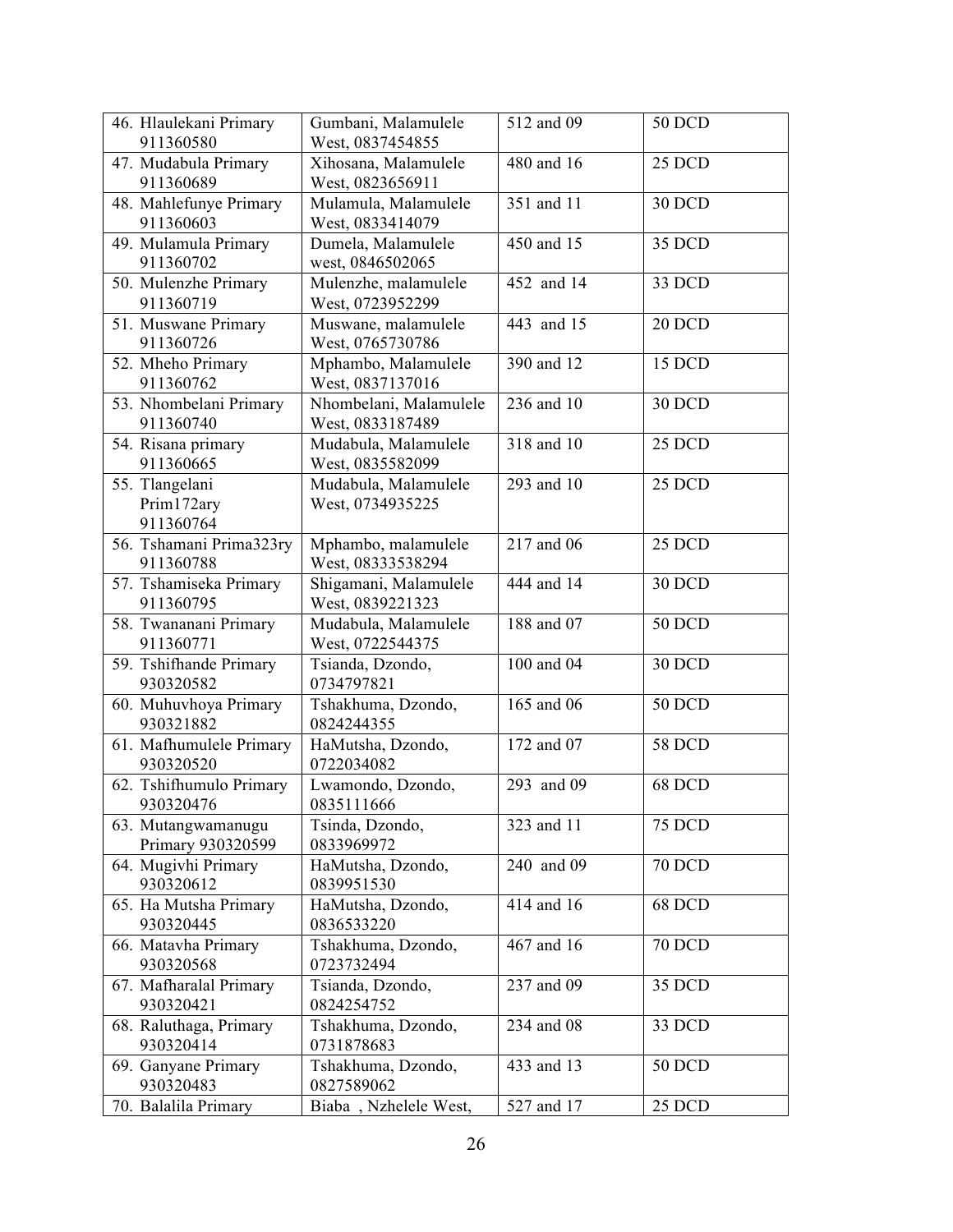| 46. Hlaulekani Primary                    | Gumbani, Malamulele                        | 512 and 09 | <b>50 DCD</b> |
|-------------------------------------------|--------------------------------------------|------------|---------------|
| 911360580                                 | West, 0837454855                           |            |               |
| 47. Mudabula Primary<br>911360689         | Xihosana, Malamulele<br>West, 0823656911   | 480 and 16 | 25 DCD        |
| 48. Mahlefunye Primary<br>911360603       | Mulamula, Malamulele<br>West, 0833414079   | 351 and 11 | 30 DCD        |
| 49. Mulamula Primary<br>911360702         | Dumela, Malamulele<br>west, 0846502065     | 450 and 15 | 35 DCD        |
| 50. Mulenzhe Primary<br>911360719         | Mulenzhe, malamulele<br>West, 0723952299   | 452 and 14 | 33 DCD        |
| 51. Muswane Primary<br>911360726          | Muswane, malamulele<br>West, 0765730786    | 443 and 15 | 20 DCD        |
| 52. Mheho Primary<br>911360762            | Mphambo, Malamulele<br>West, 0837137016    | 390 and 12 | 15 DCD        |
| 53. Nhombelani Primary<br>911360740       | Nhombelani, Malamulele<br>West, 0833187489 | 236 and 10 | 30 DCD        |
| 54. Risana primary<br>911360665           | Mudabula, Malamulele<br>West, 0835582099   | 318 and 10 | 25 DCD        |
| 55. Tlangelani<br>Prim172ary<br>911360764 | Mudabula, Malamulele<br>West, 0734935225   | 293 and 10 | 25 DCD        |
| 56. Tshamani Prima323ry<br>911360788      | Mphambo, malamulele<br>West, 08333538294   | 217 and 06 | 25 DCD        |
| 57. Tshamiseka Primary<br>911360795       | Shigamani, Malamulele<br>West, 0839221323  | 444 and 14 | 30 DCD        |
| 58. Twananani Primary<br>911360771        | Mudabula, Malamulele<br>West, 0722544375   | 188 and 07 | <b>50 DCD</b> |
| 59. Tshifhande Primary<br>930320582       | Tsianda, Dzondo,<br>0734797821             | 100 and 04 | 30 DCD        |
| 60. Muhuvhoya Primary<br>930321882        | Tshakhuma, Dzondo,<br>0824244355           | 165 and 06 | <b>50 DCD</b> |
| 61. Mafhumulele Primary<br>930320520      | HaMutsha, Dzondo,<br>0722034082            | 172 and 07 | <b>58 DCD</b> |
| 62. Tshifhumulo Primary<br>930320476      | Lwamondo, Dzondo,<br>0835111666            | 293 and 09 | 68 DCD        |
| 63. Mutangwamanugu<br>Primary 930320599   | Tsinda, Dzondo,<br>0833969972              | 323 and 11 | <b>75 DCD</b> |
| 64. Mugivhi Primary<br>930320612          | HaMutsha, Dzondo,<br>0839951530            | 240 and 09 | <b>70 DCD</b> |
| 65. Ha Mutsha Primary<br>930320445        | HaMutsha, Dzondo,<br>0836533220            | 414 and 16 | 68 DCD        |
| 66. Matavha Primary<br>930320568          | Tshakhuma, Dzondo,<br>0723732494           | 467 and 16 | <b>70 DCD</b> |
| 67. Mafharalal Primary<br>930320421       | Tsianda, Dzondo,<br>0824254752             | 237 and 09 | 35 DCD        |
| 68. Raluthaga, Primary<br>930320414       | Tshakhuma, Dzondo,<br>0731878683           | 234 and 08 | 33 DCD        |
| 69. Ganyane Primary<br>930320483          | Tshakhuma, Dzondo,<br>0827589062           | 433 and 13 | <b>50 DCD</b> |
| 70. Balalila Primary                      | Biaba, Nzhelele West,                      | 527 and 17 | 25 DCD        |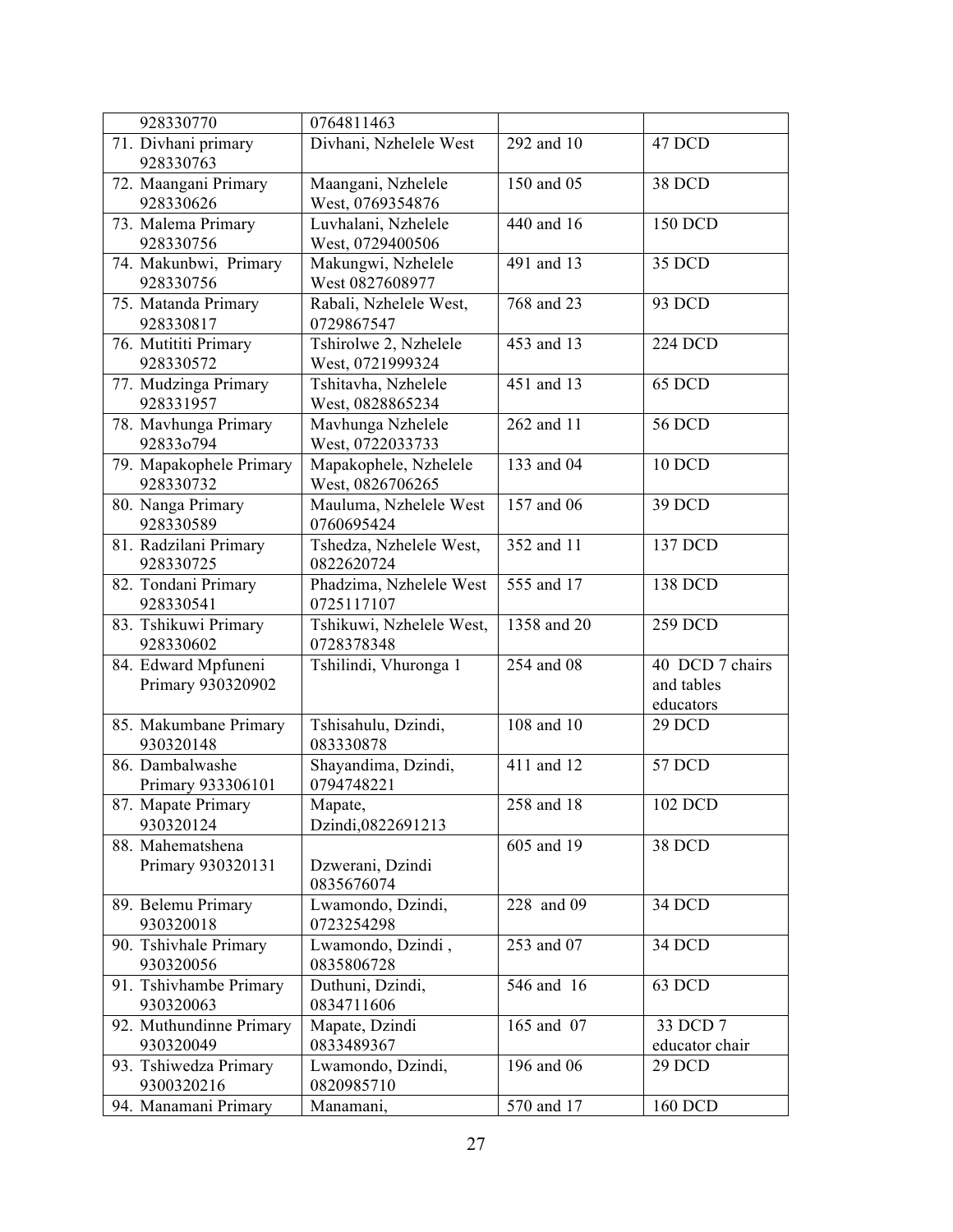| 928330770                                | 0764811463                                |             |                                            |
|------------------------------------------|-------------------------------------------|-------------|--------------------------------------------|
| 71. Divhani primary<br>928330763         | Divhani, Nzhelele West                    | 292 and 10  | 47 DCD                                     |
| 72. Maangani Primary<br>928330626        | Maangani, Nzhelele<br>West, 0769354876    | 150 and 05  | 38 DCD                                     |
| 73. Malema Primary<br>928330756          | Luvhalani, Nzhelele<br>West, 0729400506   | 440 and 16  | 150 DCD                                    |
| 74. Makunbwi, Primary<br>928330756       | Makungwi, Nzhelele<br>West 0827608977     | 491 and 13  | 35 DCD                                     |
| 75. Matanda Primary<br>928330817         | Rabali, Nzhelele West,<br>0729867547      | 768 and 23  | 93 DCD                                     |
| 76. Mutititi Primary<br>928330572        | Tshirolwe 2, Nzhelele<br>West, 0721999324 | 453 and 13  | <b>224 DCD</b>                             |
| 77. Mudzinga Primary<br>928331957        | Tshitavha, Nzhelele<br>West, 0828865234   | 451 and 13  | 65 DCD                                     |
| 78. Mavhunga Primary<br>92833o794        | Mavhunga Nzhelele<br>West, 0722033733     | 262 and 11  | <b>56 DCD</b>                              |
| 79. Mapakophele Primary<br>928330732     | Mapakophele, Nzhelele<br>West, 0826706265 | 133 and 04  | <b>10 DCD</b>                              |
| 80. Nanga Primary<br>928330589           | Mauluma, Nzhelele West<br>0760695424      | 157 and 06  | 39 DCD                                     |
| 81. Radzilani Primary<br>928330725       | Tshedza, Nzhelele West,<br>0822620724     | 352 and 11  | 137 DCD                                    |
| 82. Tondani Primary<br>928330541         | Phadzima, Nzhelele West<br>0725117107     | 555 and 17  | 138 DCD                                    |
| 83. Tshikuwi Primary<br>928330602        | Tshikuwi, Nzhelele West,<br>0728378348    | 1358 and 20 | 259 DCD                                    |
| 84. Edward Mpfuneni<br>Primary 930320902 | Tshilindi, Vhuronga 1                     | 254 and 08  | 40 DCD 7 chairs<br>and tables<br>educators |
| 85. Makumbane Primary<br>930320148       | Tshisahulu, Dzindi,<br>083330878          | 108 and 10  | 29 DCD                                     |
| 86. Dambalwashe<br>Primary 933306101     | Shayandima, Dzindi,<br>0794748221         | 411 and 12  | 57 DCD                                     |
| 87. Mapate Primary<br>930320124          | Mapate,<br>Dzindi,0822691213              | 258 and 18  | 102 DCD                                    |
| 88. Mahematshena<br>Primary 930320131    | Dzwerani, Dzindi<br>0835676074            | 605 and 19  | 38 DCD                                     |
| 89. Belemu Primary<br>930320018          | Lwamondo, Dzindi,<br>0723254298           | 228 and 09  | 34 DCD                                     |
| 90. Tshivhale Primary<br>930320056       | Lwamondo, Dzindi,<br>0835806728           | 253 and 07  | 34 DCD                                     |
| 91. Tshivhambe Primary<br>930320063      | Duthuni, Dzindi,<br>0834711606            | 546 and 16  | 63 DCD                                     |
| 92. Muthundinne Primary<br>930320049     | Mapate, Dzindi<br>0833489367              | 165 and 07  | 33 DCD 7<br>educator chair                 |
| 93. Tshiwedza Primary<br>9300320216      | Lwamondo, Dzindi,<br>0820985710           | 196 and 06  | 29 DCD                                     |
| 94. Manamani Primary                     | Manamani,                                 | 570 and 17  | 160 DCD                                    |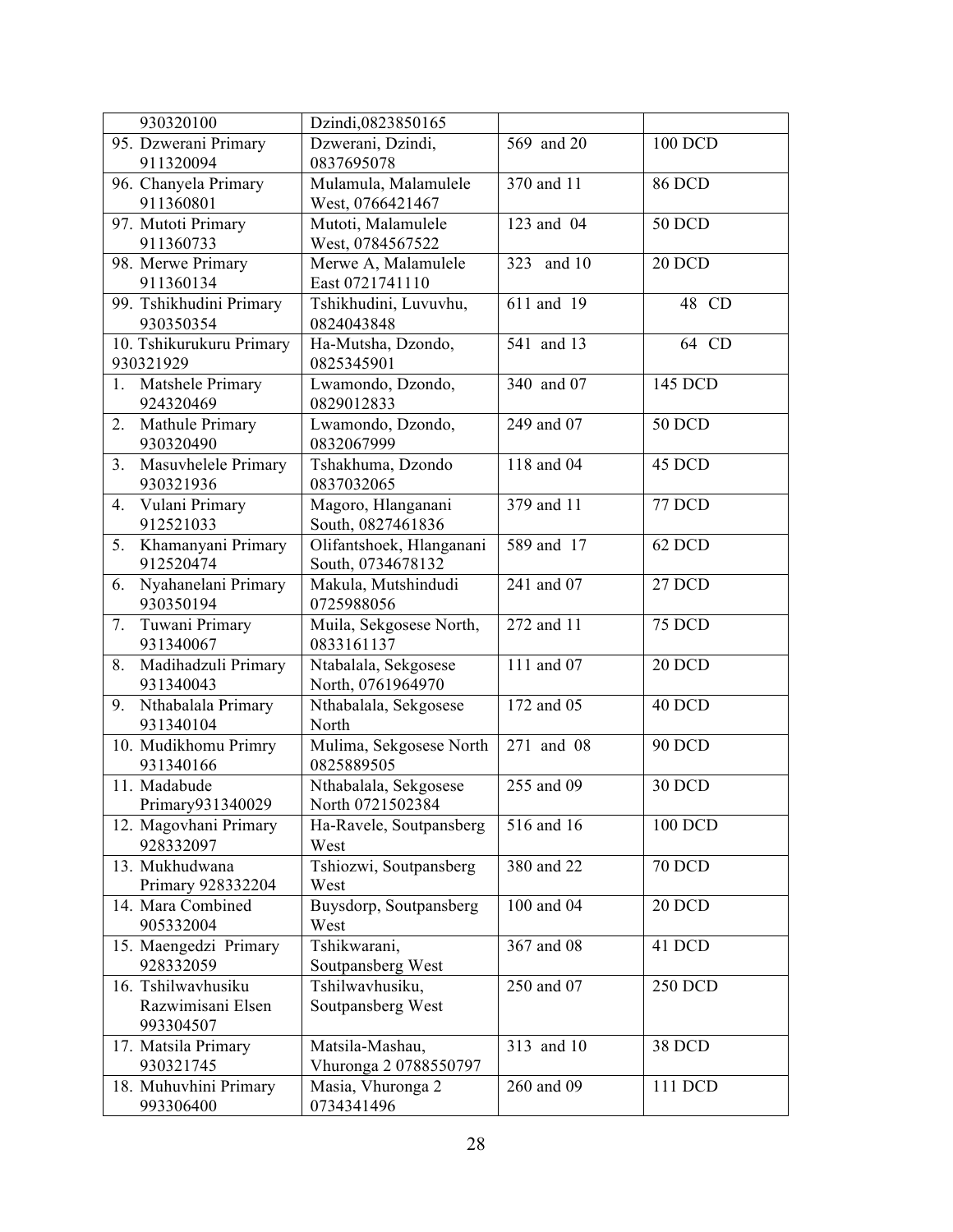| 930320100                               | Dzindi,0823850165                         |                         |                |
|-----------------------------------------|-------------------------------------------|-------------------------|----------------|
| 95. Dzwerani Primary<br>911320094       | Dzwerani, Dzindi,<br>0837695078           | 569 and 20              | 100 DCD        |
| 96. Chanyela Primary                    | Mulamula, Malamulele                      | 370 and 11              | <b>86 DCD</b>  |
| 911360801                               | West, 0766421467                          |                         |                |
| 97. Mutoti Primary                      | Mutoti, Malamulele                        | 123 and 04              | <b>50 DCD</b>  |
| 911360733                               | West, 0784567522                          |                         |                |
| 98. Merwe Primary                       | Merwe A, Malamulele                       | and 10<br>323           | 20 DCD         |
| 911360134                               | East 0721741110                           |                         |                |
| 99. Tshikhudini Primary<br>930350354    | Tshikhudini, Luvuvhu,<br>0824043848       | 611 and 19              | 48 CD          |
| 10. Tshikurukuru Primary<br>930321929   | Ha-Mutsha, Dzondo,<br>0825345901          | 541 and 13              | 64 CD          |
| 1. Matshele Primary<br>924320469        | Lwamondo, Dzondo,<br>0829012833           | 340 and 07              | 145 DCD        |
| 2.<br>Mathule Primary<br>930320490      | Lwamondo, Dzondo,<br>0832067999           | 249 and 07              | <b>50 DCD</b>  |
| Masuvhelele Primary<br>3.<br>930321936  | Tshakhuma, Dzondo<br>0837032065           | 118 and 04              | 45 DCD         |
| Vulani Primary<br>4.<br>912521033       | Magoro, Hlanganani<br>South, 0827461836   | 379 and $\overline{11}$ | 77 DCD         |
| Khamanyani Primary<br>5.                | Olifantshoek, Hlanganani                  | 589 and 17              | 62 DCD         |
| 912520474                               | South, 0734678132                         |                         |                |
| Nyahanelani Primary<br>6.<br>930350194  | Makula, Mutshindudi<br>0725988056         | 241 and 07              | 27 DCD         |
| Tuwani Primary<br>7.<br>931340067       | Muila, Sekgosese North,<br>0833161137     | 272 and 11              | <b>75 DCD</b>  |
| Madihadzuli Primary<br>8.<br>931340043  | Ntabalala, Sekgosese<br>North, 0761964970 | 111 and 07              | 20 DCD         |
| Nthabalala Primary<br>9.<br>931340104   | Nthabalala, Sekgosese<br>North            | 172 and 05              | 40 DCD         |
| 10. Mudikhomu Primry<br>931340166       | Mulima, Sekgosese North<br>0825889505     | 271 and 08              | <b>90 DCD</b>  |
| 11. Madabude<br>Primary931340029        | Nthabalala, Sekgosese<br>North 0721502384 | 255 and 09              | 30 DCD         |
| 12. Magovhani Primary<br>928332097      | Ha-Ravele, Soutpansberg<br>West           | 516 and 16              | 100 DCD        |
| 13. Mukhudwana<br>Primary 928332204     | Tshiozwi, Soutpansberg<br>West            | 380 and 22              | <b>70 DCD</b>  |
| 14. Mara Combined<br>905332004          | Buysdorp, Soutpansberg<br>West            | 100 and 04              | 20 DCD         |
| 15. Maengedzi Primary<br>928332059      | Tshikwarani,<br>Soutpansberg West         | 367 and 08              | 41 DCD         |
| 16. Tshilwavhusiku<br>Razwimisani Elsen | Tshilwavhusiku,<br>Soutpansberg West      | 250 and 07              | <b>250 DCD</b> |
| 993304507                               |                                           |                         |                |
| 17. Matsila Primary                     | Matsila-Mashau,                           | 313 and 10              | 38 DCD         |
| 930321745                               | Vhuronga 2 0788550797                     |                         |                |
| 18. Muhuvhini Primary<br>993306400      | Masia, Vhuronga 2<br>0734341496           | 260 and 09              | 111 DCD        |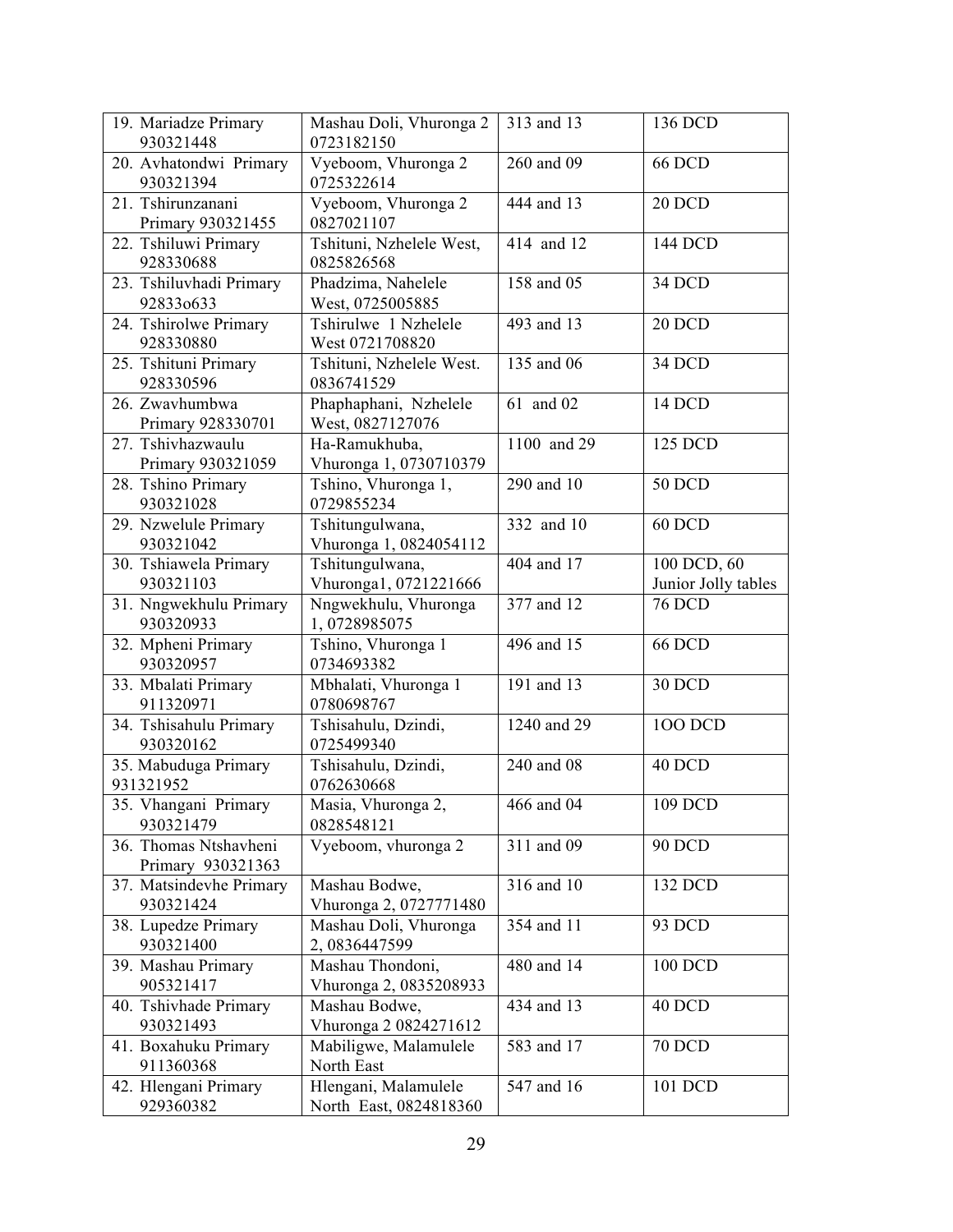| 19. Mariadze Primary<br>930321448          | Mashau Doli, Vhuronga 2<br>0723182150          | 313 and 13  | 136 DCD                            |
|--------------------------------------------|------------------------------------------------|-------------|------------------------------------|
| 20. Avhatondwi Primary<br>930321394        | Vyeboom, Vhuronga 2<br>0725322614              | 260 and 09  | <b>66 DCD</b>                      |
| 21. Tshirunzanani<br>Primary 930321455     | Vyeboom, Vhuronga 2<br>0827021107              | 444 and 13  | 20 DCD                             |
| 22. Tshiluwi Primary<br>928330688          | Tshituni, Nzhelele West,<br>0825826568         | 414 and 12  | 144 DCD                            |
| 23. Tshiluvhadi Primary<br>928330633       | Phadzima, Nahelele<br>West, 0725005885         | 158 and 05  | 34 DCD                             |
| 24. Tshirolwe Primary<br>928330880         | Tshirulwe 1 Nzhelele<br>West 0721708820        | 493 and 13  | 20 DCD                             |
| 25. Tshituni Primary<br>928330596          | Tshituni, Nzhelele West.<br>0836741529         | 135 and 06  | 34 DCD                             |
| 26. Zwavhumbwa<br>Primary 928330701        | Phaphaphani, Nzhelele<br>West, 0827127076      | 61 and 02   | 14 DCD                             |
| 27. Tshivhazwaulu<br>Primary 930321059     | Ha-Ramukhuba,<br>Vhuronga 1, 0730710379        | 1100 and 29 | 125 DCD                            |
| 28. Tshino Primary<br>930321028            | Tshino, Vhuronga 1,<br>0729855234              | 290 and 10  | <b>50 DCD</b>                      |
| 29. Nzwelule Primary<br>930321042          | Tshitungulwana,<br>Vhuronga 1, 0824054112      | 332 and 10  | 60 DCD                             |
| 30. Tshiawela Primary<br>930321103         | Tshitungulwana,<br>Vhuronga1, 0721221666       | 404 and 17  | 100 DCD, 60<br>Junior Jolly tables |
| 31. Nngwekhulu Primary<br>930320933        | Nngwekhulu, Vhuronga<br>1,0728985075           | 377 and 12  | <b>76 DCD</b>                      |
| 32. Mpheni Primary<br>930320957            | Tshino, Vhuronga 1<br>0734693382               | 496 and 15  | <b>66 DCD</b>                      |
| 33. Mbalati Primary<br>911320971           | Mbhalati, Vhuronga 1<br>0780698767             | 191 and 13  | 30 DCD                             |
| 34. Tshisahulu Primary<br>930320162        | Tshisahulu, Dzindi,<br>0725499340              | 1240 and 29 | <b>100 DCD</b>                     |
| 35. Mabuduga Primary<br>931321952          | Tshisahulu, Dzindi,<br>0762630668              | 240 and 08  | 40 DCD                             |
| 35. Vhangani Primary<br>930321479          | Masia, Vhuronga 2,<br>0828548121               | 466 and 04  | 109 DCD                            |
| 36. Thomas Ntshavheni<br>Primary 930321363 | Vyeboom, vhuronga 2                            | 311 and 09  | <b>90 DCD</b>                      |
| 37. Matsindevhe Primary<br>930321424       | Mashau Bodwe,<br>Vhuronga 2, 0727771480        | 316 and 10  | 132 DCD                            |
| 38. Lupedze Primary<br>930321400           | Mashau Doli, Vhuronga<br>2,0836447599          | 354 and 11  | 93 DCD                             |
| 39. Mashau Primary<br>905321417            | Mashau Thondoni,<br>Vhuronga 2, 0835208933     | 480 and 14  | 100 DCD                            |
| 40. Tshivhade Primary<br>930321493         | Mashau Bodwe,<br>Vhuronga 2 0824271612         | 434 and 13  | 40 DCD                             |
| 41. Boxahuku Primary<br>911360368          | Mabiligwe, Malamulele<br>North East            | 583 and 17  | <b>70 DCD</b>                      |
| 42. Hlengani Primary<br>929360382          | Hlengani, Malamulele<br>North East, 0824818360 | 547 and 16  | 101 DCD                            |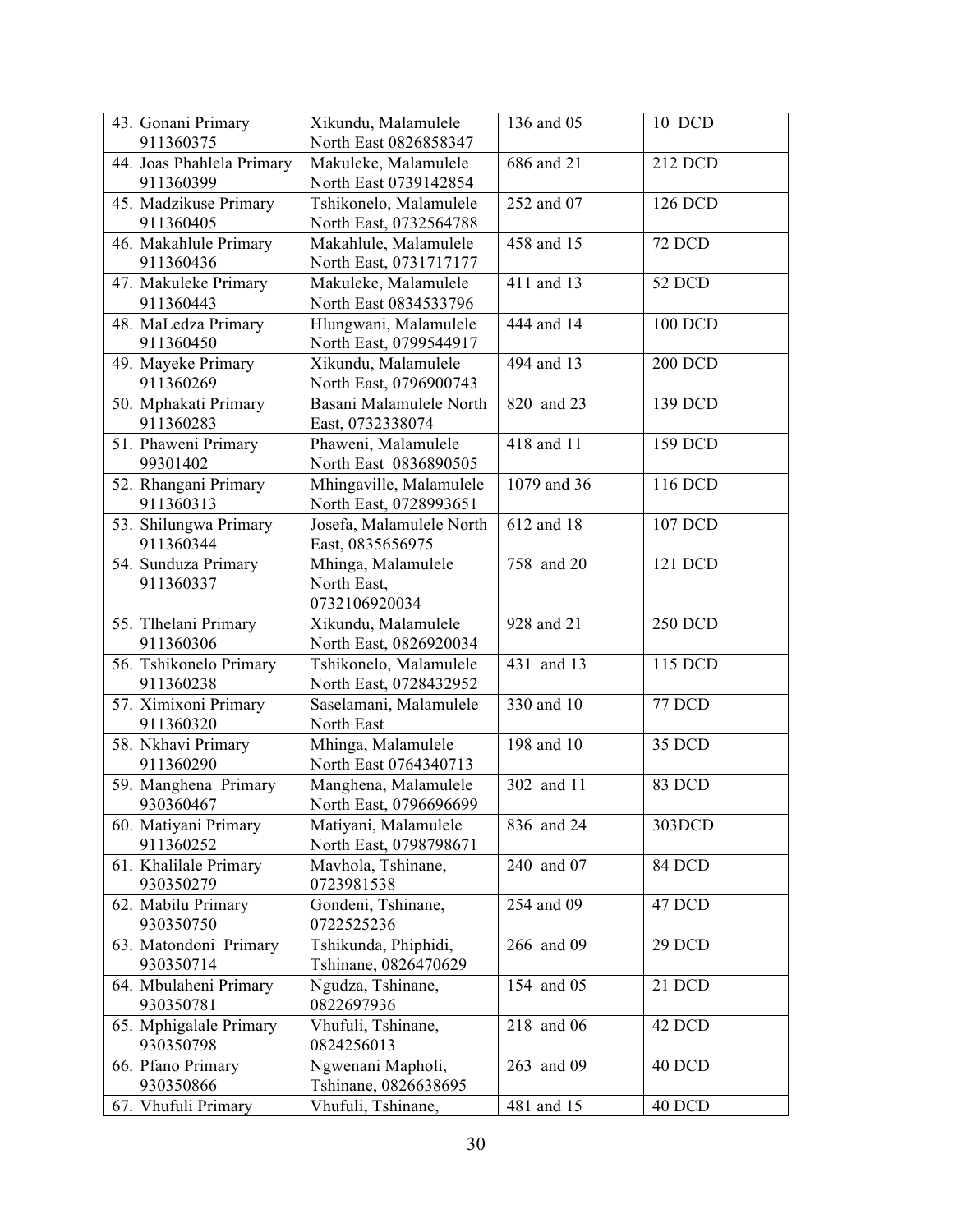| 43. Gonani Primary                  | Xikundu, Malamulele                              | 136 and 05   | 10 DCD         |
|-------------------------------------|--------------------------------------------------|--------------|----------------|
| 911360375                           | North East 0826858347                            |              |                |
| 44. Joas Phahlela Primary           | Makuleke, Malamulele                             | 686 and 21   | 212 DCD        |
| 911360399                           | North East 0739142854                            |              |                |
| 45. Madzikuse Primary               | Tshikonelo, Malamulele                           | 252 and 07   | 126 DCD        |
| 911360405                           | North East, 0732564788                           |              |                |
| 46. Makahlule Primary               | Makahlule, Malamulele                            | 458 and 15   | <b>72 DCD</b>  |
| 911360436                           | North East, 0731717177                           |              |                |
| 47. Makuleke Primary                | Makuleke, Malamulele                             | 411 and 13   | 52 DCD         |
| 911360443                           | North East 0834533796                            |              |                |
| 48. MaLedza Primary                 | Hlungwani, Malamulele                            | 444 and 14   | 100 DCD        |
| 911360450                           | North East, 0799544917                           |              |                |
| 49. Mayeke Primary                  | Xikundu, Malamulele                              | 494 and 13   | <b>200 DCD</b> |
| 911360269                           | North East, 0796900743                           |              |                |
| 50. Mphakati Primary                | Basani Malamulele North                          | 820 and 23   | 139 DCD        |
| 911360283                           | East, 0732338074                                 |              |                |
| 51. Phaweni Primary                 | Phaweni, Malamulele                              | 418 and 11   | 159 DCD        |
| 99301402                            | North East 0836890505                            |              |                |
| 52. Rhangani Primary                | Mhingaville, Malamulele                          | 1079 and 36  | 116 DCD        |
| 911360313                           | North East, 0728993651                           |              |                |
| 53. Shilungwa Primary               | Josefa, Malamulele North                         | 612 and 18   | 107 DCD        |
| 911360344                           | East, 0835656975                                 |              |                |
| 54. Sunduza Primary                 | Mhinga, Malamulele                               | 758 and 20   | 121 DCD        |
| 911360337                           | North East,                                      |              |                |
|                                     | 0732106920034                                    |              |                |
| 55. Tlhelani Primary                | Xikundu, Malamulele                              | 928 and 21   | <b>250 DCD</b> |
| 911360306                           | North East, 0826920034                           | 431 and 13   | 115 DCD        |
| 56. Tshikonelo Primary<br>911360238 | Tshikonelo, Malamulele<br>North East, 0728432952 |              |                |
| 57. Ximixoni Primary                | Saselamani, Malamulele                           | 330 and $10$ | 77 DCD         |
| 911360320                           | North East                                       |              |                |
| 58. Nkhavi Primary                  | Mhinga, Malamulele                               | 198 and 10   | 35 DCD         |
| 911360290                           | North East 0764340713                            |              |                |
| 59. Manghena Primary                | Manghena, Malamulele                             | 302 and 11   | 83 DCD         |
| 930360467                           | North East, 0796696699                           |              |                |
| 60. Matiyani Primary                | Matiyani, Malamulele                             | 836 and 24   | 303DCD         |
| 911360252                           | North East, 0798798671                           |              |                |
| 61. Khalilale Primary               | Mavhola, Tshinane,                               | 240 and 07   | 84 DCD         |
| 930350279                           | 0723981538                                       |              |                |
| 62. Mabilu Primary                  | Gondeni, Tshinane,                               | 254 and 09   | 47 DCD         |
| 930350750                           | 0722525236                                       |              |                |
| 63. Matondoni Primary               | Tshikunda, Phiphidi,                             | 266 and 09   | 29 DCD         |
| 930350714                           | Tshinane, 0826470629                             |              |                |
| 64. Mbulaheni Primary               | Ngudza, Tshinane,                                | 154 and 05   | 21 DCD         |
| 930350781                           | 0822697936                                       |              |                |
| 65. Mphigalale Primary              | Vhufuli, Tshinane,                               | 218 and 06   | 42 DCD         |
| 930350798                           | 0824256013                                       |              |                |
| 66. Pfano Primary                   | Ngwenani Mapholi,                                | 263 and 09   | 40 DCD         |
| 930350866                           | Tshinane, 0826638695                             |              |                |
| 67. Vhufuli Primary                 | Vhufuli, Tshinane,                               | 481 and 15   | 40 DCD         |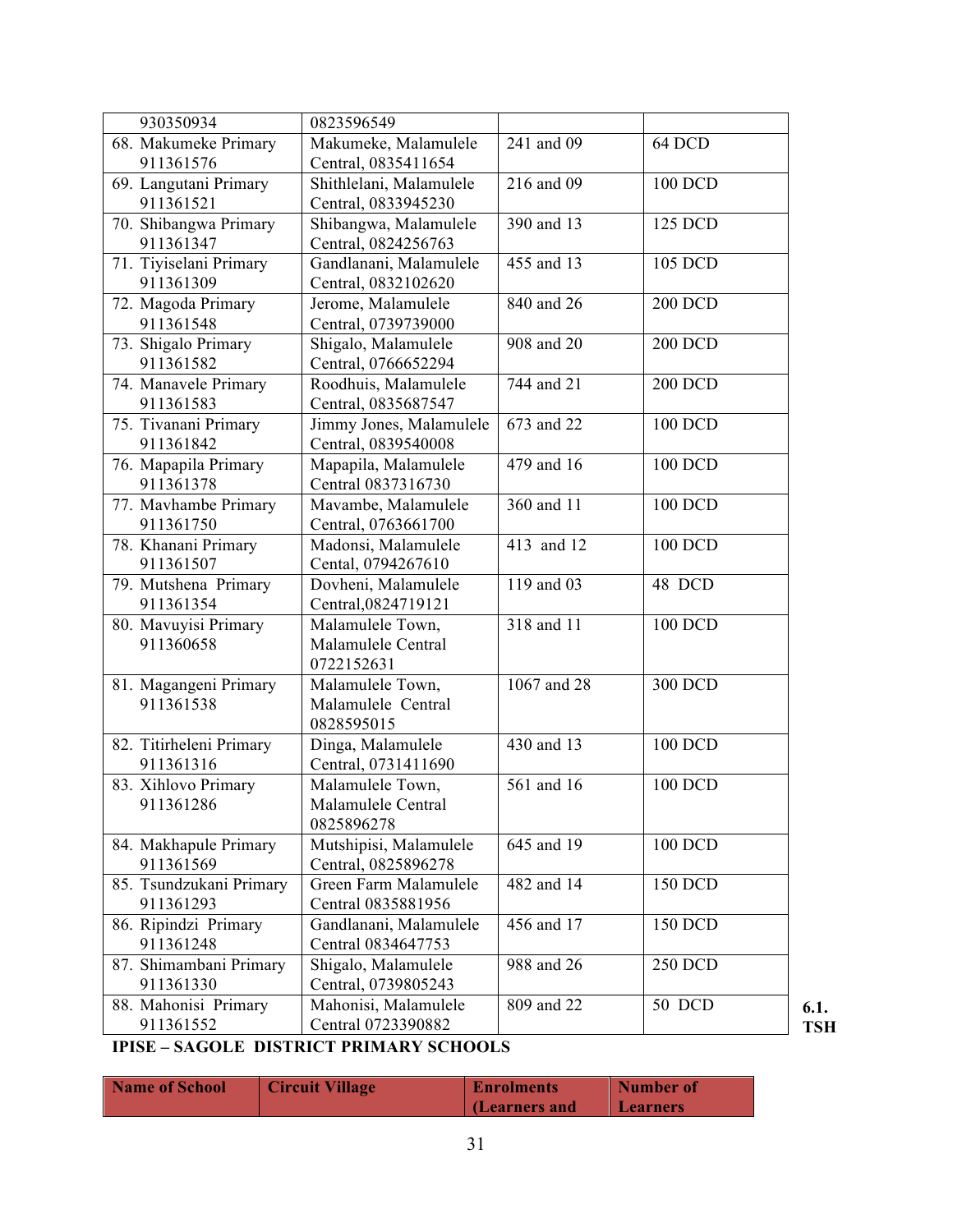| 930350934               | 0823596549              |             |                |
|-------------------------|-------------------------|-------------|----------------|
| 68. Makumeke Primary    | Makumeke, Malamulele    | 241 and 09  | 64 DCD         |
| 911361576               | Central, 0835411654     |             |                |
| 69. Langutani Primary   | Shithlelani, Malamulele | 216 and 09  | 100 DCD        |
| 911361521               | Central, 0833945230     |             |                |
| 70. Shibangwa Primary   | Shibangwa, Malamulele   | 390 and 13  | 125 DCD        |
| 911361347               | Central, 0824256763     |             |                |
| 71. Tiyiselani Primary  | Gandlanani, Malamulele  | 455 and 13  | 105 DCD        |
| 911361309               | Central, 0832102620     |             |                |
| 72. Magoda Primary      | Jerome, Malamulele      | 840 and 26  | <b>200 DCD</b> |
| 911361548               | Central, 0739739000     |             |                |
| 73. Shigalo Primary     | Shigalo, Malamulele     | 908 and 20  | <b>200 DCD</b> |
| 911361582               | Central, 0766652294     |             |                |
| 74. Manavele Primary    | Roodhuis, Malamulele    | 744 and 21  | <b>200 DCD</b> |
| 911361583               | Central, 0835687547     |             |                |
| 75. Tivanani Primary    | Jimmy Jones, Malamulele | 673 and 22  | 100 DCD        |
| 911361842               |                         |             |                |
|                         | Central, 0839540008     | 479 and 16  |                |
| 76. Mapapila Primary    | Mapapila, Malamulele    |             | 100 DCD        |
| 911361378               | Central 0837316730      | 360 and 11  |                |
| 77. Mavhambe Primary    | Mavambe, Malamulele     |             | 100 DCD        |
| 911361750               | Central, 0763661700     |             |                |
| 78. Khanani Primary     | Madonsi, Malamulele     | 413 and 12  | 100 DCD        |
| 911361507               | Cental, 0794267610      |             |                |
| 79. Mutshena Primary    | Dovheni, Malamulele     | 119 and 03  | 48 DCD         |
| 911361354               | Central, 0824719121     |             |                |
| 80. Mavuyisi Primary    | Malamulele Town,        | 318 and 11  | 100 DCD        |
| 911360658               | Malamulele Central      |             |                |
|                         | 0722152631              |             |                |
| 81. Magangeni Primary   | Malamulele Town,        | 1067 and 28 | 300 DCD        |
| 911361538               | Malamulele Central      |             |                |
|                         | 0828595015              |             |                |
| 82. Titirheleni Primary | Dinga, Malamulele       | 430 and 13  | 100 DCD        |
| 911361316               | Central, 0731411690     |             |                |
| 83. Xihlovo Primary     | Malamulele Town,        | 561 and 16  | 100 DCD        |
| 911361286               | Malamulele Central      |             |                |
|                         | 0825896278              |             |                |
| 84. Makhapule Primary   | Mutshipisi, Malamulele  | 645 and 19  | 100 DCD        |
| 911361569               | Central, 0825896278     |             |                |
| 85. Tsundzukani Primary | Green Farm Malamulele   | 482 and 14  | 150 DCD        |
| 911361293               | Central 0835881956      |             |                |
| 86. Ripindzi Primary    | Gandlanani, Malamulele  | 456 and 17  | 150 DCD        |
| 911361248               | Central 0834647753      |             |                |
| 87. Shimambani Primary  | Shigalo, Malamulele     | 988 and 26  | <b>250 DCD</b> |
| 911361330               | Central, 0739805243     |             |                |
| 88. Mahonisi Primary    | Mahonisi, Malamulele    | 809 and 22  | 50 DCD         |
| 911361552               | Central 0723390882      |             |                |
|                         |                         |             |                |

## **IPISE – SAGOLE DISTRICT PRIMARY SCHOOLS**

| <b>Name of School</b> | <b>Circuit Village</b> | <b>Enrolments</b> | Number of       |
|-----------------------|------------------------|-------------------|-----------------|
|                       |                        | (Learners and     | <b>Learners</b> |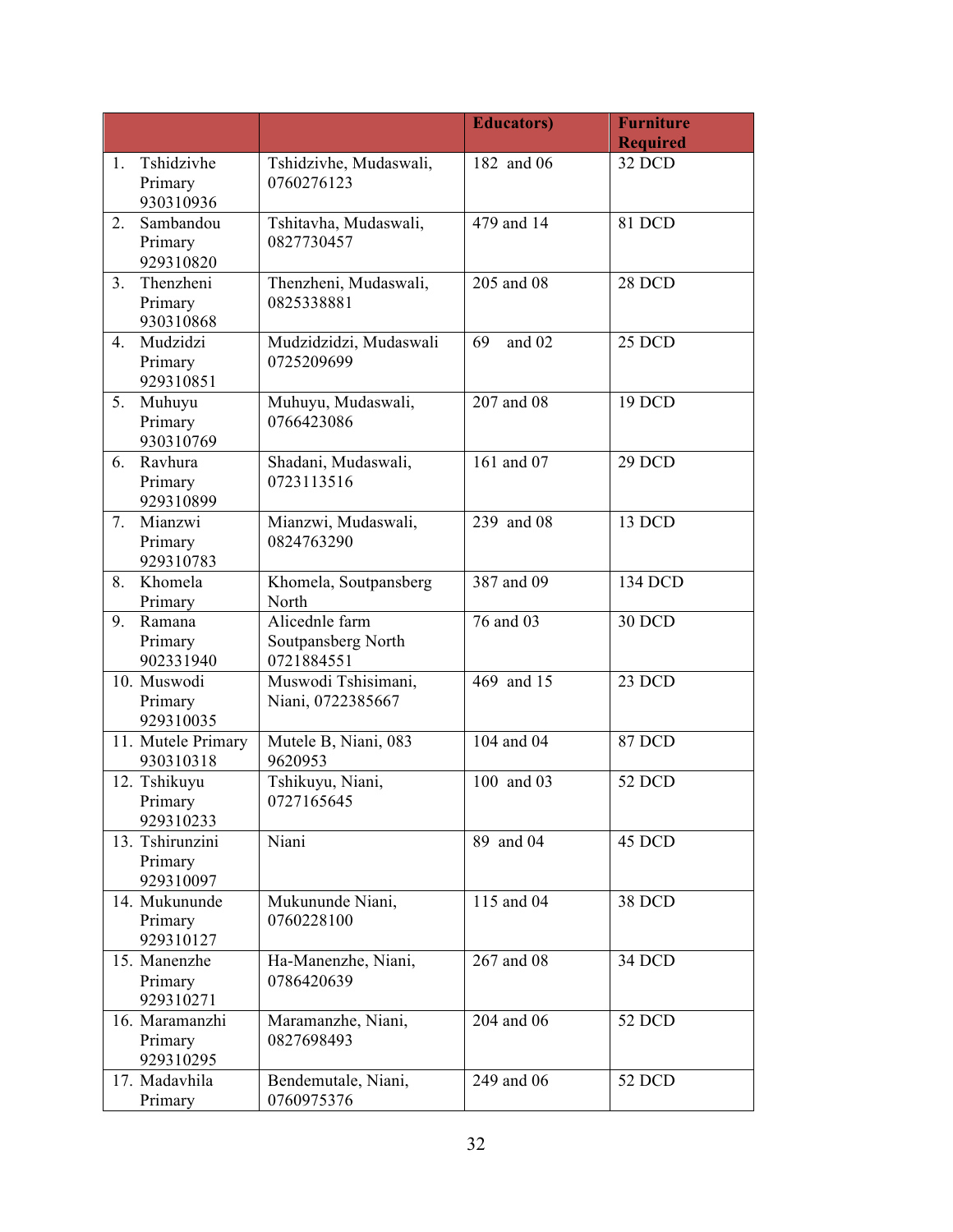|    |                                         |                                                    | <b>Educators</b> ) | <b>Furniture</b> |
|----|-----------------------------------------|----------------------------------------------------|--------------------|------------------|
|    |                                         |                                                    |                    | <b>Required</b>  |
| 1. | Tshidzivhe<br>Primary<br>930310936      | Tshidzivhe, Mudaswali,<br>0760276123               | 182 and 06         | 32 DCD           |
| 2. | Sambandou<br>Primary<br>929310820       | Tshitavha, Mudaswali,<br>0827730457                | 479 and 14         | 81 DCD           |
| 3. | Thenzheni<br>Primary<br>930310868       | Thenzheni, Mudaswali,<br>0825338881                | 205 and 08         | 28 DCD           |
| 4. | Mudzidzi<br>Primary<br>929310851        | Mudzidzidzi, Mudaswali<br>0725209699               | 69<br>and 02       | 25 DCD           |
| 5. | Muhuyu<br>Primary<br>930310769          | Muhuyu, Mudaswali,<br>0766423086                   | 207 and 08         | 19 DCD           |
| 6. | Ravhura<br>Primary<br>929310899         | Shadani, Mudaswali,<br>0723113516                  |                    | 29 DCD           |
| 7. | Mianzwi<br>Primary<br>929310783         | Mianzwi, Mudaswali,<br>0824763290                  | 239 and 08         | 13 DCD           |
| 8. | Khomela<br>Primary                      | Khomela, Soutpansberg<br>North                     | 387 and 09         | 134 DCD          |
| 9. | Ramana<br>Primary<br>902331940          | Alicednle farm<br>Soutpansberg North<br>0721884551 | 76 and 03          | 30 DCD           |
|    | 10. Muswodi<br>Primary<br>929310035     | Muswodi Tshisimani,<br>Niani, 0722385667           | 469 and 15         | 23 DCD           |
|    | 11. Mutele Primary<br>930310318         | Mutele B, Niani, 083<br>9620953                    | 104 and 04         | <b>87 DCD</b>    |
|    | 12. Tshikuyu<br>Primary<br>929310233    | Tshikuyu, Niani,<br>0727165645                     | 100 and 03         | 52 DCD           |
|    | 13. Tshirunzini<br>Primary<br>929310097 | Niani                                              | 89 and 04          | 45 DCD           |
|    | 14. Mukununde<br>Primary<br>929310127   | Mukununde Niani,<br>0760228100                     | 115 and 04         | 38 DCD           |
|    | 15. Manenzhe<br>Primary<br>929310271    | Ha-Manenzhe, Niani,<br>0786420639                  | 267 and 08         | 34 DCD           |
|    | 16. Maramanzhi<br>Primary<br>929310295  | Maramanzhe, Niani,<br>0827698493                   | 204 and 06         | 52 DCD           |
|    | 17. Madavhila<br>Primary                | Bendemutale, Niani,<br>0760975376                  | 249 and 06         | 52 DCD           |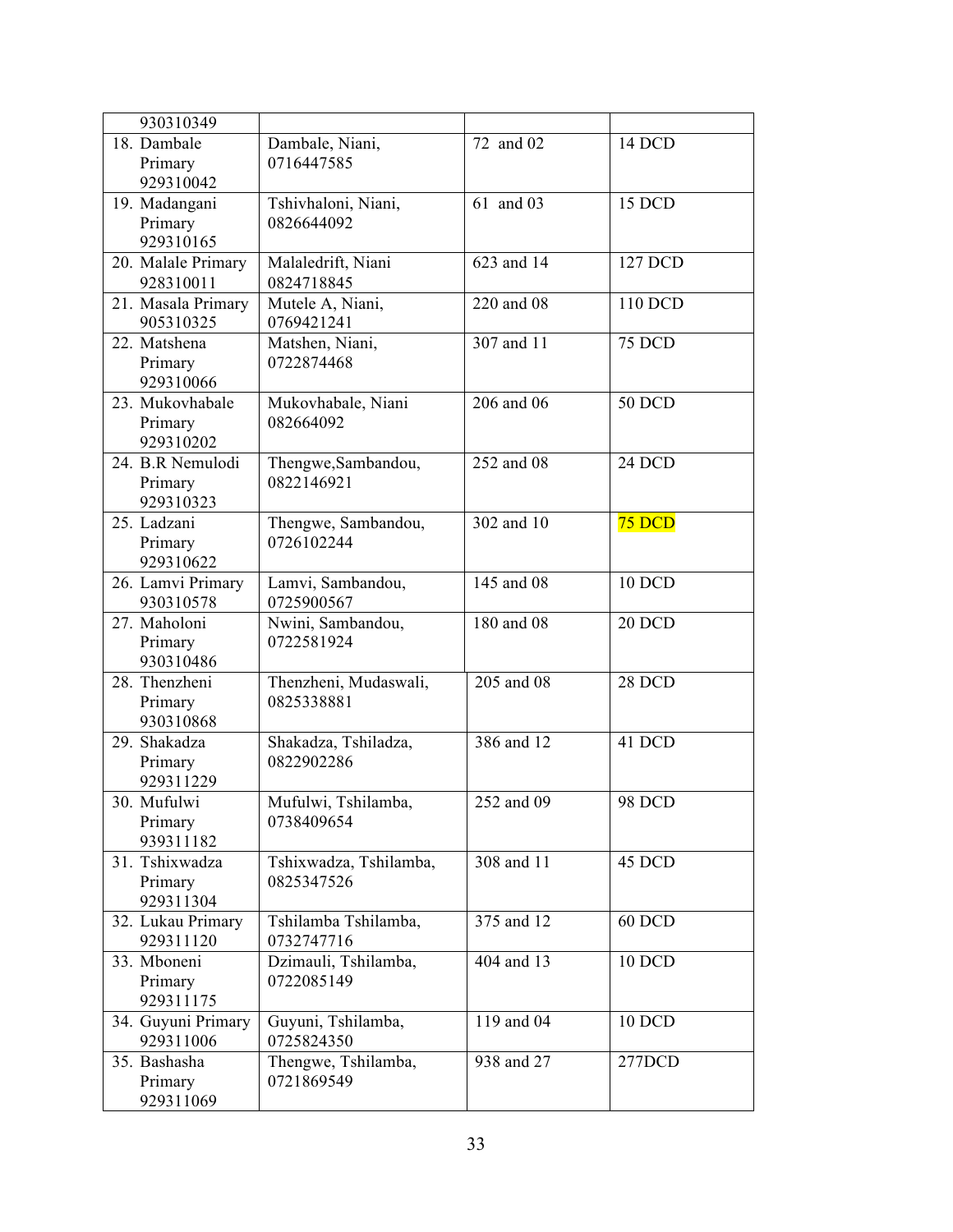| 930310349                                                                  |                                      |            |               |
|----------------------------------------------------------------------------|--------------------------------------|------------|---------------|
| 18. Dambale<br>Primary                                                     | Dambale, Niani,<br>0716447585        | 72 and 02  | 14 DCD        |
| 929310042                                                                  |                                      |            |               |
| 19. Madangani<br>Primary<br>929310165                                      | Tshivhaloni, Niani,<br>0826644092    | 61 and 03  | 15 DCD        |
| 20. Malale Primary<br>928310011                                            | Malaledrift, Niani<br>0824718845     | 623 and 14 | 127 DCD       |
| $\overline{21}$ . Masala Primary<br>905310325                              | Mutele A, Niani,<br>0769421241       | 220 and 08 | 110 DCD       |
| 22. Matshena<br>Primary<br>929310066                                       | Matshen, Niani,<br>0722874468        |            | <b>75 DCD</b> |
| Mukovhabale, Niani<br>23. Mukovhabale<br>082664092<br>Primary<br>929310202 |                                      | 206 and 06 | <b>50 DCD</b> |
| 24. B.R Nemulodi<br>Primary<br>929310323                                   | Thengwe, Sambandou,<br>0822146921    |            | 24 DCD        |
| 25. Ladzani<br>Thengwe, Sambandou,<br>Primary<br>0726102244<br>929310622   |                                      | 302 and 10 | 75 DCD        |
| 26. Lamvi Primary<br>930310578                                             | Lamvi, Sambandou,<br>0725900567      |            | $10$ DCD      |
| 27. Maholoni<br>Primary<br>930310486                                       | Nwini, Sambandou,<br>0722581924      | 180 and 08 | 20 DCD        |
| 28. Thenzheni<br>Primary<br>930310868                                      | Thenzheni, Mudaswali,<br>0825338881  | 205 and 08 | 28 DCD        |
| 29. Shakadza<br>Primary<br>929311229                                       | Shakadza, Tshiladza,<br>0822902286   | 386 and 12 | 41 DCD        |
| 30. Mufulwi<br>Primary<br>939311182                                        | Mufulwi, Tshilamba,<br>0738409654    | 252 and 09 | <b>98 DCD</b> |
| 31. Tshixwadza<br>Primary<br>929311304                                     | Tshixwadza, Tshilamba,<br>0825347526 | 308 and 11 | 45 DCD        |
| 32. Lukau Primary<br>929311120                                             | Tshilamba Tshilamba,<br>0732747716   | 375 and 12 | 60 DCD        |
| 33. Mboneni<br>Primary<br>929311175                                        | Dzimauli, Tshilamba,<br>0722085149   | 404 and 13 | <b>10 DCD</b> |
| 34. Guyuni Primary<br>929311006                                            | Guyuni, Tshilamba,<br>0725824350     | 119 and 04 | <b>10 DCD</b> |
| 35. Bashasha<br>Primary<br>929311069                                       | Thengwe, Tshilamba,<br>0721869549    |            | 277DCD        |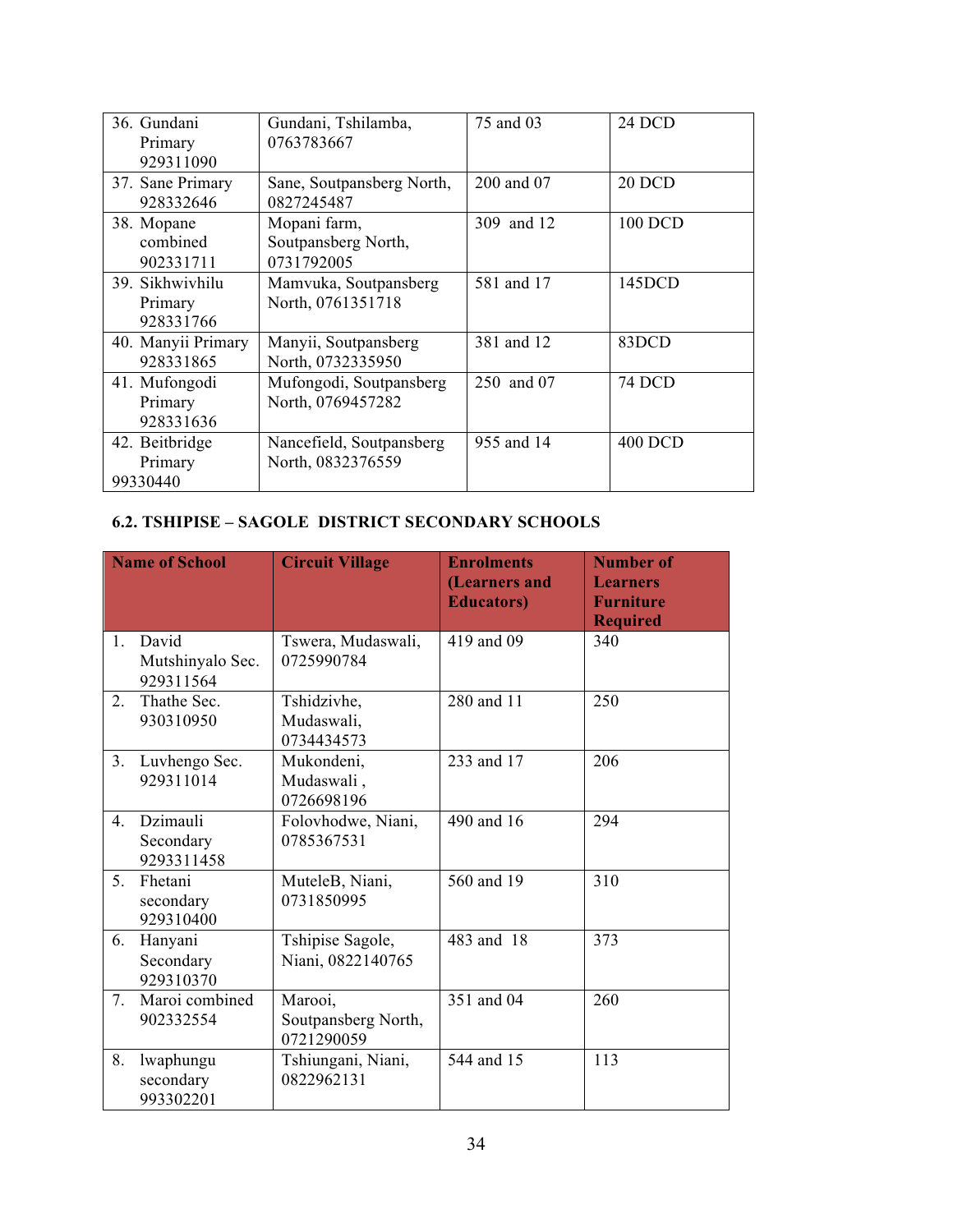| 36. Gundani<br>Primary<br>929311090                                                      | Gundani, Tshilamba,<br>0763783667             | 75 and 03  | 24 DCD         |
|------------------------------------------------------------------------------------------|-----------------------------------------------|------------|----------------|
| 37. Sane Primary<br>928332646                                                            | Sane, Soutpansberg North,<br>0827245487       |            | <b>20 DCD</b>  |
| Mopani farm,<br>38. Mopane<br>combined<br>Soutpansberg North,<br>0731792005<br>902331711 |                                               | 309 and 12 | 100 DCD        |
| 39. Sikhwiyhilu<br>Primary<br>928331766                                                  | Mamvuka, Soutpansberg<br>North, 0761351718    | 581 and 17 | 145DCD         |
| 40. Manyii Primary<br>928331865                                                          | Manyii, Soutpansberg<br>North, 0732335950     | 381 and 12 | 83DCD          |
| 41. Mufongodi<br>Primary<br>928331636                                                    | Mufongodi, Soutpansberg<br>North, 0769457282  | 250 and 07 | 74 DCD         |
| 42. Beitbridge<br>Primary<br>99330440                                                    | Nancefield, Soutpansberg<br>North, 0832376559 | 955 and 14 | <b>400 DCD</b> |

#### **6.2. TSHIPISE – SAGOLE DISTRICT SECONDARY SCHOOLS**

| <b>Name of School</b> |                                        | <b>Circuit Village</b>                       | <b>Enrolments</b><br>(Learners and<br><b>Educators</b> ) | <b>Number of</b><br><b>Learners</b><br><b>Furniture</b><br><b>Required</b> |
|-----------------------|----------------------------------------|----------------------------------------------|----------------------------------------------------------|----------------------------------------------------------------------------|
| 1.                    | David<br>Mutshinyalo Sec.<br>929311564 | Tswera, Mudaswali,<br>0725990784             | 419 and 09                                               | 340                                                                        |
| 2.                    | Thathe Sec.<br>930310950               | Tshidzivhe,<br>Mudaswali,<br>0734434573      | 280 and 11                                               | 250                                                                        |
| 3 <sub>1</sub>        | Luvhengo Sec.<br>929311014             | Mukondeni,<br>Mudaswali,<br>0726698196       | 233 and 17                                               | 206                                                                        |
| $4_{\cdot}$           | Dzimauli<br>Secondary<br>9293311458    | Folovhodwe, Niani,<br>0785367531             | 490 and 16                                               | 294                                                                        |
| 5.                    | Fhetani<br>secondary<br>929310400      | MuteleB, Niani,<br>0731850995                | 560 and 19                                               | 310                                                                        |
| 6.                    | Hanyani<br>Secondary<br>929310370      | Tshipise Sagole,<br>Niani, 0822140765        | 483 and 18                                               | 373                                                                        |
| 7.                    | Maroi combined<br>902332554            | Marooi,<br>Soutpansberg North,<br>0721290059 | 351 and 04                                               | 260                                                                        |
| 8.                    | lwaphungu<br>secondary<br>993302201    | Tshiungani, Niani,<br>0822962131             | 544 and 15                                               | 113                                                                        |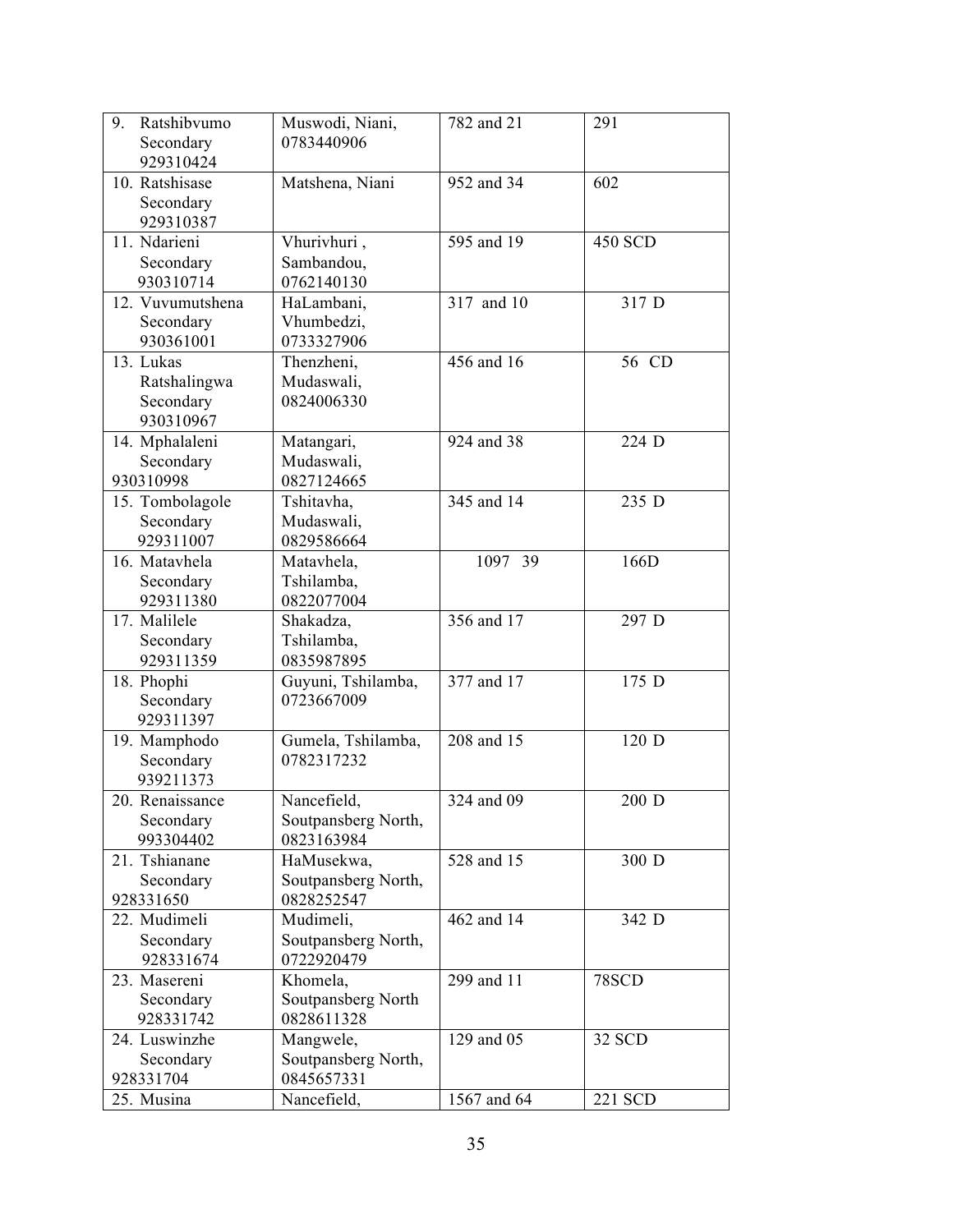| 9.<br>Ratshibvumo<br>Secondary<br>929310424         | Muswodi, Niani,<br>0783440906                                 | 782 and 21  | 291            |  |
|-----------------------------------------------------|---------------------------------------------------------------|-------------|----------------|--|
| 10. Ratshisase<br>Secondary<br>929310387            | Matshena, Niani<br>952 and 34                                 |             | 602            |  |
| 11. Ndarieni<br>Secondary<br>930310714              | Vhurivhuri,<br>Sambandou,<br>0762140130                       | 595 and 19  | <b>450 SCD</b> |  |
| 12. Vuvumutshena<br>Secondary<br>930361001          | HaLambani,<br>Vhumbedzi,<br>0733327906                        | 317 and 10  | 317 D          |  |
| 13. Lukas<br>Ratshalingwa<br>Secondary<br>930310967 | Thenzheni,<br>Mudaswali,<br>0824006330                        | 456 and 16  | 56 CD          |  |
| 14. Mphalaleni<br>Secondary<br>930310998            | Matangari,<br>Mudaswali,<br>0827124665                        | 924 and 38  | 224 D          |  |
| 15. Tombolagole<br>Secondary<br>929311007           | Tshitavha,<br>Mudaswali,<br>0829586664                        | 345 and 14  | 235 D          |  |
| 16. Matavhela<br>Secondary<br>929311380             | Matavhela,<br>Tshilamba,<br>0822077004                        | 1097 39     | 166D           |  |
| 17. Malilele<br>Secondary<br>929311359              | Shakadza,<br>Tshilamba,<br>0835987895                         | 356 and 17  | 297 D          |  |
| 18. Phophi<br>Secondary<br>929311397                | 377 and 17<br>Guyuni, Tshilamba,<br>0723667009                |             | 175 D          |  |
| 19. Mamphodo<br>Secondary<br>939211373              | Gumela, Tshilamba,<br>0782317232                              | 208 and 15  | 120 D          |  |
| 20. Renaissance<br>Secondary<br>993304402           | Nancefield,<br>Soutpansberg North,<br>0823163984              | 324 and 09  | 200 D          |  |
| 21. Tshianane<br>Secondary<br>928331650             | 528 and 15<br>HaMusekwa,<br>Soutpansberg North,<br>0828252547 |             | 300 D          |  |
| 22. Mudimeli<br>Secondary<br>928331674              | Mudimeli,<br>Soutpansberg North,<br>0722920479                | 462 and 14  | 342 D          |  |
| 23. Masereni<br>Secondary<br>928331742              | Khomela,<br>Soutpansberg North<br>0828611328                  | 299 and 11  | 78SCD          |  |
| 24. Luswinzhe<br>Secondary<br>928331704             | Mangwele,<br>Soutpansberg North,<br>0845657331                | 129 and 05  | 32 SCD         |  |
| 25. Musina                                          | Nancefield,                                                   | 1567 and 64 | 221 SCD        |  |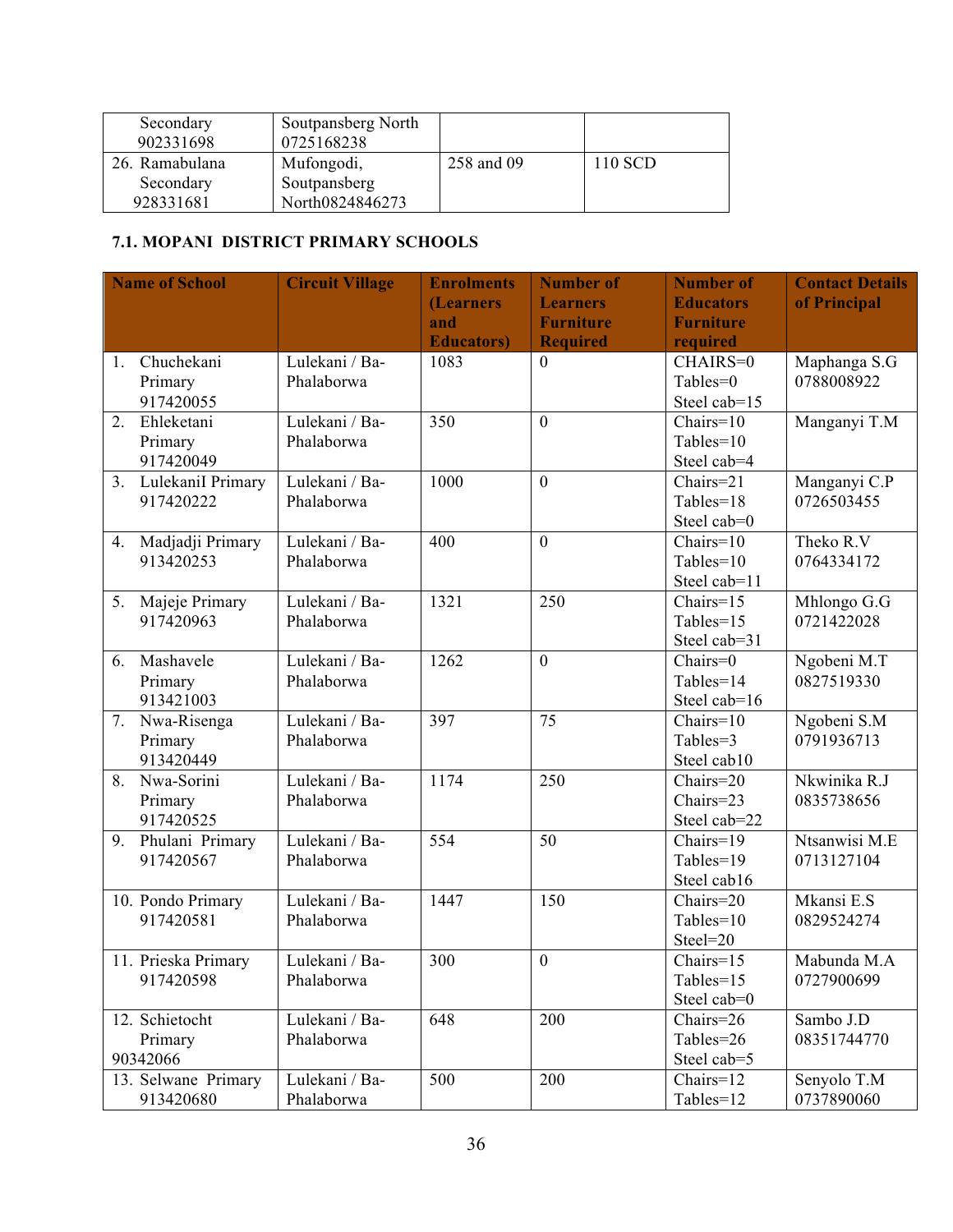| Secondary      | Soutpansberg North |            |         |
|----------------|--------------------|------------|---------|
| 902331698      | 0725168238         |            |         |
| 26. Ramabulana | Mufongodi,         | 258 and 09 | 110 SCD |
| Secondary      | Soutpansberg       |            |         |
| 928331681      | North0824846273    |            |         |

#### **7.1. MOPANI DISTRICT PRIMARY SCHOOLS**

|    | <b>Name of School</b> | <b>Circuit Village</b> | <b>Enrolments</b>  | <b>Number of</b> | <b>Number of</b>               | <b>Contact Details</b> |
|----|-----------------------|------------------------|--------------------|------------------|--------------------------------|------------------------|
|    |                       |                        | <b>(Learners</b>   | <b>Learners</b>  | <b>Educators</b>               | of Principal           |
|    |                       |                        | and                | <b>Furniture</b> | <b>Furniture</b>               |                        |
|    |                       |                        | <b>Educators</b> ) | <b>Required</b>  | required                       |                        |
| 1. | Chuchekani            | Lulekani / Ba-         | 1083               | $\mathbf{0}$     | CHAIRS=0                       | Maphanga S.G           |
|    | Primary               | Phalaborwa             |                    |                  | Tables=0                       | 0788008922             |
|    | 917420055             |                        |                    |                  | Steel cab=15                   |                        |
| 2. | Ehleketani            | Lulekani / Ba-         | 350                | $\overline{0}$   | $Chairs=10$                    | Manganyi T.M           |
|    | Primary               | Phalaborwa             |                    |                  | $Tables = 10$                  |                        |
|    | 917420049             |                        |                    |                  | Steel cab=4                    |                        |
|    | 3. LulekaniI Primary  | Lulekani / Ba-         | 1000               | $\overline{0}$   | Chairs=21                      | Manganyi C.P           |
|    | 917420222             | Phalaborwa             |                    |                  | Tables=18                      | 0726503455             |
|    |                       |                        |                    |                  | Steel cab=0                    |                        |
| 4. | Madjadji Primary      | Lulekani / Ba-         | 400                | $\theta$         | $\overline{\text{Chairs}}$ =10 | Theko R.V              |
|    | 913420253             | Phalaborwa             |                    |                  | Tables=10                      | 0764334172             |
|    |                       |                        |                    |                  | Steel cab=11                   |                        |
| 5. | Majeje Primary        | Lulekani / Ba-         | 1321               | 250              | Chairs=15                      | Mhlongo G.G            |
|    | 917420963             | Phalaborwa             |                    |                  | Tables=15                      | 0721422028             |
|    |                       |                        |                    |                  | Steel cab=31                   |                        |
| 6. | Mashavele             | Lulekani / Ba-         | 1262               | $\overline{0}$   | Chairs=0                       | Ngobeni M.T            |
|    | Primary               | Phalaborwa             |                    |                  | Tables=14                      | 0827519330             |
|    | 913421003             |                        |                    |                  | Steel cab=16                   |                        |
| 7. | Nwa-Risenga           | Lulekani / Ba-         | 397                | 75               | $Chairs=10$                    | Ngobeni S.M            |
|    | Primary               | Phalaborwa             |                    |                  | Tables=3                       | 0791936713             |
|    | 913420449             |                        |                    |                  | Steel cab10                    |                        |
| 8. | Nwa-Sorini            | Lulekani / Ba-         | 1174               | 250              | Chairs=20                      | Nkwinika R.J           |
|    | Primary               | Phalaborwa             |                    |                  | Chairs=23                      | 0835738656             |
|    | 917420525             |                        |                    |                  | Steel cab=22                   |                        |
|    | 9. Phulani Primary    | Lulekani / Ba-         | 554                | 50               | $Chairs=19$                    | Ntsanwisi M.E          |
|    | 917420567             | Phalaborwa             |                    |                  | Tables=19                      | 0713127104             |
|    |                       |                        |                    |                  | Steel cab16                    |                        |
|    | 10. Pondo Primary     | Lulekani / Ba-         | 1447               | 150              | Chairs=20                      | Mkansi E.S             |
|    | 917420581             | Phalaborwa             |                    |                  | Tables=10                      | 0829524274             |
|    |                       |                        |                    |                  | Steel=20                       |                        |
|    | 11. Prieska Primary   | Lulekani / Ba-         | 300                | $\boldsymbol{0}$ | Chairs=15                      | Mabunda M.A            |
|    | 917420598             | Phalaborwa             |                    |                  | Tables=15                      | 0727900699             |
|    |                       |                        |                    |                  | Steel cab=0                    |                        |
|    | 12. Schietocht        | Lulekani / Ba-         | 648                | 200              | Chairs=26                      | Sambo J.D              |
|    | Primary               | Phalaborwa             |                    |                  | Tables=26                      | 08351744770            |
|    | 90342066              |                        |                    |                  | Steel cab=5                    |                        |
|    | 13. Selwane Primary   | Lulekani / Ba-         | 500                | 200              | $Chairs=12$                    | Senyolo T.M            |
|    | 913420680             | Phalaborwa             |                    |                  | Tables=12                      | 0737890060             |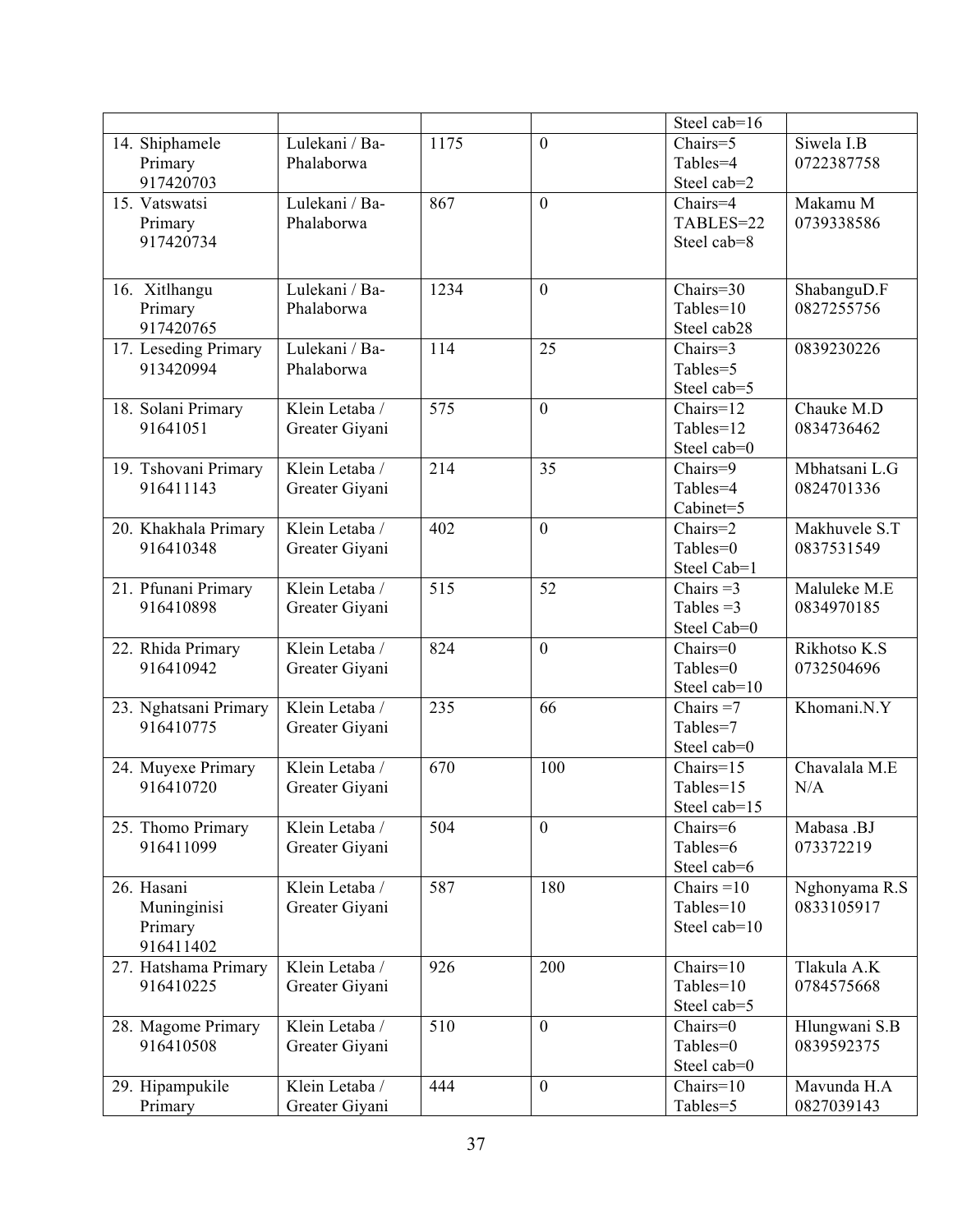|                                                   |                                  |                  |                 | Steel cab=16                                                     |                             |
|---------------------------------------------------|----------------------------------|------------------|-----------------|------------------------------------------------------------------|-----------------------------|
| 14. Shiphamele<br>Primary<br>917420703            | Lulekani / Ba-<br>Phalaborwa     | 1175             | $\overline{0}$  | Chairs=5<br>Tables=4<br>Steel cab=2                              | Siwela I.B<br>0722387758    |
| 15. Vatswatsi<br>Primary<br>917420734             | Lulekani / Ba-<br>Phalaborwa     | 867              | $\overline{0}$  | Chairs=4<br>TABLES=22<br>Steel cab=8                             | Makamu M<br>0739338586      |
| 16. Xitlhangu<br>Primary<br>917420765             | Lulekani / Ba-<br>Phalaborwa     | 1234             | $\overline{0}$  | Chairs=30<br>Tables=10<br>Steel cab28                            | ShabanguD.F<br>0827255756   |
| 17. Leseding Primary<br>913420994                 | Lulekani / Ba-<br>Phalaborwa     | 114              | 25              | Chairs=3<br>Tables=5<br>Steel cab=5                              | 0839230226                  |
| 18. Solani Primary<br>91641051                    | Klein Letaba /<br>Greater Giyani | 575              | $\overline{0}$  | Chairs=12<br>Tables=12<br>Steel cab=0                            | Chauke M.D<br>0834736462    |
| 19. Tshovani Primary<br>916411143                 | Klein Letaba /<br>Greater Giyani | 214              | 35              | Chairs=9<br>Tables=4<br>Cabinet=5                                | Mbhatsani L.G<br>0824701336 |
| 20. Khakhala Primary<br>916410348                 | Klein Letaba /<br>Greater Giyani | 402              | $\overline{0}$  | Chairs=2<br>Tables=0<br>Steel Cab=1                              | Makhuvele S.T<br>0837531549 |
| 21. Pfunani Primary<br>916410898                  | Klein Letaba /<br>Greater Giyani | $\overline{515}$ | $\overline{52}$ | Chairs $=3$<br>Tables $=3$<br>Steel Cab=0                        | Maluleke M.E<br>0834970185  |
| 22. Rhida Primary<br>916410942                    | Klein Letaba /<br>Greater Giyani | 824              | $\overline{0}$  | Chairs=0<br>Tables=0<br>Steel cab=10                             | Rikhotso K.S<br>0732504696  |
| 23. Nghatsani Primary<br>916410775                | Klein Letaba /<br>Greater Giyani | 235              | 66              | Chairs $=7$<br>Tables=7<br>Steel cab=0                           | Khomani.N.Y                 |
| 24. Muyexe Primary<br>916410720                   | Klein Letaba /<br>Greater Giyani | 670              | 100             | Chairs=15<br>Tables=15<br>Steel cab=15                           | Chavalala M.E<br>N/A        |
| 25. Thomo Primary<br>916411099                    | Klein Letaba /<br>Greater Giyani | 504              | $\overline{0}$  | Chairs=6<br>Tables=6<br>Steel cab=6                              | Mabasa .BJ<br>073372219     |
| 26. Hasani<br>Muninginisi<br>Primary<br>916411402 | Klein Letaba /<br>Greater Giyani | 587              | 180             | $\overline{\text{Chairs}} = 10$<br>$Tables = 10$<br>Steel cab=10 | Nghonyama R.S<br>0833105917 |
| 27. Hatshama Primary<br>916410225                 | Klein Letaba /<br>Greater Giyani | 926              | 200             | Chairs=10<br>Tables=10<br>Steel cab=5                            | Tlakula A.K<br>0784575668   |
| 28. Magome Primary<br>916410508                   | Klein Letaba /<br>Greater Giyani | 510              | $\overline{0}$  | Chairs=0<br>Tables=0<br>Steel cab=0                              | Hlungwani S.B<br>0839592375 |
| 29. Hipampukile<br>Primary                        | Klein Letaba /<br>Greater Giyani | 444              | $\overline{0}$  | $Chairs=10$<br>Tables=5                                          | Mavunda H.A<br>0827039143   |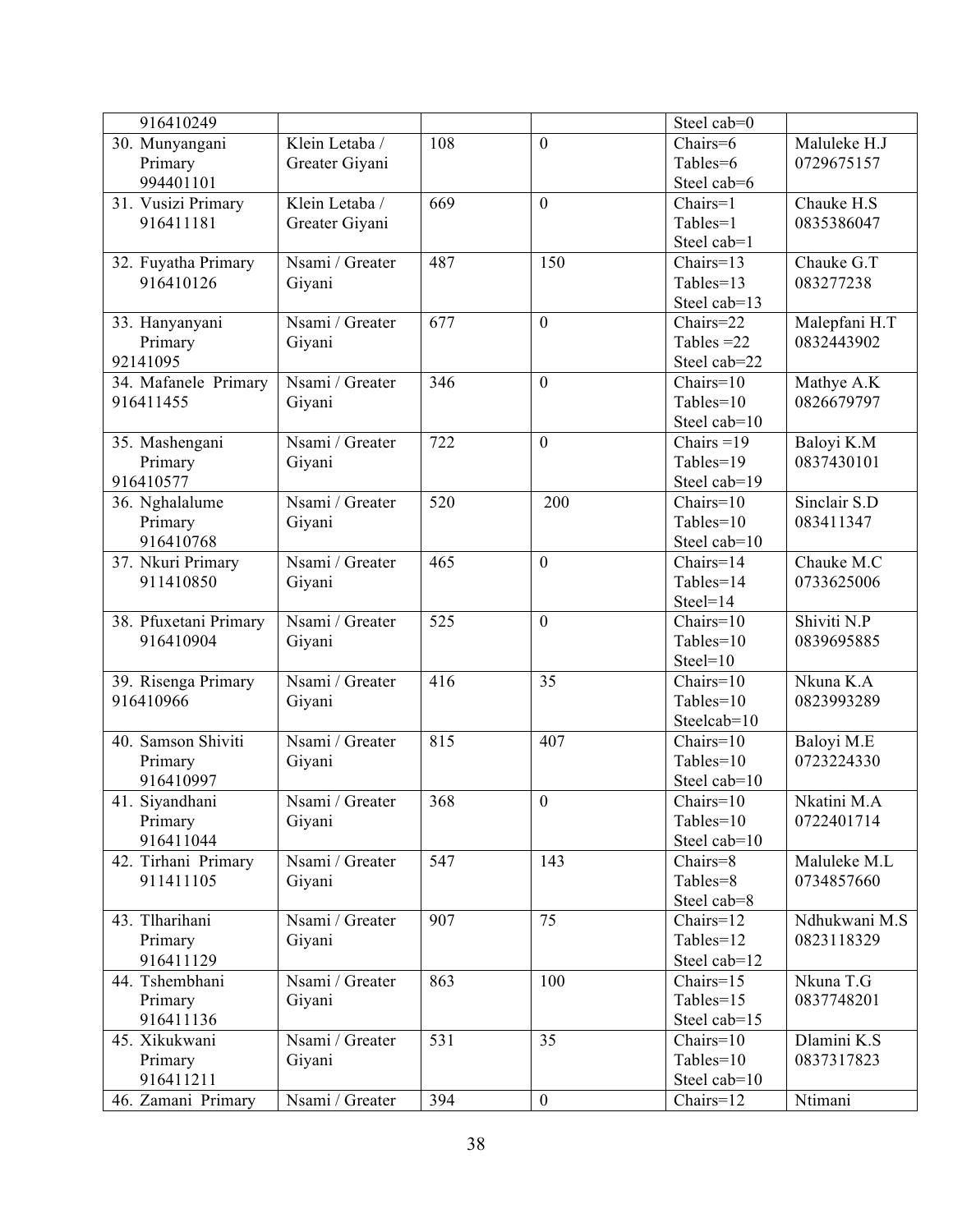| 916410249             |                 |     |                  | Steel cab=0               |               |
|-----------------------|-----------------|-----|------------------|---------------------------|---------------|
| 30. Munyangani        | Klein Letaba /  | 108 | $\overline{0}$   | Chairs=6                  | Maluleke H.J  |
| Primary               | Greater Giyani  |     |                  | Tables=6                  | 0729675157    |
| 994401101             |                 |     |                  | Steel cab=6               |               |
| 31. Vusizi Primary    | Klein Letaba /  | 669 | $\overline{0}$   | Chairs=1                  | Chauke H.S    |
| 916411181             | Greater Giyani  |     |                  | Tables=1                  | 0835386047    |
|                       |                 |     |                  | Steel cab=1               |               |
| 32. Fuyatha Primary   | Nsami / Greater | 487 | 150              | Chairs=13                 | Chauke G.T    |
| 916410126             | Giyani          |     |                  | Tables=13                 | 083277238     |
|                       |                 |     |                  | Steel cab=13              |               |
| 33. Hanyanyani        | Nsami / Greater | 677 | $\overline{0}$   | Chairs=22                 | Malepfani H.T |
| Primary               | Giyani          |     |                  | Tables $=22$              | 0832443902    |
| 92141095              |                 |     |                  | Steel cab=22              |               |
| 34. Mafanele Primary  | Nsami / Greater | 346 | $\overline{0}$   | $Chairs=10$               | Mathye A.K    |
| 916411455             | Giyani          |     |                  | Tables=10                 | 0826679797    |
|                       |                 |     |                  | Steel cab=10              |               |
| 35. Mashengani        | Nsami / Greater | 722 | $\overline{0}$   | Chairs = $19$             | Baloyi K.M    |
| Primary               | Giyani          |     |                  | Tables=19                 | 0837430101    |
| 916410577             |                 |     |                  | Steel cab=19              |               |
| 36. Nghalalume        | Nsami / Greater | 520 | 200              | $Chairs=10$               | Sinclair S.D  |
| Primary               | Giyani          |     |                  | Tables=10                 | 083411347     |
| 916410768             |                 |     |                  | Steel cab=10              |               |
| 37. Nkuri Primary     | Nsami / Greater | 465 | $\overline{0}$   | $Chairs=14$               | Chauke M.C    |
| 911410850             | Giyani          |     |                  | Tables=14                 | 0733625006    |
|                       |                 |     |                  | $Steel=14$                |               |
| 38. Pfuxetani Primary | Nsami / Greater | 525 | $\overline{0}$   | $Chairs=10$               | Shiviti N.P   |
| 916410904             | Giyani          |     |                  | Tables=10                 | 0839695885    |
|                       |                 |     |                  | $Steel=10$                |               |
| 39. Risenga Primary   | Nsami / Greater | 416 | 35               | $Chairs=10$               | Nkuna K.A     |
| 916410966             | Giyani          |     |                  | Tables=10                 | 0823993289    |
|                       |                 |     |                  | Steelcab=10               |               |
| 40. Samson Shiviti    | Nsami / Greater | 815 | 407              | $Chairs=10$               | Baloyi M.E    |
|                       |                 |     |                  | Tables=10                 | 0723224330    |
| Primary<br>916410997  | Giyani          |     |                  | Steel cab=10              |               |
| 41. Siyandhani        | Nsami / Greater | 368 | $\mathbf{0}$     | $Chairs=10$               | Nkatini M.A   |
|                       |                 |     |                  |                           |               |
| Primary<br>916411044  | Giyani          |     |                  | Tables=10<br>Steel cab=10 | 0722401714    |
|                       |                 |     |                  | Chairs=8                  |               |
| 42. Tirhani Primary   | Nsami / Greater | 547 | 143              |                           | Maluleke M.L  |
| 911411105             | Giyani          |     |                  | Tables=8                  | 0734857660    |
|                       |                 |     |                  | Steel cab=8               |               |
| 43. Tlharihani        | Nsami / Greater | 907 | 75               | Chairs=12                 | Ndhukwani M.S |
| Primary               | Giyani          |     |                  | Tables=12                 | 0823118329    |
| 916411129             |                 |     |                  | Steel cab=12              |               |
| 44. Tshembhani        | Nsami / Greater | 863 | 100              | Chairs=15                 | Nkuna T.G     |
| Primary               | Giyani          |     |                  | Tables=15                 | 0837748201    |
| 916411136             |                 |     |                  | Steel cab=15              |               |
| 45. Xikukwani         | Nsami / Greater | 531 | 35               | $Chairs=10$               | Dlamini K.S   |
| Primary               | Giyani          |     |                  | Tables=10                 | 0837317823    |
| 916411211             |                 |     |                  | Steel cab=10              |               |
| 46. Zamani Primary    | Nsami / Greater | 394 | $\boldsymbol{0}$ | Chairs=12                 | Ntimani       |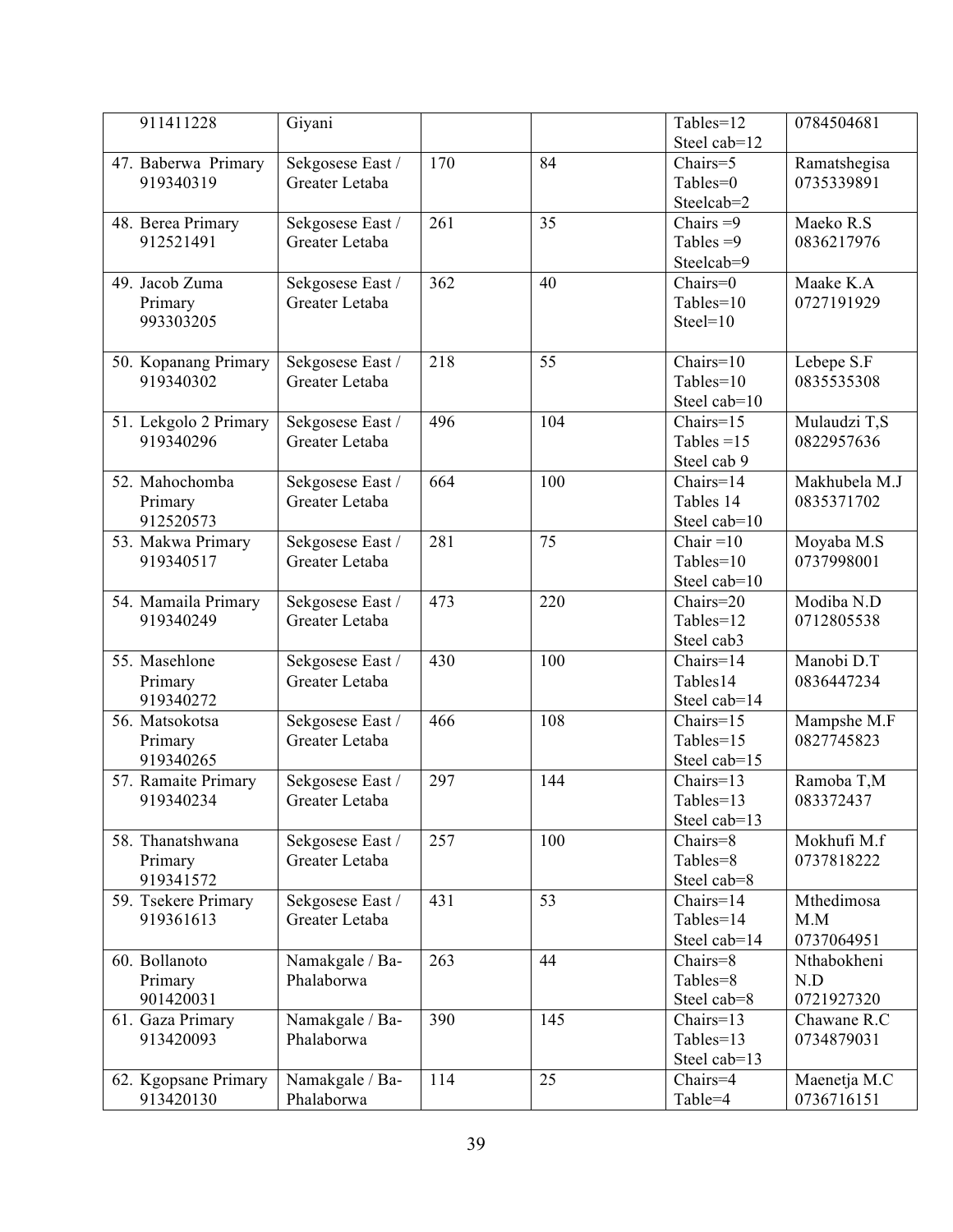| 911411228             | Giyani           |     |     | Tables=12              | 0784504681              |
|-----------------------|------------------|-----|-----|------------------------|-------------------------|
|                       |                  |     |     | Steel cab=12           |                         |
| 47. Baberwa Primary   | Sekgosese East / | 170 | 84  | Chairs=5               | Ramatshegisa            |
| 919340319             | Greater Letaba   |     |     | Tables=0               | 0735339891              |
|                       |                  |     |     | Steelcab=2             |                         |
| 48. Berea Primary     | Sekgosese East / | 261 | 35  | Chairs $=9$            | Maeko R.S               |
| 912521491             | Greater Letaba   |     |     | Tables $=9$            | 0836217976              |
|                       |                  |     |     | Steelcab=9             |                         |
| 49. Jacob Zuma        | Sekgosese East / | 362 | 40  | $Chairs=0$             | Maake K.A               |
| Primary               | Greater Letaba   |     |     | $Tables = 10$          | 0727191929              |
| 993303205             |                  |     |     | $Steel=10$             |                         |
|                       |                  |     |     |                        |                         |
| 50. Kopanang Primary  | Sekgosese East / | 218 | 55  | $\overline{Chairs}=10$ | Lebepe S.F              |
| 919340302             | Greater Letaba   |     |     | Tables=10              | 0835535308              |
|                       |                  |     |     | Steel cab=10           |                         |
| 51. Lekgolo 2 Primary | Sekgosese East / | 496 | 104 | Chairs=15              | Mulaudzi T,S            |
| 919340296             | Greater Letaba   |     |     | Tables = $15$          | 0822957636              |
|                       |                  |     |     | Steel cab 9            |                         |
| 52. Mahochomba        | Sekgosese East / | 664 | 100 | Chairs=14              | Makhubela M.J           |
| Primary               | Greater Letaba   |     |     | Tables 14              | 0835371702              |
| 912520573             |                  |     |     | Steel cab=10           |                         |
| 53. Makwa Primary     | Sekgosese East / | 281 | 75  | Chair = $10$           | Moyaba $M.\overline{S}$ |
| 919340517             | Greater Letaba   |     |     | Tables=10              | 0737998001              |
|                       |                  |     |     | Steel cab=10           |                         |
| 54. Mamaila Primary   | Sekgosese East / | 473 | 220 | Chairs=20              | Modiba N.D              |
| 919340249             | Greater Letaba   |     |     | Tables=12              | 0712805538              |
|                       |                  |     |     | Steel cab3             |                         |
| 55. Masehlone         | Sekgosese East / | 430 | 100 | Chairs=14              | Manobi D.T              |
| Primary               | Greater Letaba   |     |     | Tables14               | 0836447234              |
| 919340272             |                  |     |     | Steel cab=14           |                         |
| 56. Matsokotsa        | Sekgosese East / | 466 | 108 | Chairs=15              | Mampshe M.F             |
| Primary               | Greater Letaba   |     |     | Tables=15              | 0827745823              |
| 919340265             |                  |     |     | Steel cab=15           |                         |
| 57. Ramaite Primary   | Sekgosese East / | 297 | 144 | Chairs=13              | Ramoba T,M              |
| 919340234             | Greater Letaba   |     |     | Tables=13              | 083372437               |
|                       |                  |     |     | Steel cab=13           |                         |
| 58. Thanatshwana      | Sekgosese East / | 257 | 100 | Chairs=8               | Mokhufi M.f             |
| Primary               | Greater Letaba   |     |     | Tables=8               | 0737818222              |
| 919341572             |                  |     |     | Steel cab=8            |                         |
| 59. Tsekere Primary   | Sekgosese East / | 431 | 53  | Chairs=14              | Mthedimosa              |
| 919361613             | Greater Letaba   |     |     | Tables=14              | M.M                     |
|                       |                  |     |     | Steel cab=14           | 0737064951              |
| 60. Bollanoto         | Namakgale / Ba-  | 263 | 44  | Chairs=8               | Nthabokheni             |
| Primary               | Phalaborwa       |     |     | Tables=8               | N.D                     |
| 901420031             |                  |     |     | Steel cab=8            | 0721927320              |
| 61. Gaza Primary      | Namakgale / Ba-  | 390 | 145 | $\overline{Chairs}=13$ | Chawane R.C             |
| 913420093             | Phalaborwa       |     |     | Tables=13              | 0734879031              |
|                       |                  |     |     | Steel cab=13           |                         |
| 62. Kgopsane Primary  | Namakgale / Ba-  | 114 | 25  | Chairs=4               | Maenetja M.C            |
| 913420130             | Phalaborwa       |     |     | Table=4                | 0736716151              |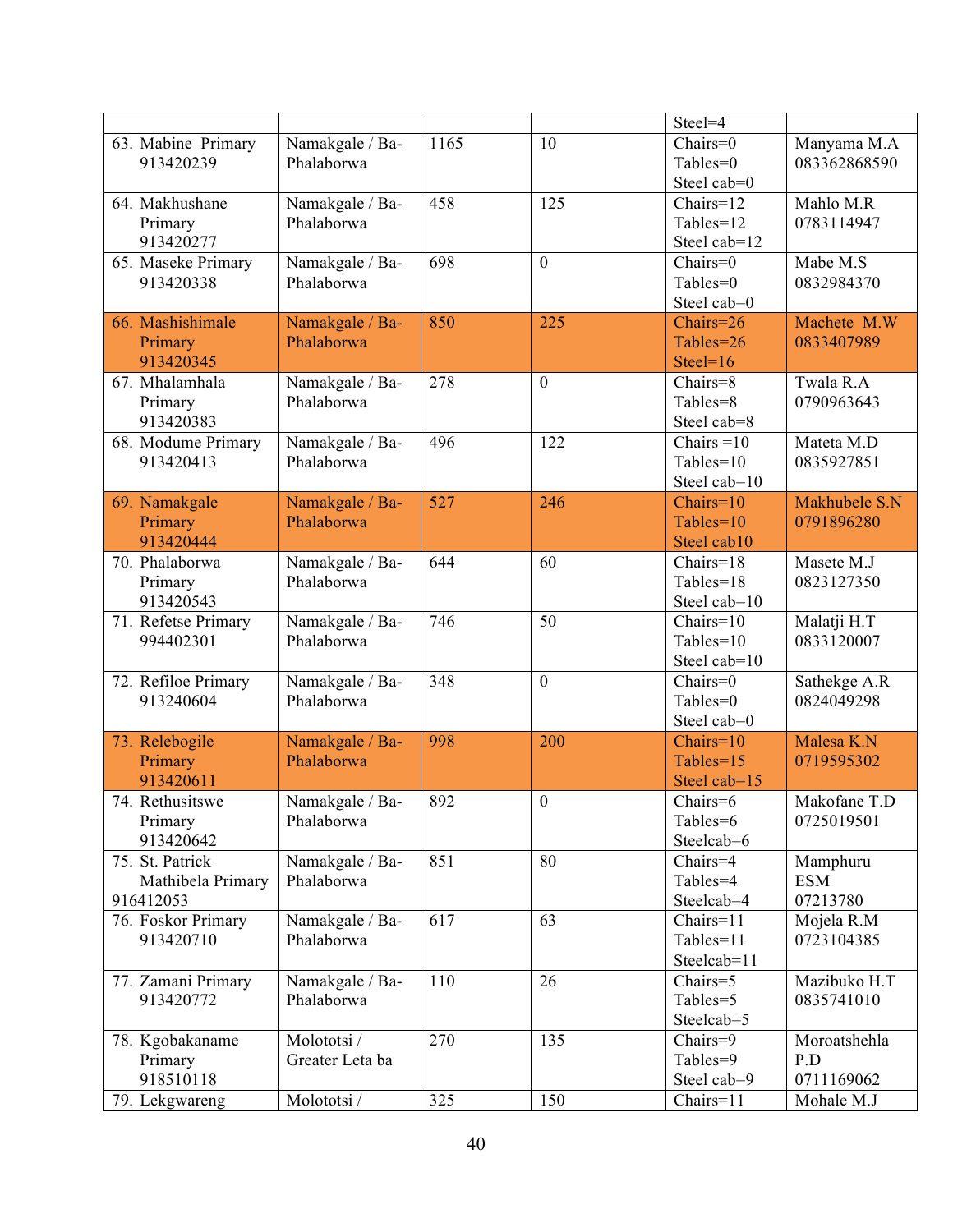|                     |                               |      |                  | Steel=4       |               |
|---------------------|-------------------------------|------|------------------|---------------|---------------|
| 63. Mabine Primary  | Namakgale / Ba-               | 1165 | 10               | Chairs=0      | Manyama M.A   |
| 913420239           | Phalaborwa                    |      |                  | Tables=0      | 083362868590  |
|                     |                               |      |                  | Steel cab=0   |               |
| 64. Makhushane      | Namakgale / Ba-               | 458  | 125              | $Chairs=12$   | Mahlo M.R     |
| Primary             | Phalaborwa                    |      |                  | Tables=12     | 0783114947    |
| 913420277           |                               |      |                  | Steel cab=12  |               |
| 65. Maseke Primary  | Namakgale / Ba-               | 698  | $\mathbf{0}$     | Chairs=0      | Mabe M.S      |
| 913420338           | Phalaborwa                    |      |                  | Tables=0      | 0832984370    |
|                     |                               |      |                  | Steel cab=0   |               |
| 66. Mashishimale    | Namakgale / Ba-               | 850  | 225              | Chairs=26     | Machete M.W   |
| Primary             | Phalaborwa                    |      |                  | Tables=26     | 0833407989    |
| 913420345           |                               |      |                  | Steel= $16$   |               |
| 67. Mhalamhala      | Namakgale / Ba-               | 278  | $\overline{0}$   | Chairs=8      | Twala R.A     |
| Primary             | Phalaborwa                    |      |                  | Tables=8      | 0790963643    |
| 913420383           |                               |      |                  | Steel cab=8   |               |
| 68. Modume Primary  | Namakgale / Ba-               | 496  | 122              | Chairs = $10$ | Mateta M.D    |
| 913420413           | Phalaborwa                    |      |                  | Tables=10     | 0835927851    |
|                     |                               |      |                  | Steel cab=10  |               |
| 69. Namakgale       | Namakgale / Ba-               | 527  | 246              | $Chairs=10$   | Makhubele S.N |
| Primary             | Phalaborwa                    |      |                  | Tables= $10$  | 0791896280    |
| 913420444           |                               |      |                  | Steel cab10   |               |
| 70. Phalaborwa      | Namakgale / Ba-               | 644  | 60               | Chairs=18     | Masete M.J    |
| Primary             | Phalaborwa                    |      |                  | Tables=18     | 0823127350    |
| 913420543           |                               |      |                  | Steel cab=10  |               |
| 71. Refetse Primary | Namakgale / Ba-               | 746  | 50               | $Chairs=10$   | Malatji H.T   |
| 994402301           | Phalaborwa                    |      |                  | Tables=10     | 0833120007    |
|                     |                               |      |                  | Steel cab=10  |               |
| 72. Refiloe Primary |                               | 348  | $\overline{0}$   | Chairs=0      | Sathekge A.R  |
| 913240604           | Namakgale / Ba-<br>Phalaborwa |      |                  | Tables=0      | 0824049298    |
|                     |                               |      |                  | Steel cab=0   |               |
|                     |                               | 998  | 200              | $Chairs=10$   | Malesa K.N    |
| 73. Relebogile      | Namakgale / Ba-               |      |                  |               |               |
| Primary             | Phalaborwa                    |      |                  | Tables=15     | 0719595302    |
| 913420611           |                               |      |                  | Steel cab=15  |               |
| 74. Rethusitswe     | Namakgale / Ba-               | 892  | $\boldsymbol{0}$ | Chairs=6      | Makofane T.D  |
| Primary             | Phalaborwa                    |      |                  | Tables=6      | 0725019501    |
| 913420642           |                               |      |                  | Steelcab=6    |               |
| 75. St. Patrick     | Namakgale / Ba-               | 851  | 80               | Chairs=4      | Mamphuru      |
| Mathibela Primary   | Phalaborwa                    |      |                  | Tables=4      | <b>ESM</b>    |
| 916412053           |                               |      |                  | Steelcab=4    | 07213780      |
| 76. Foskor Primary  | Namakgale / Ba-               | 617  | 63               | Chairs=11     | Mojela R.M    |
| 913420710           | Phalaborwa                    |      |                  | Tables=11     | 0723104385    |
|                     |                               |      |                  | Steelcab=11   |               |
| 77. Zamani Primary  | Namakgale / Ba-               | 110  | 26               | Chairs=5      | Mazibuko H.T  |
| 913420772           | Phalaborwa                    |      |                  | Tables=5      | 0835741010    |
|                     |                               |      |                  | Steelcab=5    |               |
| 78. Kgobakaname     | Molototsi /                   | 270  | 135              | Chairs=9      | Moroatshehla  |
| Primary             | Greater Leta ba               |      |                  | Tables=9      | P.D           |
| 918510118           |                               |      |                  | Steel cab=9   | 0711169062    |
| 79. Lekgwareng      | Molototsi /                   | 325  | 150              | Chairs=11     | Mohale M.J    |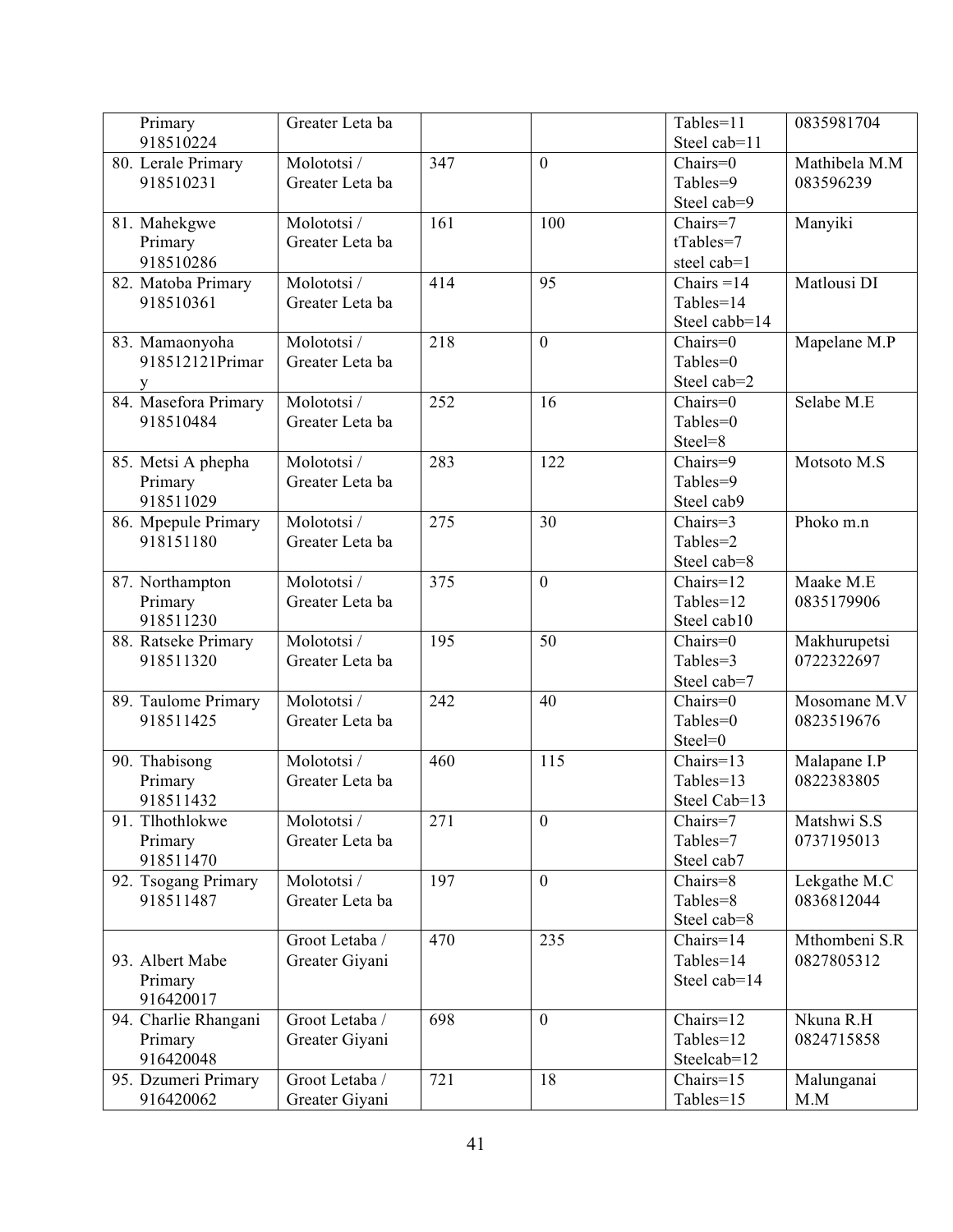| Primary              | Greater Leta ba |     |                 | Tables=11     | 0835981704    |
|----------------------|-----------------|-----|-----------------|---------------|---------------|
| 918510224            |                 |     |                 | Steel cab=11  |               |
| 80. Lerale Primary   | Molototsi /     | 347 | $\theta$        | $Chairs=0$    | Mathibela M.M |
| 918510231            | Greater Leta ba |     |                 | Tables=9      | 083596239     |
|                      |                 |     |                 | Steel cab=9   |               |
| 81. Mahekgwe         | Molototsi /     | 161 | 100             | Chairs=7      | Manyiki       |
| Primary              | Greater Leta ba |     |                 | tTables=7     |               |
| 918510286            |                 |     |                 | steel cab=1   |               |
| 82. Matoba Primary   | Molototsi/      | 414 | 95              | Chairs = $14$ | Matlousi DI   |
| 918510361            | Greater Leta ba |     |                 | Tables=14     |               |
|                      |                 |     |                 | Steel cabb=14 |               |
| 83. Mamaonyoha       | Molototsi /     | 218 | $\overline{0}$  | $Chairs=0$    | Mapelane M.P  |
| 918512121Primar      | Greater Leta ba |     |                 | Tables=0      |               |
|                      |                 |     |                 | Steel cab=2   |               |
| 84. Masefora Primary | Molototsi /     | 252 | 16              | Chairs=0      | Selabe M.E    |
| 918510484            | Greater Leta ba |     |                 | Tables=0      |               |
|                      |                 |     |                 | Steel=8       |               |
| 85. Metsi A phepha   | Molototsi /     | 283 | 122             | Chairs=9      | Motsoto M.S   |
| Primary              | Greater Leta ba |     |                 | Tables=9      |               |
| 918511029            |                 |     |                 | Steel cab9    |               |
| 86. Mpepule Primary  | Molototsi /     | 275 | 30              | Chairs=3      | Phoko m.n     |
| 918151180            | Greater Leta ba |     |                 | Tables=2      |               |
|                      |                 |     |                 | Steel cab=8   |               |
| 87. Northampton      | Molototsi /     | 375 | $\overline{0}$  | Chairs=12     | Maake M.E     |
| Primary              | Greater Leta ba |     |                 | Tables=12     | 0835179906    |
| 918511230            |                 |     |                 | Steel cab10   |               |
| 88. Ratseke Primary  | Molototsi /     | 195 | $\overline{50}$ | Chairs=0      | Makhurupetsi  |
| 918511320            | Greater Leta ba |     |                 | Tables=3      | 0722322697    |
|                      |                 |     |                 | Steel cab=7   |               |
| 89. Taulome Primary  | Molototsi /     | 242 | 40              | Chairs=0      | Mosomane M.V  |
| 918511425            | Greater Leta ba |     |                 | Tables=0      | 0823519676    |
|                      |                 |     |                 | Steel=0       |               |
| 90. Thabisong        | Molototsi /     | 460 | 115             | Chairs=13     | Malapane I.P  |
| Primary              | Greater Leta ba |     |                 | Tables=13     | 0822383805    |
| 918511432            |                 |     |                 | Steel Cab=13  |               |
| 91. Tlhothlokwe      | Molototsi /     | 271 | $\overline{0}$  | Chairs=7      | Matshwi S.S   |
| Primary              | Greater Leta ba |     |                 | Tables=7      | 0737195013    |
| 918511470            |                 |     |                 | Steel cab7    |               |
| 92. Tsogang Primary  | Molototsi /     | 197 | $\overline{0}$  | $Chairs = 8$  | Lekgathe M.C  |
| 918511487            | Greater Leta ba |     |                 | Tables=8      | 0836812044    |
|                      |                 |     |                 | Steel cab=8   |               |
|                      | Groot Letaba /  | 470 | 235             | Chairs=14     | Mthombeni S.R |
| 93. Albert Mabe      | Greater Giyani  |     |                 | Tables=14     | 0827805312    |
| Primary              |                 |     |                 | Steel cab=14  |               |
| 916420017            |                 |     |                 |               |               |
| 94. Charlie Rhangani | Groot Letaba /  | 698 | $\overline{0}$  | Chairs=12     | Nkuna R.H     |
| Primary              | Greater Giyani  |     |                 | Tables=12     | 0824715858    |
| 916420048            |                 |     |                 | Steelcab=12   |               |
| 95. Dzumeri Primary  | Groot Letaba /  | 721 | 18              | Chairs=15     | Malunganai    |
| 916420062            | Greater Giyani  |     |                 | Tables=15     | M.M           |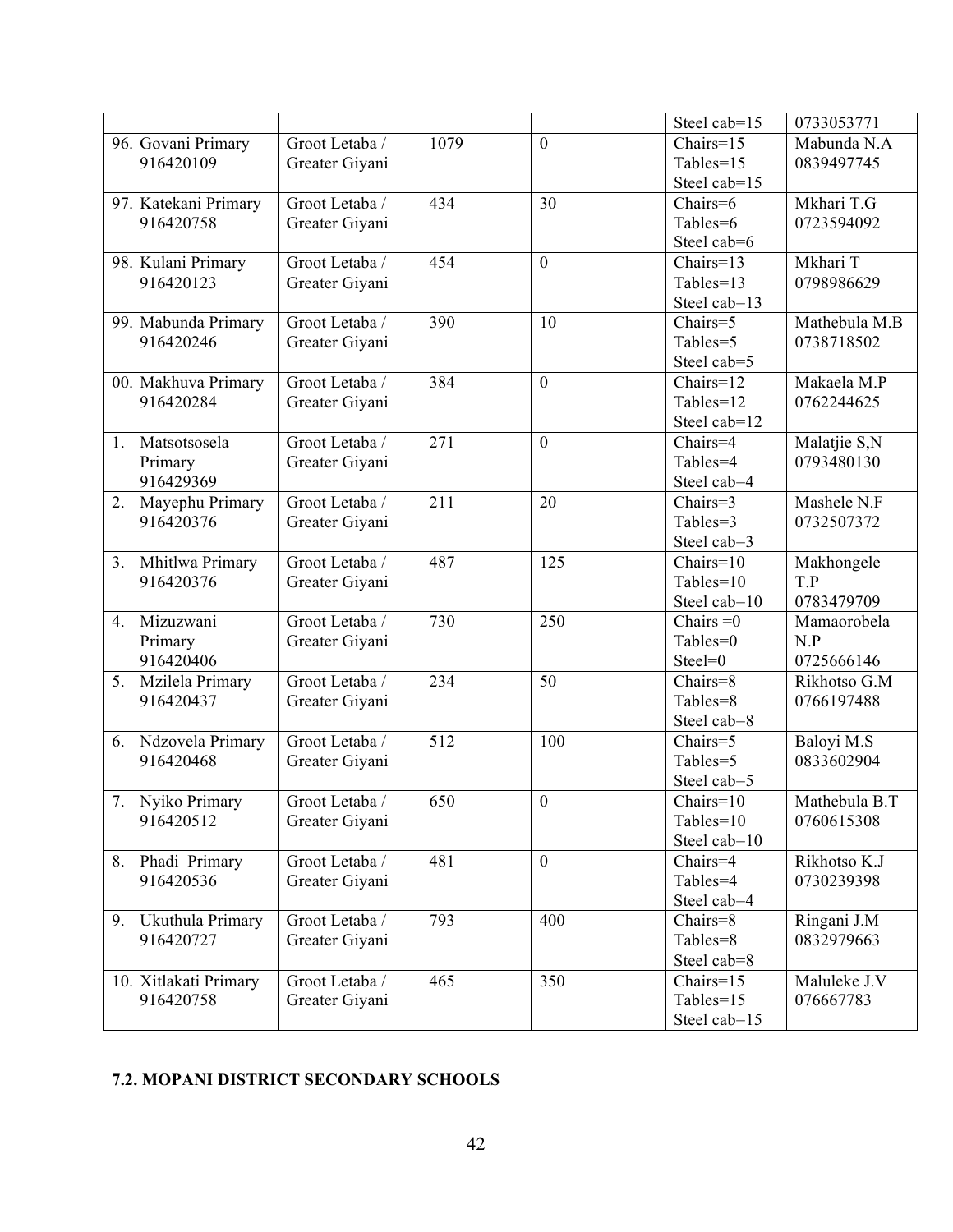|    |                       |                |                  |                 | Steel cab=15                   | 0733053771    |
|----|-----------------------|----------------|------------------|-----------------|--------------------------------|---------------|
|    | 96. Govani Primary    | Groot Letaba / | 1079             | $\overline{0}$  | Chairs=15                      | Mabunda N.A   |
|    | 916420109             | Greater Giyani |                  |                 | Tables=15                      | 0839497745    |
|    |                       |                |                  |                 | Steel cab=15                   |               |
|    | 97. Katekani Primary  | Groot Letaba / | 434              | 30              | Chairs=6                       | Mkhari T.G    |
|    | 916420758             | Greater Giyani |                  |                 | Tables=6                       | 0723594092    |
|    |                       |                |                  |                 | Steel cab=6                    |               |
|    | 98. Kulani Primary    | Groot Letaba / | 454              | $\overline{0}$  | Chairs=13                      | Mkhari T      |
|    | 916420123             | Greater Giyani |                  |                 | Tables=13                      | 0798986629    |
|    |                       |                |                  |                 | Steel cab=13                   |               |
|    | 99. Mabunda Primary   | Groot Letaba / | 390              | 10              | Chairs=5                       | Mathebula M.B |
|    | 916420246             | Greater Giyani |                  |                 | Tables=5                       | 0738718502    |
|    |                       |                |                  |                 | Steel cab=5                    |               |
|    | 00. Makhuva Primary   | Groot Letaba / | 384              | $\overline{0}$  | Chairs=12                      | Makaela M.P   |
|    | 916420284             | Greater Giyani |                  |                 | Tables=12                      | 0762244625    |
|    |                       |                |                  |                 | Steel cab=12                   |               |
|    | 1. Matsotsosela       | Groot Letaba / | 271              | $\mathbf{0}$    | Chairs=4                       | Malatjie S,N  |
|    | Primary               | Greater Giyani |                  |                 | Tables=4                       | 0793480130    |
|    | 916429369             |                |                  |                 | Steel cab=4                    |               |
| 2. | Mayephu Primary       | Groot Letaba / | 211              | 20              | Chairs=3                       | Mashele N.F   |
|    | 916420376             | Greater Giyani |                  |                 | Tables=3                       | 0732507372    |
|    |                       |                |                  |                 | Steel cab=3                    |               |
| 3. | Mhitlwa Primary       | Groot Letaba / | 487              | 125             | $Chairs=10$                    | Makhongele    |
|    | 916420376             | Greater Giyani |                  |                 | Tables=10                      | T.P           |
|    |                       |                |                  |                 | Steel cab=10                   | 0783479709    |
| 4. | Mizuzwani             | Groot Letaba / | 730              | 250             | Chairs $=0$                    | Mamaorobela   |
|    | Primary               | Greater Giyani |                  |                 | Tables=0                       | N.P           |
|    | 916420406             |                |                  |                 | Steel=0                        | 0725666146    |
| 5. | Mzilela Primary       | Groot Letaba / | 234              | $\overline{50}$ | Chairs=8                       | Rikhotso G.M  |
|    | 916420437             | Greater Giyani |                  |                 | Tables=8                       | 0766197488    |
|    |                       |                |                  |                 | Steel cab=8                    |               |
|    | 6. Ndzovela Primary   | Groot Letaba / | 512              | 100             | Chairs=5                       | Baloyi M.S    |
|    | 916420468             | Greater Giyani |                  |                 | Tables=5                       | 0833602904    |
|    |                       |                |                  |                 | Steel cab=5                    |               |
|    | 7. Nyiko Primary      | Groot Letaba / | 650              | $\overline{0}$  | $Chairs=10$                    | Mathebula B.T |
|    | 916420512             | Greater Giyani |                  |                 | Tables=10                      | 0760615308    |
|    |                       |                |                  |                 | Steel cab=10                   |               |
| 8. | Phadi Primary         | Groot Letaba / | 481              | $\overline{0}$  | Chairs=4                       | Rikhotso K.J  |
|    | 916420536             | Greater Giyani |                  |                 | Tables=4                       | 0730239398    |
|    |                       |                |                  |                 | Steel cab=4                    |               |
| 9. | Ukuthula Primary      | Groot Letaba / | 793              | 400             | Chairs=8                       | Ringani J.M   |
|    | 916420727             | Greater Giyani |                  |                 | Tables=8                       | 0832979663    |
|    |                       |                |                  |                 | Steel cab=8                    |               |
|    | 10. Xitlakati Primary | Groot Letaba / | $46\overline{5}$ | 350             | $\overline{\text{Chairs}}$ =15 | Maluleke J.V  |
|    | 916420758             | Greater Giyani |                  |                 | Tables=15                      | 076667783     |
|    |                       |                |                  |                 | Steel cab=15                   |               |

#### **7.2. MOPANI DISTRICT SECONDARY SCHOOLS**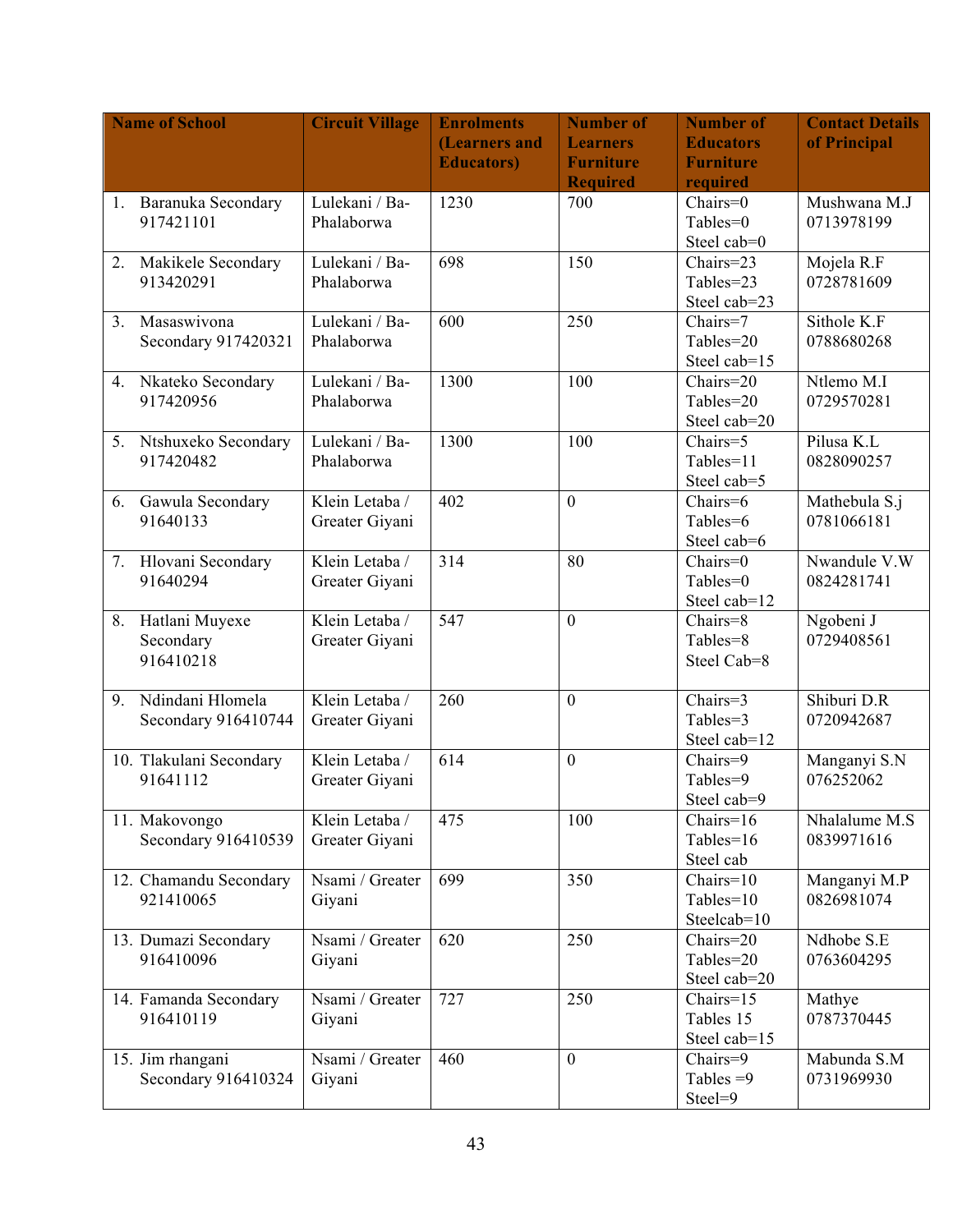|                | <b>Name of School</b>        | <b>Circuit Village</b>       | <b>Enrolments</b>  | <b>Number of</b> | <b>Number of</b>         | <b>Contact Details</b>      |
|----------------|------------------------------|------------------------------|--------------------|------------------|--------------------------|-----------------------------|
|                |                              |                              | (Learners and      | <b>Learners</b>  | <b>Educators</b>         | of Principal                |
|                |                              |                              | <b>Educators</b> ) | <b>Furniture</b> | <b>Furniture</b>         |                             |
|                |                              |                              |                    | <b>Required</b>  | required                 |                             |
| 1.             | Baranuka Secondary           | Lulekani / Ba-               | 1230               | 700              | $Chairs=0$               | Mushwana M.J                |
|                | 917421101                    | Phalaborwa                   |                    |                  | Tables=0                 | 0713978199                  |
|                |                              |                              |                    |                  | Steel cab=0              |                             |
| 2.             | Makikele Secondary           | Lulekani / Ba-               | 698                | 150              | Chairs=23                | Mojela R.F                  |
|                | 913420291                    | Phalaborwa                   |                    |                  | Tables=23                | 0728781609                  |
|                |                              |                              |                    |                  | Steel cab=23             |                             |
| 3 <sub>1</sub> | Masaswivona                  | Lulekani / Ba-               | 600                | 250              | Chairs=7                 | Sithole K.F                 |
|                | Secondary 917420321          | Phalaborwa                   |                    |                  | Tables=20                | 0788680268                  |
|                |                              |                              |                    |                  | Steel cab=15             |                             |
|                | 4. Nkateko Secondary         | Lulekani / Ba-               | 1300               | 100              | Chairs=20                | Ntlemo M.I                  |
|                | 917420956                    | Phalaborwa                   |                    |                  | Tables=20                | 0729570281                  |
|                |                              |                              |                    |                  | Steel cab=20             |                             |
|                | 5. Ntshuxeko Secondary       | Lulekani / Ba-<br>Phalaborwa | 1300               | 100              | Chairs=5                 | Pilusa K.L<br>0828090257    |
|                | 917420482                    |                              |                    |                  | Tables=11<br>Steel cab=5 |                             |
|                |                              | Klein Letaba /               | 402                | $\overline{0}$   | Chairs=6                 |                             |
| 6.             | Gawula Secondary<br>91640133 |                              |                    |                  | Tables=6                 | Mathebula S.j<br>0781066181 |
|                |                              | Greater Giyani               |                    |                  | Steel cab=6              |                             |
|                | 7. Hlovani Secondary         | Klein Letaba /               | 314                | 80               | Chairs=0                 | Nwandule V.W                |
|                | 91640294                     | Greater Giyani               |                    |                  | Tables=0                 | 0824281741                  |
|                |                              |                              |                    |                  | Steel cab=12             |                             |
| 8.             | Hatlani Muyexe               | Klein Letaba /               | 547                | $\overline{0}$   | Chairs=8                 | Ngobeni J                   |
|                | Secondary                    | Greater Giyani               |                    |                  | Tables=8                 | 0729408561                  |
|                | 916410218                    |                              |                    |                  | Steel Cab=8              |                             |
|                |                              |                              |                    |                  |                          |                             |
| 9.             | Ndindani Hlomela             | Klein Letaba /               | 260                | $\boldsymbol{0}$ | Chairs=3                 | Shiburi D.R                 |
|                | Secondary 916410744          | Greater Giyani               |                    |                  | Tables=3                 | 0720942687                  |
|                |                              |                              |                    |                  | Steel cab=12             |                             |
|                | 10. Tlakulani Secondary      | Klein Letaba /               | 614                | $\boldsymbol{0}$ | Chairs=9                 | Manganyi S.N                |
|                | 91641112                     | Greater Giyani               |                    |                  | Tables=9                 | 076252062                   |
|                |                              |                              |                    |                  | Steel cab=9              |                             |
|                | 11. Makovongo                | Klein Letaba /               | 475                | 100              | Chairs=16                | Nhalalume M.S               |
|                | Secondary 916410539          | Greater Giyani               |                    |                  | Tables= $16$             | 0839971616                  |
|                |                              |                              |                    |                  | Steel cab                |                             |
|                | 12. Chamandu Secondary       | Nsami / Greater              | 699                | 350              | $Chairs=10$              | Manganyi M.P                |
|                | 921410065                    | Giyani                       |                    |                  | Tables=10                | 0826981074                  |
|                |                              |                              |                    |                  | Steelcab=10              |                             |
|                | 13. Dumazi Secondary         | Nsami / Greater              | 620                | 250              | Chairs=20                | Ndhobe S.E                  |
|                | 916410096                    | Giyani                       |                    |                  | Tables=20                | 0763604295                  |
|                |                              |                              |                    |                  | Steel cab=20             |                             |
|                | 14. Famanda Secondary        | Nsami / Greater              | 727                | 250              | $Chairs=15$              | Mathye                      |
|                | 916410119                    | Giyani                       |                    |                  | Tables 15                | 0787370445                  |
|                |                              |                              | 460                | $\overline{0}$   | Steel cab=15             |                             |
|                | 15. Jim rhangani             | Nsami / Greater              |                    |                  | Chairs=9<br>Tables $=9$  | Mabunda S.M<br>0731969930   |
|                | Secondary 916410324          | Giyani                       |                    |                  | Steel=9                  |                             |
|                |                              |                              |                    |                  |                          |                             |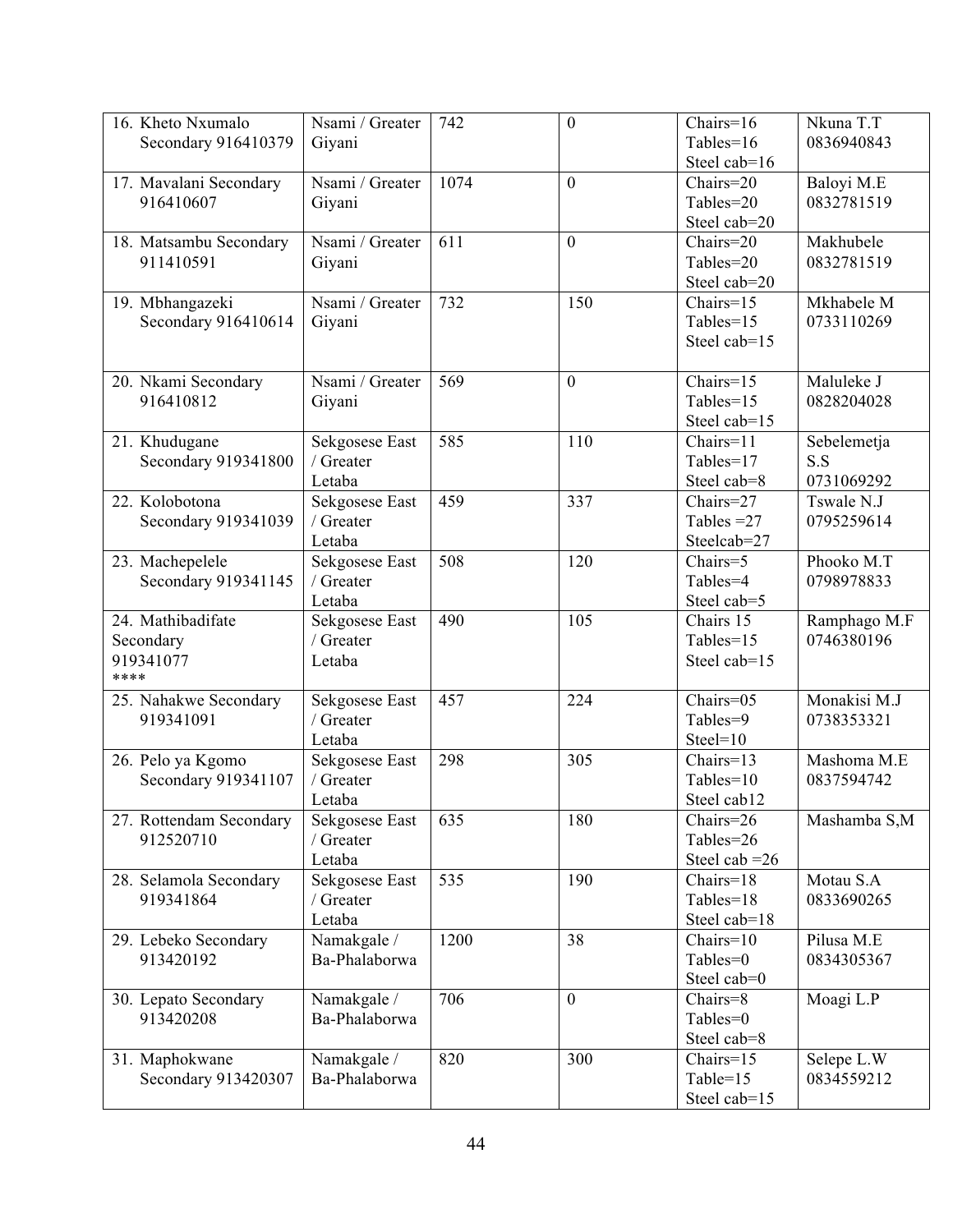| 16. Kheto Nxumalo                    | Nsami / Greater             | 742  | $\boldsymbol{0}$ | Chairs= $16$                   | Nkuna T.T    |
|--------------------------------------|-----------------------------|------|------------------|--------------------------------|--------------|
| Secondary 916410379                  | Giyani                      |      |                  | Tables=16                      | 0836940843   |
|                                      |                             |      |                  | Steel cab=16                   |              |
| 17. Mavalani Secondary               | Nsami / Greater             | 1074 | $\mathbf{0}$     | Chairs=20                      | Baloyi M.E   |
| 916410607                            | Giyani                      |      |                  | Tables=20                      | 0832781519   |
|                                      |                             |      |                  |                                |              |
|                                      | Nsami / Greater             | 611  | $\mathbf{0}$     | Steel cab=20<br>Chairs=20      | Makhubele    |
| 18. Matsambu Secondary               |                             |      |                  |                                |              |
| 911410591                            | Giyani                      |      |                  | Tables=20                      | 0832781519   |
|                                      |                             |      |                  | Steel cab=20                   |              |
| 19. Mbhangazeki                      | Nsami / Greater             | 732  | 150              | $Chairs=15$                    | Mkhabele M   |
| Secondary 916410614                  | Giyani                      |      |                  | Tables=15                      | 0733110269   |
|                                      |                             |      |                  | Steel cab=15                   |              |
| 20. Nkami Secondary                  | Nsami / Greater             | 569  | $\mathbf{0}$     | Chairs=15                      | Maluleke J   |
| 916410812                            | Giyani                      |      |                  | Tables=15                      | 0828204028   |
|                                      |                             |      |                  | Steel cab=15                   |              |
| 21. Khudugane                        | Sekgosese East              | 585  | 110              | Chairs=11                      | Sebelemetja  |
| Secondary 919341800                  | / Greater                   |      |                  | Tables=17                      | S.S          |
|                                      | Letaba                      |      |                  | Steel cab=8                    | 0731069292   |
| 22. Kolobotona                       | Sekgosese East              | 459  | 337              | Chairs=27                      | Tswale N.J   |
| Secondary 919341039                  | / Greater                   |      |                  | Tables $=27$                   | 0795259614   |
|                                      | Letaba                      |      |                  | Steelcab=27                    |              |
| 23. Machepelele                      | Sekgosese East              | 508  | 120              | Chairs=5                       | Phooko M.T   |
| Secondary 919341145                  | / Greater                   |      |                  | Tables=4                       | 0798978833   |
|                                      | Letaba                      |      |                  | Steel cab=5                    |              |
| 24. Mathibadifate                    | Sekgosese East              | 490  | 105              | Chairs 15                      | Ramphago M.F |
| Secondary                            | / Greater                   |      |                  | Tables=15                      | 0746380196   |
| 919341077                            | Letaba                      |      |                  | Steel cab=15                   |              |
| ****                                 |                             |      |                  |                                |              |
| 25. Nahakwe Secondary                | Sekgosese East              | 457  | 224              | Chairs=05                      | Monakisi M.J |
| 919341091                            | / Greater                   |      |                  | Tables=9                       | 0738353321   |
|                                      | Letaba                      |      |                  | $Steel=10$                     |              |
| 26. Pelo ya Kgomo                    | Sekgosese East              | 298  | 305              | Chairs=13                      | Mashoma M.E  |
| Secondary 919341107                  | / Greater                   |      |                  | Tables=10                      | 0837594742   |
|                                      |                             |      |                  | Steel cab12                    |              |
|                                      | Letaba                      |      | 180              |                                |              |
| 27. Rottendam Secondary<br>912520710 | Sekgosese East<br>/ Greater | 635  |                  | Chairs=26<br>Tables=26         | Mashamba S,M |
|                                      |                             |      |                  |                                |              |
|                                      | Letaba                      |      |                  | Steel cab $=26$<br>$Chairs=18$ |              |
| 28. Selamola Secondary               | Sekgosese East              | 535  | 190              |                                | Motau S.A    |
| 919341864                            | / Greater                   |      |                  | Tables=18                      | 0833690265   |
|                                      | Letaba                      |      |                  | Steel cab=18                   |              |
| 29. Lebeko Secondary                 | Namakgale /                 | 1200 | 38               | $Chairs=10$                    | Pilusa M.E   |
| 913420192                            | Ba-Phalaborwa               |      |                  | Tables=0                       | 0834305367   |
|                                      |                             |      |                  | Steel cab=0                    |              |
| 30. Lepato Secondary                 | Namakgale /                 | 706  | $\boldsymbol{0}$ | Chairs=8                       | Moagi L.P    |
| 913420208                            | Ba-Phalaborwa               |      |                  | Tables=0                       |              |
|                                      |                             |      |                  |                                |              |
|                                      |                             |      |                  | Steel cab=8                    |              |
| 31. Maphokwane                       | Namakgale /                 | 820  | 300              | $Chairs=15$                    | Selepe L.W   |
| Secondary 913420307                  | Ba-Phalaborwa               |      |                  | Table=15<br>Steel cab=15       | 0834559212   |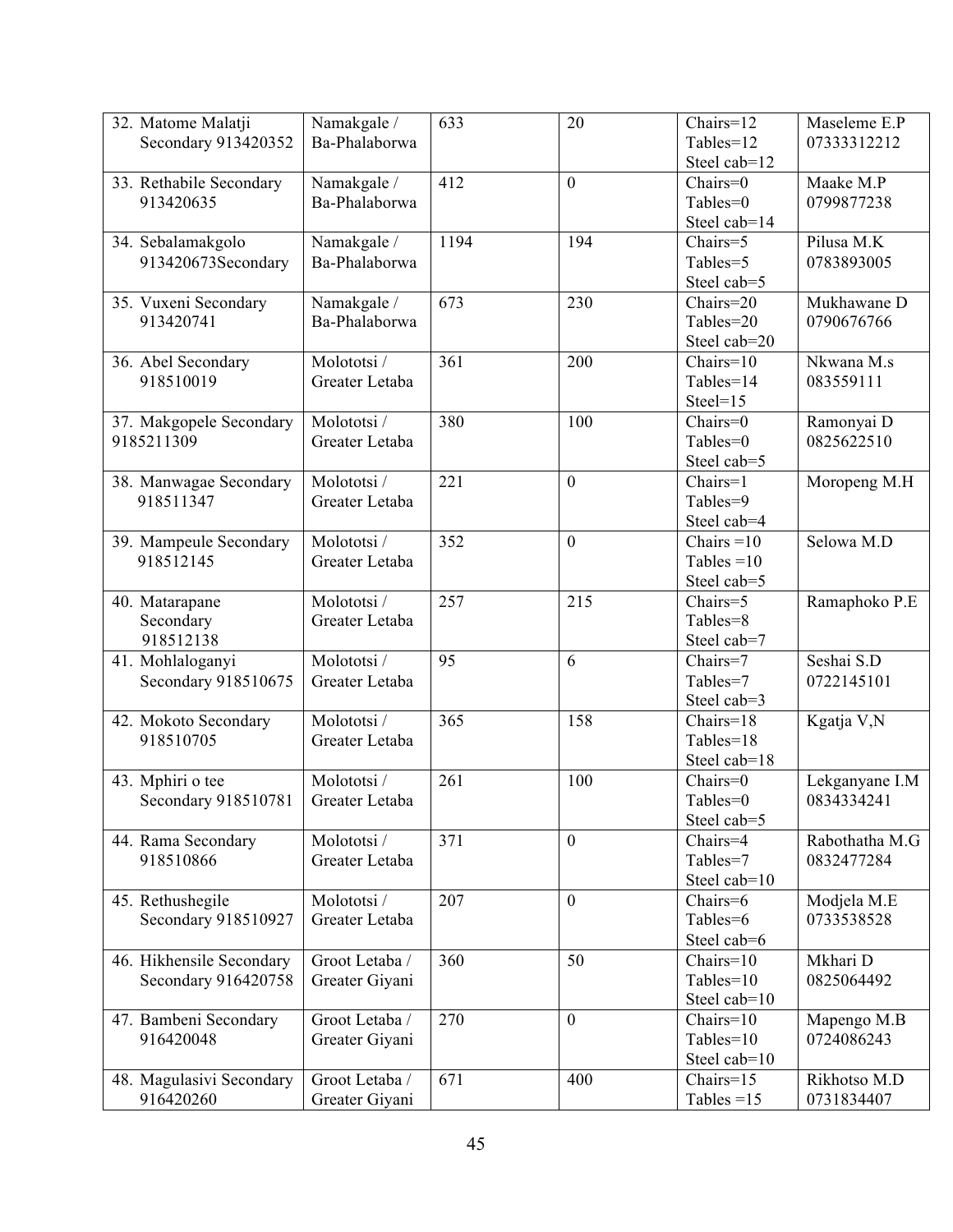| 32. Matome Malatji<br>Secondary 913420352       | Namakgale /<br>Ba-Phalaborwa     | 633  | 20               | Chairs=12<br>Tables=12<br>Steel cab=12       | Maseleme E.P<br>07333312212  |
|-------------------------------------------------|----------------------------------|------|------------------|----------------------------------------------|------------------------------|
| 33. Rethabile Secondary<br>913420635            | Namakgale /<br>Ba-Phalaborwa     | 412  | $\overline{0}$   | Chairs=0<br>Tables=0<br>Steel cab=14         | Maake M.P<br>0799877238      |
| 34. Sebalamakgolo<br>913420673Secondary         | Namakgale /<br>Ba-Phalaborwa     | 1194 | 194              | Chairs=5<br>Tables=5<br>Steel cab=5          | Pilusa M.K<br>0783893005     |
| 35. Vuxeni Secondary<br>913420741               | Namakgale /<br>Ba-Phalaborwa     | 673  | 230              | Chairs=20<br>Tables=20<br>Steel cab=20       | Mukhawane D<br>0790676766    |
| 36. Abel Secondary<br>918510019                 | Molototsi /<br>Greater Letaba    | 361  | 200              | $Chairs=10$<br>Tables=14<br>$Steel=15$       | Nkwana M.s<br>083559111      |
| 37. Makgopele Secondary<br>9185211309           | Molototsi /<br>Greater Letaba    | 380  | 100              | $Chairs=0$<br>Tables=0<br>Steel cab=5        | Ramonyai D<br>0825622510     |
| 38. Manwagae Secondary<br>918511347             | Molototsi /<br>Greater Letaba    | 221  | $\mathbf{0}$     | Chairs=1<br>Tables=9<br>Steel cab=4          | Moropeng M.H                 |
| 39. Mampeule Secondary<br>918512145             | Molototsi /<br>Greater Letaba    | 352  | $\boldsymbol{0}$ | Chairs $=10$<br>Tables = $10$<br>Steel cab=5 | Selowa M.D                   |
| 40. Matarapane<br>Secondary<br>918512138        | Molototsi /<br>Greater Letaba    | 257  | 215              | Chairs=5<br>Tables=8<br>Steel cab=7          | Ramaphoko P.E                |
| 41. Mohlaloganyi<br>Secondary 918510675         | Molototsi /<br>Greater Letaba    | 95   | 6                | Chairs=7<br>Tables=7<br>Steel cab=3          | Seshai S.D<br>0722145101     |
| 42. Mokoto Secondary<br>918510705               | Molototsi /<br>Greater Letaba    | 365  | 158              | $Chairs=18$<br>Tables=18<br>Steel cab=18     | Kgatja V,N                   |
| 43. Mphiri o tee<br>Secondary 918510781         | Molototsi /<br>Greater Letaba    | 261  | 100              | Chairs=0<br>Tables=0<br>Steel cab=5          | Lekganyane I.M<br>0834334241 |
| 44. Rama Secondary<br>918510866                 | Molototsi /<br>Greater Letaba    | 371  | $\overline{0}$   | Chairs=4<br>Tables=7<br>Steel cab=10         | Rabothatha M.G<br>0832477284 |
| 45. Rethushegile<br>Secondary 918510927         | Molototsi /<br>Greater Letaba    | 207  | $\mathbf{0}$     | Chairs=6<br>Tables=6<br>Steel cab=6          | Modjela M.E<br>0733538528    |
| 46. Hikhensile Secondary<br>Secondary 916420758 | Groot Letaba /<br>Greater Giyani | 360  | 50               | Chairs=10<br>Tables=10<br>Steel cab=10       | Mkhari D<br>0825064492       |
| 47. Bambeni Secondary<br>916420048              | Groot Letaba /<br>Greater Giyani | 270  | $\boldsymbol{0}$ | $Chairs=10$<br>Tables=10<br>Steel cab=10     | Mapengo M.B<br>0724086243    |
| 48. Magulasivi Secondary<br>916420260           | Groot Letaba /<br>Greater Giyani | 671  | 400              | Chairs=15<br>Tables $=15$                    | Rikhotso M.D<br>0731834407   |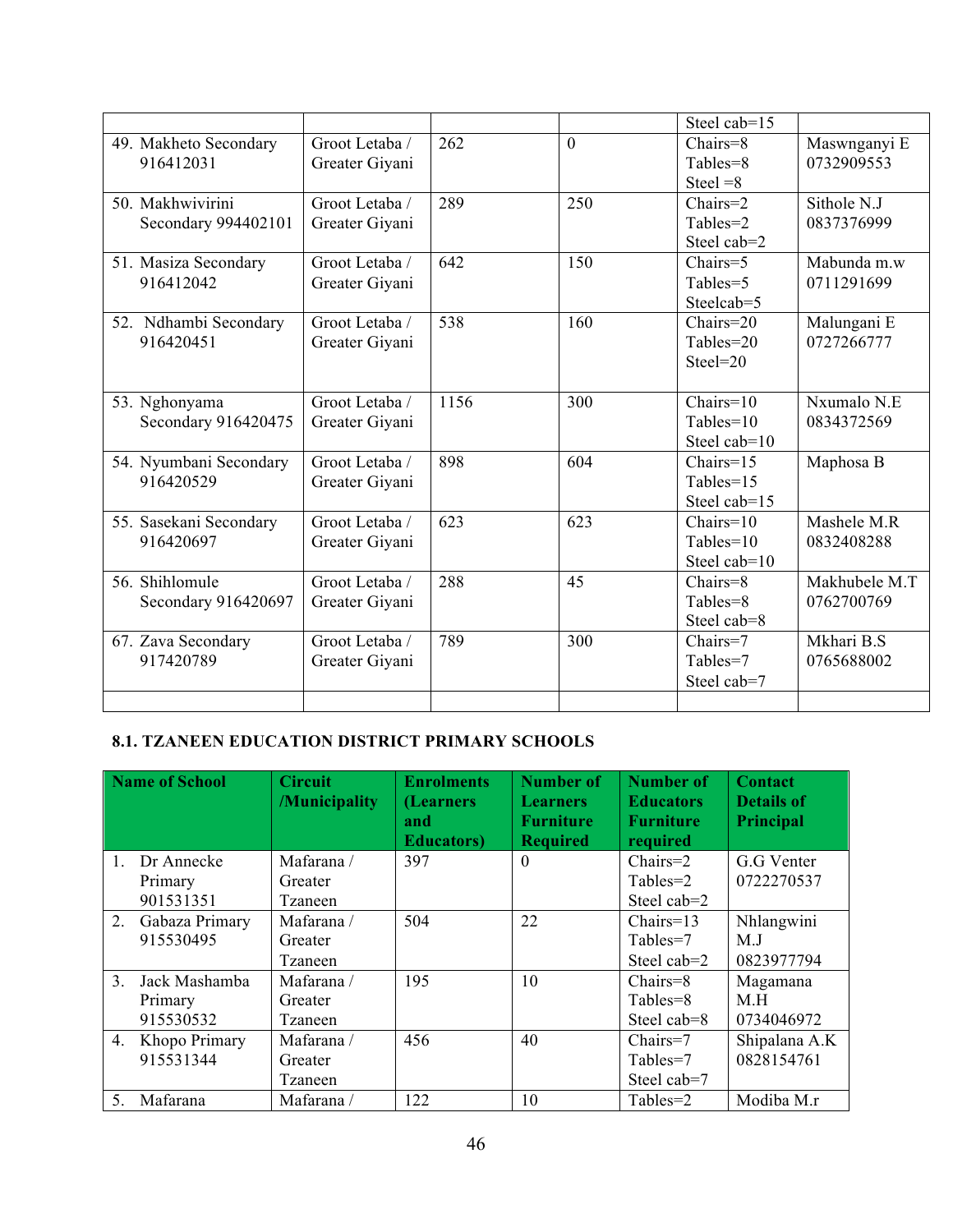|                                         |                                  |      |                | Steel cab=15                                                  |                             |
|-----------------------------------------|----------------------------------|------|----------------|---------------------------------------------------------------|-----------------------------|
| 49. Makheto Secondary<br>916412031      | Groot Letaba /<br>Greater Giyani | 262  | $\overline{0}$ | Chairs=8<br>Tables=8<br>Steel $=8$                            | Maswnganyi E<br>0732909553  |
| 50. Makhwivirini<br>Secondary 994402101 | Groot Letaba /<br>Greater Giyani | 289  | 250            | $Chairs=2$<br>Tables=2<br>Steel cab=2                         | Sithole N.J<br>0837376999   |
| 51. Masiza Secondary<br>916412042       | Groot Letaba /<br>Greater Giyani | 642  | 150            | Chairs=5<br>Tables=5<br>Steelcab=5                            | Mabunda m.w<br>0711291699   |
| 52. Ndhambi Secondary<br>916420451      | Groot Letaba /<br>Greater Givani | 538  | 160            | $Chairs = 20$<br>Tables=20<br>$Steel = 20$                    | Malungani E<br>0727266777   |
| 53. Nghonyama<br>Secondary 916420475    | Groot Letaba /<br>Greater Giyani | 1156 | 300            | $\overline{\text{Chairs}}$ =10<br>$Tables=10$<br>Steel cab=10 | Nxumalo N.E<br>0834372569   |
| 54. Nyumbani Secondary<br>916420529     | Groot Letaba /<br>Greater Giyani | 898  | 604            | $Chairs=15$<br>Tables=15<br>Steel cab=15                      | Maphosa B                   |
| 55. Sasekani Secondary<br>916420697     | Groot Letaba /<br>Greater Giyani | 623  | 623            | $Chairs=10$<br>Tables=10<br>Steel cab=10                      | Mashele M.R<br>0832408288   |
| 56. Shihlomule<br>Secondary 916420697   | Groot Letaba /<br>Greater Giyani | 288  | 45             | Chairs=8<br>Tables=8<br>Steel cab=8                           | Makhubele M.T<br>0762700769 |
| 67. Zava Secondary<br>917420789         | Groot Letaba /<br>Greater Giyani | 789  | 300            | Chairs=7<br>Tables=7<br>Steel cab=7                           | Mkhari B.S<br>0765688002    |
|                                         |                                  |      |                |                                                               |                             |

#### **8.1. TZANEEN EDUCATION DISTRICT PRIMARY SCHOOLS**

|                | Name of School    | <b>Circuit</b><br>/Municipality | <b>Enrolments</b><br>(Learners<br>and<br><b>Educators</b> ) | <b>Number of</b><br><b>Learners</b><br><b>Furniture</b><br><b>Required</b> | <b>Number of</b><br><b>Educators</b><br><b>Furniture</b><br>required | <b>Contact</b><br><b>Details of</b><br>Principal |
|----------------|-------------------|---------------------------------|-------------------------------------------------------------|----------------------------------------------------------------------------|----------------------------------------------------------------------|--------------------------------------------------|
| $\mathbf{1}$   | Dr Annecke        | Mafarana /                      | 397                                                         | $\theta$                                                                   | $Chairs=2$                                                           | G.G Venter                                       |
|                | Primary           | Greater                         |                                                             |                                                                            | Tables=2                                                             | 0722270537                                       |
|                | 901531351         | Tzaneen                         |                                                             |                                                                            | Steel cab=2                                                          |                                                  |
|                | 2. Gabaza Primary | Mafarana /                      | 504                                                         | 22                                                                         | $Chairs=13$                                                          | Nhlangwini                                       |
|                | 915530495         | Greater                         |                                                             |                                                                            | Tables=7                                                             | M.J                                              |
|                |                   | Tzaneen                         |                                                             |                                                                            | Steel cab=2                                                          | 0823977794                                       |
| 3 <sub>1</sub> | Jack Mashamba     | Mafarana /                      | 195                                                         | 10                                                                         | $Chairs = 8$                                                         | Magamana                                         |
|                | Primary           | Greater                         |                                                             |                                                                            | Tables=8                                                             | M.H                                              |
|                | 915530532         | Tzaneen                         |                                                             |                                                                            | Steel cab=8                                                          | 0734046972                                       |
| 4.             | Khopo Primary     | Mafarana /                      | 456                                                         | 40                                                                         | Chairs=7                                                             | Shipalana A.K                                    |
|                | 915531344         | Greater                         |                                                             |                                                                            | Tables=7                                                             | 0828154761                                       |
|                |                   | Tzaneen                         |                                                             |                                                                            | Steel cab=7                                                          |                                                  |
| 5 <sub>1</sub> | Mafarana          | Mafarana /                      | 122                                                         | 10                                                                         | Tables=2                                                             | Modiba M.r                                       |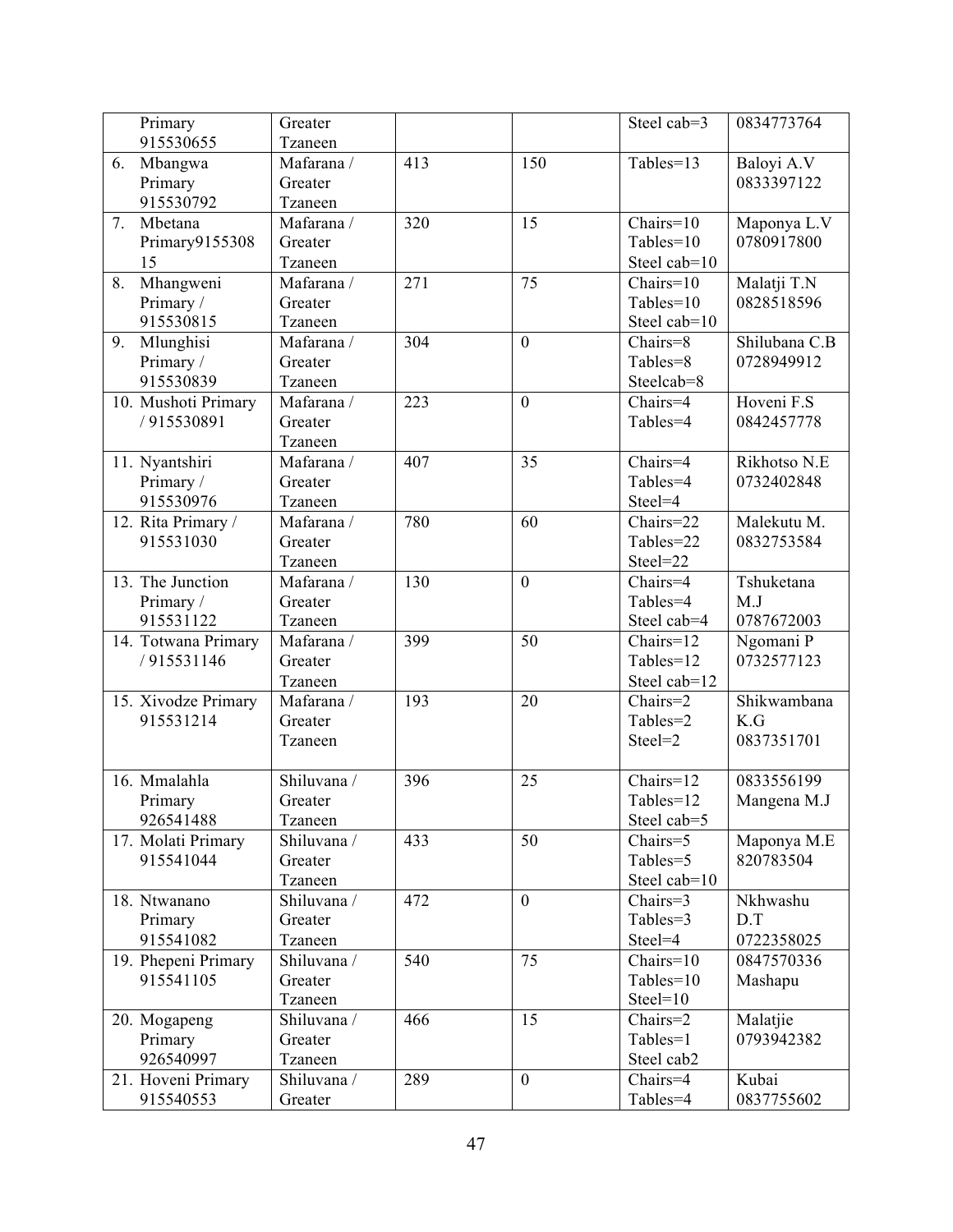| Primary             | Greater     |     |                  | Steel cab=3  | 0834773764    |
|---------------------|-------------|-----|------------------|--------------|---------------|
| 915530655           | Tzaneen     |     |                  |              |               |
| 6.<br>Mbangwa       | Mafarana /  | 413 | 150              | Tables=13    | Baloyi A.V    |
| Primary             | Greater     |     |                  |              | 0833397122    |
| 915530792           | Tzaneen     |     |                  |              |               |
| 7.<br>Mbetana       | Mafarana /  | 320 | 15               | $Chairs=10$  | Maponya L.V   |
| Primary9155308      | Greater     |     |                  | Tables=10    | 0780917800    |
| 15                  | Tzaneen     |     |                  | Steel cab=10 |               |
| Mhangweni<br>8.     | Mafarana /  | 271 | 75               | $Chairs=10$  | Malatji T.N   |
| Primary /           | Greater     |     |                  | Tables= $10$ | 0828518596    |
| 915530815           | Tzaneen     |     |                  | Steel cab=10 |               |
| Mlunghisi<br>9.     | Mafarana /  | 304 | $\overline{0}$   | Chairs=8     | Shilubana C.B |
| Primary /           | Greater     |     |                  | Tables=8     | 0728949912    |
| 915530839           | Tzaneen     |     |                  | Steelcab=8   |               |
| 10. Mushoti Primary | Mafarana /  | 223 | $\boldsymbol{0}$ | Chairs=4     | Hoveni F.S    |
| /915530891          | Greater     |     |                  | Tables=4     | 0842457778    |
|                     | Tzaneen     |     |                  |              |               |
| 11. Nyantshiri      | Mafarana /  | 407 | 35               | Chairs=4     | Rikhotso N.E  |
| Primary /           | Greater     |     |                  | Tables=4     | 0732402848    |
| 915530976           | Tzaneen     |     |                  | Steel=4      |               |
| 12. Rita Primary /  | Mafarana /  | 780 | 60               | Chairs=22    | Malekutu M.   |
| 915531030           | Greater     |     |                  | Tables=22    | 0832753584    |
|                     | Tzaneen     |     |                  | Steel=22     |               |
| 13. The Junction    | Mafarana /  | 130 | $\overline{0}$   | Chairs=4     | Tshuketana    |
| Primary /           | Greater     |     |                  | Tables=4     | M.J           |
| 915531122           | Tzaneen     |     |                  | Steel cab=4  | 0787672003    |
| 14. Totwana Primary | Mafarana /  | 399 | $\overline{50}$  | Chairs=12    | Ngomani P     |
| /915531146          | Greater     |     |                  | Tables=12    | 0732577123    |
|                     | Tzaneen     |     |                  | Steel cab=12 |               |
| 15. Xivodze Primary | Mafarana /  | 193 | 20               | Chairs=2     | Shikwambana   |
| 915531214           | Greater     |     |                  | Tables=2     | K.G           |
|                     | Tzaneen     |     |                  | Steel=2      | 0837351701    |
|                     |             |     |                  |              |               |
| 16. Mmalahla        | Shiluvana / | 396 | 25               | Chairs=12    | 0833556199    |
| Primary             | Greater     |     |                  | Tables=12    | Mangena M.J   |
| 926541488           | Tzaneen     |     |                  | Steel cab=5  |               |
| 17. Molati Primary  | Shiluvana / | 433 | 50               | Chairs=5     | Maponya M.E   |
| 915541044           | Greater     |     |                  | Tables=5     | 820783504     |
|                     | Tzaneen     |     |                  | Steel cab=10 |               |
| 18. Ntwanano        | Shiluvana / | 472 | $\overline{0}$   | Chairs=3     | Nkhwashu      |
| Primary             | Greater     |     |                  | Tables=3     | D.T           |
| 915541082           | Tzaneen     |     |                  | Steel=4      | 0722358025    |
| 19. Phepeni Primary | Shiluvana / | 540 | 75               | Chairs=10    | 0847570336    |
| 915541105           | Greater     |     |                  | Tables=10    | Mashapu       |
|                     | Tzaneen     |     |                  | $Steel=10$   |               |
| 20. Mogapeng        | Shiluvana / | 466 | 15               | Chairs=2     | Malatjie      |
| Primary             | Greater     |     |                  | Tables=1     | 0793942382    |
| 926540997           | Tzaneen     |     |                  | Steel cab2   |               |
| 21. Hoveni Primary  | Shiluvana / | 289 | $\boldsymbol{0}$ | Chairs=4     | Kubai         |
| 915540553           | Greater     |     |                  | Tables=4     | 0837755602    |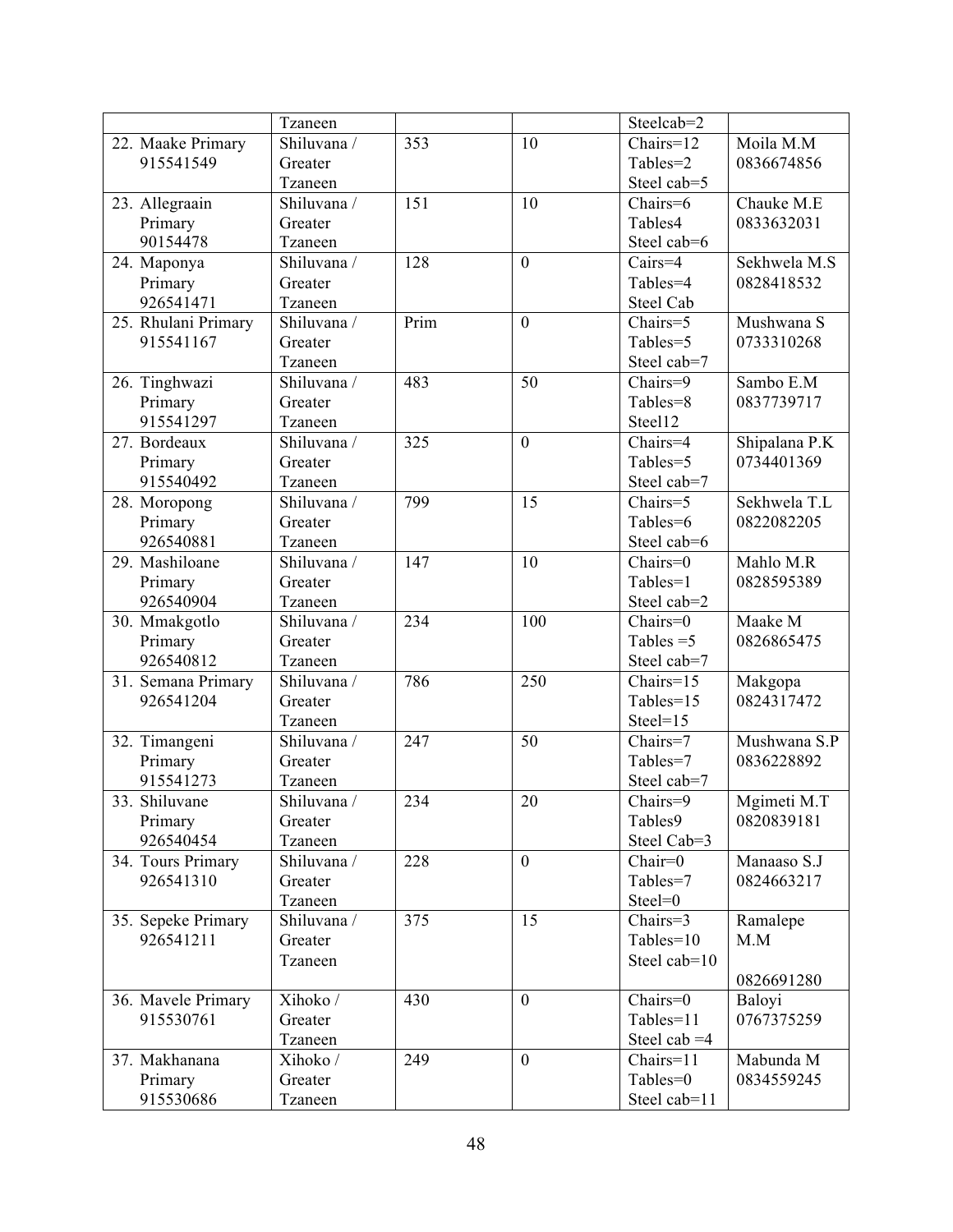|                     | Tzaneen     |      |                  | Steelcab=2     |               |
|---------------------|-------------|------|------------------|----------------|---------------|
| 22. Maake Primary   | Shiluvana / | 353  | 10               | $Chairs=12$    | Moila M.M     |
| 915541549           | Greater     |      |                  | Tables=2       | 0836674856    |
|                     | Tzaneen     |      |                  | Steel cab=5    |               |
| 23. Allegraain      | Shiluvana / | 151  | 10               | Chairs=6       | Chauke M.E    |
| Primary             | Greater     |      |                  | Tables4        | 0833632031    |
| 90154478            | Tzaneen     |      |                  | Steel cab=6    |               |
| 24. Maponya         | Shiluvana / | 128  | $\mathbf{0}$     | Cairs=4        | Sekhwela M.S  |
| Primary             | Greater     |      |                  | Tables=4       | 0828418532    |
| 926541471           | Tzaneen     |      |                  | Steel Cab      |               |
| 25. Rhulani Primary | Shiluvana / | Prim | $\overline{0}$   | Chairs=5       | Mushwana S    |
| 915541167           | Greater     |      |                  | Tables=5       | 0733310268    |
|                     | Tzaneen     |      |                  | Steel cab=7    |               |
| 26. Tinghwazi       | Shiluvana / | 483  | 50               | Chairs=9       | Sambo E.M     |
| Primary             | Greater     |      |                  | Tables=8       | 0837739717    |
| 915541297           | Tzaneen     |      |                  | Steel12        |               |
| 27. Bordeaux        | Shiluvana / | 325  | $\boldsymbol{0}$ | Chairs=4       | Shipalana P.K |
| Primary             | Greater     |      |                  | Tables=5       | 0734401369    |
| 915540492           | Tzaneen     |      |                  | Steel cab=7    |               |
|                     | Shiluvana / | 799  | 15               | Chairs=5       | Sekhwela T.L  |
| 28. Moropong        | Greater     |      |                  | Tables=6       | 0822082205    |
| Primary             |             |      |                  |                |               |
| 926540881           | Tzaneen     |      |                  | Steel cab=6    |               |
| 29. Mashiloane      | Shiluvana / | 147  | 10               | Chairs=0       | Mahlo M.R     |
| Primary             | Greater     |      |                  | Tables=1       | 0828595389    |
| 926540904           | Tzaneen     |      |                  | Steel cab=2    |               |
| 30. Mmakgotlo       | Shiluvana / | 234  | 100              | Chairs=0       | Maake M       |
| Primary             | Greater     |      |                  | Tables $=5$    | 0826865475    |
| 926540812           | Tzaneen     |      |                  | Steel cab=7    |               |
| 31. Semana Primary  | Shiluvana / | 786  | 250              | $Chairs=15$    | Makgopa       |
| 926541204           | Greater     |      |                  | Tables=15      | 0824317472    |
|                     | Tzaneen     |      |                  | $Steel=15$     |               |
| 32. Timangeni       | Shiluvana / | 247  | 50               | Chairs=7       | Mushwana S.P  |
| Primary             | Greater     |      |                  | Tables=7       | 0836228892    |
| 915541273           | Tzaneen     |      |                  | Steel cab=7    |               |
| 33. Shiluvane       | Shiluvana / | 234  | 20               | Chairs=9       | Mgimeti M.T   |
| Primary             | Greater     |      |                  | Tables9        | 0820839181    |
| 926540454           | Tzaneen     |      |                  | Steel Cab=3    |               |
| 34. Tours Primary   | Shiluvana / | 228  | $\mathbf{0}$     | $Chair=0$      | Manaaso S.J   |
| 926541310           | Greater     |      |                  | Tables=7       | 0824663217    |
|                     | Tzaneen     |      |                  | Steel=0        |               |
| 35. Sepeke Primary  | Shiluvana / | 375  | 15               | Chairs=3       | Ramalepe      |
| 926541211           | Greater     |      |                  | Tables=10      | M.M           |
|                     | Tzaneen     |      |                  | Steel cab=10   |               |
|                     |             |      |                  |                | 0826691280    |
| 36. Mavele Primary  | Xihoko /    | 430  | $\theta$         | Chairs=0       | Baloyi        |
| 915530761           | Greater     |      |                  | Tables=11      | 0767375259    |
|                     | Tzaneen     |      |                  | Steel cab $=4$ |               |
| 37. Makhanana       | Xihoko /    | 249  | $\mathbf{0}$     | $Chairs=11$    | Mabunda M     |
| Primary             | Greater     |      |                  | Tables=0       | 0834559245    |
| 915530686           | Tzaneen     |      |                  | Steel cab=11   |               |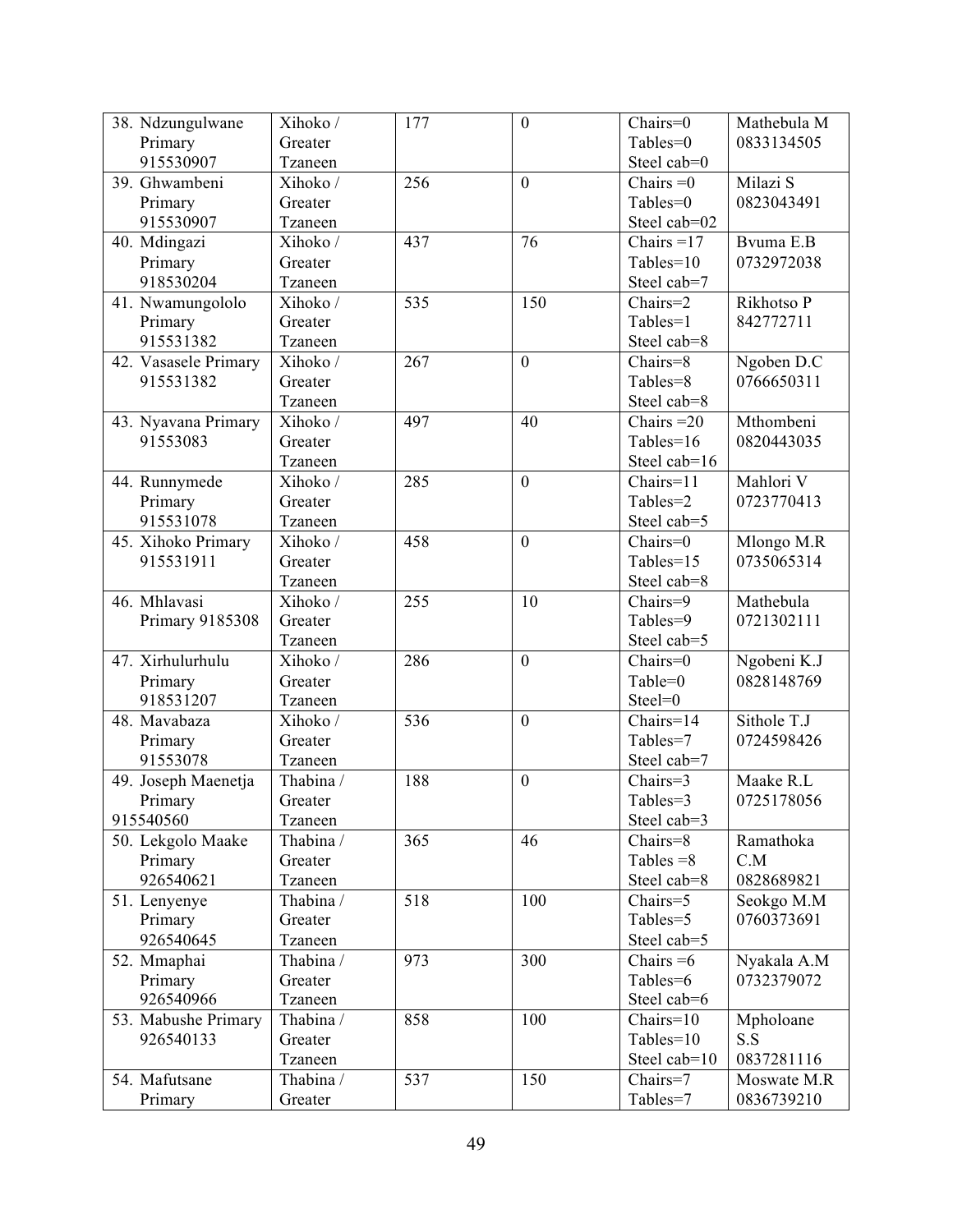| 38. Ndzungulwane     | Xihoko /  | 177 | $\boldsymbol{0}$ | Chairs=0     | Mathebula M |
|----------------------|-----------|-----|------------------|--------------|-------------|
| Primary              | Greater   |     |                  | Tables=0     | 0833134505  |
| 915530907            | Tzaneen   |     |                  | Steel cab=0  |             |
| 39. Ghwambeni        | Xihoko /  | 256 | $\overline{0}$   | Chairs $=0$  | Milazi S    |
| Primary              | Greater   |     |                  | Tables=0     | 0823043491  |
| 915530907            | Tzaneen   |     |                  | Steel cab=02 |             |
| 40. Mdingazi         | Xihoko /  | 437 | 76               | Chairs $=17$ | Bvuma E.B   |
| Primary              | Greater   |     |                  | Tables=10    | 0732972038  |
| 918530204            | Tzaneen   |     |                  | Steel cab=7  |             |
| 41. Nwamungololo     | Xihoko /  | 535 | 150              | Chairs=2     | Rikhotso P  |
| Primary              | Greater   |     |                  | Tables=1     | 842772711   |
| 915531382            | Tzaneen   |     |                  | Steel cab=8  |             |
| 42. Vasasele Primary | Xihoko /  | 267 | $\mathbf{0}$     | Chairs=8     | Ngoben D.C  |
| 915531382            | Greater   |     |                  | Tables=8     | 0766650311  |
|                      | Tzaneen   |     |                  | Steel cab=8  |             |
| 43. Nyavana Primary  | Xihoko /  | 497 | 40               | Chairs $=20$ | Mthombeni   |
| 91553083             | Greater   |     |                  | Tables= $16$ | 0820443035  |
|                      | Tzaneen   |     |                  | Steel cab=16 |             |
| 44. Runnymede        | Xihoko /  | 285 | $\mathbf{0}$     | Chairs=11    | Mahlori V   |
| Primary              | Greater   |     |                  | Tables=2     | 0723770413  |
| 915531078            | Tzaneen   |     |                  | Steel cab=5  |             |
| 45. Xihoko Primary   | Xihoko /  | 458 | $\overline{0}$   | Chairs=0     | Mlongo M.R  |
| 915531911            | Greater   |     |                  | Tables=15    | 0735065314  |
|                      | Tzaneen   |     |                  | Steel cab=8  |             |
| 46. Mhlavasi         | Xihoko /  | 255 | 10               | Chairs=9     | Mathebula   |
| Primary 9185308      | Greater   |     |                  | Tables=9     | 0721302111  |
|                      | Tzaneen   |     |                  | Steel cab=5  |             |
| 47. Xirhulurhulu     | Xihoko /  | 286 | $\overline{0}$   | Chairs=0     | Ngobeni K.J |
| Primary              | Greater   |     |                  | Table=0      | 0828148769  |
| 918531207            | Tzaneen   |     |                  | Steel=0      |             |
| 48. Mavabaza         | Xihoko /  | 536 | $\boldsymbol{0}$ | Chairs=14    | Sithole T.J |
| Primary              | Greater   |     |                  | Tables=7     | 0724598426  |
| 91553078             | Tzaneen   |     |                  | Steel cab=7  |             |
| 49. Joseph Maenetja  | Thabina / | 188 | $\mathbf{0}$     | Chairs=3     | Maake R.L   |
| Primary              | Greater   |     |                  | Tables=3     | 0725178056  |
| 915540560            | Tzaneen   |     |                  | Steel cab=3  |             |
| 50. Lekgolo Maake    | Thabina / | 365 | 46               | Chairs=8     | Ramathoka   |
| Primary              | Greater   |     |                  | Tables $=8$  | C.M         |
| 926540621            | Tzaneen   |     |                  | Steel cab=8  | 0828689821  |
| 51. Lenyenye         | Thabina / | 518 | 100              | Chairs=5     | Seokgo M.M  |
| Primary              | Greater   |     |                  | Tables=5     | 0760373691  |
| 926540645            | Tzaneen   |     |                  | Steel cab=5  |             |
| 52. Mmaphai          | Thabina / | 973 | 300              | Chairs $=6$  | Nyakala A.M |
| Primary              | Greater   |     |                  | Tables=6     | 0732379072  |
| 926540966            | Tzaneen   |     |                  | Steel cab=6  |             |
| 53. Mabushe Primary  | Thabina / | 858 | 100              | Chairs=10    | Mpholoane   |
| 926540133            | Greater   |     |                  | Tables=10    | S.S         |
|                      | Tzaneen   |     |                  | Steel cab=10 | 0837281116  |
| 54. Mafutsane        | Thabina / | 537 | 150              | Chairs=7     | Moswate M.R |
| Primary              | Greater   |     |                  | Tables=7     | 0836739210  |
|                      |           |     |                  |              |             |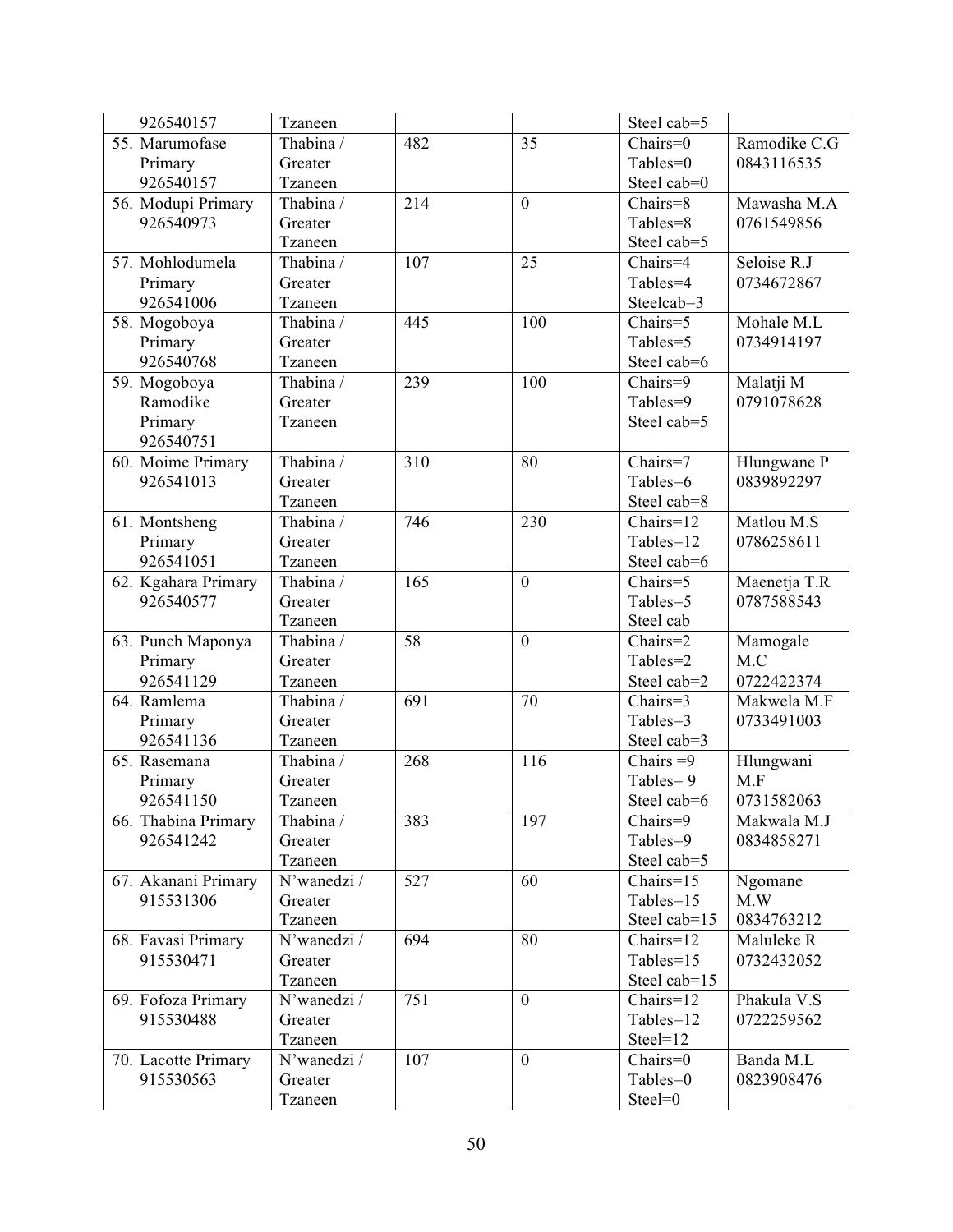| 926540157           | Tzaneen     |     |                  | Steel cab=5                    |                          |
|---------------------|-------------|-----|------------------|--------------------------------|--------------------------|
| 55. Marumofase      | Thabina /   | 482 | 35               | Chairs=0                       | Ramodike C.G             |
| Primary             | Greater     |     |                  | Tables=0                       | 0843116535               |
| 926540157           | Tzaneen     |     |                  | Steel cab=0                    |                          |
| 56. Modupi Primary  | Thabina /   | 214 | $\boldsymbol{0}$ | Chairs=8                       | Mawasha M.A              |
| 926540973           | Greater     |     |                  | Tables=8                       | 0761549856               |
|                     | Tzaneen     |     |                  | Steel cab=5                    |                          |
| 57. Mohlodumela     | Thabina /   | 107 | 25               | Chairs=4                       | Seloise R.J              |
| Primary             | Greater     |     |                  | Tables=4                       | 0734672867               |
| 926541006           | Tzaneen     |     |                  | Steelcab=3                     |                          |
| 58. Mogoboya        | Thabina /   | 445 | 100              | Chairs=5                       | Mohale M.L               |
| Primary             | Greater     |     |                  | Tables=5                       | 0734914197               |
| 926540768           | Tzaneen     |     |                  | Steel cab=6                    |                          |
| 59. Mogoboya        | Thabina /   | 239 | 100              | Chairs=9                       | Malatji M                |
| Ramodike            | Greater     |     |                  | Tables=9                       | 0791078628               |
| Primary             | Tzaneen     |     |                  | Steel cab=5                    |                          |
| 926540751           |             |     |                  |                                |                          |
| 60. Moime Primary   | Thabina /   | 310 | 80               | Chairs=7                       | Hlungwane P              |
| 926541013           | Greater     |     |                  | Tables=6                       | 0839892297               |
|                     | Tzaneen     |     |                  | Steel cab=8                    |                          |
| 61. Montsheng       | Thabina /   | 746 | 230              | $\overline{\text{Chairs}}$ =12 | Matlou M.S               |
| Primary             | Greater     |     |                  | Tables=12                      | 0786258611               |
| 926541051           | Tzaneen     |     |                  | Steel cab=6                    |                          |
| 62. Kgahara Primary | Thabina /   | 165 | $\overline{0}$   | Chairs=5                       | Maenetja T.R             |
| 926540577           | Greater     |     |                  | Tables=5                       | 0787588543               |
|                     | Tzaneen     |     |                  | Steel cab                      |                          |
| 63. Punch Maponya   | Thabina /   | 58  | $\boldsymbol{0}$ | Chairs=2                       | Mamogale                 |
| Primary             | Greater     |     |                  | Tables=2                       | M.C                      |
| 926541129           | Tzaneen     |     |                  | Steel cab=2                    | 0722422374               |
| 64. Ramlema         | Thabina /   | 691 | 70               | Chairs=3                       | Makwela M.F              |
| Primary             | Greater     |     |                  | Tables=3                       | 0733491003               |
| 926541136           | Tzaneen     |     |                  | Steel cab=3                    |                          |
| 65. Rasemana        | Thabina /   | 268 | 116              | Chairs $=9$                    | Hlungwani                |
| Primary             | Greater     |     |                  | Tables=9                       | M.F                      |
| 926541150           | Tzaneen     |     |                  | Steel cab=6                    | 0731582063               |
| 66. Thabina Primary | Thabina /   | 383 | 197              | Chairs=9                       | Makwala M.J              |
| 926541242           | Greater     |     |                  | Tables=9                       | 0834858271               |
|                     | Tzaneen     |     |                  | Steel cab=5                    |                          |
| 67. Akanani Primary | N'wanedzi / | 527 | 60               | $Chairs=15$                    | Ngomane                  |
| 915531306           | Greater     |     |                  | Tables=15                      | M.W                      |
|                     | Tzaneen     |     |                  | Steel cab=15                   | 0834763212               |
| 68. Favasi Primary  | N'wanedzi / | 694 | 80               | Chairs=12                      | Maluleke R               |
| 915530471           | Greater     |     |                  | Tables=15                      | 0732432052               |
|                     | Tzaneen     |     |                  | Steel cab=15                   |                          |
| 69. Fofoza Primary  | N'wanedzi / | 751 | $\mathbf{0}$     | Chairs=12                      | Phakula $V.\overline{S}$ |
| 915530488           | Greater     |     |                  | Tables=12                      | 0722259562               |
|                     | Tzaneen     |     |                  | $Steel=12$                     |                          |
| 70. Lacotte Primary | N'wanedzi / | 107 | $\overline{0}$   | Chairs=0                       | Banda M.L                |
| 915530563           | Greater     |     |                  | Tables=0                       | 0823908476               |
|                     | Tzaneen     |     |                  | Steel=0                        |                          |
|                     |             |     |                  |                                |                          |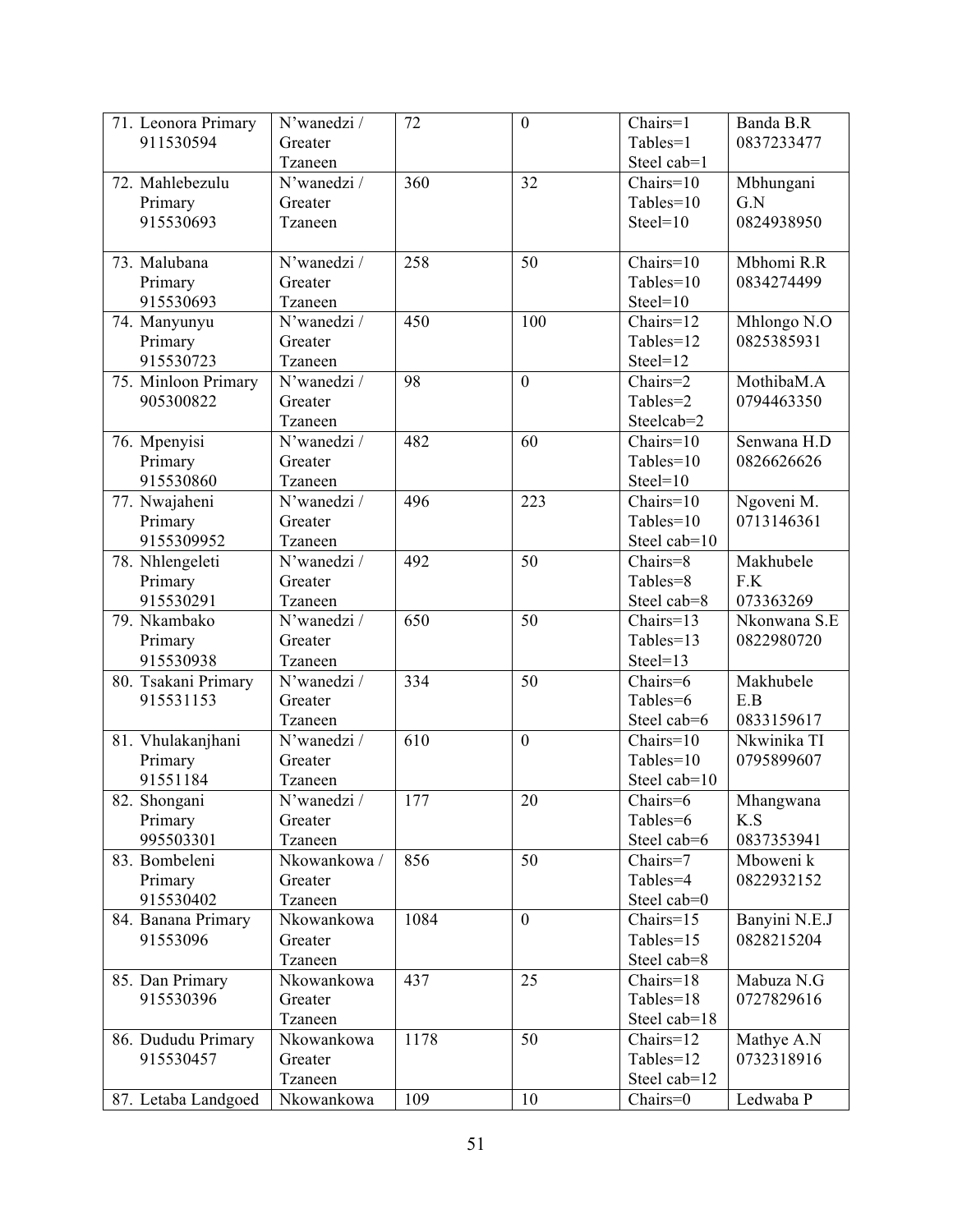| 71. Leonora Primary | N'wanedzi /  | 72   | $\boldsymbol{0}$ | Chairs=1     | Banda B.R     |
|---------------------|--------------|------|------------------|--------------|---------------|
| 911530594           | Greater      |      |                  | Tables=1     | 0837233477    |
|                     | Tzaneen      |      |                  | Steel cab=1  |               |
| 72. Mahlebezulu     | N'wanedzi /  | 360  | 32               | Chairs=10    | Mbhungani     |
| Primary             | Greater      |      |                  | Tables=10    | G.N           |
| 915530693           | Tzaneen      |      |                  | $Steel=10$   | 0824938950    |
|                     |              |      |                  |              |               |
| 73. Malubana        | N'wanedzi /  | 258  | 50               | $Chairs=10$  | Mbhomi R.R    |
| Primary             | Greater      |      |                  | Tables=10    | 0834274499    |
| 915530693           | Tzaneen      |      |                  | $Steel=10$   |               |
| 74. Manyunyu        | N'wanedzi /  | 450  | 100              | Chairs=12    | Mhlongo N.O   |
| Primary             | Greater      |      |                  | Tables=12    | 0825385931    |
| 915530723           | Tzaneen      |      |                  | Steel=12     |               |
| 75. Minloon Primary | N'wanedzi /  | 98   | $\boldsymbol{0}$ | Chairs=2     | MothibaM.A    |
| 905300822           | Greater      |      |                  | Tables=2     | 0794463350    |
|                     | Tzaneen      |      |                  | Steelcab=2   |               |
| 76. Mpenyisi        | N'wanedzi /  | 482  | 60               | $Chairs=10$  | Senwana H.D   |
| Primary             | Greater      |      |                  | Tables=10    | 0826626626    |
| 915530860           | Tzaneen      |      |                  | $Steel=10$   |               |
| 77. Nwajaheni       | N'wanedzi/   | 496  | 223              | Chairs=10    | Ngoveni M.    |
| Primary             | Greater      |      |                  | Tables=10    | 0713146361    |
| 9155309952          | Tzaneen      |      |                  | Steel cab=10 |               |
| 78. Nhlengeleti     | N'wanedzi /  | 492  | 50               | Chairs=8     | Makhubele     |
| Primary             | Greater      |      |                  | Tables=8     | F.K           |
| 915530291           | Tzaneen      |      |                  | Steel cab=8  | 073363269     |
| 79. Nkambako        | N'wanedzi/   | 650  | 50               | Chairs=13    | Nkonwana S.E  |
|                     |              |      |                  | Tables=13    | 0822980720    |
| Primary             | Greater      |      |                  |              |               |
| 915530938           | Tzaneen      |      |                  | Steel=13     |               |
| 80. Tsakani Primary | N'wanedzi /  | 334  | 50               | Chairs=6     | Makhubele     |
| 915531153           | Greater      |      |                  | Tables=6     | E.B           |
|                     | Tzaneen      |      |                  | Steel cab=6  | 0833159617    |
| 81. Vhulakanjhani   | N'wanedzi /  | 610  | $\boldsymbol{0}$ | Chairs=10    | Nkwinika TI   |
| Primary             | Greater      |      |                  | Tables=10    | 0795899607    |
| 91551184            | Tzaneen      |      |                  | Steel cab=10 |               |
| 82. Shongani        | N'wanedzi /  | 177  | 20               | Chairs=6     | Mhangwana     |
| Primary             | Greater      |      |                  | Tables=6     | K.S           |
| 995503301           | Tzaneen      |      |                  | Steel cab=6  | 0837353941    |
| 83. Bombeleni       | Nkowankowa / | 856  | 50               | Chairs=7     | Mboweni k     |
| Primary             | Greater      |      |                  | Tables=4     | 0822932152    |
| 915530402           | Tzaneen      |      |                  | Steel cab=0  |               |
| 84. Banana Primary  | Nkowankowa   | 1084 | $\overline{0}$   | $Chairs=15$  | Banyini N.E.J |
| 91553096            | Greater      |      |                  | Tables=15    | 0828215204    |
|                     | Tzaneen      |      |                  | Steel cab=8  |               |
| 85. Dan Primary     | Nkowankowa   | 437  | 25               | Chairs=18    | Mabuza N.G    |
| 915530396           | Greater      |      |                  | Tables=18    | 0727829616    |
|                     | Tzaneen      |      |                  | Steel cab=18 |               |
| 86. Dududu Primary  | Nkowankowa   | 1178 | 50               | Chairs=12    | Mathye A.N    |
| 915530457           | Greater      |      |                  | Tables=12    | 0732318916    |
|                     | Tzaneen      |      |                  | Steel cab=12 |               |
| 87. Letaba Landgoed | Nkowankowa   | 109  | 10               | Chairs=0     | Ledwaba P     |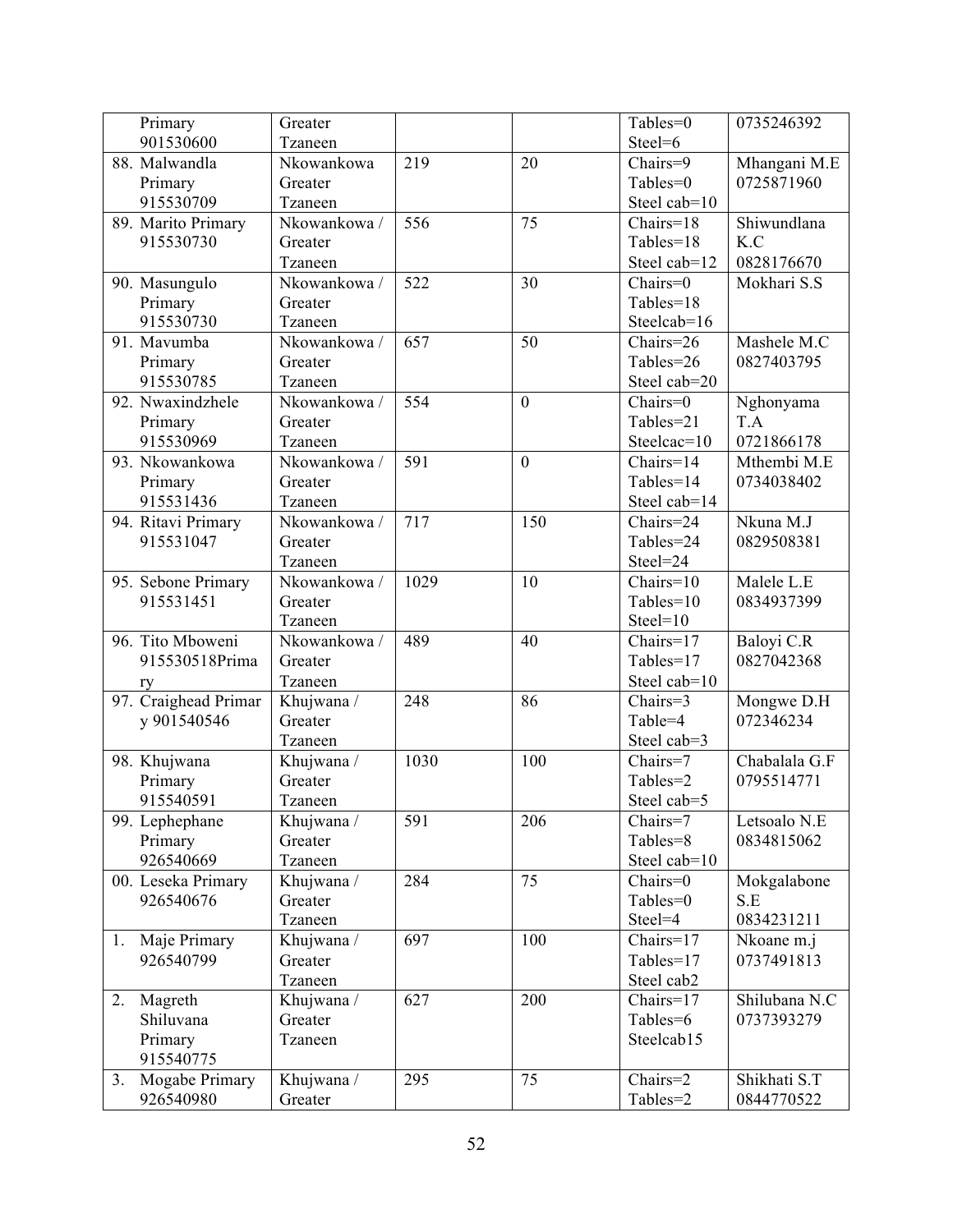| Primary              | Greater      |      |                | Tables=0      | 0735246392    |
|----------------------|--------------|------|----------------|---------------|---------------|
| 901530600            | Tzaneen      |      |                | Steel=6       |               |
| 88. Malwandla        | Nkowankowa   | 219  | 20             | Chairs=9      | Mhangani M.E  |
| Primary              | Greater      |      |                | Tables=0      | 0725871960    |
| 915530709            | Tzaneen      |      |                | Steel cab=10  |               |
| 89. Marito Primary   | Nkowankowa / | 556  | 75             | $Chairs=18$   | Shiwundlana   |
| 915530730            | Greater      |      |                | Tables=18     | K.C           |
|                      | Tzaneen      |      |                | Steel cab=12  | 0828176670    |
| 90. Masungulo        | Nkowankowa / | 522  | 30             | Chairs=0      | Mokhari S.S   |
| Primary              | Greater      |      |                | Tables=18     |               |
| 915530730            | Tzaneen      |      |                | Steelcab=16   |               |
| 91. Mavumba          | Nkowankowa / | 657  | 50             | Chairs=26     | Mashele M.C   |
| Primary              | Greater      |      |                | Tables=26     | 0827403795    |
| 915530785            | Tzaneen      |      |                | Steel cab=20  |               |
| 92. Nwaxindzhele     | Nkowankowa / | 554  | $\overline{0}$ | Chairs=0      | Nghonyama     |
| Primary              | Greater      |      |                | Tables=21     | T.A           |
| 915530969            | Tzaneen      |      |                | Steelcac=10   | 0721866178    |
| 93. Nkowankowa       | Nkowankowa / | 591  | $\mathbf{0}$   | Chairs=14     | Mthembi M.E   |
| Primary              | Greater      |      |                | Tables=14     | 0734038402    |
| 915531436            | Tzaneen      |      |                | Steel cab=14  |               |
| 94. Ritavi Primary   | Nkowankowa / | 717  | 150            | Chairs=24     | Nkuna M.J     |
| 915531047            | Greater      |      |                | Tables=24     | 0829508381    |
|                      | Tzaneen      |      |                | Steel=24      |               |
| 95. Sebone Primary   | Nkowankowa / | 1029 | 10             | $Chairs=10$   | Malele L.E    |
| 915531451            | Greater      |      |                | $Tables = 10$ | 0834937399    |
|                      | Tzaneen      |      |                | $Steel=10$    |               |
| 96. Tito Mboweni     | Nkowankowa / | 489  | 40             | Chairs=17     | Baloyi C.R    |
| 915530518Prima       | Greater      |      |                | Tables=17     | 0827042368    |
| ry                   | Tzaneen      |      |                | Steel cab=10  |               |
| 97. Craighead Primar | Khujwana /   | 248  | 86             | Chairs=3      | Mongwe D.H    |
| y 901540546          | Greater      |      |                | Table=4       | 072346234     |
|                      | Tzaneen      |      |                | Steel cab=3   |               |
| 98. Khujwana         | Khujwana /   | 1030 | 100            | Chairs=7      | Chabalala G.F |
| Primary              | Greater      |      |                | Tables=2      | 0795514771    |
| 915540591            | Tzaneen      |      |                | Steel cab=5   |               |
| 99. Lephephane       | Khujwana /   | 591  | 206            | Chairs=7      | Letsoalo N.E  |
| Primary              | Greater      |      |                | Tables=8      | 0834815062    |
| 926540669            | Tzaneen      |      |                | Steel cab=10  |               |
| 00. Leseka Primary   | Khujwana /   | 284  | 75             | Chairs=0      | Mokgalabone   |
| 926540676            | Greater      |      |                | Tables=0      | S.E           |
|                      | Tzaneen      |      |                | Steel=4       | 0834231211    |
| Maje Primary<br>1.   | Khujwana /   | 697  | 100            | Chairs=17     | Nkoane m.j    |
| 926540799            | Greater      |      |                | Tables=17     | 0737491813    |
|                      | Tzaneen      |      |                | Steel cab2    |               |
| Magreth<br>2.        | Khujwana /   | 627  | 200            | Chairs=17     | Shilubana N.C |
| Shiluvana            | Greater      |      |                | Tables=6      | 0737393279    |
| Primary<br>915540775 | Tzaneen      |      |                | Steelcab15    |               |
| Mogabe Primary<br>3. | Khujwana /   | 295  | 75             | Chairs=2      | Shikhati S.T  |
| 926540980            | Greater      |      |                | Tables=2      | 0844770522    |
|                      |              |      |                |               |               |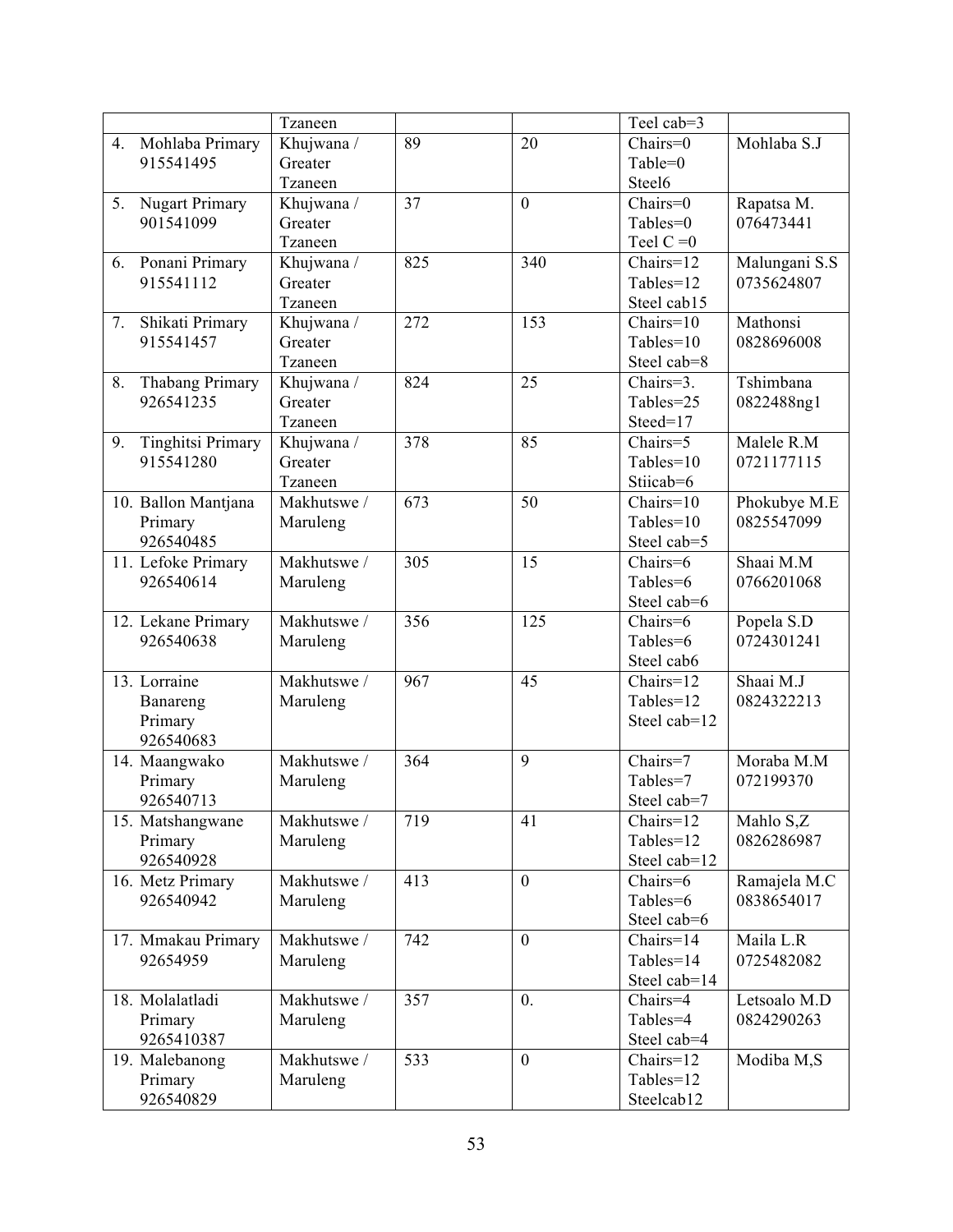|                                | Tzaneen     |     |                  | Teel cab=3    |               |
|--------------------------------|-------------|-----|------------------|---------------|---------------|
| 4. Mohlaba Primary             | Khujwana /  | 89  | 20               | Chairs=0      | Mohlaba S.J   |
| 915541495                      | Greater     |     |                  | Table=0       |               |
|                                | Tzaneen     |     |                  | Steel6        |               |
| Nugart Primary<br>5.           | Khujwana /  | 37  | $\overline{0}$   | Chairs=0      | Rapatsa M.    |
| 901541099                      | Greater     |     |                  | Tables=0      | 076473441     |
|                                | Tzaneen     |     |                  | Teel $C = 0$  |               |
| Ponani Primary<br>6.           | Khujwana /  | 825 | 340              | Chairs=12     | Malungani S.S |
| 915541112                      | Greater     |     |                  | Tables=12     | 0735624807    |
|                                | Tzaneen     |     |                  | Steel cab15   |               |
| Shikati Primary<br>7.          | Khujwana /  | 272 | 153              | $Chairs=10$   | Mathonsi      |
| 915541457                      | Greater     |     |                  | $Tables = 10$ | 0828696008    |
|                                | Tzaneen     |     |                  | Steel cab=8   |               |
| Thabang Primary<br>8.          | Khujwana /  | 824 | 25               | Chairs=3.     | Tshimbana     |
| 926541235                      | Greater     |     |                  | Tables=25     | 0822488ng1    |
|                                | Tzaneen     |     |                  | Steed=17      |               |
| <b>Tinghitsi Primary</b><br>9. | Khujwana /  | 378 | 85               | Chairs=5      | Malele R.M    |
| 915541280                      | Greater     |     |                  | Tables=10     | 0721177115    |
|                                | Tzaneen     |     |                  | Stiicab=6     |               |
| 10. Ballon Mantjana            | Makhutswe / | 673 | 50               | $Chairs=10$   | Phokubye M.E  |
| Primary                        | Maruleng    |     |                  | Tables=10     | 0825547099    |
| 926540485                      |             |     |                  | Steel cab=5   |               |
| 11. Lefoke Primary             | Makhutswe / | 305 | 15               | Chairs=6      | Shaai M.M     |
| 926540614                      | Maruleng    |     |                  | Tables=6      | 0766201068    |
|                                |             |     |                  | Steel cab=6   |               |
| 12. Lekane Primary             | Makhutswe / | 356 | 125              | Chairs=6      | Popela S.D    |
| 926540638                      | Maruleng    |     |                  | Tables=6      | 0724301241    |
|                                |             |     |                  | Steel cab6    |               |
| 13. Lorraine                   | Makhutswe / | 967 | 45               | Chairs=12     | Shaai M.J     |
| Banareng                       | Maruleng    |     |                  | Tables=12     | 0824322213    |
| Primary                        |             |     |                  | Steel cab=12  |               |
| 926540683                      |             |     |                  |               |               |
| 14. Maangwako                  | Makhutswe / | 364 | 9                | Chairs=7      | Moraba M.M    |
| Primary                        | Maruleng    |     |                  | Tables=7      | 072199370     |
| 926540713                      |             |     |                  | Steel cab=7   |               |
| 15. Matshangwane               | Makhutswe / | 719 | 41               | Chairs=12     | Mahlo S,Z     |
| Primary                        | Maruleng    |     |                  | Tables=12     | 0826286987    |
| 926540928                      |             |     |                  | Steel cab=12  |               |
| 16. Metz Primary               | Makhutswe / | 413 | $\boldsymbol{0}$ | Chairs=6      | Ramajela M.C  |
| 926540942                      | Maruleng    |     |                  | Tables=6      | 0838654017    |
|                                |             |     |                  | Steel cab=6   |               |
| 17. Mmakau Primary             | Makhutswe / | 742 | $\overline{0}$   | $Chairs=14$   | Maila L.R     |
| 92654959                       | Maruleng    |     |                  | Tables=14     | 0725482082    |
|                                |             |     |                  | Steel cab=14  |               |
| 18. Molalatladi                | Makhutswe / | 357 | $\mathbf{0}$ .   | Chairs=4      | Letsoalo M.D  |
| Primary                        | Maruleng    |     |                  | Tables=4      | 0824290263    |
| 9265410387                     |             |     |                  | Steel cab=4   |               |
| 19. Malebanong                 | Makhutswe / | 533 | $\boldsymbol{0}$ | Chairs=12     | Modiba M,S    |
| Primary                        | Maruleng    |     |                  | Tables=12     |               |
| 926540829                      |             |     |                  | Steelcab12    |               |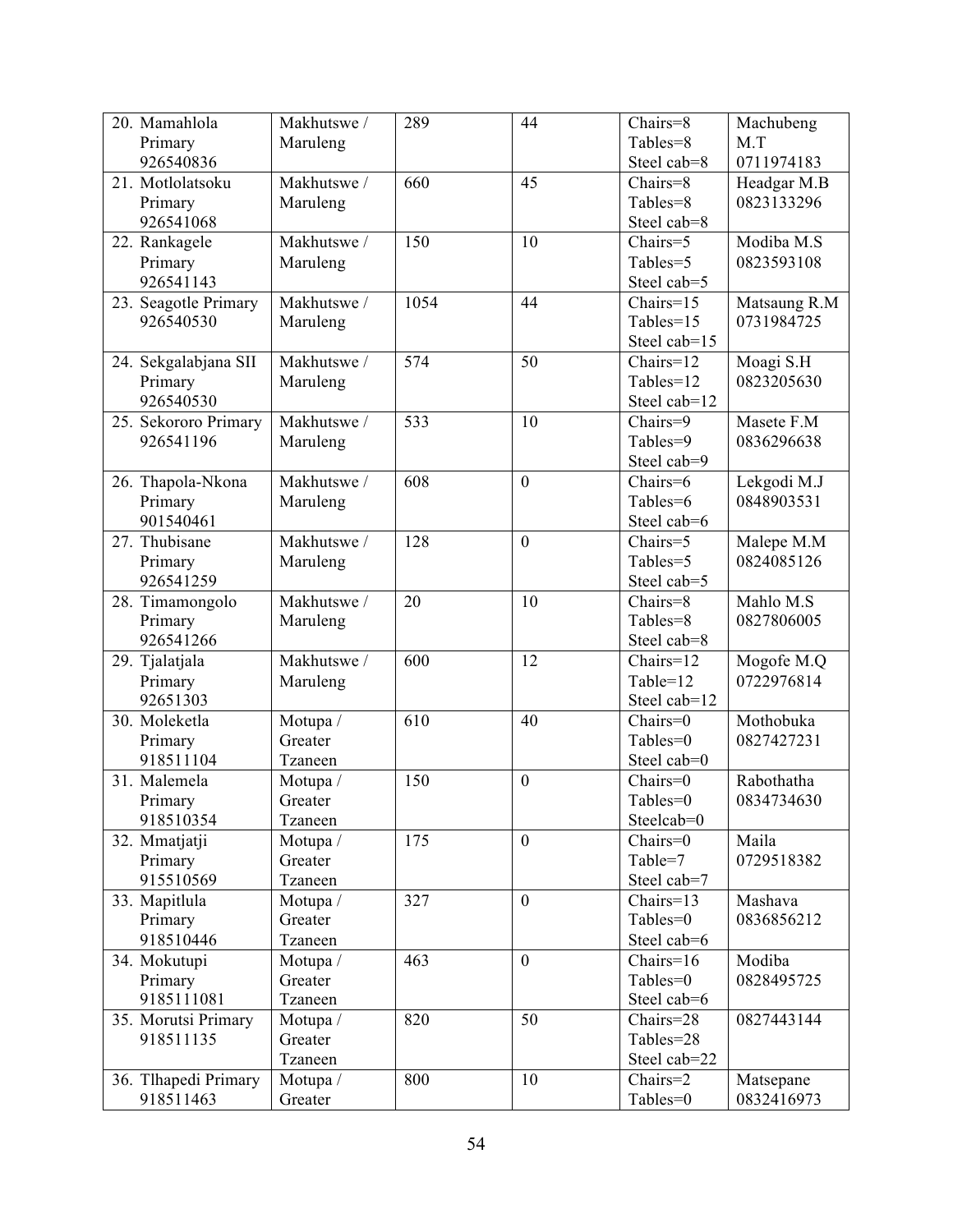| 20. Mamahlola        | Makhutswe / | 289  | 44               | Chairs=8     | Machubeng    |
|----------------------|-------------|------|------------------|--------------|--------------|
| Primary              | Maruleng    |      |                  | Tables=8     | M.T          |
| 926540836            |             |      |                  | Steel cab=8  | 0711974183   |
| 21. Motlolatsoku     | Makhutswe / | 660  | 45               | Chairs=8     | Headgar M.B  |
| Primary              | Maruleng    |      |                  | Tables=8     | 0823133296   |
| 926541068            |             |      |                  | Steel cab=8  |              |
| 22. Rankagele        | Makhutswe / | 150  | 10               | Chairs=5     | Modiba M.S   |
| Primary              | Maruleng    |      |                  | Tables=5     | 0823593108   |
| 926541143            |             |      |                  | Steel cab=5  |              |
| 23. Seagotle Primary | Makhutswe / | 1054 | 44               | $Chairs=15$  | Matsaung R.M |
| 926540530            | Maruleng    |      |                  | Tables=15    | 0731984725   |
|                      |             |      |                  | Steel cab=15 |              |
| 24. Sekgalabjana SII | Makhutswe / | 574  | 50               | Chairs=12    | Moagi S.H    |
| Primary              | Maruleng    |      |                  | Tables=12    | 0823205630   |
| 926540530            |             |      |                  | Steel cab=12 |              |
| 25. Sekororo Primary | Makhutswe / | 533  | 10               | Chairs=9     | Masete F.M   |
| 926541196            | Maruleng    |      |                  | Tables=9     | 0836296638   |
|                      |             |      |                  | Steel cab=9  |              |
| 26. Thapola-Nkona    | Makhutswe / | 608  | $\boldsymbol{0}$ | Chairs=6     | Lekgodi M.J  |
| Primary              | Maruleng    |      |                  | Tables=6     | 0848903531   |
| 901540461            |             |      |                  | Steel cab=6  |              |
| 27. Thubisane        | Makhutswe / | 128  | $\overline{0}$   | Chairs=5     | Malepe M.M   |
| Primary              | Maruleng    |      |                  | Tables=5     | 0824085126   |
| 926541259            |             |      |                  | Steel cab=5  |              |
| 28. Timamongolo      | Makhutswe / | 20   | 10               | Chairs=8     | Mahlo M.S    |
| Primary              | Maruleng    |      |                  | Tables=8     | 0827806005   |
| 926541266            |             |      |                  | Steel cab=8  |              |
| 29. Tjalatjala       | Makhutswe / | 600  | 12               | Chairs=12    | Mogofe M.Q   |
| Primary              | Maruleng    |      |                  | Table=12     | 0722976814   |
| 92651303             |             |      |                  | Steel cab=12 |              |
| 30. Moleketla        | Motupa /    | 610  | 40               | Chairs=0     | Mothobuka    |
| Primary              | Greater     |      |                  | Tables=0     | 0827427231   |
| 918511104            | Tzaneen     |      |                  | Steel cab=0  |              |
| 31. Malemela         | Motupa /    | 150  | $\boldsymbol{0}$ | Chairs=0     | Rabothatha   |
| Primary              | Greater     |      |                  | Tables=0     | 0834734630   |
| 918510354            | Tzaneen     |      |                  | Steelcab=0   |              |
| 32. Mmatjatji        | Motupa /    | 175  | $\mathbf{0}$     | $Chairs=0$   | Maila        |
| Primary              | Greater     |      |                  | Table=7      | 0729518382   |
| 915510569            | Tzaneen     |      |                  | Steel cab=7  |              |
| 33. Mapitlula        | Motupa /    | 327  | $\overline{0}$   | Chairs=13    | Mashava      |
| Primary              | Greater     |      |                  | Tables=0     | 0836856212   |
| 918510446            | Tzaneen     |      |                  | Steel cab=6  |              |
| 34. Mokutupi         | Motupa /    | 463  | $\boldsymbol{0}$ | Chairs= $16$ | Modiba       |
| Primary              | Greater     |      |                  | Tables=0     | 0828495725   |
| 9185111081           | Tzaneen     |      |                  | Steel cab=6  |              |
| 35. Morutsi Primary  | Motupa /    | 820  | 50               | Chairs=28    | 0827443144   |
| 918511135            | Greater     |      |                  | Tables=28    |              |
|                      | Tzaneen     |      |                  | Steel cab=22 |              |
| 36. Tlhapedi Primary | Motupa /    | 800  | 10               | $Chairs=2$   | Matsepane    |
| 918511463            | Greater     |      |                  | Tables=0     | 0832416973   |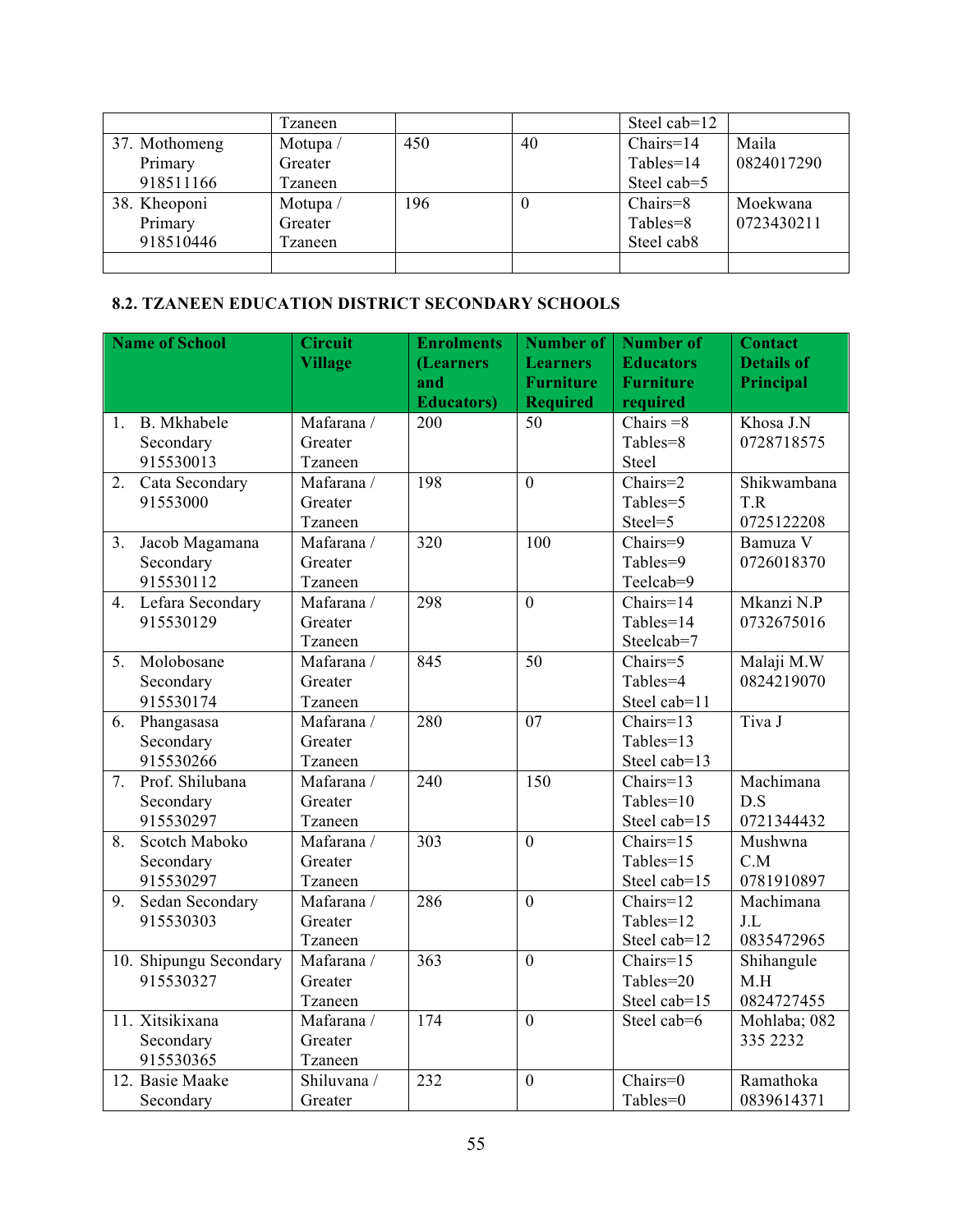|               | Tzaneen |     |    | Steel cab=12           |            |
|---------------|---------|-----|----|------------------------|------------|
| 37. Mothomeng | Motupa/ | 450 | 40 | $Chairs=14$            | Maila      |
| Primary       | Greater |     |    | $Tables = 14$          | 0824017290 |
| 918511166     | Tzaneen |     |    | Steel cab=5            |            |
| 38. Kheoponi  | Motupa/ | 196 | 0  | $Chairs = 8$           | Moekwana   |
| Primary       | Greater |     |    | Tables=8               | 0723430211 |
| 918510446     | Tzaneen |     |    | Steel cab <sub>8</sub> |            |
|               |         |     |    |                        |            |

## **8.2. TZANEEN EDUCATION DISTRICT SECONDARY SCHOOLS**

|                | <b>Name of School</b>  | <b>Circuit</b> | <b>Enrolments</b>  | <b>Number of</b> | <b>Number of</b>               | <b>Contact</b>    |
|----------------|------------------------|----------------|--------------------|------------------|--------------------------------|-------------------|
|                |                        | <b>Village</b> | (Learners          | <b>Learners</b>  | <b>Educators</b>               | <b>Details of</b> |
|                |                        |                | and                | <b>Furniture</b> | <b>Furniture</b>               | Principal         |
|                |                        |                | <b>Educators</b> ) | <b>Required</b>  | required                       |                   |
| 1.             | B. Mkhabele            | Mafarana /     | 200                | 50               | Chairs $=8$                    | Khosa J.N         |
|                | Secondary              | Greater        |                    |                  | Tables=8                       | 0728718575        |
|                | 915530013              | Tzaneen        |                    |                  | Steel                          |                   |
| 2.             | Cata Secondary         | Mafarana /     | 198                | $\overline{0}$   | $Chairs=2$                     | Shikwambana       |
|                | 91553000               | Greater        |                    |                  | Tables=5                       | T.R               |
|                |                        | Tzaneen        |                    |                  | Steel=5                        | 0725122208        |
| 3.             | Jacob Magamana         | Mafarana /     | 320                | 100              | Chairs=9                       | Bamuza V          |
|                | Secondary              | Greater        |                    |                  | Tables=9                       | 0726018370        |
|                | 915530112              | Tzaneen        |                    |                  | Teelcab=9                      |                   |
| 4.             | Lefara Secondary       | Mafarana /     | 298                | $\mathbf{0}$     | $\overline{\text{Chairs}}$ =14 | Mkanzi N.P        |
|                | 915530129              | Greater        |                    |                  | Tables=14                      | 0732675016        |
|                |                        | Tzaneen        |                    |                  | Steelcab=7                     |                   |
| 5 <sub>1</sub> | Molobosane             | Mafarana /     | 845                | 50               | Chairs=5                       | Malaji M.W        |
|                | Secondary              | Greater        |                    |                  | Tables=4                       | 0824219070        |
|                | 915530174              | Tzaneen        |                    |                  | Steel cab=11                   |                   |
| 6.             | Phangasasa             | Mafarana /     | 280                | 07               | $Chairs=13$                    | Tiva J            |
|                | Secondary              | Greater        |                    |                  | Tables=13                      |                   |
|                | 915530266              | Tzaneen        |                    |                  | Steel cab=13                   |                   |
| 7.             | Prof. Shilubana        | Mafarana /     | 240                | 150              | $Chairs=13$                    | Machimana         |
|                | Secondary              | Greater        |                    |                  | Tables=10                      | D.S               |
|                | 915530297              | Tzaneen        |                    |                  | Steel cab=15                   | 0721344432        |
| 8.             | Scotch Maboko          | Mafarana /     | 303                | $\overline{0}$   | $Chairs=15$                    | Mushwna           |
|                | Secondary              | Greater        |                    |                  | Tables=15                      | C.M               |
|                | 915530297              | Tzaneen        |                    |                  | Steel cab=15                   | 0781910897        |
| 9.             | Sedan Secondary        | Mafarana /     | 286                | $\overline{0}$   | Chairs=12                      | Machimana         |
|                | 915530303              | Greater        |                    |                  | Tables=12                      | J.L               |
|                |                        | Tzaneen        |                    |                  | Steel cab=12                   | 0835472965        |
|                | 10. Shipungu Secondary | Mafarana /     | $\overline{363}$   | $\overline{0}$   | Chairs= $15$                   | Shihangule        |
|                | 915530327              | Greater        |                    |                  | Tables=20                      | M.H               |
|                |                        | Tzaneen        |                    |                  | Steel cab=15                   | 0824727455        |
|                | 11. Xitsikixana        | Mafarana /     | 174                | $\overline{0}$   | Steel cab=6                    | Mohlaba; 082      |
|                | Secondary              | Greater        |                    |                  |                                | 335 2232          |
|                | 915530365              | Tzaneen        |                    |                  |                                |                   |
|                | 12. Basie Maake        | Shiluvana /    | 232                | $\mathbf{0}$     | Chairs= $0$                    | Ramathoka         |
|                | Secondary              | Greater        |                    |                  | Tables=0                       | 0839614371        |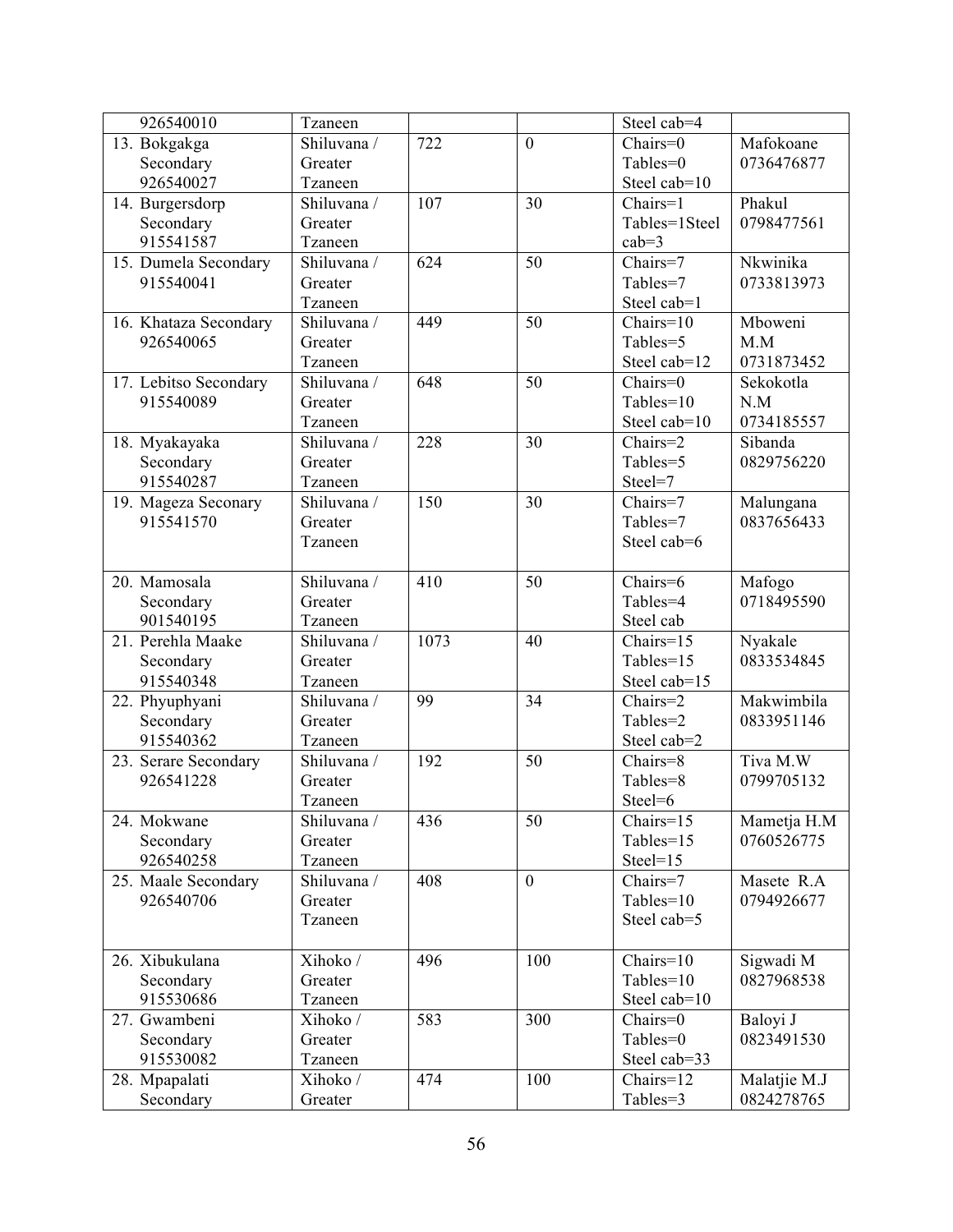| 926540010             | Tzaneen     |      |                | Steel cab=4   |              |
|-----------------------|-------------|------|----------------|---------------|--------------|
| 13. Bokgakga          | Shiluvana / | 722  | $\overline{0}$ | Chairs=0      | Mafokoane    |
| Secondary             | Greater     |      |                | Tables=0      | 0736476877   |
| 926540027             | Tzaneen     |      |                | Steel cab=10  |              |
| 14. Burgersdorp       | Shiluvana / | 107  | 30             | Chairs=1      | Phakul       |
| Secondary             | Greater     |      |                | Tables=1Steel | 0798477561   |
| 915541587             | Tzaneen     |      |                | $cab=3$       |              |
| 15. Dumela Secondary  | Shiluvana / | 624  | 50             | Chairs=7      | Nkwinika     |
| 915540041             | Greater     |      |                | Tables=7      | 0733813973   |
|                       | Tzaneen     |      |                | Steel cab=1   |              |
| 16. Khataza Secondary | Shiluvana / | 449  | 50             | $Chairs=10$   | Mboweni      |
| 926540065             | Greater     |      |                | Tables=5      | M.M          |
|                       | Tzaneen     |      |                | Steel cab=12  | 0731873452   |
| 17. Lebitso Secondary | Shiluvana / | 648  | 50             | Chairs=0      | Sekokotla    |
| 915540089             | Greater     |      |                | Tables=10     | N.M          |
|                       | Tzaneen     |      |                | Steel cab=10  | 0734185557   |
| 18. Myakayaka         | Shiluvana / | 228  | 30             | Chairs=2      | Sibanda      |
| Secondary             | Greater     |      |                | Tables=5      | 0829756220   |
| 915540287             | Tzaneen     |      |                | Steel=7       |              |
| 19. Mageza Seconary   | Shiluvana / | 150  | 30             | Chairs=7      | Malungana    |
| 915541570             | Greater     |      |                | Tables=7      | 0837656433   |
|                       | Tzaneen     |      |                | Steel cab=6   |              |
|                       |             |      |                |               |              |
| 20. Mamosala          | Shiluvana / | 410  | 50             | Chairs=6      | Mafogo       |
| Secondary             | Greater     |      |                | Tables=4      | 0718495590   |
| 901540195             | Tzaneen     |      |                | Steel cab     |              |
| 21. Perehla Maake     | Shiluvana / | 1073 | 40             | Chairs=15     | Nyakale      |
| Secondary             | Greater     |      |                | Tables=15     | 0833534845   |
| 915540348             | Tzaneen     |      |                | Steel cab=15  |              |
| 22. Phyuphyani        | Shiluvana / | 99   | 34             | Chairs=2      | Makwimbila   |
| Secondary             | Greater     |      |                | Tables=2      | 0833951146   |
| 915540362             | Tzaneen     |      |                | Steel cab=2   |              |
| 23. Serare Secondary  | Shiluvana / | 192  | 50             | Chairs=8      | Tiva M.W     |
| 926541228             | Greater     |      |                | Tables=8      | 0799705132   |
|                       | Tzaneen     |      |                | Steel=6       |              |
| 24. Mokwane           | Shiluvana / | 436  | 50             | Chairs=15     | Mametja H.M  |
| Secondary             | Greater     |      |                | Tables=15     | 0760526775   |
| 926540258             | Tzaneen     |      |                | $Steel=15$    |              |
| 25. Maale Secondary   | Shiluvana / | 408  | $\mathbf{0}$   | Chairs=7      | Masete R.A   |
| 926540706             | Greater     |      |                | Tables=10     | 0794926677   |
|                       | Tzaneen     |      |                | Steel cab=5   |              |
|                       |             |      |                |               |              |
| 26. Xibukulana        | Xihoko /    | 496  | 100            | $Chairs=10$   | Sigwadi M    |
| Secondary             | Greater     |      |                | Tables=10     | 0827968538   |
| 915530686             | Tzaneen     |      |                | Steel cab=10  |              |
| 27. Gwambeni          | Xihoko /    | 583  | 300            | Chairs=0      | Baloyi J     |
| Secondary             | Greater     |      |                | Tables=0      | 0823491530   |
| 915530082             | Tzaneen     |      |                | Steel cab=33  |              |
| 28. Mpapalati         | Xihoko /    | 474  | 100            | Chairs=12     | Malatjie M.J |
| Secondary             | Greater     |      |                | Tables=3      | 0824278765   |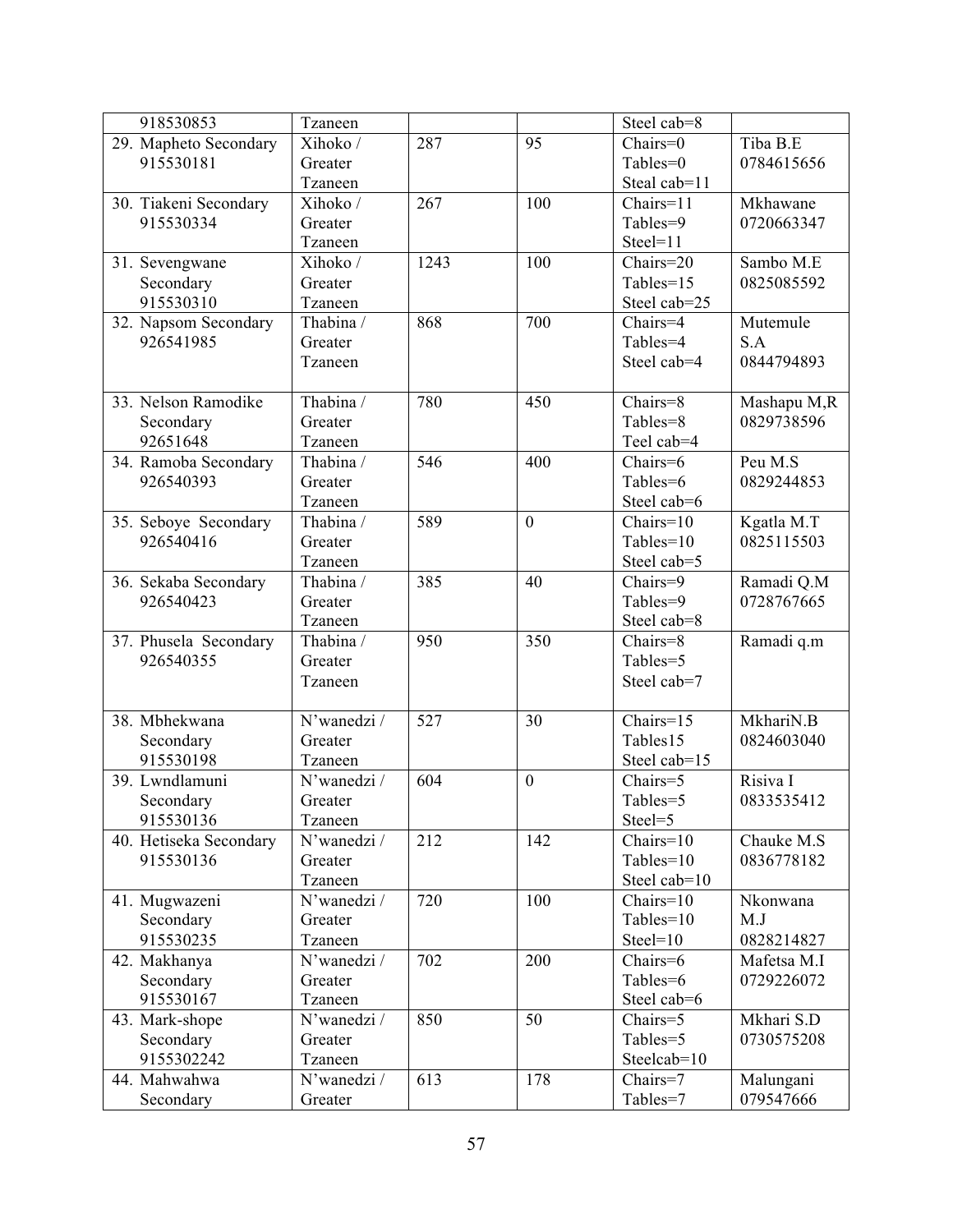| 918530853              | Tzaneen     |      |                | Steel cab=8                   |             |
|------------------------|-------------|------|----------------|-------------------------------|-------------|
| 29. Mapheto Secondary  | Xihoko /    | 287  | 95             | Chairs=0                      | Tiba B.E    |
| 915530181              | Greater     |      |                | Tables=0                      | 0784615656  |
|                        | Tzaneen     |      |                | Steal cab=11                  |             |
| 30. Tiakeni Secondary  | Xihoko /    | 267  | 100            | Chairs=11                     | Mkhawane    |
| 915530334              | Greater     |      |                | Tables=9                      | 0720663347  |
|                        | Tzaneen     |      |                | Steel=11                      |             |
| 31. Sevengwane         | Xihoko /    | 1243 | 100            | Chairs=20                     | Sambo M.E   |
| Secondary              | Greater     |      |                | Tables=15                     | 0825085592  |
| 915530310              | Tzaneen     |      |                | Steel cab=25                  |             |
| 32. Napsom Secondary   | Thabina /   | 868  | 700            | Chairs=4                      | Mutemule    |
| 926541985              | Greater     |      |                | Tables=4                      | S.A         |
|                        | Tzaneen     |      |                | Steel cab=4                   | 0844794893  |
|                        |             |      |                |                               |             |
| 33. Nelson Ramodike    | Thabina /   | 780  | 450            | Chairs=8                      | Mashapu M,R |
| Secondary              | Greater     |      |                | Tables=8                      | 0829738596  |
| 92651648               | Tzaneen     |      |                | Teel cab=4                    |             |
| 34. Ramoba Secondary   | Thabina /   | 546  | 400            | Chairs=6                      | Peu M.S     |
| 926540393              | Greater     |      |                | Tables=6                      | 0829244853  |
|                        | Tzaneen     |      |                | Steel cab=6                   |             |
| 35. Seboye Secondary   | Thabina /   | 589  | $\overline{0}$ | $Chairs=10$                   | Kgatla M.T  |
| 926540416              | Greater     |      |                | Tables=10                     | 0825115503  |
|                        | Tzaneen     |      |                | Steel cab=5                   |             |
| 36. Sekaba Secondary   | Thabina /   | 385  | 40             | Chairs=9                      | Ramadi Q.M  |
| 926540423              | Greater     |      |                | Tables=9                      | 0728767665  |
|                        | Tzaneen     |      |                | Steel cab=8                   |             |
| 37. Phusela Secondary  | Thabina /   | 950  | 350            | Chairs=8                      | Ramadi q.m  |
| 926540355              | Greater     |      |                | Tables=5                      |             |
|                        | Tzaneen     |      |                | Steel cab=7                   |             |
|                        |             |      |                |                               |             |
| 38. Mbhekwana          | N'wanedzi / | 527  | 30             | Chairs= $15$                  | MkhariN.B   |
| Secondary              | Greater     |      |                | Tables15                      | 0824603040  |
| 915530198              | Tzaneen     |      |                | Steel cab=15                  |             |
| 39. Lwndlamuni         | N'wanedzi / | 604  | $\overline{0}$ | Chairs=5                      | Risiva I    |
| Secondary              | Greater     |      |                | Tables=5                      | 0833535412  |
| 915530136              | Tzaneen     |      |                | Steel=5                       |             |
| 40. Hetiseka Secondary | N'wanedzi / | 212  | 142            | Chairs=10                     | Chauke M.S  |
| 915530136              | Greater     |      |                | Tables=10                     | 0836778182  |
|                        | Tzaneen     |      |                | Steel cab=10                  |             |
| 41. Mugwazeni          | N'wanedzi / | 720  | 100            | $Chairs=10$                   | Nkonwana    |
| Secondary              | Greater     |      |                | Tables=10                     | M.J         |
| 915530235              | Tzaneen     |      |                | $Steel=10$                    | 0828214827  |
| 42. Makhanya           | N'wanedzi / | 702  | 200            | Chairs=6                      | Mafetsa M.I |
| Secondary              | Greater     |      |                | Tables=6                      | 0729226072  |
| 915530167              | Tzaneen     |      |                | Steel cab=6                   |             |
| 43. Mark-shope         | N'wanedzi / | 850  | 50             | $\overline{\text{Chairs}}$ =5 | Mkhari S.D  |
| Secondary              | Greater     |      |                | Tables=5                      | 0730575208  |
| 9155302242             | Tzaneen     |      |                | Steelcab=10                   |             |
| 44. Mahwahwa           | N'wanedzi / | 613  | 178            | Chairs=7                      | Malungani   |
| Secondary              | Greater     |      |                | Tables=7                      | 079547666   |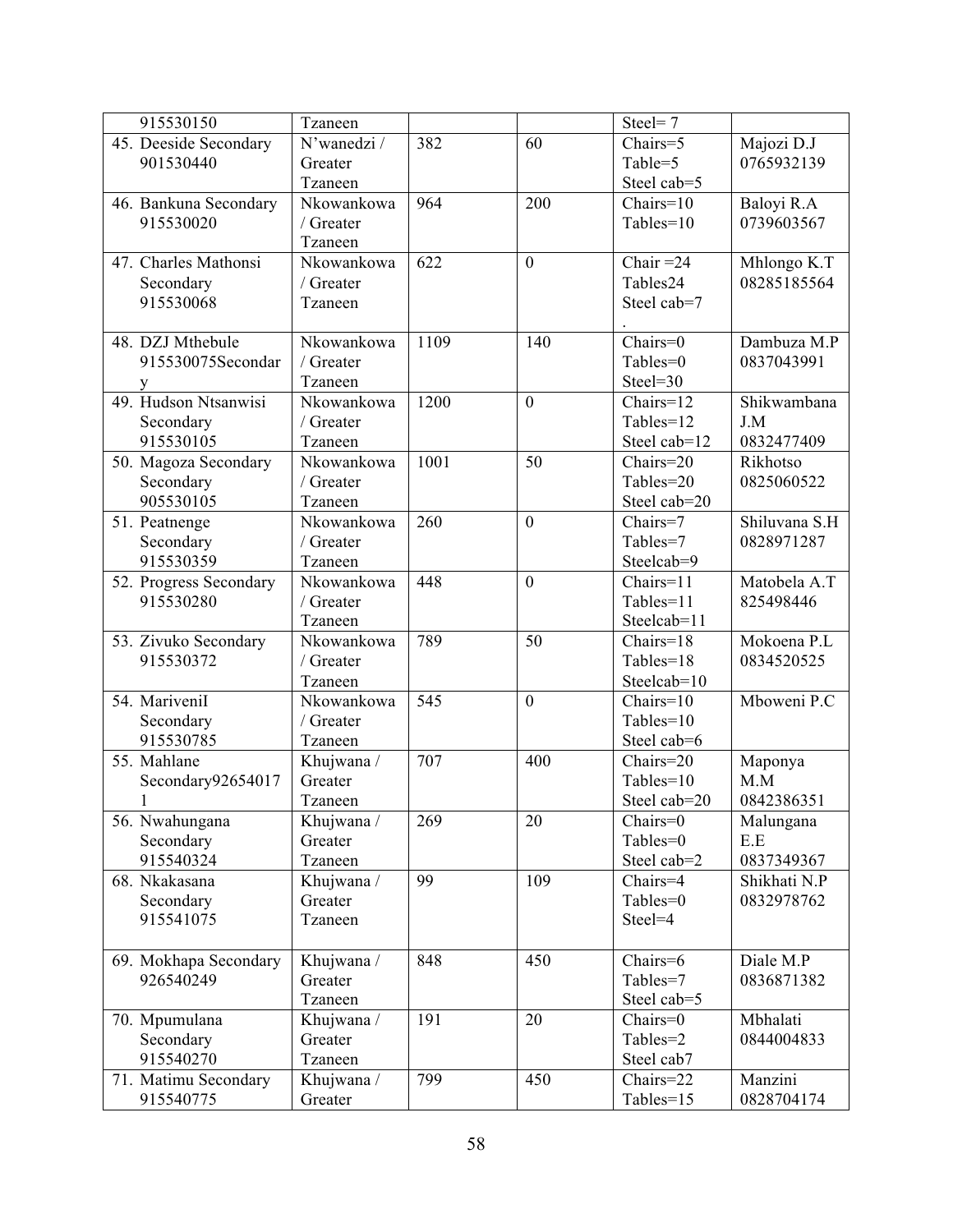| 915530150              | Tzaneen     |      |                | Steel=7      |               |
|------------------------|-------------|------|----------------|--------------|---------------|
| 45. Deeside Secondary  | N'wanedzi / | 382  | 60             | Chairs=5     | Majozi D.J    |
| 901530440              | Greater     |      |                | Table=5      | 0765932139    |
|                        | Tzaneen     |      |                | Steel cab=5  |               |
| 46. Bankuna Secondary  | Nkowankowa  | 964  | 200            | $Chairs=10$  | Baloyi R.A    |
| 915530020              | / Greater   |      |                | Tables=10    | 0739603567    |
|                        | Tzaneen     |      |                |              |               |
| 47. Charles Mathonsi   | Nkowankowa  | 622  | $\overline{0}$ | Chair $=24$  | Mhlongo K.T   |
| Secondary              | / Greater   |      |                | Tables24     | 08285185564   |
| 915530068              | Tzaneen     |      |                | Steel cab=7  |               |
|                        |             |      |                |              |               |
| 48. DZJ Mthebule       | Nkowankowa  | 1109 | 140            | Chairs=0     | Dambuza M.P   |
| 915530075Secondar      | / Greater   |      |                | Tables=0     | 0837043991    |
|                        | Tzaneen     |      |                | Steel=30     |               |
| 49. Hudson Ntsanwisi   | Nkowankowa  | 1200 | $\overline{0}$ | Chairs=12    | Shikwambana   |
| Secondary              | / Greater   |      |                | Tables=12    | J.M           |
| 915530105              | Tzaneen     |      |                | Steel cab=12 | 0832477409    |
| 50. Magoza Secondary   | Nkowankowa  | 1001 | 50             | Chairs=20    | Rikhotso      |
| Secondary              | / Greater   |      |                | Tables=20    | 0825060522    |
| 905530105              | Tzaneen     |      |                | Steel cab=20 |               |
| 51. Peatnenge          | Nkowankowa  | 260  | $\overline{0}$ | Chairs=7     | Shiluvana S.H |
| Secondary              | / Greater   |      |                | Tables=7     | 0828971287    |
| 915530359              | Tzaneen     |      |                | Steelcab=9   |               |
| 52. Progress Secondary | Nkowankowa  | 448  | $\overline{0}$ | Chairs=11    | Matobela A.T  |
| 915530280              | / Greater   |      |                | Tables=11    | 825498446     |
|                        | Tzaneen     |      |                | Steelcab=11  |               |
| 53. Zivuko Secondary   | Nkowankowa  | 789  | 50             | Chairs=18    | Mokoena P.L   |
| 915530372              | / Greater   |      |                | Tables=18    | 0834520525    |
|                        | Tzaneen     |      |                | Steelcab=10  |               |
| 54. MariveniI          | Nkowankowa  | 545  | $\overline{0}$ | $Chairs=10$  | Mboweni P.C   |
| Secondary              | / Greater   |      |                | Tables=10    |               |
| 915530785              | Tzaneen     |      |                | Steel cab=6  |               |
| 55. Mahlane            | Khujwana /  | 707  | 400            | Chairs=20    | Maponya       |
| Secondary92654017      | Greater     |      |                | Tables=10    | M.M           |
| $\mathbf{1}$           | Tzaneen     |      |                | Steel cab=20 | 0842386351    |
| 56. Nwahungana         | Khujwana /  | 269  | 20             | Chairs=0     | Malungana     |
| Secondary              | Greater     |      |                | Tables=0     | E.E           |
| 915540324              | Tzaneen     |      |                | Steel cab=2  | 0837349367    |
| 68. Nkakasana          | Khujwana /  | 99   | 109            | Chairs=4     | Shikhati N.P  |
| Secondary              | Greater     |      |                | Tables=0     | 0832978762    |
| 915541075              | Tzaneen     |      |                | Steel=4      |               |
|                        |             |      |                |              |               |
| 69. Mokhapa Secondary  | Khujwana /  | 848  | 450            | Chairs=6     | Diale M.P     |
| 926540249              | Greater     |      |                | Tables=7     | 0836871382    |
|                        | Tzaneen     |      |                | Steel cab=5  |               |
| 70. Mpumulana          | Khujwana /  | 191  | 20             | Chairs=0     | Mbhalati      |
| Secondary              | Greater     |      |                | Tables=2     | 0844004833    |
| 915540270              | Tzaneen     |      |                | Steel cab7   |               |
| 71. Matimu Secondary   | Khujwana /  | 799  | 450            | Chairs=22    | Manzini       |
| 915540775              | Greater     |      |                | Tables=15    | 0828704174    |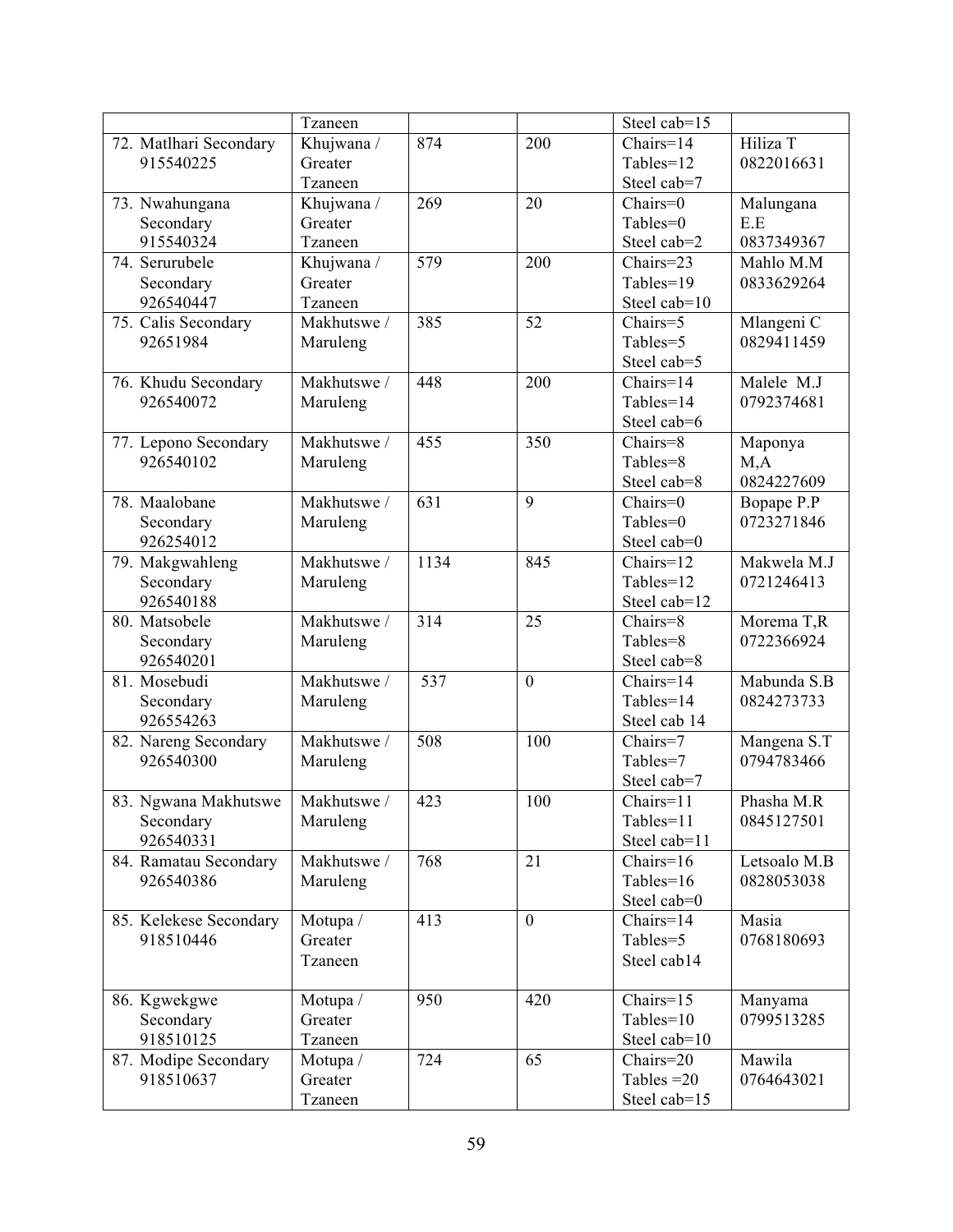|                        | Tzaneen     |      |                | Steel cab=15 |              |
|------------------------|-------------|------|----------------|--------------|--------------|
| 72. Matlhari Secondary | Khujwana /  | 874  | 200            | $Chairs=14$  | Hiliza T     |
| 915540225              | Greater     |      |                | Tables=12    | 0822016631   |
|                        | Tzaneen     |      |                | Steel cab=7  |              |
| 73. Nwahungana         | Khujwana /  | 269  | 20             | Chairs=0     | Malungana    |
| Secondary              | Greater     |      |                | Tables=0     | E.E          |
| 915540324              | Tzaneen     |      |                | Steel cab=2  | 0837349367   |
| 74. Serurubele         | Khujwana /  | 579  | 200            | Chairs=23    | Mahlo M.M    |
| Secondary              | Greater     |      |                | Tables=19    | 0833629264   |
| 926540447              | Tzaneen     |      |                | Steel cab=10 |              |
| 75. Calis Secondary    | Makhutswe / | 385  | 52             | Chairs=5     | Mlangeni C   |
| 92651984               | Maruleng    |      |                | Tables=5     | 0829411459   |
|                        |             |      |                | Steel cab=5  |              |
| 76. Khudu Secondary    | Makhutswe / | 448  | 200            | Chairs=14    | Malele M.J   |
| 926540072              | Maruleng    |      |                | Tables=14    | 0792374681   |
|                        |             |      |                | Steel cab=6  |              |
| 77. Lepono Secondary   | Makhutswe / | 455  | 350            | Chairs=8     | Maponya      |
| 926540102              | Maruleng    |      |                | Tables=8     | M, A         |
|                        |             |      |                | Steel cab=8  | 0824227609   |
| 78. Maalobane          | Makhutswe / | 631  | 9              | Chairs=0     | Bopape P.P   |
| Secondary              | Maruleng    |      |                | Tables=0     | 0723271846   |
| 926254012              |             |      |                | Steel cab=0  |              |
| 79. Makgwahleng        | Makhutswe / | 1134 | 845            | Chairs=12    | Makwela M.J  |
| Secondary              | Maruleng    |      |                | Tables=12    | 0721246413   |
| 926540188              |             |      |                | Steel cab=12 |              |
| 80. Matsobele          | Makhutswe / | 314  | 25             | Chairs=8     | Morema T,R   |
| Secondary              | Maruleng    |      |                | Tables=8     | 0722366924   |
| 926540201              |             |      |                | Steel cab=8  |              |
| 81. Mosebudi           | Makhutswe / | 537  | $\overline{0}$ | Chairs=14    | Mabunda S.B  |
| Secondary              | Maruleng    |      |                | Tables=14    | 0824273733   |
| 926554263              |             |      |                | Steel cab 14 |              |
| 82. Nareng Secondary   | Makhutswe / | 508  | 100            | Chairs=7     | Mangena S.T  |
| 926540300              | Maruleng    |      |                | Tables=7     | 0794783466   |
|                        |             |      |                | Steel cab=7  |              |
| 83. Ngwana Makhutswe   | Makhutswe / | 423  | 100            | Chairs=11    | Phasha M.R   |
| Secondary              | Maruleng    |      |                | Tables=11    | 0845127501   |
| 926540331              |             |      |                | Steel cab=11 |              |
| 84. Ramatau Secondary  | Makhutswe / | 768  | 21             | Chairs= $16$ | Letsoalo M.B |
| 926540386              | Maruleng    |      |                | Tables=16    | 0828053038   |
|                        |             |      |                | Steel cab=0  |              |
| 85. Kelekese Secondary | Motupa /    | 413  | $\overline{0}$ | Chairs=14    | Masia        |
| 918510446              | Greater     |      |                | Tables=5     | 0768180693   |
|                        | Tzaneen     |      |                | Steel cab14  |              |
| 86. Kgwekgwe           | Motupa /    | 950  | 420            | Chairs=15    | Manyama      |
| Secondary              | Greater     |      |                | Tables=10    | 0799513285   |
| 918510125              | Tzaneen     |      |                | Steel cab=10 |              |
| 87. Modipe Secondary   | Motupa /    | 724  | 65             | Chairs=20    | Mawila       |
| 918510637              | Greater     |      |                | Tables $=20$ | 0764643021   |
|                        | Tzaneen     |      |                | Steel cab=15 |              |
|                        |             |      |                |              |              |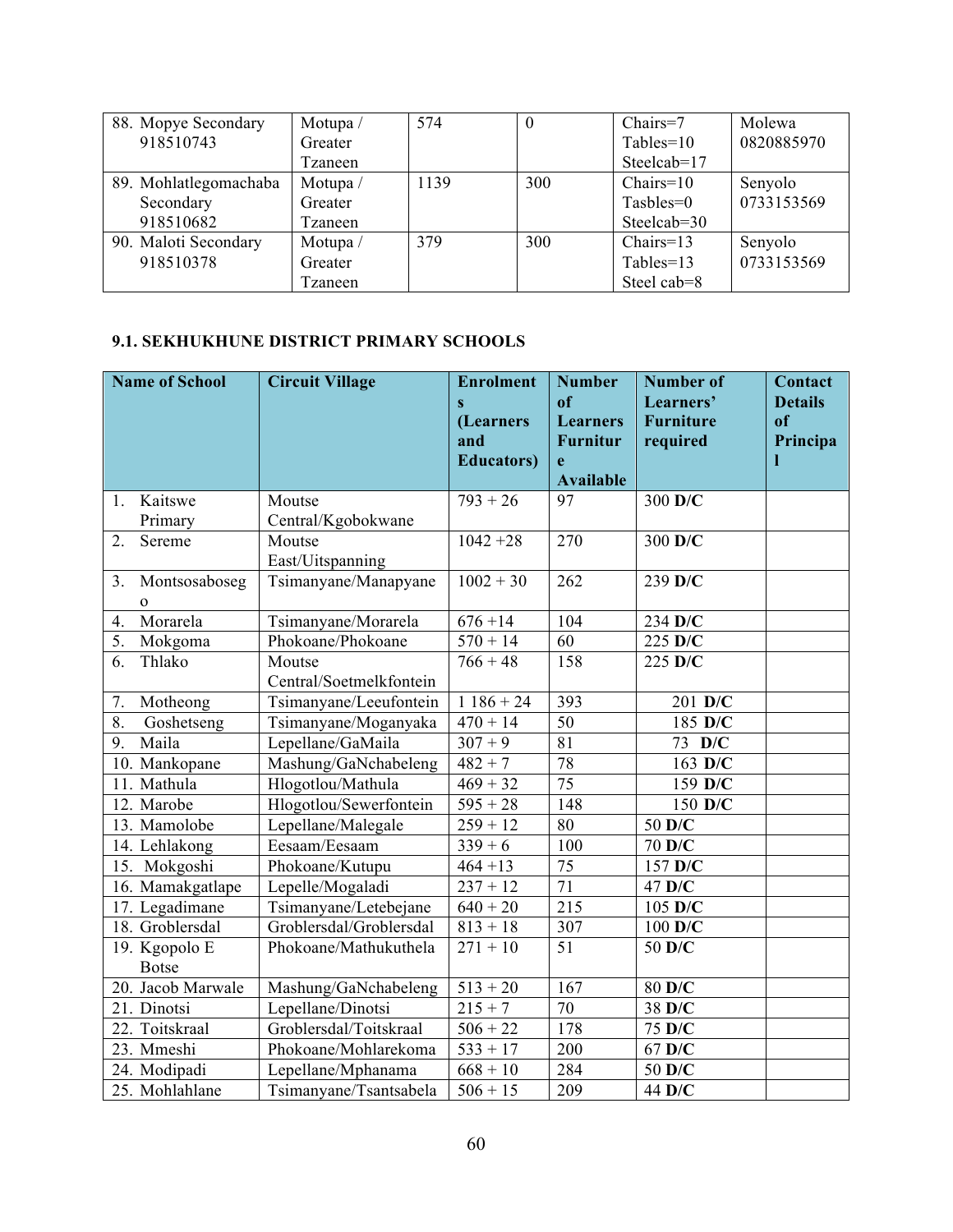| 88. Mopye Secondary   | Motupa/ | 574  |     | $Chairs=7$    | Molewa     |
|-----------------------|---------|------|-----|---------------|------------|
| 918510743             | Greater |      |     | $Tables=10$   | 0820885970 |
|                       | Tzaneen |      |     | Steelcab=17   |            |
| 89. Mohlatlegomachaba | Motupa/ | 1139 | 300 | $Chairs=10$   | Senyolo    |
| Secondary             | Greater |      |     | $T$ asbles=0  | 0733153569 |
| 918510682             | Tzaneen |      |     | Steelcab=30   |            |
| 90. Maloti Secondary  | Motupa/ | 379  | 300 | $Chairs=13$   | Senyolo    |
| 918510378             | Greater |      |     | $Tables = 13$ | 0733153569 |
|                       | Tzaneen |      |     | Steel cab=8   |            |

#### **9.1. SEKHUKHUNE DISTRICT PRIMARY SCHOOLS**

| <b>Name of School</b>               | <b>Circuit Village</b>            | <b>Enrolment</b><br>$\mathbf{s}$<br>(Learners<br>and<br><b>Educators</b> ) | <b>Number</b><br>of<br><b>Learners</b><br><b>Furnitur</b><br>e<br><b>Available</b> | <b>Number of</b><br>Learners'<br><b>Furniture</b><br>required | Contact<br><b>Details</b><br>of<br>Principa |
|-------------------------------------|-----------------------------------|----------------------------------------------------------------------------|------------------------------------------------------------------------------------|---------------------------------------------------------------|---------------------------------------------|
| Kaitswe<br>1.                       | Moutse                            | $793 + 26$                                                                 | 97                                                                                 | 300 D/C                                                       |                                             |
| Primary                             | Central/Kgobokwane                |                                                                            |                                                                                    |                                                               |                                             |
| 2.<br>Sereme                        | Moutse<br>East/Uitspanning        | $1042 + 28$                                                                | 270                                                                                | 300 D/C                                                       |                                             |
| 3.<br>Montsosaboseg<br>$\mathbf{O}$ | Tsimanyane/Manapyane              | $1002 + 30$                                                                | 262                                                                                | 239 D/C                                                       |                                             |
| Morarela<br>4.                      | Tsimanyane/Morarela               | $676 + 14$                                                                 | 104                                                                                | 234 D/C                                                       |                                             |
| 5.<br>Mokgoma                       | Phokoane/Phokoane                 | $570 + 14$                                                                 | 60                                                                                 | 225 D/C                                                       |                                             |
| Thlako<br>6.                        | Moutse<br>Central/Soetmelkfontein | $766 + 48$                                                                 | 158                                                                                | 225 D/C                                                       |                                             |
| 7.<br>Motheong                      | Tsimanyane/Leeufontein            | $1186 + 24$                                                                | 393                                                                                | 201 D/C                                                       |                                             |
| 8.<br>Goshetseng                    | Tsimanyane/Moganyaka              | $470 + 14$                                                                 | 50                                                                                 | 185 D/C                                                       |                                             |
| Maila<br>9.                         | Lepellane/GaMaila                 | $307 + 9$                                                                  | 81                                                                                 | 73 D/C                                                        |                                             |
| 10. Mankopane                       | Mashung/GaNchabeleng              | $482 + 7$                                                                  | 78                                                                                 | 163 D/C                                                       |                                             |
| 11. Mathula                         | Hlogotlou/Mathula                 | $469 + 32$                                                                 | 75                                                                                 | 159 D/C                                                       |                                             |
| 12. Marobe                          | Hlogotlou/Sewerfontein            | $595 + 28$                                                                 | 148                                                                                | 150 D/C                                                       |                                             |
| 13. Mamolobe                        | Lepellane/Malegale                | $259 + 12$                                                                 | 80                                                                                 | 50 D/C                                                        |                                             |
| 14. Lehlakong                       | Eesaam/Eesaam                     | $339 + 6$                                                                  | 100                                                                                | 70 D/C                                                        |                                             |
| 15. Mokgoshi                        | Phokoane/Kutupu                   | $464 + 13$                                                                 | 75                                                                                 | 157 D/C                                                       |                                             |
| 16. Mamakgatlape                    | Lepelle/Mogaladi                  | $237 + 12$                                                                 | 71                                                                                 | 47 D/C                                                        |                                             |
| 17. Legadimane                      | Tsimanyane/Letebejane             | $640 + 20$                                                                 | $\overline{215}$                                                                   | 105 D/C                                                       |                                             |
| 18. Groblersdal                     | Groblersdal/Groblersdal           | $813 + 18$                                                                 | 307                                                                                | 100 D/C                                                       |                                             |
| 19. Kgopolo E<br><b>Botse</b>       | Phokoane/Mathukuthela             | $271 + 10$                                                                 | 51                                                                                 | 50 D/C                                                        |                                             |
| 20. Jacob Marwale                   | Mashung/GaNchabeleng              | $513 + 20$                                                                 | $16\overline{7}$                                                                   | 80 D/C                                                        |                                             |
| 21. Dinotsi                         | Lepellane/Dinotsi                 | $215 + 7$                                                                  | 70                                                                                 | 38 D/C                                                        |                                             |
| 22. Toitskraal                      | Groblersdal/Toitskraal            | $506 + 22$                                                                 | 178                                                                                | 75 D/C                                                        |                                             |
| 23. Mmeshi                          | Phokoane/Mohlarekoma              | $533 + 17$                                                                 | 200                                                                                | 67 D/C                                                        |                                             |
| 24. Modipadi                        | Lepellane/Mphanama                | $\frac{1}{668} + 10$                                                       | 284                                                                                | 50 D/C                                                        |                                             |
| 25. Mohlahlane                      | Tsimanyane/Tsantsabela            | $506 + 15$                                                                 | 209                                                                                | 44 D/C                                                        |                                             |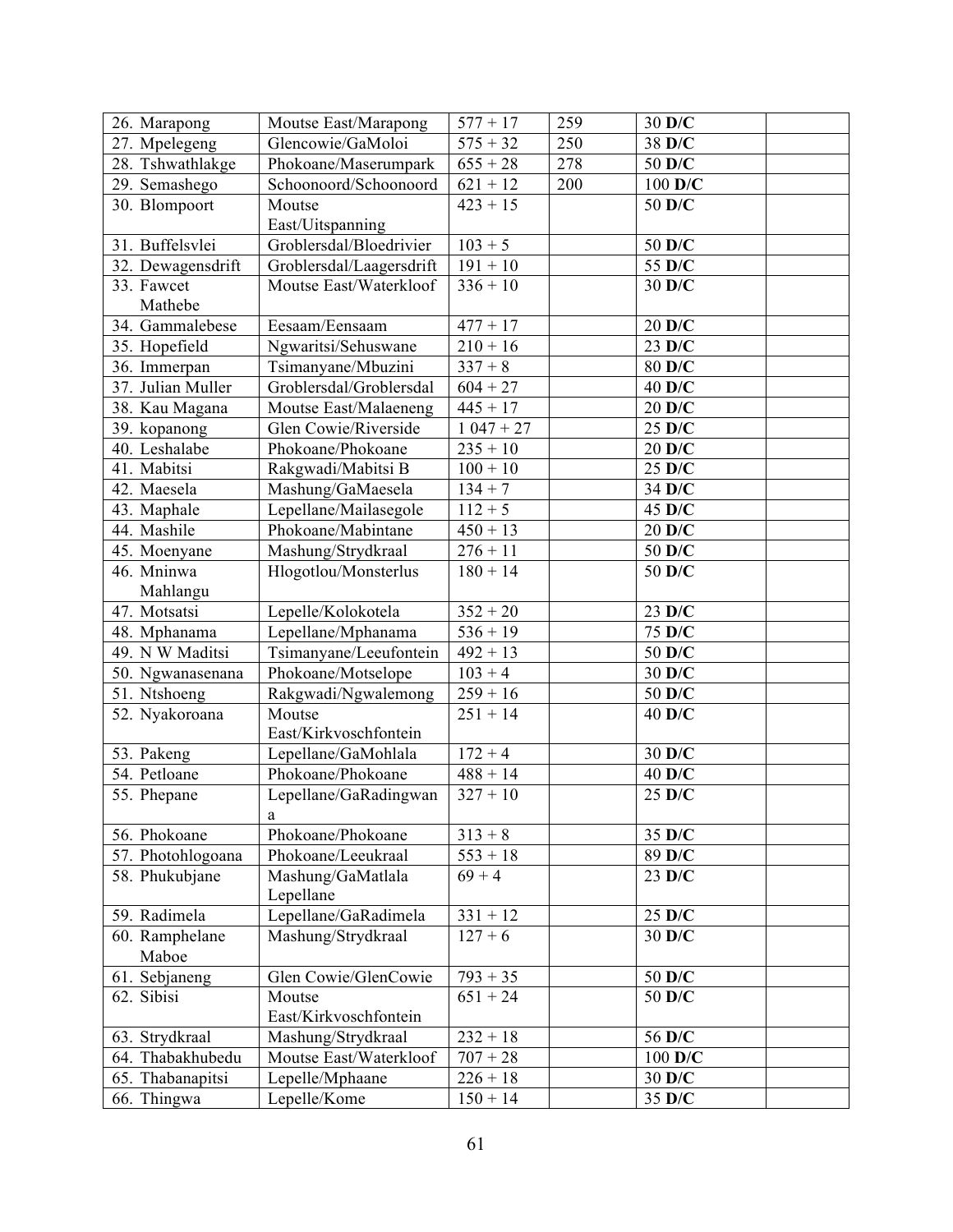| 26. Marapong      | Moutse East/Marapong     | $577 + 17$           | 259 | 30 D/C           |  |
|-------------------|--------------------------|----------------------|-----|------------------|--|
| 27. Mpelegeng     | Glencowie/GaMoloi        | $\frac{1}{575} + 32$ | 250 | 38 D/C           |  |
| 28. Tshwathlakge  | Phokoane/Maserumpark     | $655 + 28$           | 278 | 50 D/C           |  |
| 29. Semashego     | Schoonoord/Schoonoord    | $621 + 12$           | 200 | $100$ D/C        |  |
| 30. Blompoort     | Moutse                   | $423 + 15$           |     | 50 D/C           |  |
|                   | East/Uitspanning         |                      |     |                  |  |
| 31. Buffelsvlei   | Groblersdal/Bloedrivier  | $103 + 5$            |     | 50 D/C           |  |
| 32. Dewagensdrift | Groblersdal/Laagersdrift | $191 + 10$           |     | 55 D/C           |  |
| 33. Fawcet        | Moutse East/Waterkloof   | $336 + 10$           |     | 30 D/C           |  |
| Mathebe           |                          |                      |     |                  |  |
| 34. Gammalebese   | Eesaam/Eensaam           | $477 + 17$           |     | 20 D/C           |  |
| 35. Hopefield     | Ngwaritsi/Sehuswane      | $210 + 16$           |     | 23 D/C           |  |
| 36. Immerpan      | Tsimanyane/Mbuzini       | $337 + 8$            |     | 80 D/C           |  |
| 37. Julian Muller | Groblersdal/Groblersdal  | $604 + 27$           |     | 40 D/C           |  |
| 38. Kau Magana    | Moutse East/Malaeneng    | $445 + 17$           |     | $20$ D/C         |  |
| 39. kopanong      | Glen Cowie/Riverside     | $1047 + 27$          |     | $25 \text{ D/C}$ |  |
| 40. Leshalabe     | Phokoane/Phokoane        | $235 + 10$           |     | 20 D/C           |  |
| 41. Mabitsi       | Rakgwadi/Mabitsi B       | $100 + 10$           |     | 25 D/C           |  |
| 42. Maesela       | Mashung/GaMaesela        | $134 + 7$            |     | 34 D/C           |  |
| 43. Maphale       | Lepellane/Mailasegole    | $112 + 5$            |     | $45$ D/C         |  |
| 44. Mashile       | Phokoane/Mabintane       | $450 + 13$           |     | 20 D/C           |  |
| 45. Moenyane      | Mashung/Strydkraal       | $276 + 11$           |     | 50 D/C           |  |
| 46. Mninwa        | Hlogotlou/Monsterlus     | $180 + 14$           |     | 50 D/C           |  |
| Mahlangu          |                          |                      |     |                  |  |
| 47. Motsatsi      | Lepelle/Kolokotela       | $352 + 20$           |     | 23 D/C           |  |
| 48. Mphanama      | Lepellane/Mphanama       | $536 + 19$           |     | 75 D/C           |  |
| 49. N W Maditsi   | Tsimanyane/Leeufontein   | $492 + 13$           |     | 50 D/C           |  |
| 50. Ngwanasenana  | Phokoane/Motselope       | $103 + 4$            |     | 30 D/C           |  |
| 51. Ntshoeng      | Rakgwadi/Ngwalemong      | $\frac{1}{259} + 16$ |     | 50 D/C           |  |
| 52. Nyakoroana    | Moutse                   | $251 + 14$           |     | 40 D/C           |  |
|                   | East/Kirkvoschfontein    |                      |     |                  |  |
| 53. Pakeng        | Lepellane/GaMohlala      | $172 + 4$            |     | 30 D/C           |  |
| 54. Petloane      | Phokoane/Phokoane        | $488 + 14$           |     | 40 D/C           |  |
| 55. Phepane       | Lepellane/GaRadingwan    | $327 + 10$           |     | 25 D/C           |  |
|                   | a                        |                      |     |                  |  |
| 56. Phokoane      | Phokoane/Phokoane        | $313 + 8$            |     | 35 D/C           |  |
| 57. Photohlogoana | Phokoane/Leeukraal       | $553 + 18$           |     | 89 D/C           |  |
| 58. Phukubjane    | Mashung/GaMatlala        | $69 + 4$             |     | $23 \text{ D/C}$ |  |
|                   | Lepellane                |                      |     |                  |  |
| 59. Radimela      | Lepellane/GaRadimela     | $331 + 12$           |     | 25 D/C           |  |
| 60. Ramphelane    | Mashung/Strydkraal       | $127 + 6$            |     | 30 D/C           |  |
| Maboe             |                          |                      |     |                  |  |
| 61. Sebjaneng     | Glen Cowie/GlenCowie     | $793 + 35$           |     | 50 D/C           |  |
| 62. Sibisi        | Moutse                   | $651 + 24$           |     | 50 D/C           |  |
|                   | East/Kirkvoschfontein    |                      |     |                  |  |
| 63. Strydkraal    | Mashung/Strydkraal       | $232 + 18$           |     | 56 D/C           |  |
| 64. Thabakhubedu  | Moutse East/Waterkloof   | $707 + 28$           |     | 100 D/C          |  |
| 65. Thabanapitsi  | Lepelle/Mphaane          | $226 + 18$           |     | 30 D/C           |  |
| 66. Thingwa       | Lepelle/Kome             | $150 + 14$           |     | 35 D/C           |  |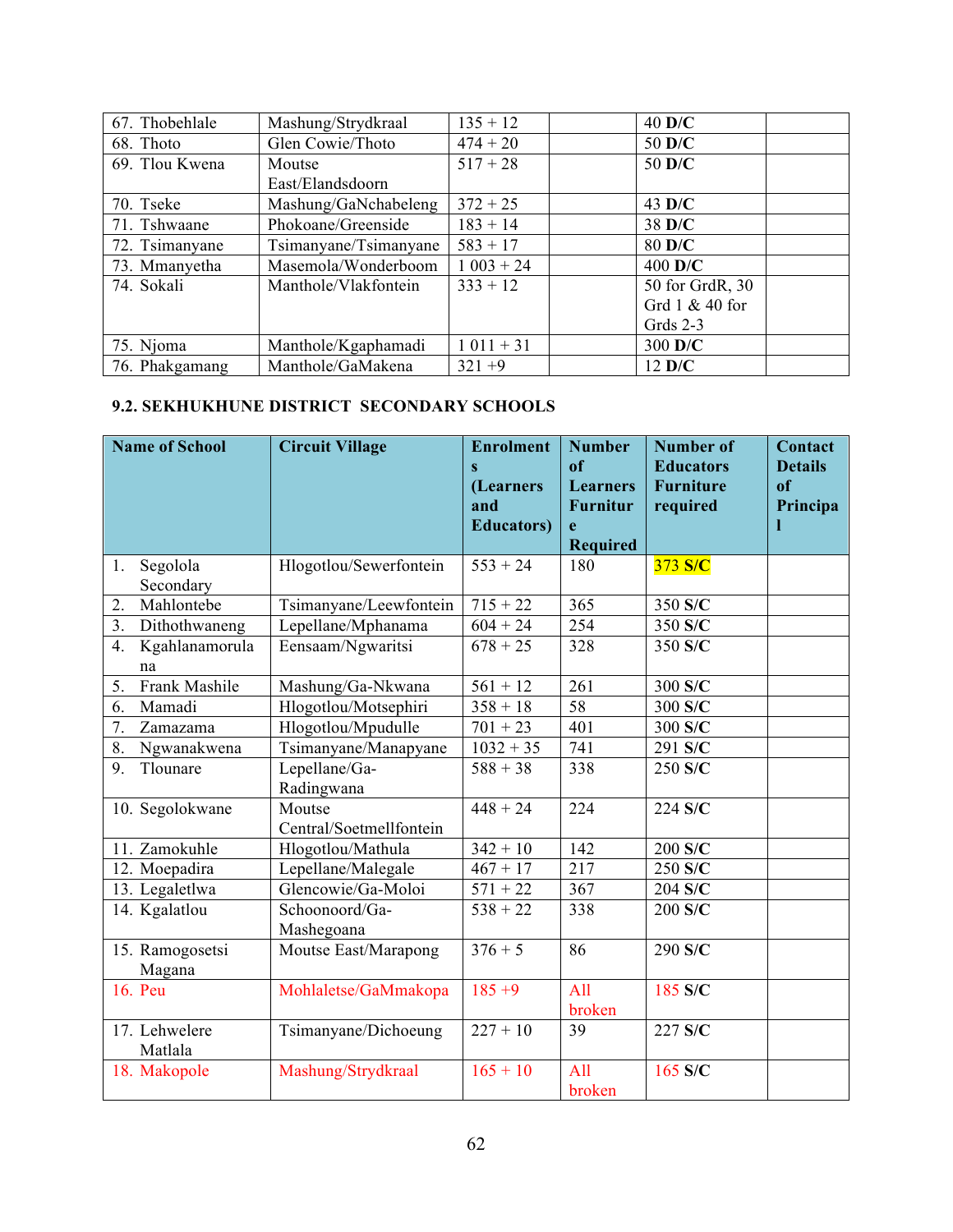| 67. Thobehlale | Mashung/Strydkraal    | $135 + 12$    | $40$ D/C         |  |
|----------------|-----------------------|---------------|------------------|--|
| 68. Thoto      | Glen Cowie/Thoto      | $474 + 20$    | 50 D/C           |  |
| 69. Tlou Kwena | Moutse                | $517 + 28$    | 50 D/C           |  |
|                | East/Elandsdoorn      |               |                  |  |
| 70. Tseke      | Mashung/GaNchabeleng  | $372 + 25$    | $43 \text{ D/C}$ |  |
| 71. Tshwaane   | Phokoane/Greenside    | $183 + 14$    | 38 D/C           |  |
| 72. Tsimanyane | Tsimanyane/Tsimanyane | $583 + 17$    | 80 D/C           |  |
| 73. Mmanyetha  | Masemola/Wonderboom   | $1\ 003 + 24$ | $400$ D/C        |  |
| 74. Sokali     | Manthole/Vlakfontein  | $333 + 12$    | 50 for GrdR, 30  |  |
|                |                       |               | Grd 1 & 40 for   |  |
|                |                       |               | Grds $2-3$       |  |
| 75. Njoma      | Manthole/Kgaphamadi   | $1011 + 31$   | 300 D/C          |  |
| 76. Phakgamang | Manthole/GaMakena     | $321 + 9$     | $12 \text{ }D/C$ |  |

## **9.2. SEKHUKHUNE DISTRICT SECONDARY SCHOOLS**

| <b>Name of School</b>       | <b>Circuit Village</b>            | <b>Enrolment</b><br>$\overline{\mathbf{s}}$<br>(Learners<br>and | <b>Number</b><br><sub>of</sub><br><b>Learners</b><br><b>Furnitur</b> | <b>Number of</b><br><b>Educators</b><br><b>Furniture</b><br>required | Contact<br><b>Details</b><br><sub>of</sub><br>Principa |
|-----------------------------|-----------------------------------|-----------------------------------------------------------------|----------------------------------------------------------------------|----------------------------------------------------------------------|--------------------------------------------------------|
|                             |                                   | <b>Educators</b> )                                              | e<br><b>Required</b>                                                 |                                                                      |                                                        |
| Segolola<br>1.<br>Secondary | Hlogotlou/Sewerfontein            | $553 + 24$                                                      | 180                                                                  | 373 S/C                                                              |                                                        |
| Mahlontebe<br>2.            | Tsimanyane/Leewfontein            | $715 + 22$                                                      | 365                                                                  | 350 S/C                                                              |                                                        |
| 3.<br>Dithothwaneng         | Lepellane/Mphanama                | $\frac{1}{604} + 24$                                            | 254                                                                  | 350 S/C                                                              |                                                        |
| Kgahlanamorula<br>4.<br>na  | Eensaam/Ngwaritsi                 | $678 + 25$                                                      | 328                                                                  | 350 S/C                                                              |                                                        |
| Frank Mashile<br>5.         | Mashung/Ga-Nkwana                 | $561 + 12$                                                      | 261                                                                  | 300 S/C                                                              |                                                        |
| Mamadi<br>6.                | Hlogotlou/Motsephiri              | $358 + 18$                                                      | 58                                                                   | 300 S/C                                                              |                                                        |
| 7.<br>Zamazama              | Hlogotlou/Mpudulle                | $701 + 23$                                                      | 401                                                                  | 300 S/C                                                              |                                                        |
| 8.<br>Ngwanakwena           | Tsimanyane/Manapyane              | $1032 + 35$                                                     | 741                                                                  | 291 S/C                                                              |                                                        |
| 9.<br>Tlounare              | Lepellane/Ga-<br>Radingwana       | $588 + 38$                                                      | 338                                                                  | 250 S/C                                                              |                                                        |
| 10. Segolokwane             | Moutse<br>Central/Soetmellfontein | $448 + 24$                                                      | 224                                                                  | 224 S/C                                                              |                                                        |
| 11. Zamokuhle               | Hlogotlou/Mathula                 | $342 + 10$                                                      | 142                                                                  | 200 S/C                                                              |                                                        |
| 12. Moepadira               | Lepellane/Malegale                | $467 + 17$                                                      | 217                                                                  | 250 S/C                                                              |                                                        |
| 13. Legaletlwa              | Glencowie/Ga-Moloi                | $571 + 22$                                                      | 367                                                                  | 204 S/C                                                              |                                                        |
| 14. Kgalatlou               | Schoonoord/Ga-<br>Mashegoana      | $538 + 22$                                                      | 338                                                                  | 200 S/C                                                              |                                                        |
| 15. Ramogosetsi<br>Magana   | Moutse East/Marapong              | $376 + 5$                                                       | 86                                                                   | 290 S/C                                                              |                                                        |
| 16. Peu                     | Mohlaletse/GaMmakopa              | $185 + 9$                                                       | All<br>broken                                                        | 185 S/C                                                              |                                                        |
| 17. Lehwelere<br>Matlala    | Tsimanyane/Dichoeung              | $227 + 10$                                                      | 39                                                                   | 227 S/C                                                              |                                                        |
| 18. Makopole                | Mashung/Strydkraal                | $165 + 10$                                                      | All<br>broken                                                        | 165 S/C                                                              |                                                        |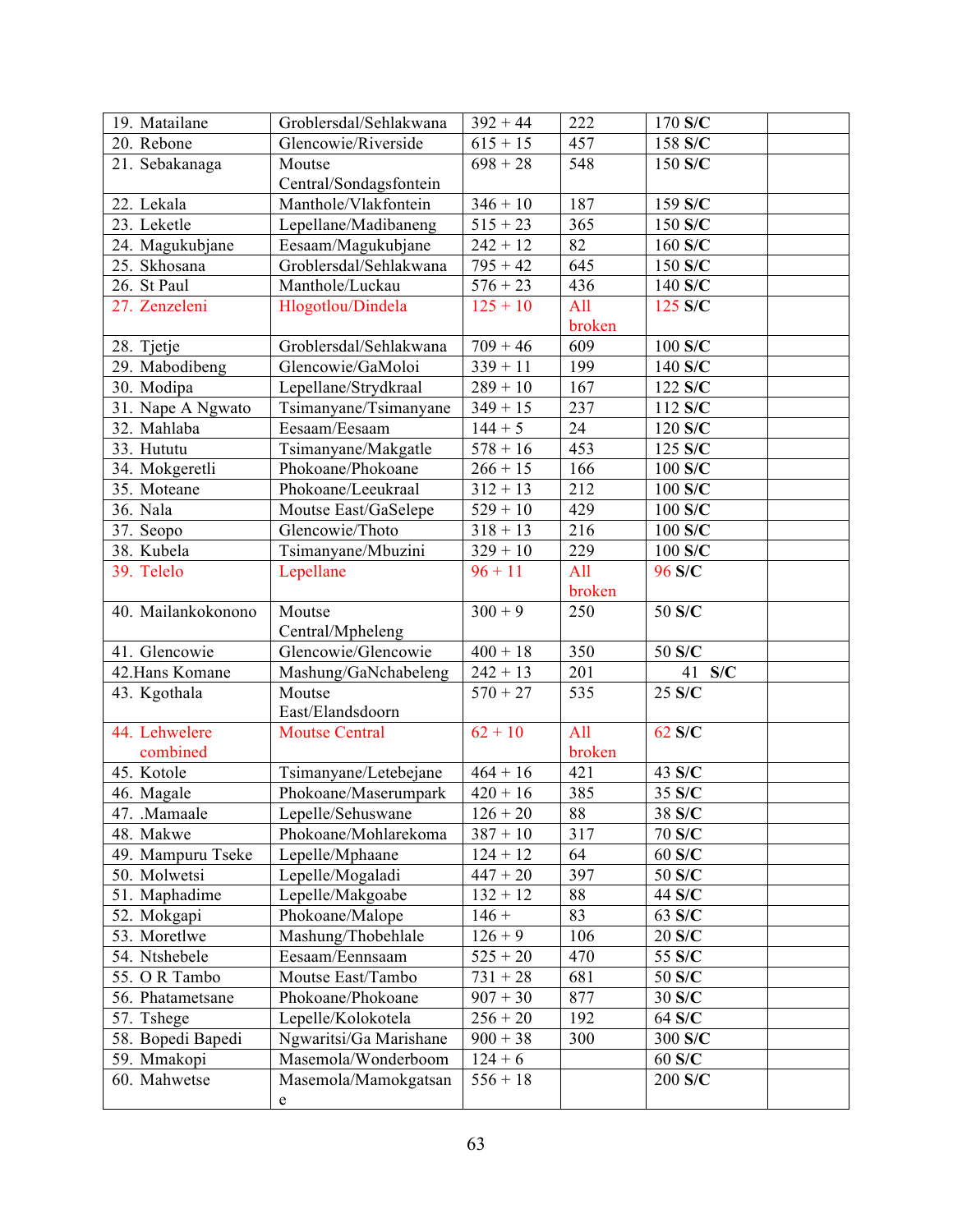| 19. Matailane      | Groblersdal/Sehlakwana | $392 + 44$ | 222    | 170 S/C       |
|--------------------|------------------------|------------|--------|---------------|
| 20. Rebone         | Glencowie/Riverside    | $615 + 15$ | 457    | 158 S/C       |
| 21. Sebakanaga     | Moutse                 | $698 + 28$ | 548    | 150 S/C       |
|                    | Central/Sondagsfontein |            |        |               |
| 22. Lekala         | Manthole/Vlakfontein   | $346 + 10$ | 187    | 159 S/C       |
| 23. Leketle        | Lepellane/Madibaneng   | $515 + 23$ | 365    | 150 S/C       |
| 24. Magukubjane    | Eesaam/Magukubjane     | $242 + 12$ | 82     | 160 S/C       |
| 25. Skhosana       | Groblersdal/Sehlakwana | $795 + 42$ | 645    | 150 S/C       |
| 26. St Paul        | Manthole/Luckau        | $576 + 23$ | 436    | 140 S/C       |
| 27. Zenzeleni      | Hlogotlou/Dindela      | $125 + 10$ | All    | 125 S/C       |
|                    |                        |            | broken |               |
| 28. Tjetje         | Groblersdal/Sehlakwana | $709 + 46$ | 609    | 100 S/C       |
| 29. Mabodibeng     | Glencowie/GaMoloi      | $339 + 11$ | 199    | 140 S/C       |
| 30. Modipa         | Lepellane/Strydkraal   | $289 + 10$ | 167    | 122 S/C       |
| 31. Nape A Ngwato  | Tsimanyane/Tsimanyane  | $349 + 15$ | 237    | 112 S/C       |
| 32. Mahlaba        | Eesaam/Eesaam          | $144 + 5$  | 24     | 120 S/C       |
| 33. Hututu         | Tsimanyane/Makgatle    | $578 + 16$ | 453    | 125 S/C       |
| 34. Mokgeretli     | Phokoane/Phokoane      | $266 + 15$ | 166    | 100 S/C       |
| 35. Moteane        | Phokoane/Leeukraal     | $312 + 13$ | 212    | 100 S/C       |
| 36. Nala           | Moutse East/GaSelepe   | $529 + 10$ | 429    | 100 S/C       |
| 37. Seopo          | Glencowie/Thoto        | $318 + 13$ | 216    | 100 S/C       |
| 38. Kubela         | Tsimanyane/Mbuzini     | $329 + 10$ | 229    | 100 S/C       |
| 39. Telelo         | Lepellane              | $96 + 11$  | All    | 96 S/C        |
|                    |                        |            | broken |               |
| 40. Mailankokonono | Moutse                 | $300 + 9$  | 250    | 50 S/C        |
|                    | Central/Mpheleng       |            |        |               |
| 41. Glencowie      | Glencowie/Glencowie    | $400 + 18$ | 350    | 50 S/C        |
| 42. Hans Komane    | Mashung/GaNchabeleng   | $242 + 13$ | 201    | 41 S/C        |
| 43. Kgothala       | Moutse                 | $570 + 27$ | 535    | 25 S/C        |
|                    | East/Elandsdoorn       |            |        |               |
| 44. Lehwelere      | <b>Moutse Central</b>  | $62 + 10$  | All    | 62 S/C        |
| combined           |                        |            | broken |               |
| 45. Kotole         | Tsimanyane/Letebejane  | $464 + 16$ | 421    | 43 S/C        |
| 46. Magale         | Phokoane/Maserumpark   | $420 + 16$ | 385    | 35 S/C        |
| 47. Mamaale        | Lepelle/Sehuswane      | $126 + 20$ | 88     | 38 S/C        |
| 48. Makwe          | Phokoane/Mohlarekoma   | $387 + 10$ | 317    | 70 S/C        |
| 49. Mampuru Tseke  | Lepelle/Mphaane        | $124 + 12$ | 64     | 60 S/C        |
| 50. Molwetsi       | Lepelle/Mogaladi       | $447 + 20$ | 397    | 50 S/C        |
| 51. Maphadime      | Lepelle/Makgoabe       | $132 + 12$ | 88     | 44 S/C        |
| 52. Mokgapi        | Phokoane/Malope        | $146 +$    | 83     | 63 S/C        |
| 53. Moretlwe       | Mashung/Thobehlale     | $126 + 9$  | 106    | 20 S/C        |
| 54. Ntshebele      | Eesaam/Eennsaam        | $525 + 20$ | 470    | 55 S/C        |
| 55. OR Tambo       | Moutse East/Tambo      | $731 + 28$ | 681    | 50 S/C        |
| 56. Phatametsane   | Phokoane/Phokoane      | $907 + 30$ | 877    | 30 S/C        |
| 57. Tshege         | Lepelle/Kolokotela     | $256 + 20$ | 192    | 64 S/C        |
| 58. Bopedi Bapedi  | Ngwaritsi/Ga Marishane | $900 + 38$ | 300    | 300 S/C       |
| 59. Mmakopi        | Masemola/Wonderboom    | $124 + 6$  |        | $60$ S/C $\,$ |
| 60. Mahwetse       | Masemola/Mamokgatsan   | $556 + 18$ |        | 200 S/C       |
|                    | e                      |            |        |               |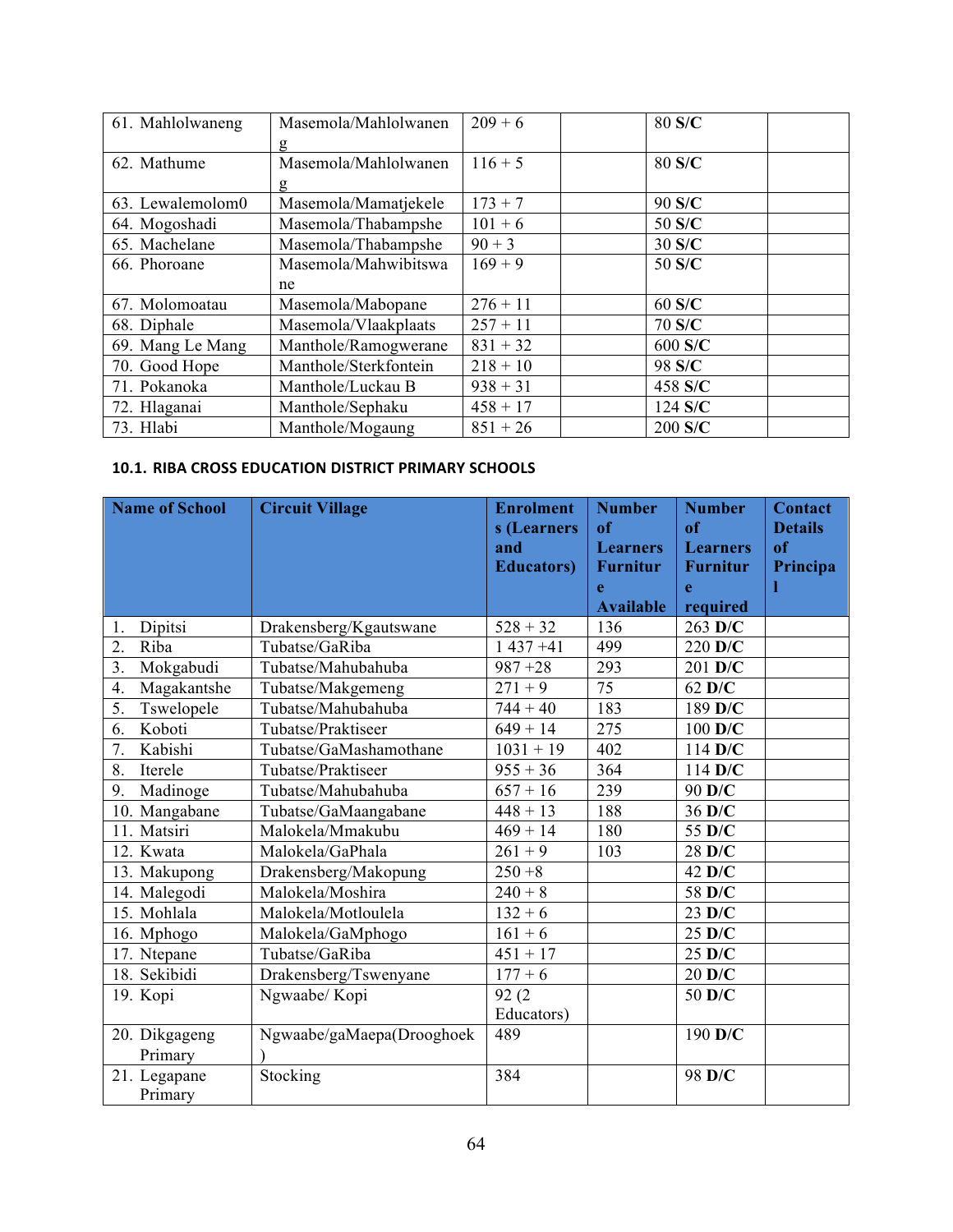| 61. Mahlolwaneng | Masemola/Mahlolwanen  | $209 + 6$  | 80 S/C    |  |
|------------------|-----------------------|------------|-----------|--|
|                  |                       |            |           |  |
| 62. Mathume      | Masemola/Mahlolwanen  | $116 + 5$  | 80 S/C    |  |
|                  | g                     |            |           |  |
| 63. Lewalemolom0 | Masemola/Mamatjekele  | $173 + 7$  | 90 S/C    |  |
| 64. Mogoshadi    | Masemola/Thabampshe   | $101 + 6$  | 50 S/C    |  |
| 65. Machelane    | Masemola/Thabampshe   | $90 + 3$   | 30 S/C    |  |
| 66. Phoroane     | Masemola/Mahwibitswa  | $169 + 9$  | 50 S/C    |  |
|                  | ne                    |            |           |  |
| 67. Molomoatau   | Masemola/Mabopane     | $276 + 11$ | 60 S/C    |  |
| 68. Diphale      | Masemola/Vlaakplaats  | $257 + 11$ | 70 S/C    |  |
| 69. Mang Le Mang | Manthole/Ramogwerane  | $831 + 32$ | 600 S/C   |  |
| 70. Good Hope    | Manthole/Sterkfontein | $218 + 10$ | 98 S/C    |  |
| 71. Pokanoka     | Manthole/Luckau B     | $938 + 31$ | 458 S/C   |  |
| 72. Hlaganai     | Manthole/Sephaku      | $458 + 17$ | $124$ S/C |  |
| 73. Hlabi        | Manthole/Mogaung      | $851 + 26$ | 200 S/C   |  |

#### **10.1. RIBA CROSS EDUCATION DISTRICT PRIMARY SCHOOLS**

| <b>Name of School</b>         | <b>Circuit Village</b>    | <b>Enrolment</b>   | <b>Number</b>                      | <b>Number</b>                      | <b>Contact</b>       |
|-------------------------------|---------------------------|--------------------|------------------------------------|------------------------------------|----------------------|
|                               |                           | s (Learners<br>and | of                                 | <sub>of</sub>                      | <b>Details</b><br>of |
|                               |                           | <b>Educators</b> ) | <b>Learners</b><br><b>Furnitur</b> | <b>Learners</b><br><b>Furnitur</b> | Principa             |
|                               |                           |                    | e                                  | e                                  |                      |
|                               |                           |                    | <b>Available</b>                   | required                           |                      |
| Dipitsi<br>1.                 | Drakensberg/Kgautswane    | $528 + 32$         | 136                                | 263 D/C                            |                      |
| $\overline{2}$ .<br>Riba      | Tubatse/GaRiba            | $1437 + 41$        | 499                                | 220 D/C                            |                      |
| $\overline{3}$ .<br>Mokgabudi | Tubatse/Mahubahuba        | $987 + 28$         | 293                                | 201 D/C                            |                      |
| Magakantshe<br>4.             | Tubatse/Makgemeng         | $271 + 9$          | 75                                 | $62$ D/C                           |                      |
| 5.<br>Tswelopele              | Tubatse/Mahubahuba        | $744 + 40$         | 183                                | 189 D/C                            |                      |
| 6.<br>Koboti                  | Tubatse/Praktiseer        | $\sqrt{649} + 14$  | 275                                | 100 D/C                            |                      |
| Kabishi<br>7.                 | Tubatse/GaMashamothane    | $1031 + 19$        | 402                                | 114 D/C                            |                      |
| 8.<br>Iterele                 | Tubatse/Praktiseer        | $955 + 36$         | 364                                | $114$ D/C                          |                      |
| Madinoge<br>9.                | Tubatse/Mahubahuba        | $657 + 16$         | 239                                | 90 D/C                             |                      |
| 10. Mangabane                 | Tubatse/GaMaangabane      | $448 + 13$         | 188                                | 36 D/C                             |                      |
| 11. Matsiri                   | Malokela/Mmakubu          | $469 + 14$         | 180                                | 55 D/C                             |                      |
| 12. Kwata                     | Malokela/GaPhala          | $261 + 9$          | 103                                | 28 D/C                             |                      |
| 13. Makupong                  | Drakensberg/Makopung      | $250 + 8$          |                                    | $42$ D/C                           |                      |
| 14. Malegodi                  | Malokela/Moshira          | $240 + 8$          |                                    | 58 D/C                             |                      |
| 15. Mohlala                   | Malokela/Motloulela       | $132 + 6$          |                                    | 23 D/C                             |                      |
| 16. Mphogo                    | Malokela/GaMphogo         | $161 + 6$          |                                    | $25 \text{ D/C}$                   |                      |
| 17. Ntepane                   | Tubatse/GaRiba            | $451 + 17$         |                                    | $25 \text{ D/C}$                   |                      |
| 18. Sekibidi                  | Drakensberg/Tswenyane     | $177 + 6$          |                                    | $20$ D/C                           |                      |
| 19. Kopi                      | Ngwaabe/Kopi              | 92(2)              |                                    | 50 D/C                             |                      |
|                               |                           | Educators)         |                                    |                                    |                      |
| 20. Dikgageng                 | Ngwaabe/gaMaepa(Drooghoek | 489                |                                    | 190 D/C                            |                      |
| Primary                       |                           |                    |                                    |                                    |                      |
| 21. Legapane                  | Stocking                  | 384                |                                    | 98 D/C                             |                      |
| Primary                       |                           |                    |                                    |                                    |                      |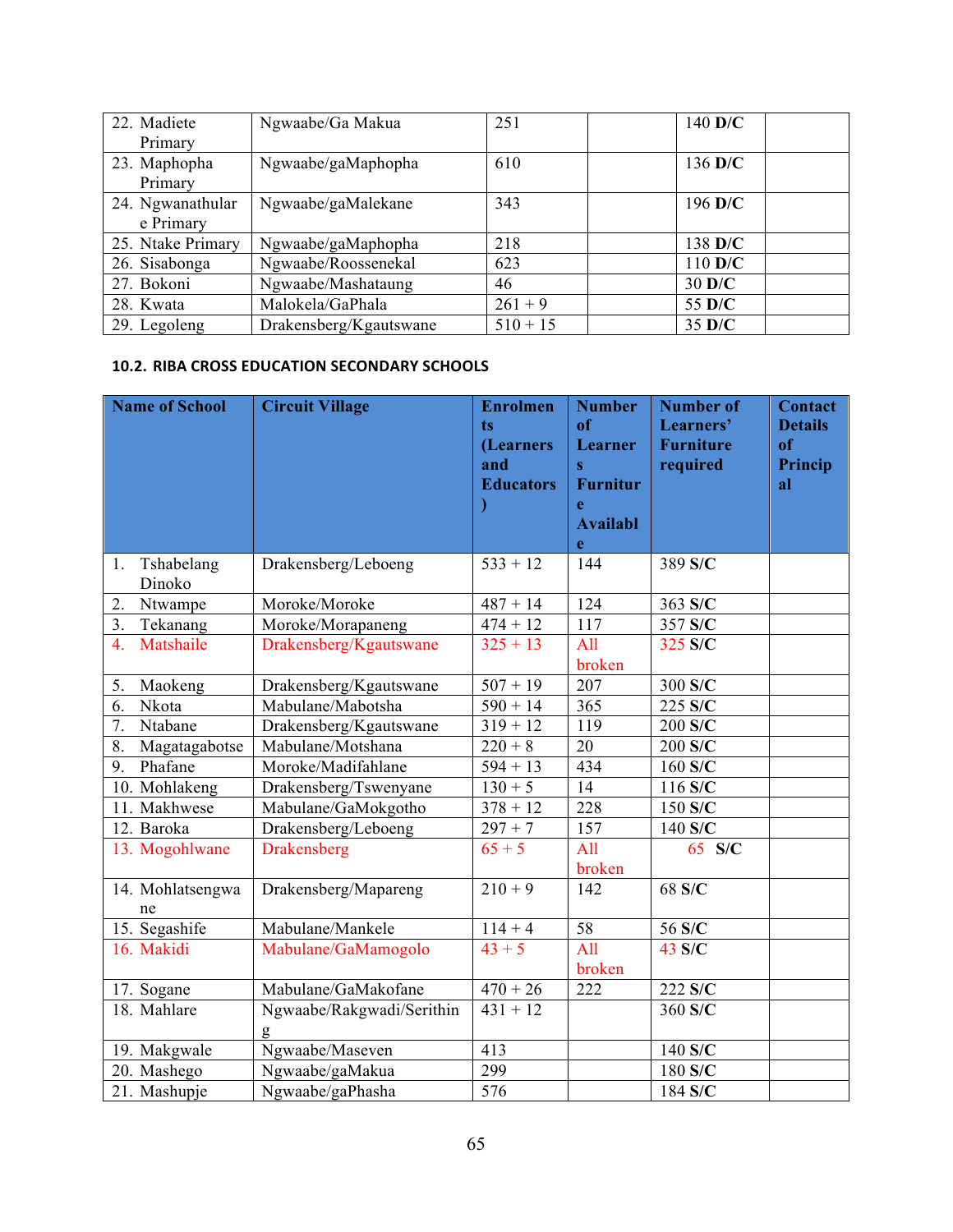| 22. Madiete       | Ngwaabe/Ga Makua       | 251        | 140 $D/C$ |
|-------------------|------------------------|------------|-----------|
| Primary           |                        |            |           |
| 23. Maphopha      | Ngwaabe/gaMaphopha     | 610        | 136 $D/C$ |
| Primary           |                        |            |           |
| 24. Ngwanathular  | Ngwaabe/gaMalekane     | 343        | 196 $D/C$ |
| e Primary         |                        |            |           |
| 25. Ntake Primary | Ngwaabe/gaMaphopha     | 218        | 138 D/C   |
| 26. Sisabonga     | Ngwaabe/Roossenekal    | 623        | 110 D/C   |
| 27. Bokoni        | Ngwaabe/Mashataung     | 46         | 30 D/C    |
| 28. Kwata         | Malokela/GaPhala       | $261 + 9$  | 55 D/C    |
| 29. Legoleng      | Drakensberg/Kgautswane | $510 + 15$ | 35 D/C    |

#### **10.2. RIBA CROSS EDUCATION SECONDARY SCHOOLS**

|                  | <b>Name of School</b>  | <b>Circuit Village</b>         | <b>Enrolmen</b><br>ts<br>(Learners<br>and<br><b>Educators</b> | <b>Number</b><br>of<br>Learner<br>$\overline{\mathbf{s}}$<br><b>Furnitur</b><br>e<br><b>Availabl</b><br>e | <b>Number of</b><br>Learners'<br><b>Furniture</b><br>required | <b>Contact</b><br><b>Details</b><br>of<br>Princip<br>al |
|------------------|------------------------|--------------------------------|---------------------------------------------------------------|-----------------------------------------------------------------------------------------------------------|---------------------------------------------------------------|---------------------------------------------------------|
| 1.               | Tshabelang<br>Dinoko   | Drakensberg/Leboeng            | $533 + 12$                                                    | 144                                                                                                       | 389 S/C                                                       |                                                         |
| 2.               | Ntwampe                | Moroke/Moroke                  | $487 + 14$                                                    | 124                                                                                                       | 363 S/C                                                       |                                                         |
| 3.               | Tekanang               | Moroke/Morapaneng              | $474 + 12$                                                    | 117                                                                                                       | 357 S/C                                                       |                                                         |
| $\overline{4}$ . | Matshaile              | Drakensberg/Kgautswane         | $325 + 13$                                                    | All<br>broken                                                                                             | 325 S/C                                                       |                                                         |
| 5.               | Maokeng                | Drakensberg/Kgautswane         | $507 + 19$                                                    | 207                                                                                                       | 300 S/C                                                       |                                                         |
| 6.               | Nkota                  | Mabulane/Mabotsha              | $590 + 14$                                                    | $\overline{365}$                                                                                          | 225 S/C                                                       |                                                         |
| 7.               | Ntabane                | Drakensberg/Kgautswane         | $319 + 12$                                                    | 119                                                                                                       | 200 S/C                                                       |                                                         |
| 8.               | Magatagabotse          | Mabulane/Motshana              | $220 + 8$                                                     | 20                                                                                                        | 200 S/C                                                       |                                                         |
| 9.               | Phafane                | Moroke/Madifahlane             | $594 + 13$                                                    | 434                                                                                                       | 160 S/C                                                       |                                                         |
|                  | 10. Mohlakeng          | Drakensberg/Tswenyane          | $130 + 5$                                                     | 14                                                                                                        | 116 S/C                                                       |                                                         |
|                  | 11. Makhwese           | Mabulane/GaMokgotho            | $378 + 12$                                                    | 228                                                                                                       | 150 S/C                                                       |                                                         |
|                  | 12. Baroka             | Drakensberg/Leboeng            | $297 + 7$                                                     | 157                                                                                                       | 140 S/C                                                       |                                                         |
|                  | 13. Mogohlwane         | Drakensberg                    | $65 + 5$                                                      | All<br>broken                                                                                             | 65 S/C                                                        |                                                         |
|                  | 14. Mohlatsengwa<br>ne | Drakensberg/Mapareng           | $210 + 9$                                                     | 142                                                                                                       | 68 S/C                                                        |                                                         |
|                  | 15. Segashife          | Mabulane/Mankele               | $114 + 4$                                                     | 58                                                                                                        | 56 S/C                                                        |                                                         |
|                  | 16. Makidi             | Mabulane/GaMamogolo            | $43 + 5$                                                      | $\overline{All}$<br>broken                                                                                | 43 S/C                                                        |                                                         |
|                  | 17. Sogane             | Mabulane/GaMakofane            | $470 + 26$                                                    | 222                                                                                                       | $222 S/\overline{C}$                                          |                                                         |
|                  | 18. Mahlare            | Ngwaabe/Rakgwadi/Serithin<br>g | $431 + 12$                                                    |                                                                                                           | 360 S/C                                                       |                                                         |
|                  | 19. Makgwale           | Ngwaabe/Maseven                | $\overline{413}$                                              |                                                                                                           | 140 S/C                                                       |                                                         |
|                  | 20. Mashego            | Ngwaabe/gaMakua                | 299                                                           |                                                                                                           | 180 S/C                                                       |                                                         |
|                  | 21. Mashupje           | Ngwaabe/gaPhasha               | $\overline{576}$                                              |                                                                                                           | 184 S/C                                                       |                                                         |